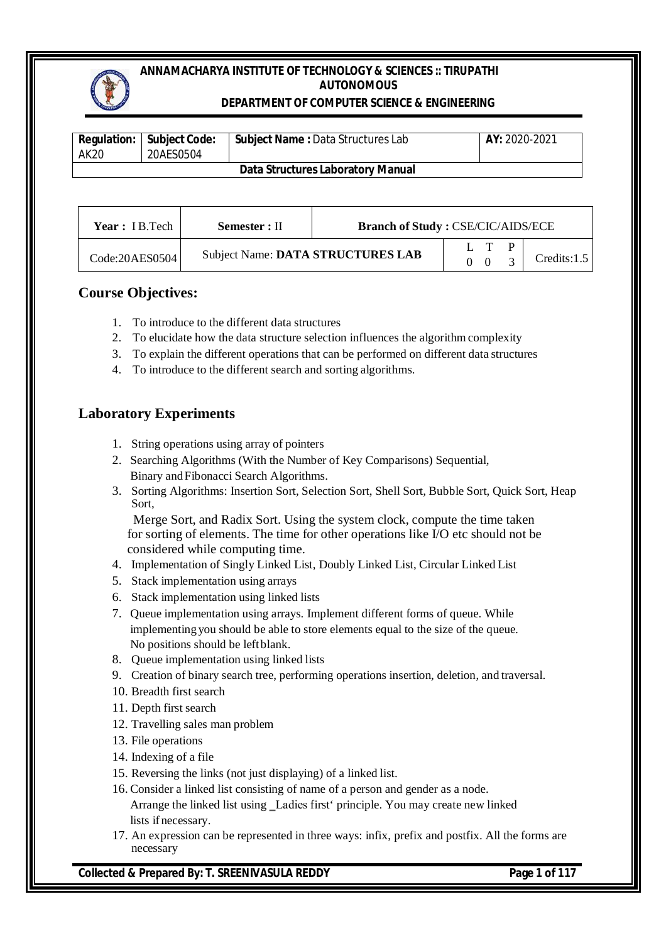#### **DEPARTMENT OF COMPUTER SCIENCE & ENGINEERING**

| AK20 | <b>Regulation:   Subject Code:</b><br>20AES0504 | <b>Subject Name: Data Structures Lab</b> | <b>AY:</b> 2020-2021 |
|------|-------------------------------------------------|------------------------------------------|----------------------|
|      |                                                 | <b>Data Structures Laboratory Manual</b> |                      |

| <b>Year</b> : IB.Tech | Semester : II | <b>Branch of Study: CSE/CIC/AIDS/ECE</b> |     |             |
|-----------------------|---------------|------------------------------------------|-----|-------------|
| Code:20AES0504        |               | Subject Name: DATA STRUCTURES LAB        | L T | Credits:1.5 |

## **Course Objectives:**

- 1. To introduce to the different data structures
- 2. To elucidate how the data structure selection influences the algorithmcomplexity
- 3. To explain the different operations that can be performed on different data structures
- 4. To introduce to the different search and sorting algorithms.

## **Laboratory Experiments**

- 1. String operations using array of pointers
- 2. Searching Algorithms (With the Number of Key Comparisons) Sequential, Binary andFibonacci Search Algorithms.
- 3. Sorting Algorithms: Insertion Sort, Selection Sort, Shell Sort, Bubble Sort, Quick Sort, Heap Sort,

Merge Sort, and Radix Sort. Using the system clock, compute the time taken for sorting of elements. The time for other operations like I/O etc should not be considered while computing time.

- 4. Implementation of Singly Linked List, Doubly Linked List, Circular Linked List
- 5. Stack implementation using arrays
- 6. Stack implementation using linked lists
- 7. Queue implementation using arrays. Implement different forms of queue. While implementing you should be able to store elements equal to the size of the queue. No positions should be leftblank.
- 8. Queue implementation using linked lists
- 9. Creation of binary search tree, performing operations insertion, deletion, and traversal.
- 10. Breadth first search
- 11. Depth first search
- 12. Travelling sales man problem
- 13. File operations
- 14. Indexing of a file
- 15. Reversing the links (not just displaying) of a linked list.
- 16. Consider a linked list consisting of name of a person and gender as a node. Arrange the linked list using Ladies first' principle. You may create new linked lists if necessary.
- 17. An expression can be represented in three ways: infix, prefix and postfix. All the forms are necessary

**Collected & Prepared By: T. SREENIVASULA REDDY Page 1 of 117**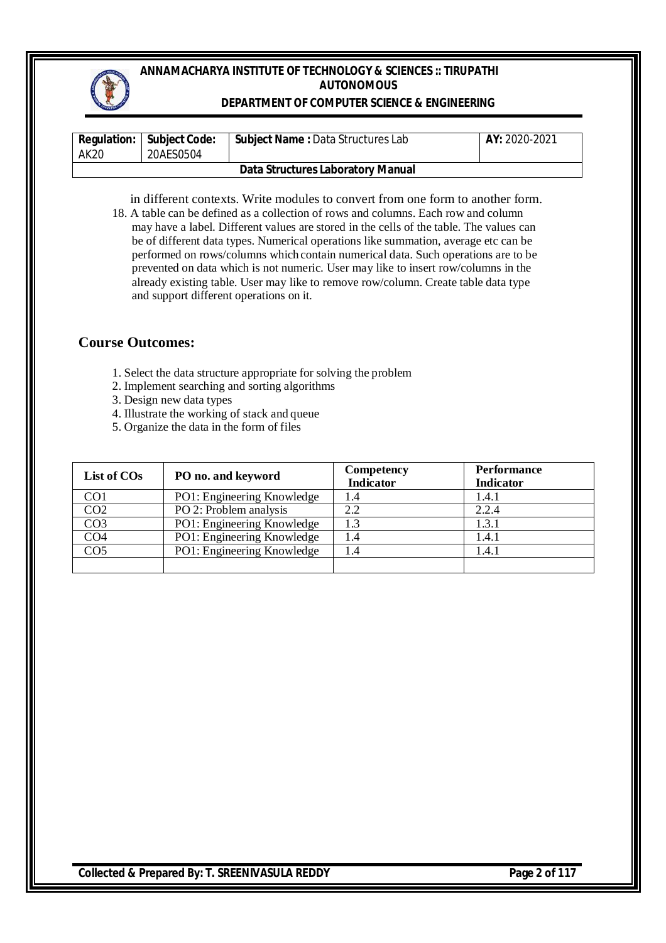#### **DEPARTMENT OF COMPUTER SCIENCE & ENGINEERING**

| AK 20 | <b>Requiation:   Subject Code:</b><br>20AES0504 | <b>Subject Name: Data Structures Lab</b> | AY: 2020-2021 |
|-------|-------------------------------------------------|------------------------------------------|---------------|
|       |                                                 | Data Structures Laboratory Manual        |               |

in different contexts. Write modules to convert from one form to another form. 18. A table can be defined as a collection of rows and columns. Each row and column may have a label. Different values are stored in the cells of the table. The values can be of different data types. Numerical operations like summation, average etc can be performed on rows/columns which contain numerical data. Such operations are to be prevented on data which is not numeric. User may like to insert row/columns in the already existing table. User may like to remove row/column. Create table data type and support different operations on it.

#### **Course Outcomes:**

- 1. Select the data structure appropriate for solving the problem
- 2. Implement searching and sorting algorithms
- 3. Design new data types
- 4. Illustrate the working of stack and queue
- 5. Organize the data in the form of files

| List of COs     | PO no. and keyword         | Competency<br><b>Indicator</b> | <b>Performance</b><br><b>Indicator</b> |
|-----------------|----------------------------|--------------------------------|----------------------------------------|
| CO <sub>1</sub> | PO1: Engineering Knowledge | 1.4                            | 1.4.1                                  |
| CO <sub>2</sub> | PO 2: Problem analysis     | 2.2                            | 2.2.4                                  |
| CO <sub>3</sub> | PO1: Engineering Knowledge | 1.3                            | 1.3.1                                  |
| CO <sub>4</sub> | PO1: Engineering Knowledge | 1.4                            | 1.4.1                                  |
| CO <sub>5</sub> | PO1: Engineering Knowledge | 1.4                            | 1.4.1                                  |
|                 |                            |                                |                                        |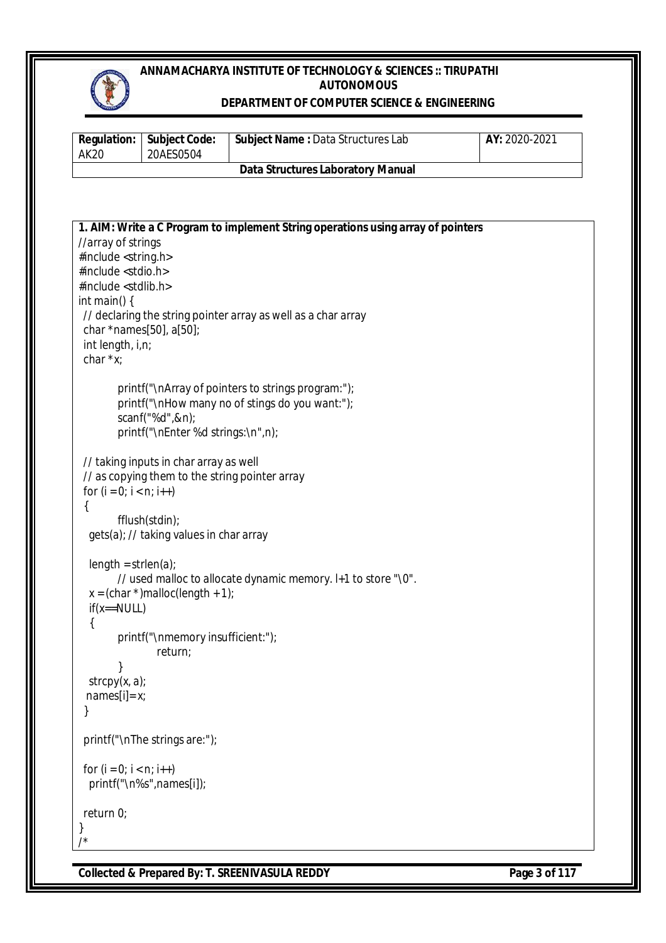

## **DEPARTMENT OF COMPUTER SCIENCE & ENGINEERING**

| <b>Regulation:</b><br><b>AK20</b>               | <b>Subject Code:</b><br>20AES0504              | Subject Name: Data Structures Lab                                                | AY: 2020-2021 |
|-------------------------------------------------|------------------------------------------------|----------------------------------------------------------------------------------|---------------|
|                                                 |                                                | <b>Data Structures Laboratory Manual</b>                                         |               |
|                                                 |                                                |                                                                                  |               |
|                                                 |                                                | 1. AIM: Write a C Program to implement String operations using array of pointers |               |
| //array of strings                              |                                                |                                                                                  |               |
| #include <string.h></string.h>                  |                                                |                                                                                  |               |
| #include <stdio.h></stdio.h>                    |                                                |                                                                                  |               |
| #include <stdlib.h><br/>int main() {</stdlib.h> |                                                |                                                                                  |               |
|                                                 |                                                | // declaring the string pointer array as well as a char array                    |               |
| char *names[50], a[50];                         |                                                |                                                                                  |               |
| int length, i,n;                                |                                                |                                                                                  |               |
| char $*x$ ;                                     |                                                |                                                                                  |               |
|                                                 |                                                | printf("\nArray of pointers to strings program:");                               |               |
|                                                 |                                                | printf("\nHow many no of stings do you want:");                                  |               |
|                                                 | scanf("%d",&n);                                |                                                                                  |               |
|                                                 | printf("\nEnter %d strings:\n",n);             |                                                                                  |               |
|                                                 | // taking inputs in char array as well         |                                                                                  |               |
|                                                 | // as copying them to the string pointer array |                                                                                  |               |
| for $(i = 0; i < n; i++)$                       |                                                |                                                                                  |               |
| $\{$                                            |                                                |                                                                                  |               |
|                                                 | fflush(stdin);                                 |                                                                                  |               |
|                                                 | gets(a); // taking values in char array        |                                                                                  |               |
| $length = strlen(a);$                           |                                                |                                                                                  |               |
|                                                 |                                                | // used malloc to allocate dynamic memory. I+1 to store "\0".                    |               |
|                                                 | $x = (char *)$ malloc(length + 1);             |                                                                                  |               |
| $if(x == NULL)$                                 |                                                |                                                                                  |               |
| {                                               |                                                |                                                                                  |               |
|                                                 | printf("\nmemory insufficient:");<br>return;   |                                                                                  |               |
|                                                 |                                                |                                                                                  |               |
| $stropy(x, a)$ ;                                |                                                |                                                                                  |               |
| $names[i]=x;$                                   |                                                |                                                                                  |               |
|                                                 |                                                |                                                                                  |               |
|                                                 | printf("\nThe strings are:");                  |                                                                                  |               |
| for $(i = 0; i < n; i++)$                       |                                                |                                                                                  |               |
|                                                 | printf("\n%s",names[i]);                       |                                                                                  |               |
| return 0;                                       |                                                |                                                                                  |               |
| }                                               |                                                |                                                                                  |               |
| /*                                              |                                                |                                                                                  |               |

**Collected & Prepared By: T. SREENIVASULA REDDY** Page 3 of 117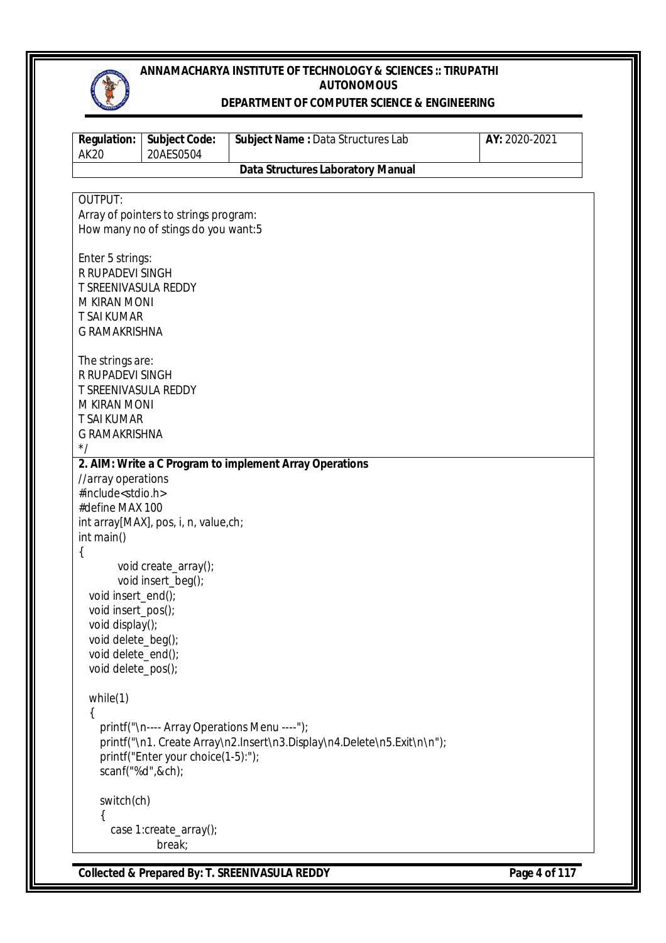

#### **DEPARTMENT OF COMPUTER SCIENCE & ENGINEERING**

| <b>Regulation:</b><br><b>AK20</b>        | <b>Subject Code:</b><br>20AES0504            | Subject Name : Data Structures Lab                                      | AY: 2020-2021 |
|------------------------------------------|----------------------------------------------|-------------------------------------------------------------------------|---------------|
|                                          |                                              | <b>Data Structures Laboratory Manual</b>                                |               |
|                                          |                                              |                                                                         |               |
| OUTPUT:                                  | Array of pointers to strings program:        |                                                                         |               |
|                                          | How many no of stings do you want:5          |                                                                         |               |
|                                          |                                              |                                                                         |               |
| Enter 5 strings:                         |                                              |                                                                         |               |
| R RUPADEVI SINGH                         |                                              |                                                                         |               |
| T SREENIVASULA REDDY                     |                                              |                                                                         |               |
| M KIRAN MONI                             |                                              |                                                                         |               |
| <b>T SAI KUMAR</b>                       |                                              |                                                                         |               |
| <b>G RAMAKRISHNA</b>                     |                                              |                                                                         |               |
| The strings are:                         |                                              |                                                                         |               |
| R RUPADEVI SINGH                         |                                              |                                                                         |               |
| <b>T SREENIVASULA REDDY</b>              |                                              |                                                                         |               |
| M KIRAN MONI                             |                                              |                                                                         |               |
| <b>T SAI KUMAR</b>                       |                                              |                                                                         |               |
| <b>G RAMAKRISHNA</b>                     |                                              |                                                                         |               |
| $^*/$                                    |                                              |                                                                         |               |
| //array operations                       |                                              | 2. AIM: Write a C Program to implement Array Operations                 |               |
| #include <stdio.h></stdio.h>             |                                              |                                                                         |               |
| #define MAX 100                          |                                              |                                                                         |               |
|                                          | int array[MAX], pos, i, n, value,ch;         |                                                                         |               |
| int main()                               |                                              |                                                                         |               |
| {                                        |                                              |                                                                         |               |
|                                          | void create_array();                         |                                                                         |               |
|                                          | void insert_beg();                           |                                                                         |               |
| void insert_end();                       |                                              |                                                                         |               |
| void insert_pos();                       |                                              |                                                                         |               |
| void display();                          |                                              |                                                                         |               |
| void delete_beg();                       |                                              |                                                                         |               |
| void delete_end();<br>void delete_pos(); |                                              |                                                                         |               |
|                                          |                                              |                                                                         |               |
| while(1)                                 |                                              |                                                                         |               |
| €                                        |                                              |                                                                         |               |
|                                          | printf("\n---- Array Operations Menu ----"); |                                                                         |               |
|                                          | printf("Enter your choice(1-5):");           | printf("\n1. Create Array\n2.Insert\n3.Display\n4.Delete\n5.Exit\n\n"); |               |
|                                          | scanf("%d",&ch);                             |                                                                         |               |
|                                          |                                              |                                                                         |               |
| switch(ch)                               |                                              |                                                                         |               |
|                                          |                                              |                                                                         |               |
|                                          | case 1:create_array();                       |                                                                         |               |
|                                          | break;                                       |                                                                         |               |
|                                          |                                              |                                                                         |               |

**Collected & Prepared By: T. SREENIVASULA REDDY Page 4 of 117**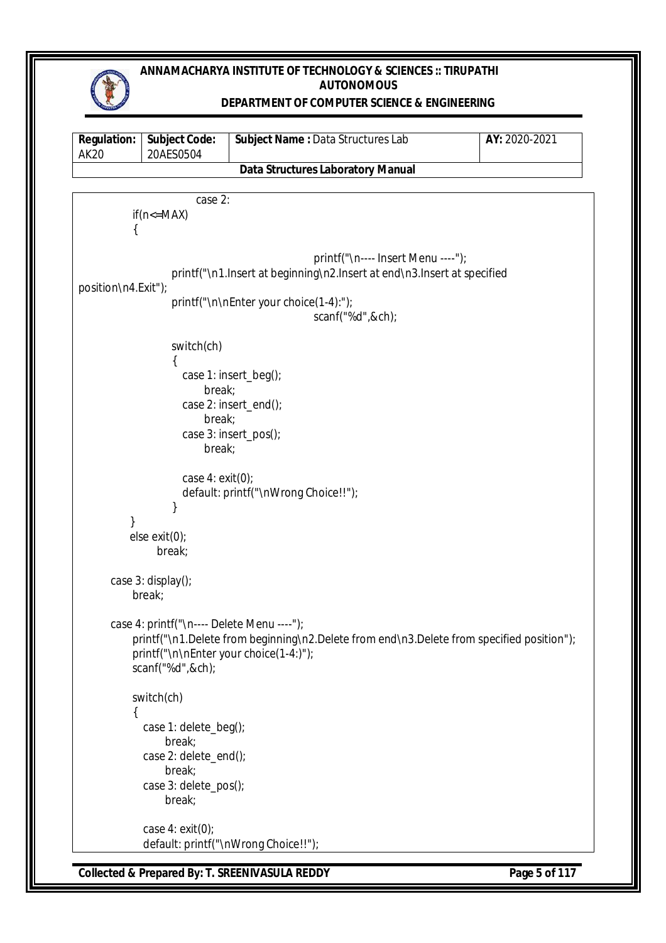

#### **DEPARTMENT OF COMPUTER SCIENCE & ENGINEERING**

```
Regulation:
AK20
             Subject Code:
             20AES0504
                               Subject Name : Data Structures Lab AY: 2020-2021
                                Data Structures Laboratory Manual
                       case 2:
          if(n < = MAX)\{printf("\n---- Insert Menu ----");
                   printf("\n1.Insert at beginning\n2.Insert at end\n3.Insert at specified 
position\n4.Exit");
                   printf("\n\nEnter your choice(1-4):");
                                               scanf("%d",&ch);
                   switch(ch)
        \{ case 1: insert_beg();
                          break;
                     case 2: insert_end();
                          break;
                     case 3: insert_pos();
                          break;
                     case 4: exit(0);
                     default: printf("\nWrong Choice!!");
         }
 }
           else exit(0);
               break;
       case 3: display();
           break;
       case 4: printf("\n---- Delete Menu ----");
          printf("\n1.Delete from beginning\n2.Delete from end\n3.Delete from specified position");
           printf("\n\nEnter your choice(1-4:)");
           scanf("%d",&ch);
           switch(ch)
\{ case 1: delete_beg();
                  break;
            case 2: delete_end();
                  break;
             case 3: delete_pos();
                  break;
             case 4: exit(0);
             default: printf("\nWrong Choice!!");
```
**Collected & Prepared By: T. SREENIVASULA REDDY Page 5 of 117**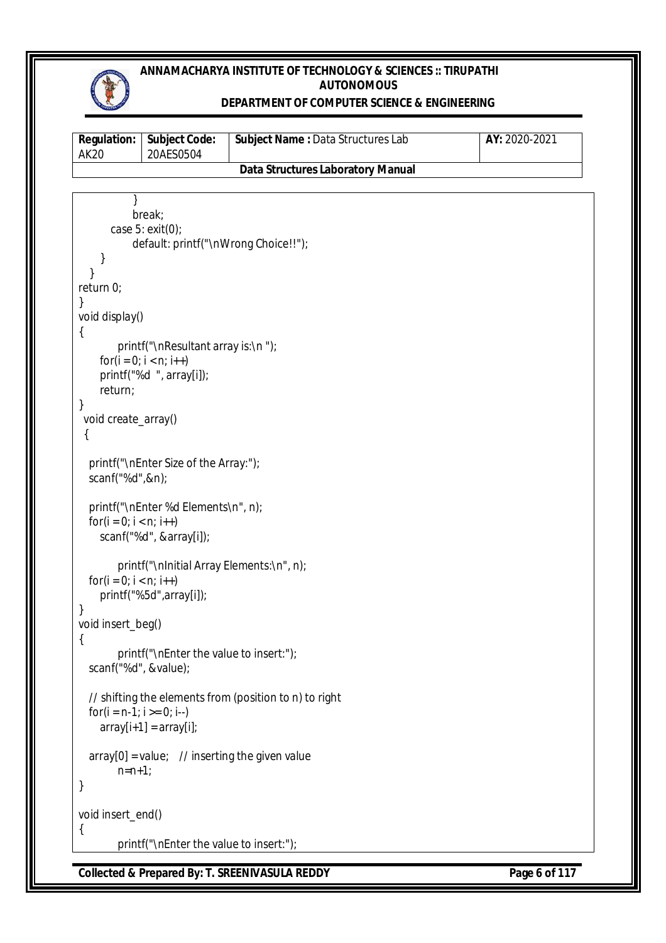

#### **DEPARTMENT OF COMPUTER SCIENCE & ENGINEERING**

| AK20 | <b>Regulation:   Subject Code:</b><br>20AES0504 | <b>Subject Name: Data Structures Lab</b> | AY: 2020-2021 |
|------|-------------------------------------------------|------------------------------------------|---------------|
|      |                                                 | Data Structures Laboratory Manual        |               |

```
 }
            break;
        case 5: exit(0);
            default: printf("\nWrong Choice!!");
     }
   }
return 0;
}
void display() 
{
        printf("\nResultant array is:\n ");
    for(i = 0; i < n; i++)
    printf("%d ", array[i]);
     return;
}
  void create_array() 
  {
   printf("\nEnter Size of the Array:");
   scanf("%d",&n);
   printf("\nEnter %d Elements\n", n);
  for(i = 0; i < n; i++)
     scanf("%d", &array[i]);
        printf("\nInitial Array Elements:\n", n);
  for(i = 0; i < n; i++)
     printf("%5d",array[i]);
}
void insert_beg()
{
        printf("\nEnter the value to insert:");
   scanf("%d", &value);
   // shifting the elements from (position to n) to right
  for(i = n-1; i \ge 0; i-)
    array[i+1] = array[i];array[0] = value; // inserting the given value
        n=n+1:
}
void insert_end()
{
        printf("\nEnter the value to insert:");
```
**Collected & Prepared By: T. SREENIVASULA REDDY Page 6 of 117**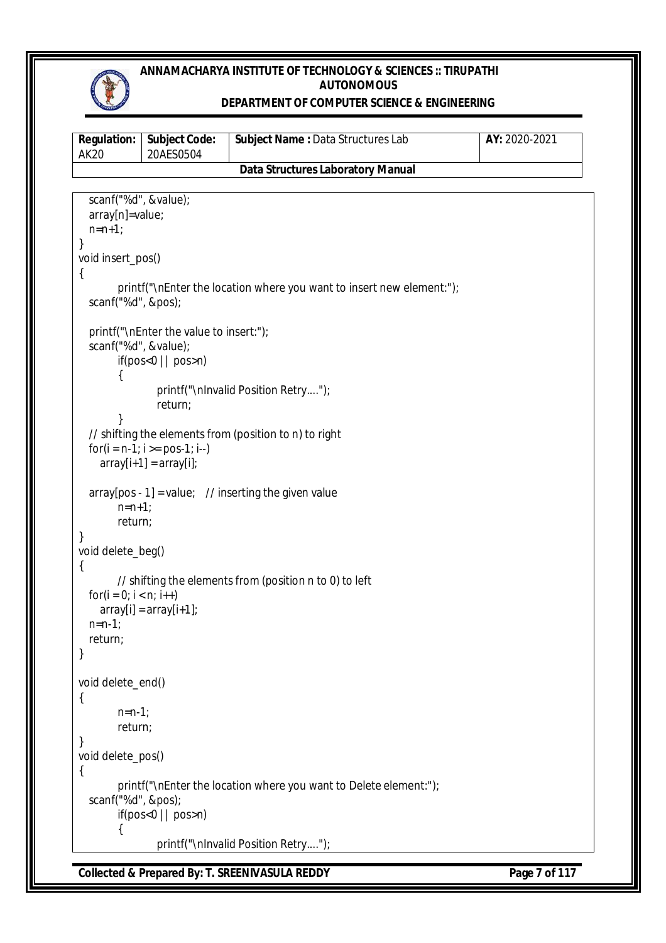

#### **DEPARTMENT OF COMPUTER SCIENCE & ENGINEERING**

```
Regulation:
AK20
             Subject Code:
             20AES0504
                               Subject Name : Data Structures Lab AY: 2020-2021
                                Data Structures Laboratory Manual
Collected & Prepared By: T. SREENIVASULA REDDY Page 7 of 117
   scanf("%d", &value);
   array[n]=value;
  n=n+1:
}
void insert_pos() 
{
       printf("\nEnter the location where you want to insert new element:");
   scanf("%d", &pos);
   printf("\nEnter the value to insert:");
   scanf("%d", &value);
       if(pos<0 || pos>n) 
       {
               printf("\nInvalid Position Retry....");
               return;
       }
   // shifting the elements from (position to n) to right
  for(i = n-1; i >= pos-1; i-)array[i+1] = array[i];array[pos - 1] = value; // inserting the given value
       n=n+1;
       return;
}
void delete_beg()
{
       // shifting the elements from (position n to 0) to left
  for(i = 0; i < n; i++)
    array[i] = array[i+1];
   n=n-1;
   return;
}
void delete_end()
{
       n=n-1;
       return;
}
void delete_pos()
{
       printf("\nEnter the location where you want to Delete element:");
   scanf("%d", &pos);
       if(pos<0 \mid |pos>n){
               printf("\nInvalid Position Retry....");
```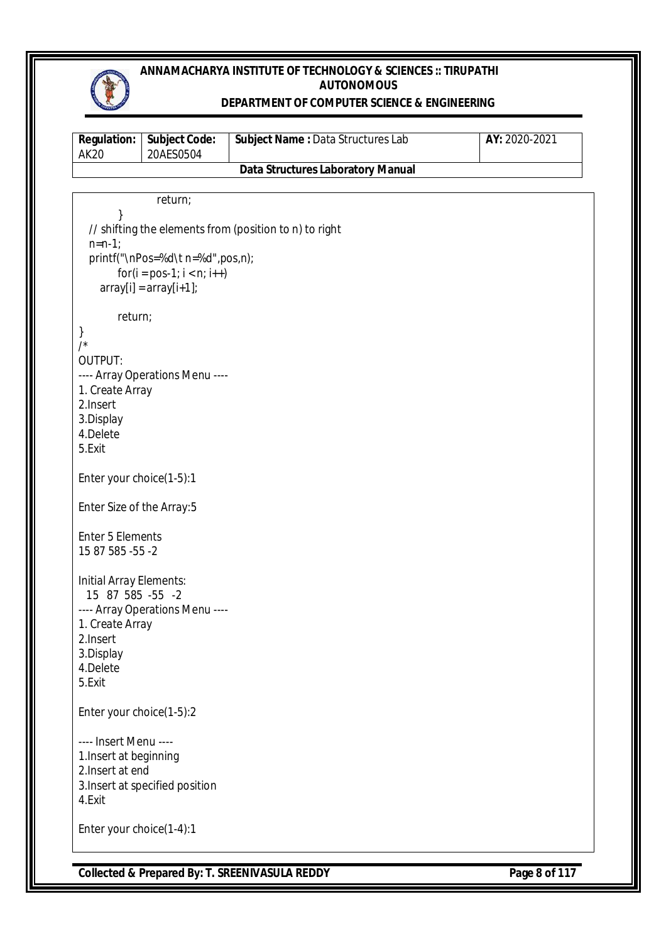

#### **DEPARTMENT OF COMPUTER SCIENCE & ENGINEERING**

| <b>Regulation:</b><br><b>AK20</b> | <b>Subject Code:</b><br>20AES0504 | Subject Name: Data Structures Lab                      | AY: 2020-2021 |
|-----------------------------------|-----------------------------------|--------------------------------------------------------|---------------|
|                                   |                                   | <b>Data Structures Laboratory Manual</b>               |               |
|                                   |                                   |                                                        |               |
|                                   | return;                           |                                                        |               |
| }                                 |                                   | // shifting the elements from (position to n) to right |               |
| $n = n - 1$ ;                     |                                   |                                                        |               |
|                                   | printf("\nPos=%d\t n=%d",pos,n);  |                                                        |               |
|                                   | $for(i = pos-1; i < n; i++)$      |                                                        |               |
|                                   | $array[i] = array[i+1];$          |                                                        |               |
|                                   |                                   |                                                        |               |
| return;                           |                                   |                                                        |               |
| }                                 |                                   |                                                        |               |
| /                                 |                                   |                                                        |               |
| <b>OUTPUT:</b>                    |                                   |                                                        |               |
| 1. Create Array                   | ---- Array Operations Menu ----   |                                                        |               |
| 2.Insert                          |                                   |                                                        |               |
| 3.Display                         |                                   |                                                        |               |
| 4.Delete                          |                                   |                                                        |               |
| 5.Exit                            |                                   |                                                        |               |
|                                   |                                   |                                                        |               |
| Enter your choice(1-5):1          |                                   |                                                        |               |
| Enter Size of the Array:5         |                                   |                                                        |               |
|                                   |                                   |                                                        |               |
| <b>Enter 5 Elements</b>           |                                   |                                                        |               |
| 15 87 585 -55 -2                  |                                   |                                                        |               |
| Initial Array Elements:           |                                   |                                                        |               |
| 15 87 585 -55 -2                  |                                   |                                                        |               |
|                                   | ---- Array Operations Menu ----   |                                                        |               |
| 1. Create Array                   |                                   |                                                        |               |
| 2.Insert                          |                                   |                                                        |               |
| 3.Display                         |                                   |                                                        |               |
| 4.Delete                          |                                   |                                                        |               |
| 5.Exit                            |                                   |                                                        |               |
| Enter your choice(1-5):2          |                                   |                                                        |               |
| ---- Insert Menu ----             |                                   |                                                        |               |
| 1. Insert at beginning            |                                   |                                                        |               |
| 2. Insert at end                  |                                   |                                                        |               |
|                                   | 3. Insert at specified position   |                                                        |               |
| 4.Exit                            |                                   |                                                        |               |
|                                   |                                   |                                                        |               |
| Enter your choice(1-4):1          |                                   |                                                        |               |

**Collected & Prepared By: T. SREENIVASULA REDDY Page 8 of 117**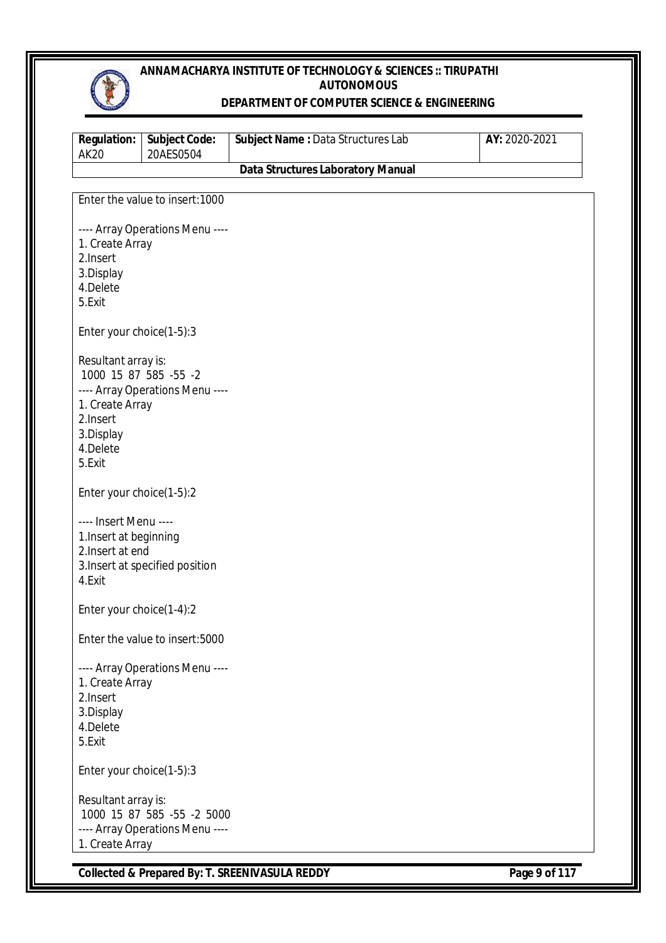

#### **DEPARTMENT OF COMPUTER SCIENCE & ENGINEERING**

| <b>Regulation:</b><br><b>AK20</b>                                                                              | <b>Subject Code:</b><br>20AES0504                             | Subject Name: Data Structures Lab        | AY: 2020-2021 |
|----------------------------------------------------------------------------------------------------------------|---------------------------------------------------------------|------------------------------------------|---------------|
|                                                                                                                |                                                               | <b>Data Structures Laboratory Manual</b> |               |
|                                                                                                                |                                                               |                                          |               |
|                                                                                                                | Enter the value to insert: 1000                               |                                          |               |
| 1. Create Array<br>2.Insert<br>3.Display<br>4.Delete<br>5.Exit                                                 | ---- Array Operations Menu ----                               |                                          |               |
| Enter your choice(1-5):3                                                                                       |                                                               |                                          |               |
| Resultant array is:<br>1000 15 87 585 -55 -2<br>1. Create Array<br>2.Insert<br>3.Display<br>4.Delete<br>5.Exit | ---- Array Operations Menu ----                               |                                          |               |
| Enter your choice(1-5):2                                                                                       |                                                               |                                          |               |
| ---- Insert Menu ----<br>1. Insert at beginning<br>2. Insert at end<br>4.Exit                                  | 3. Insert at specified position                               |                                          |               |
| Enter your choice(1-4):2                                                                                       |                                                               |                                          |               |
|                                                                                                                | Enter the value to insert:5000                                |                                          |               |
| 1. Create Array<br>2.Insert<br>3.Display<br>4.Delete<br>5.Exit                                                 | ---- Array Operations Menu ----                               |                                          |               |
| Enter your choice(1-5):3                                                                                       |                                                               |                                          |               |
| Resultant array is:<br>1. Create Array                                                                         | 1000 15 87 585 -55 -2 5000<br>---- Array Operations Menu ---- |                                          |               |

**Collected & Prepared By: T. SREENIVASULA REDDY** Page 9 of 117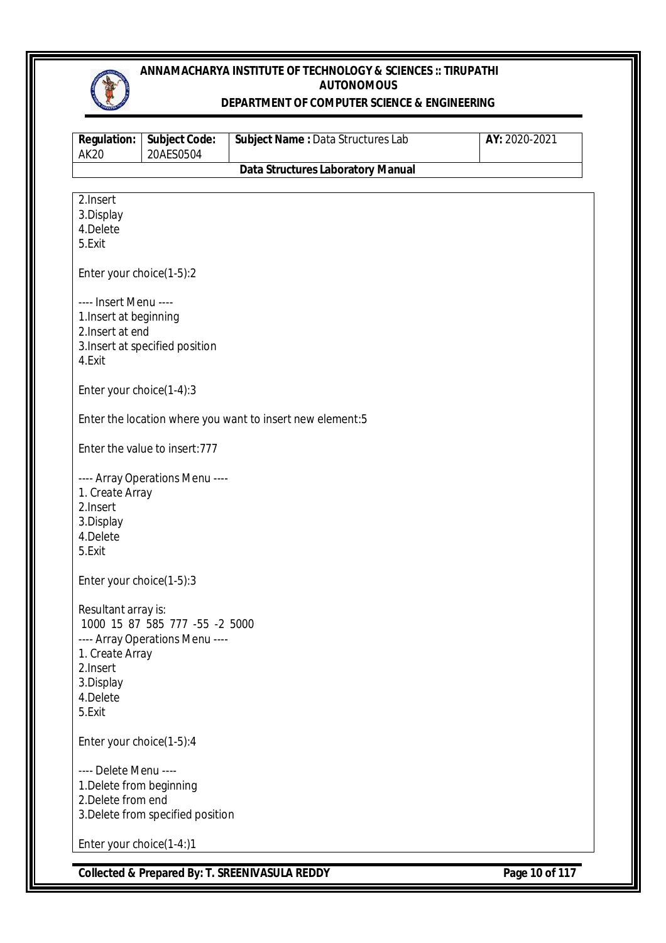

#### **DEPARTMENT OF COMPUTER SCIENCE & ENGINEERING**

| <b>Regulation:</b><br><b>AK20</b>                                                      | <b>Subject Code:</b><br>20AES0504                                 | Subject Name : Data Structures Lab                        | AY: 2020-2021 |
|----------------------------------------------------------------------------------------|-------------------------------------------------------------------|-----------------------------------------------------------|---------------|
|                                                                                        |                                                                   | <b>Data Structures Laboratory Manual</b>                  |               |
| 2. Insert<br>3.Display<br>4.Delete<br>5.Exit                                           |                                                                   |                                                           |               |
| Enter your choice(1-5):2                                                               |                                                                   |                                                           |               |
| ---- Insert Menu ----<br>1. Insert at beginning<br>2. Insert at end<br>4.Exit          | 3. Insert at specified position                                   |                                                           |               |
| Enter your choice(1-4):3                                                               |                                                                   |                                                           |               |
|                                                                                        |                                                                   | Enter the location where you want to insert new element:5 |               |
|                                                                                        | Enter the value to insert: 777                                    |                                                           |               |
| 1. Create Array<br>2. Insert<br>3.Display<br>4.Delete<br>5.Exit                        | ---- Array Operations Menu ----                                   |                                                           |               |
| Enter your choice(1-5):3                                                               |                                                                   |                                                           |               |
| Resultant array is:<br>1. Create Array<br>2. Insert<br>3.Display<br>4.Delete<br>5.Exit | 1000 15 87 585 777 -55 -2 5000<br>---- Array Operations Menu ---- |                                                           |               |
| Enter your choice(1-5):4                                                               |                                                                   |                                                           |               |
| ---- Delete Menu ----<br>1. Delete from beginning<br>2. Delete from end                | 3. Delete from specified position                                 |                                                           |               |
| Enter your choice(1-4:)1                                                               |                                                                   |                                                           |               |

**Collected & Prepared By: T. SREENIVASULA REDDY Page 10 of 117**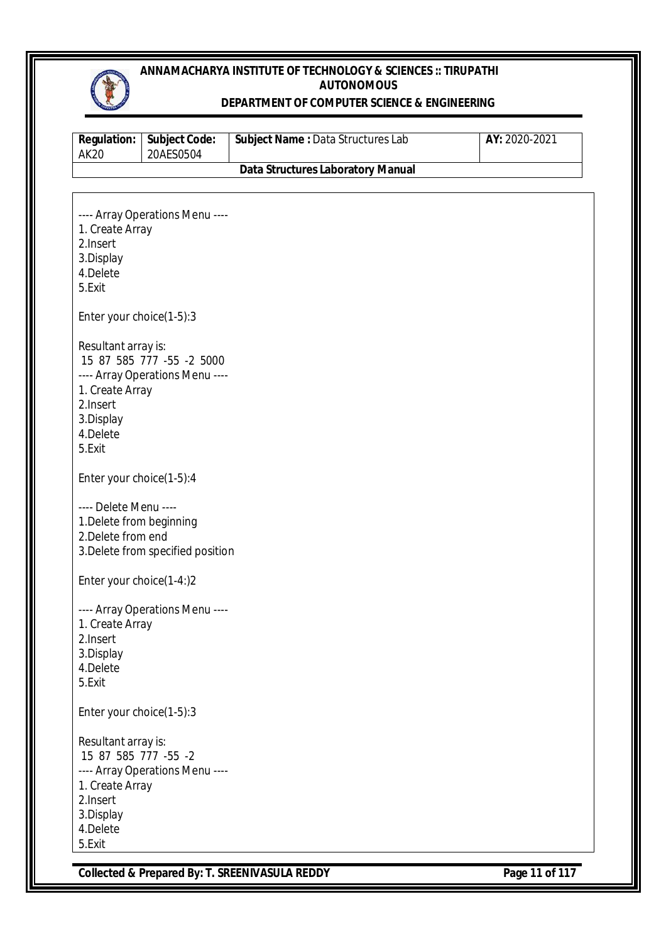

#### **DEPARTMENT OF COMPUTER SCIENCE & ENGINEERING**

| <b>Regulation:</b><br><b>AK20</b> | <b>Subject Code:</b><br>20AES0504 | Subject Name : Data Structures Lab       | AY: 2020-2021 |
|-----------------------------------|-----------------------------------|------------------------------------------|---------------|
|                                   |                                   | <b>Data Structures Laboratory Manual</b> |               |
|                                   |                                   |                                          |               |
|                                   | ---- Array Operations Menu ----   |                                          |               |
| 1. Create Array                   |                                   |                                          |               |
| 2.Insert                          |                                   |                                          |               |
| 3.Display<br>4.Delete             |                                   |                                          |               |
| 5.Exit                            |                                   |                                          |               |
|                                   |                                   |                                          |               |
| Enter your choice(1-5):3          |                                   |                                          |               |
| Resultant array is:               |                                   |                                          |               |
|                                   | 15 87 585 777 -55 -2 5000         |                                          |               |
| 1. Create Array                   | ---- Array Operations Menu ----   |                                          |               |
| 2.Insert                          |                                   |                                          |               |
| 3.Display                         |                                   |                                          |               |
| 4.Delete                          |                                   |                                          |               |
| 5.Exit                            |                                   |                                          |               |
| Enter your choice(1-5):4          |                                   |                                          |               |
| ---- Delete Menu ----             |                                   |                                          |               |
| 1. Delete from beginning          |                                   |                                          |               |
| 2. Delete from end                |                                   |                                          |               |
|                                   | 3. Delete from specified position |                                          |               |
| Enter your choice(1-4:)2          |                                   |                                          |               |
|                                   | ---- Array Operations Menu ----   |                                          |               |
| 1. Create Array                   |                                   |                                          |               |
| 2. Insert                         |                                   |                                          |               |
| 3.Display                         |                                   |                                          |               |
| 4.Delete                          |                                   |                                          |               |
| 5.Exit                            |                                   |                                          |               |
| Enter your choice(1-5):3          |                                   |                                          |               |
| Resultant array is:               |                                   |                                          |               |
| 15 87 585 777 -55 -2              |                                   |                                          |               |
|                                   | ---- Array Operations Menu ----   |                                          |               |
| 1. Create Array<br>2.Insert       |                                   |                                          |               |
| 3.Display                         |                                   |                                          |               |
| 4.Delete                          |                                   |                                          |               |
| 5.Exit                            |                                   |                                          |               |

**Collected & Prepared By: T. SREENIVASULA REDDY Page 11 of 117**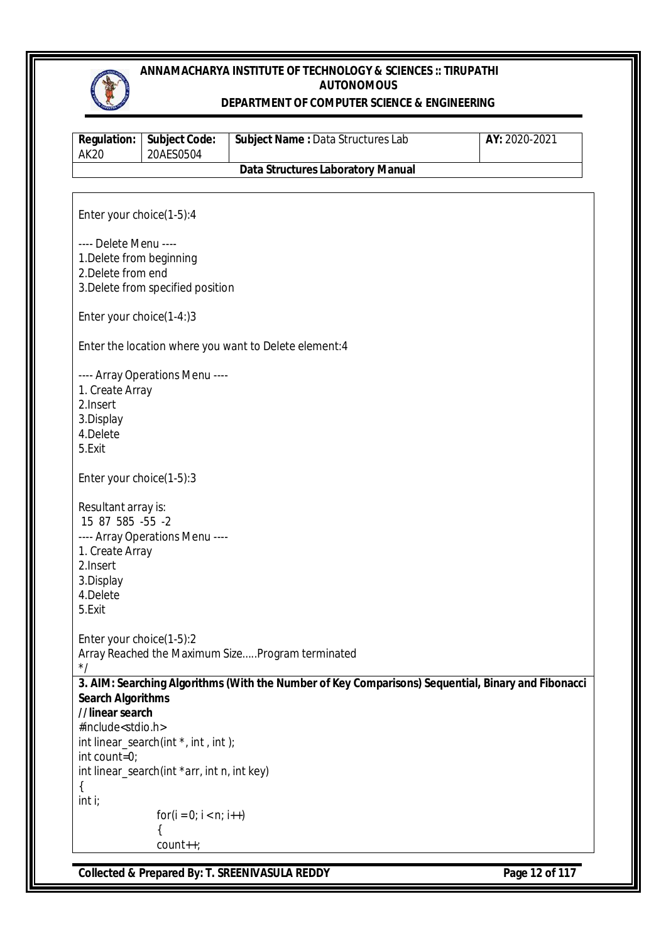

#### **DEPARTMENT OF COMPUTER SCIENCE & ENGINEERING**

| <b>Regulation:</b><br><b>AK20</b> | <b>Subject Code:</b><br>20AES0504           | Subject Name: Data Structures Lab                                                                  | AY: 2020-2021 |
|-----------------------------------|---------------------------------------------|----------------------------------------------------------------------------------------------------|---------------|
|                                   |                                             | <b>Data Structures Laboratory Manual</b>                                                           |               |
|                                   |                                             |                                                                                                    |               |
| Enter your choice(1-5):4          |                                             |                                                                                                    |               |
| ---- Delete Menu ----             |                                             |                                                                                                    |               |
| 1. Delete from beginning          |                                             |                                                                                                    |               |
| 2. Delete from end                |                                             |                                                                                                    |               |
|                                   | 3. Delete from specified position           |                                                                                                    |               |
|                                   |                                             |                                                                                                    |               |
| Enter your choice(1-4:)3          |                                             |                                                                                                    |               |
|                                   |                                             |                                                                                                    |               |
|                                   |                                             | Enter the location where you want to Delete element: 4                                             |               |
|                                   |                                             |                                                                                                    |               |
|                                   | ---- Array Operations Menu ----             |                                                                                                    |               |
| 1. Create Array<br>2.Insert       |                                             |                                                                                                    |               |
| 3.Display                         |                                             |                                                                                                    |               |
| 4.Delete                          |                                             |                                                                                                    |               |
| 5.Exit                            |                                             |                                                                                                    |               |
|                                   |                                             |                                                                                                    |               |
| Enter your choice(1-5):3          |                                             |                                                                                                    |               |
| Resultant array is:               |                                             |                                                                                                    |               |
| 15 87 585 -55 -2                  |                                             |                                                                                                    |               |
|                                   | ---- Array Operations Menu ----             |                                                                                                    |               |
| 1. Create Array                   |                                             |                                                                                                    |               |
| 2.Insert                          |                                             |                                                                                                    |               |
| 3.Display                         |                                             |                                                                                                    |               |
| 4.Delete                          |                                             |                                                                                                    |               |
| 5.Exit                            |                                             |                                                                                                    |               |
|                                   |                                             |                                                                                                    |               |
| Enter your choice(1-5):2          |                                             |                                                                                                    |               |
| $^*/$                             |                                             | Array Reached the Maximum SizeProgram terminated                                                   |               |
|                                   |                                             | 3. AIM: Searching Algorithms (With the Number of Key Comparisons) Sequential, Binary and Fibonacci |               |
| <b>Search Algorithms</b>          |                                             |                                                                                                    |               |
| //linear search                   |                                             |                                                                                                    |               |
| #include <stdio.h></stdio.h>      |                                             |                                                                                                    |               |
|                                   | int linear_search(int *, int, int);         |                                                                                                    |               |
| int count=0;                      |                                             |                                                                                                    |               |
|                                   | int linear_search(int *arr, int n, int key) |                                                                                                    |               |
| ₹                                 |                                             |                                                                                                    |               |
| int i;                            |                                             |                                                                                                    |               |
|                                   | $for(i = 0; i < n; i++)$                    |                                                                                                    |               |
|                                   |                                             |                                                                                                    |               |
|                                   | count++;                                    |                                                                                                    |               |
|                                   |                                             | <b>CROSON DU. T. CDEFNINIACLU A DEDDV</b>                                                          |               |

**Collected & Prepared By: T. SREENIVASULA REDDY Page 12 of 117**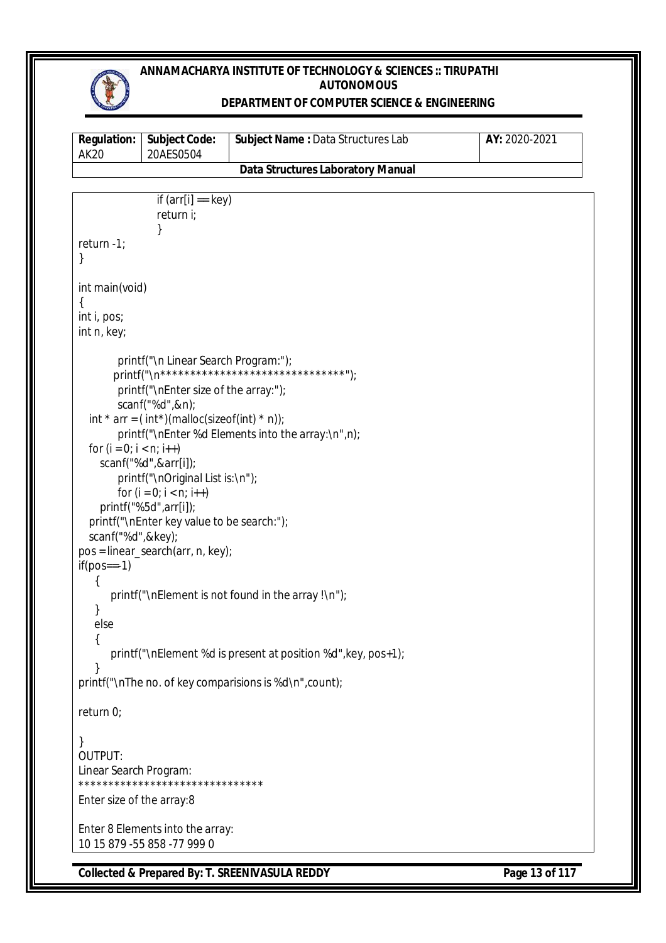

#### **DEPARTMENT OF COMPUTER SCIENCE & ENGINEERING**

| AK 20 | <b>Regulation:   Subject Code:</b><br>20AES0504 | <b>Subject Name: Data Structures Lab</b> | AY: 2020-2021 |
|-------|-------------------------------------------------|------------------------------------------|---------------|
|       |                                                 | Data Structures Laboratory Manual        |               |

```
Collected & Prepared By: T. SREENIVASULA REDDY Page 13 of 117
                if (arr[i] == key)return i;
                }
return -1;
}
int main(void)
{
int i, pos;
int n, key;
        printf("\n Linear Search Program:");
       printf("\n*********************************");
        printf("\nEnter size of the array:");
        scanf("%d",&n);
  int * arr = (int*)(malloc(sizeof(int) * n));
        printf("\nEnter %d Elements into the array:\n",n);
  for (i = 0; i < n; i++) scanf("%d",&arr[i]);
        printf("\nOriginal List is:\n");
        for (i = 0; i < n; i++) printf("%5d",arr[i]);
   printf("\nEnter key value to be search:");
   scanf("%d",&key);
pos = linear_search(arr, n, key);
if(pos==-1) {
      printf("\nElement is not found in the array !\n");
    }
    else
    {
       printf("\nElement %d is present at position %d",key, pos+1);
    }
printf("\nThe no. of key comparisions is %d\n",count);
return 0;
}
OUTPUT:
Linear Search Program:
*******************************
Enter size of the array:8
Enter 8 Elements into the array:
10 15 879 -55 858 -77 999 0
```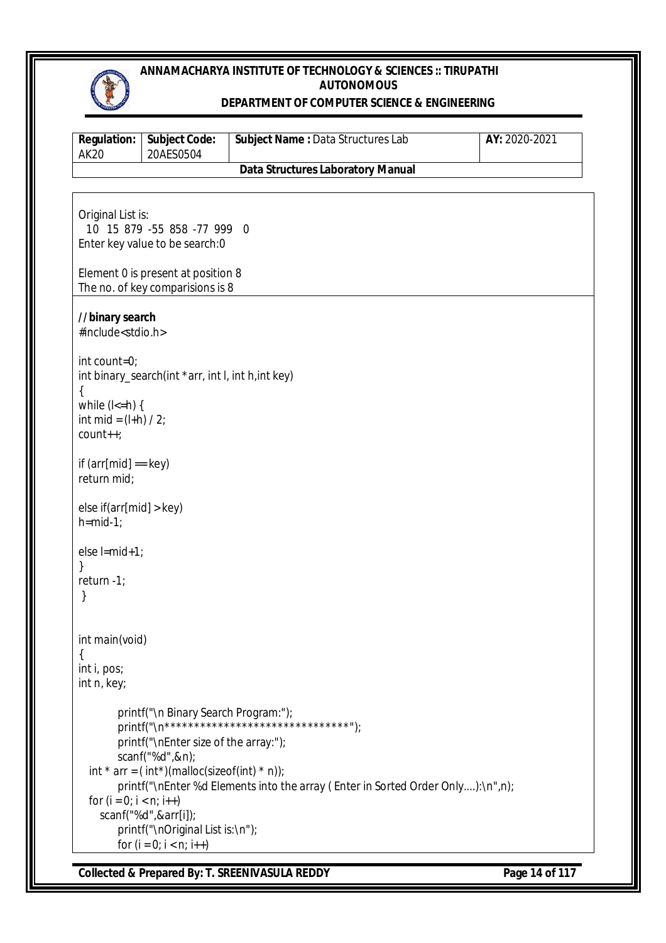

#### **DEPARTMENT OF COMPUTER SCIENCE & ENGINEERING**

| <b>Regulation:</b><br><b>AK20</b>                                                  | <b>Subject Code:</b><br>20AES0504                                                                                                                                                                                                            | Subject Name: Data Structures Lab                                                                                                 | AY: 2020-2021 |
|------------------------------------------------------------------------------------|----------------------------------------------------------------------------------------------------------------------------------------------------------------------------------------------------------------------------------------------|-----------------------------------------------------------------------------------------------------------------------------------|---------------|
|                                                                                    |                                                                                                                                                                                                                                              | <b>Data Structures Laboratory Manual</b>                                                                                          |               |
|                                                                                    |                                                                                                                                                                                                                                              |                                                                                                                                   |               |
| Original List is:                                                                  | 10 15 879 -55 858 -77 999 0<br>Enter key value to be search:0                                                                                                                                                                                |                                                                                                                                   |               |
|                                                                                    | Element 0 is present at position 8<br>The no. of key comparisions is 8                                                                                                                                                                       |                                                                                                                                   |               |
| //binary search<br>#include <stdio.h></stdio.h>                                    |                                                                                                                                                                                                                                              |                                                                                                                                   |               |
| int count=0;<br>$\{$<br>while $(l \le h)$ {<br>int mid = $(l+h) / 2$ ;<br>count++; | int binary_search(int *arr, int I, int h, int key)                                                                                                                                                                                           |                                                                                                                                   |               |
| if $\text{arr}[mid] == \text{key}$<br>return mid;                                  |                                                                                                                                                                                                                                              |                                                                                                                                   |               |
| else if(arr[mid] > key)<br>$h=mid-1;$                                              |                                                                                                                                                                                                                                              |                                                                                                                                   |               |
| else l=mid+1;<br>return -1;<br>}                                                   |                                                                                                                                                                                                                                              |                                                                                                                                   |               |
| int main(void)<br>$\{$<br>int i, pos;<br>int n, key;                               |                                                                                                                                                                                                                                              |                                                                                                                                   |               |
| for $(i = 0; i < n; i++)$                                                          | printf("\n Binary Search Program:");<br>printf("\nEnter size of the array:");<br>scanf("%d",&n);<br>int * arr = $(int*)$ (malloc(sizeof(int) * n));<br>scanf("%d",&arr[i]);<br>printf("\nOriginal List is:\n");<br>for $(i = 0; i < n; i++)$ | printf("\n**********************************");<br>printf("\nEnter%d Elements into the array (Enter in Sorted Order Only):\n",n); |               |

**Collected & Prepared By: T. SREENIVASULA REDDY Page 14 of 117**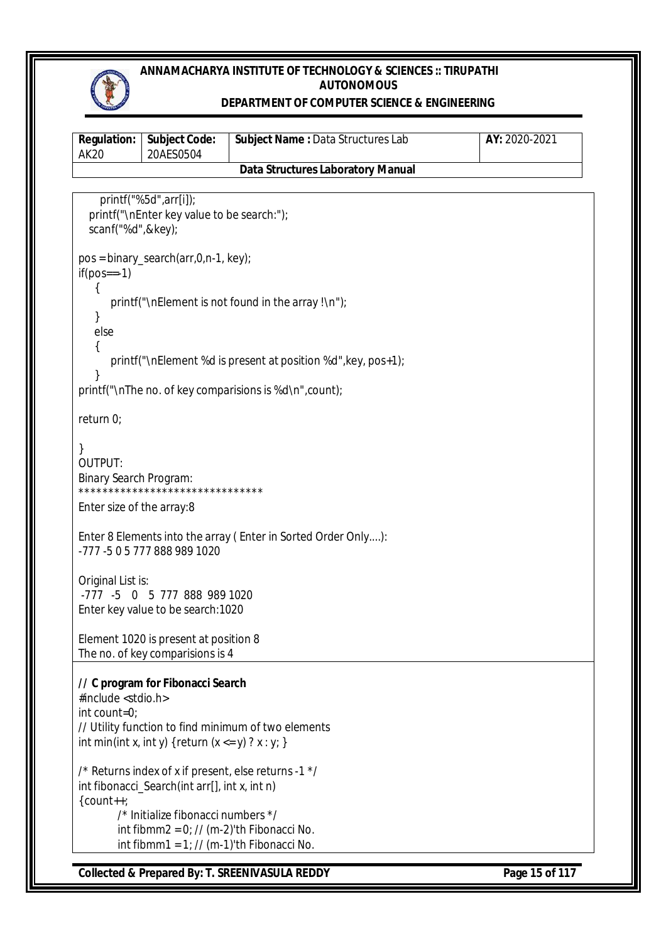

## **DEPARTMENT OF COMPUTER SCIENCE & ENGINEERING**

| <b>Regulation:</b><br><b>AK20</b>                                | <b>Subject Code:</b><br>20AES0504                                                                                                                                                   | Subject Name: Data Structures Lab                             | AY: 2020-2021  |
|------------------------------------------------------------------|-------------------------------------------------------------------------------------------------------------------------------------------------------------------------------------|---------------------------------------------------------------|----------------|
|                                                                  |                                                                                                                                                                                     | <b>Data Structures Laboratory Manual</b>                      |                |
| scanf("%d",&key);                                                | printf("%5d",arr[i]);<br>printf("\nEnter key value to be search:");                                                                                                                 |                                                               |                |
| $if(pos==-1)$                                                    | $pos = binary\_search(arr, 0, n-1, key);$                                                                                                                                           |                                                               |                |
| else<br>{                                                        |                                                                                                                                                                                     | printf("\nElement is not found in the array !\n");            |                |
|                                                                  |                                                                                                                                                                                     | printf("\nElement %d is present at position %d", key, pos+1); |                |
|                                                                  |                                                                                                                                                                                     | printf("\nThe no. of key comparisions is %d\n", count);       |                |
| return 0;                                                        |                                                                                                                                                                                     |                                                               |                |
| $\mathcal{E}$<br><b>OUTPUT:</b><br><b>Binary Search Program:</b> | *******************************                                                                                                                                                     |                                                               |                |
| Enter size of the array:8                                        |                                                                                                                                                                                     |                                                               |                |
|                                                                  | -777 -5 0 5 777 888 989 1020                                                                                                                                                        | Enter 8 Elements into the array (Enter in Sorted Order Only): |                |
| Original List is:                                                | -777 -5 0 5 777 888 989 1020<br>Enter key value to be search: 1020                                                                                                                  |                                                               |                |
|                                                                  | Element 1020 is present at position 8<br>The no. of key comparisions is 4                                                                                                           |                                                               |                |
| #include <stdio.h><br/>int count=0;</stdio.h>                    | // C program for Fibonacci Search<br>int min(int x, int y) { return $(x \le y)$ ? $x : y$ ; }                                                                                       | // Utility function to find minimum of two elements           |                |
| $\{count++;$                                                     | int fibonacci_Search(int arr[], int x, int n)<br>/* Initialize fibonacci numbers */<br>int fibmm2 = $0$ ; // (m-2)'th Fibonacci No.<br>int fibmm1 = $1$ ; // (m-1)'th Fibonacci No. | /* Returns index of x if present, else returns -1 */          |                |
|                                                                  |                                                                                                                                                                                     | <b>Collected &amp; Prepared By: T. SREENIVASULA REDDY</b>     | Page 15 of 117 |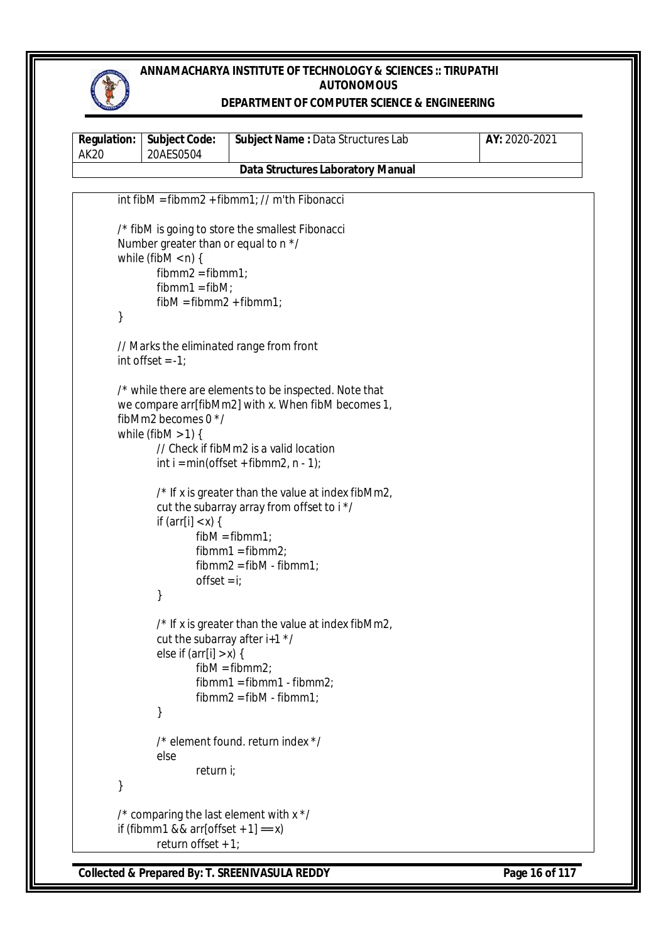

## **DEPARTMENT OF COMPUTER SCIENCE & ENGINEERING**

| <b>Regulation:</b><br><b>AK20</b> | <b>Subject Code:</b><br>20AES0504                                                                                                    | Subject Name: Data Structures Lab                                                                                                                                                                                                                       | AY: 2020-2021 |
|-----------------------------------|--------------------------------------------------------------------------------------------------------------------------------------|---------------------------------------------------------------------------------------------------------------------------------------------------------------------------------------------------------------------------------------------------------|---------------|
|                                   |                                                                                                                                      | <b>Data Structures Laboratory Manual</b>                                                                                                                                                                                                                |               |
|                                   |                                                                                                                                      | $int$ fibM = fibmm2 + fibmm1; // m'th Fibonacci                                                                                                                                                                                                         |               |
| }                                 | Number greater than or equal to n */<br>while (fibM $<$ n) {<br>$fibmm2 = fibmm1;$<br>$fibmm1 = fibM$ ;<br>$fibM = fibmm2 + fibmm1;$ | /* fibM is going to store the smallest Fibonacci                                                                                                                                                                                                        |               |
|                                   | int offset $= -1$ ;                                                                                                                  | // Marks the eliminated range from front                                                                                                                                                                                                                |               |
|                                   | fibMm2 becomes $0 \times$ /<br>while (fibM $>$ 1) {                                                                                  | /* while there are elements to be inspected. Note that<br>we compare arr[fibMm2] with x. When fibM becomes 1,<br>// Check if fibMm2 is a valid location<br>$int i = min(offset + fibmm2, n - 1);$<br>/* If x is greater than the value at index fibMm2, |               |
|                                   | if $\text{arr}[i] < x$ ) {<br>offset = $i$ ;<br>}                                                                                    | cut the subarray array from offset to i */<br>$fibM = fibmm1;$<br>$fibmm1 = fibmm2;$<br>$fibmm2 = fibM - fibmm1;$                                                                                                                                       |               |
|                                   | cut the subarray after $i+1$ */<br>else if $\text{arr}[i] > x$ {<br>}                                                                | /* If x is greater than the value at index fibMm2,<br>$fibM = fibmm2;$<br>$fibmm1 = fibmm1 - fibmm2;$<br>$fibmm2 = fibM - fibmm1;$                                                                                                                      |               |
|                                   | else                                                                                                                                 | /* element found. return index */                                                                                                                                                                                                                       |               |
|                                   | return i;                                                                                                                            |                                                                                                                                                                                                                                                         |               |
|                                   | /* comparing the last element with x */<br>if (fibmm1 && arr[offset + 1] == $x$ )<br>return offset + $1$ ;                           |                                                                                                                                                                                                                                                         |               |

**Collected & Prepared By: T. SREENIVASULA REDDY Page 16 of 117**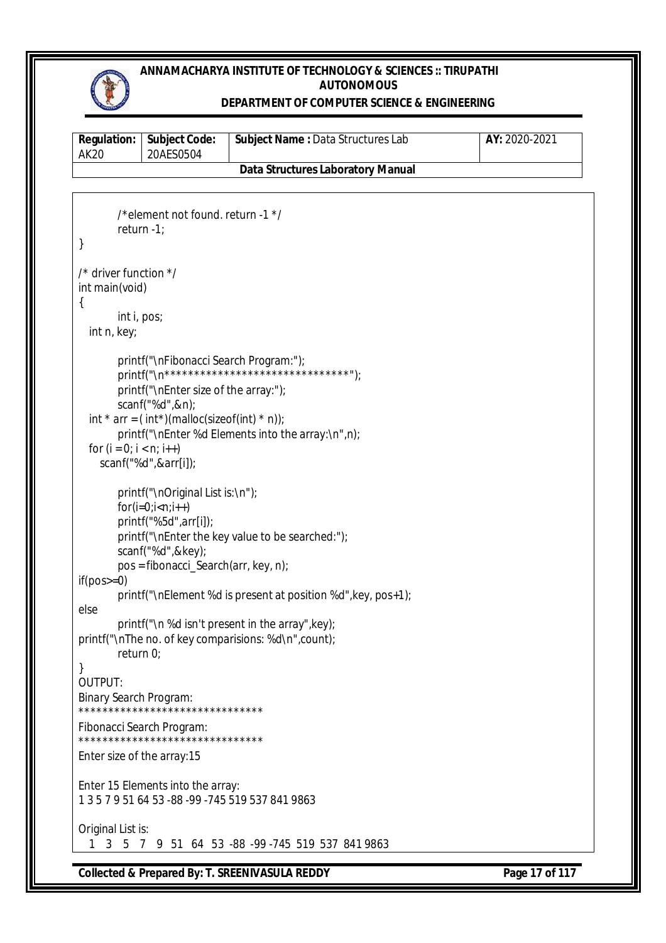

#### **DEPARTMENT OF COMPUTER SCIENCE & ENGINEERING**

|                                          | <b>Regulation:   Subject Code:</b> | <b>Subject Name: Data Structures Lab</b> | AY: 2020-2021 |  |  |
|------------------------------------------|------------------------------------|------------------------------------------|---------------|--|--|
| <b>AK20</b>                              | 20AES0504                          |                                          |               |  |  |
| <b>Data Structures Laboratory Manual</b> |                                    |                                          |               |  |  |
|                                          |                                    |                                          |               |  |  |
|                                          |                                    |                                          |               |  |  |

```
/*element not found. return -1 */
        return -1;
}
/* driver function */
int main(void)
{
        int i, pos;
   int n, key;
        printf("\nFibonacci Search Program:");<br>printf("\n*********************************");
        printf("\n*******************************");
        printf("\nEnter size of the array:");
        scanf("%d",&n);
  int * arr = (int*)(malloc(sizeof(int) * n));
        printf("\nEnter %d Elements into the array:\n",n);
  for (i = 0; i < n; i++) scanf("%d",&arr[i]);
        printf("\nOriginal List is:\n");
        for(i=0;i< n;i++)printf("%5d",arr[i]);
        printf("\nEnter the key value to be searched:");
        scanf("%d",&key);
        pos = fibonacci_Search(arr, key, n);
if(pos>=0)printf("\nElement %d is present at position %d",key, pos+1);
else
        printf("\n %d isn't present in the array",key);
printf("\nThe no. of key comparisions: %d\n",count);
        return 0;
}
OUTPUT:
Binary Search Program:
*******************************
Fibonacci Search Program:
*******************************
Enter size of the array:15
Enter 15 Elements into the array:
1 3 5 7 9 51 64 53 -88 -99 -745 519 537 841 9863
Original List is:
   1 3 5 7 9 51 64 53 -88 -99 -745 519 537 841 9863
```
**Collected & Prepared By: T. SREENIVASULA REDDY Page 17 of 117**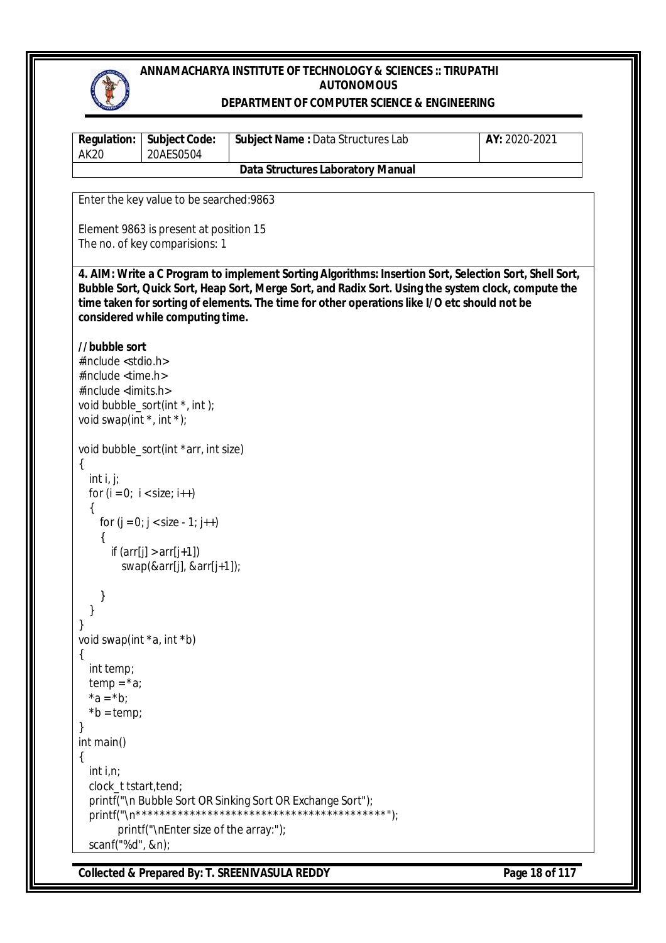

#### **DEPARTMENT OF COMPUTER SCIENCE & ENGINEERING**

| <b>Regulation:</b><br><b>AK20</b>             | <b>Subject Code:</b><br>20AES0504        | Subject Name: Data Structures Lab                                                                                                                                                                   | AY: 2020-2021 |
|-----------------------------------------------|------------------------------------------|-----------------------------------------------------------------------------------------------------------------------------------------------------------------------------------------------------|---------------|
|                                               |                                          | <b>Data Structures Laboratory Manual</b>                                                                                                                                                            |               |
|                                               | Enter the key value to be searched: 9863 |                                                                                                                                                                                                     |               |
|                                               |                                          |                                                                                                                                                                                                     |               |
|                                               | Element 9863 is present at position 15   |                                                                                                                                                                                                     |               |
|                                               | The no. of key comparisions: 1           |                                                                                                                                                                                                     |               |
|                                               |                                          | 4. AIM: Write a C Program to implement Sorting Algorithms: Insertion Sort, Selection Sort, Shell Sort,                                                                                              |               |
|                                               |                                          | Bubble Sort, Quick Sort, Heap Sort, Merge Sort, and Radix Sort. Using the system clock, compute the<br>time taken for sorting of elements. The time for other operations like I/O etc should not be |               |
|                                               | considered while computing time.         |                                                                                                                                                                                                     |               |
|                                               |                                          |                                                                                                                                                                                                     |               |
| //bubble sort<br>#include <stdio.h></stdio.h> |                                          |                                                                                                                                                                                                     |               |
| #include <time.h></time.h>                    |                                          |                                                                                                                                                                                                     |               |
| #include <limits.h></limits.h>                |                                          |                                                                                                                                                                                                     |               |
| void swap(int $*$ , int $*$ );                | void bubble_sort(int *, int);            |                                                                                                                                                                                                     |               |
|                                               |                                          |                                                                                                                                                                                                     |               |
|                                               | void bubble_sort(int *arr, int size)     |                                                                                                                                                                                                     |               |
| {<br>int i, j;                                |                                          |                                                                                                                                                                                                     |               |
|                                               | for $(i = 0; i < size; i++)$             |                                                                                                                                                                                                     |               |
|                                               |                                          |                                                                                                                                                                                                     |               |
|                                               | for $(j = 0; j < size - 1; j++)$         |                                                                                                                                                                                                     |               |
|                                               | if $\text{arr}[j] > \arr[j+1]$           |                                                                                                                                                                                                     |               |
|                                               | swap(&arr[j], $&\arr[j+1]$ );            |                                                                                                                                                                                                     |               |
| ł                                             |                                          |                                                                                                                                                                                                     |               |
|                                               |                                          |                                                                                                                                                                                                     |               |
| void swap(int *a, int *b)                     |                                          |                                                                                                                                                                                                     |               |
| {                                             |                                          |                                                                                                                                                                                                     |               |
| int temp;                                     |                                          |                                                                                                                                                                                                     |               |
| $temp = *a$ ;<br>$*a = *b;$                   |                                          |                                                                                                                                                                                                     |               |
| $*b = temp;$                                  |                                          |                                                                                                                                                                                                     |               |
| int main()                                    |                                          |                                                                                                                                                                                                     |               |
|                                               |                                          |                                                                                                                                                                                                     |               |
| int $i, n;$                                   |                                          |                                                                                                                                                                                                     |               |
| clock_t tstart, tend;                         |                                          | printf("\n Bubble Sort OR Sinking Sort OR Exchange Sort");                                                                                                                                          |               |
|                                               |                                          |                                                                                                                                                                                                     |               |
|                                               | printf("\nEnter size of the array:");    |                                                                                                                                                                                                     |               |
| scanf("%d", &n);                              |                                          |                                                                                                                                                                                                     |               |

**Collected & Prepared By: T. SREENIVASULA REDDY Page 18 of 117**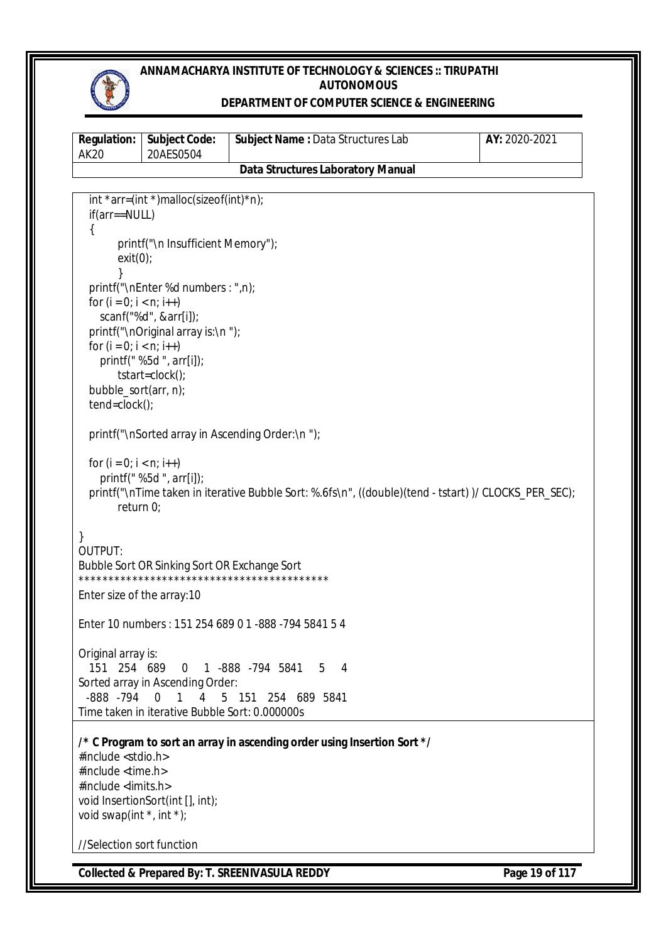

## **DEPARTMENT OF COMPUTER SCIENCE & ENGINEERING**

| <b>AK20</b>                                                   | 20AES0504                                                                               |                                                                                                      |  |
|---------------------------------------------------------------|-----------------------------------------------------------------------------------------|------------------------------------------------------------------------------------------------------|--|
|                                                               |                                                                                         | <b>Data Structures Laboratory Manual</b>                                                             |  |
|                                                               | int *arr=(int *)malloc(sizeof(int)*n);                                                  |                                                                                                      |  |
| $if(ar=-NULL)$                                                |                                                                                         |                                                                                                      |  |
|                                                               |                                                                                         |                                                                                                      |  |
|                                                               | printf("\n Insufficient Memory");                                                       |                                                                                                      |  |
| exit(0);                                                      |                                                                                         |                                                                                                      |  |
|                                                               | printf("\nEnter %d numbers : ",n);                                                      |                                                                                                      |  |
| for $(i = 0; i < n; i++)$                                     |                                                                                         |                                                                                                      |  |
|                                                               | scanf("%d", &arr[i]);                                                                   |                                                                                                      |  |
|                                                               | printf("\nOriginal array is:\n");                                                       |                                                                                                      |  |
| for $(i = 0; i < n; i++)$                                     |                                                                                         |                                                                                                      |  |
|                                                               | printf(" %5d ", arr[i]);<br>$tstart = clock()$ ;                                        |                                                                                                      |  |
| bubble_sort(arr, n);                                          |                                                                                         |                                                                                                      |  |
| $tend = clock()$ ;                                            |                                                                                         |                                                                                                      |  |
|                                                               |                                                                                         | printf("\nSorted array in Ascending Order:\n ");                                                     |  |
|                                                               |                                                                                         |                                                                                                      |  |
| for $(i = 0; i < n; i++)$                                     |                                                                                         |                                                                                                      |  |
|                                                               | printf(" %5d ", arr[i]);                                                                |                                                                                                      |  |
| return 0;                                                     |                                                                                         | printf("\nTime taken in iterative Bubble Sort: %.6fs\n", ((double)(tend - tstart))/ CLOCKS_PER_SEC); |  |
|                                                               |                                                                                         |                                                                                                      |  |
| ł                                                             |                                                                                         |                                                                                                      |  |
| OUTPUT:                                                       |                                                                                         |                                                                                                      |  |
|                                                               | Bubble Sort OR Sinking Sort OR Exchange Sort                                            |                                                                                                      |  |
| Enter size of the array: 10                                   |                                                                                         |                                                                                                      |  |
|                                                               |                                                                                         |                                                                                                      |  |
|                                                               |                                                                                         | Enter 10 numbers: 151 254 689 0 1 -888 -794 5841 5 4                                                 |  |
| Original array is:                                            |                                                                                         |                                                                                                      |  |
| 151 254 689                                                   |                                                                                         | 0 1 -888 -794 5841<br>5 4                                                                            |  |
|                                                               | Sorted array in Ascending Order:                                                        |                                                                                                      |  |
| -888 -794                                                     | $\overline{0}$<br>1<br>$\overline{4}$<br>Time taken in iterative Bubble Sort: 0.000000s | 5 151 254 689 5841                                                                                   |  |
|                                                               |                                                                                         |                                                                                                      |  |
|                                                               |                                                                                         | /* C Program to sort an array in ascending order using Insertion Sort */                             |  |
| #include <stdio.h></stdio.h>                                  |                                                                                         |                                                                                                      |  |
| #include <time.h><br/>#include <limits.h></limits.h></time.h> |                                                                                         |                                                                                                      |  |
|                                                               | void InsertionSort(int [], int);                                                        |                                                                                                      |  |
| void swap(int $*$ , int $*$ );                                |                                                                                         |                                                                                                      |  |
| //Selection sort function                                     |                                                                                         |                                                                                                      |  |
|                                                               |                                                                                         |                                                                                                      |  |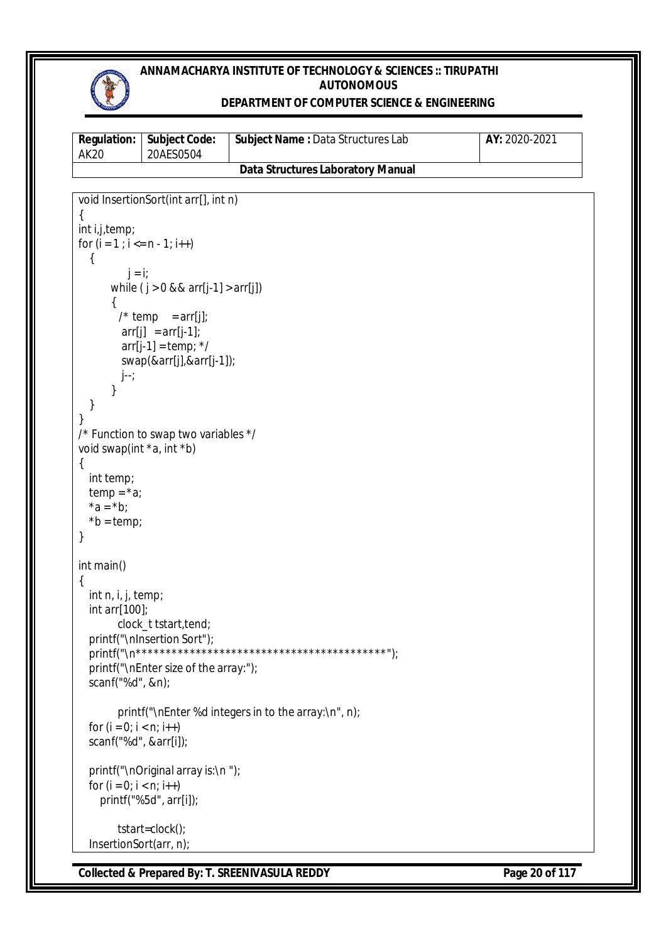

## **DEPARTMENT OF COMPUTER SCIENCE & ENGINEERING**

| <b>Regulation:</b><br><b>AK20</b>                  | <b>Subject Code:</b><br>20AES0504         | Subject Name : Data Structures Lab                   | AY: 2020-2021 |
|----------------------------------------------------|-------------------------------------------|------------------------------------------------------|---------------|
|                                                    |                                           | <b>Data Structures Laboratory Manual</b>             |               |
|                                                    |                                           |                                                      |               |
|                                                    | void InsertionSort(int arr[], int n)      |                                                      |               |
| {<br>int i,j,temp;                                 |                                           |                                                      |               |
| for $(i = 1 ; i <= n - 1; i++)$                    |                                           |                                                      |               |
| $\mathcal{L}$                                      |                                           |                                                      |               |
| $j = i$ ;                                          |                                           |                                                      |               |
|                                                    | while $(j > 0 & 8 & 8$ arr[j-1] > arr[j]) |                                                      |               |
| ₹                                                  | /* temp = $arr[j]$ ;                      |                                                      |               |
|                                                    | $arr[j] = arr[j-1];$                      |                                                      |               |
|                                                    | $arr[j-1] = temp; */$                     |                                                      |               |
|                                                    | swap(&arr[j],&arr[j-1]);                  |                                                      |               |
| j--;                                               |                                           |                                                      |               |
| }                                                  |                                           |                                                      |               |
| }<br>}                                             |                                           |                                                      |               |
|                                                    | /* Function to swap two variables */      |                                                      |               |
| void swap(int *a, int *b)                          |                                           |                                                      |               |
| $\{$                                               |                                           |                                                      |               |
| int temp;                                          |                                           |                                                      |               |
| $temp = *a;$<br>$*a = *b;$                         |                                           |                                                      |               |
| $*b = temp;$                                       |                                           |                                                      |               |
| }                                                  |                                           |                                                      |               |
|                                                    |                                           |                                                      |               |
| int main()<br>{                                    |                                           |                                                      |               |
| int n, i, j, temp;                                 |                                           |                                                      |               |
| int arr[100];                                      |                                           |                                                      |               |
|                                                    | clock_t tstart, tend;                     |                                                      |               |
|                                                    | printf("\nInsertion Sort");               |                                                      |               |
|                                                    | printf("\nEnter size of the array:");     |                                                      |               |
| scanf("%d", &n);                                   |                                           |                                                      |               |
|                                                    |                                           |                                                      |               |
|                                                    |                                           | printf("\nEnter %d integers in to the array:\n", n); |               |
| for $(i = 0; i < n; i++)$<br>scanf("%d", &arr[i]); |                                           |                                                      |               |
|                                                    |                                           |                                                      |               |
|                                                    | printf("\nOriginal array is:\n");         |                                                      |               |
| for $(i = 0; i < n; i++)$                          |                                           |                                                      |               |
|                                                    | printf("%5d", arr[i]);                    |                                                      |               |
|                                                    | tstart=clock();                           |                                                      |               |
| InsertionSort(arr, n);                             |                                           |                                                      |               |

**Collected & Prepared By: T. SREENIVASULA REDDY Page 20 of 117**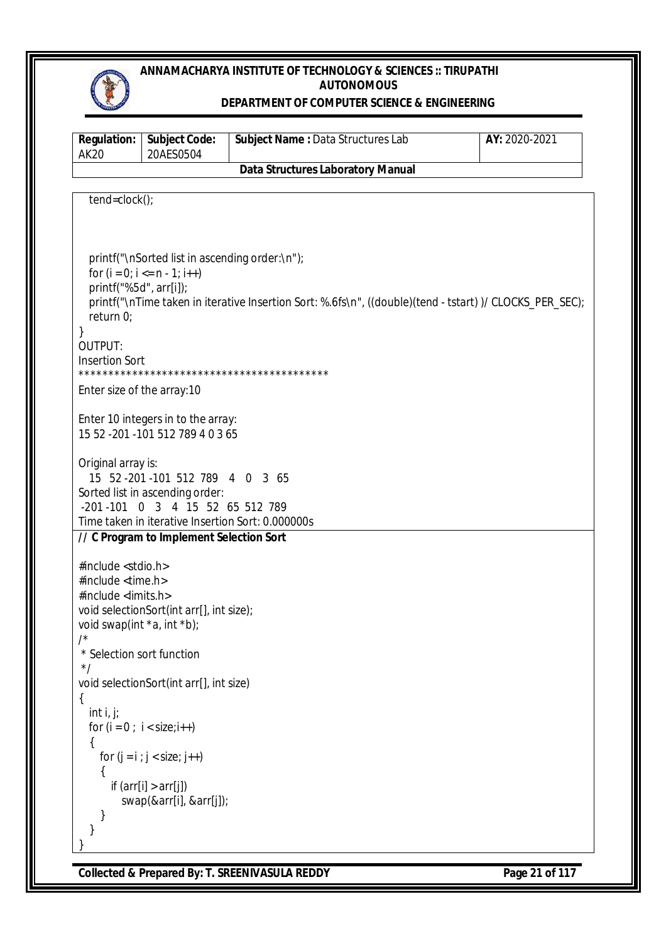

#### **DEPARTMENT OF COMPUTER SCIENCE & ENGINEERING**

| <b>Regulation:</b><br><b>AK20</b>                           | <b>Subject Code:</b><br>20AES0504                                     | Subject Name : Data Structures Lab                                                                      | AY: 2020-2021 |
|-------------------------------------------------------------|-----------------------------------------------------------------------|---------------------------------------------------------------------------------------------------------|---------------|
|                                                             |                                                                       | <b>Data Structures Laboratory Manual</b>                                                                |               |
|                                                             |                                                                       |                                                                                                         |               |
| tend=clock();                                               |                                                                       |                                                                                                         |               |
|                                                             |                                                                       |                                                                                                         |               |
|                                                             |                                                                       |                                                                                                         |               |
|                                                             | printf("\nSorted list in ascending order:\n");                        |                                                                                                         |               |
|                                                             | for $(i = 0; i <= n - 1; i++)$                                        |                                                                                                         |               |
| printf("%5d", arr[i]);                                      |                                                                       | printf("\nTime taken in iterative Insertion Sort: %.6fs\n", ((double)(tend - tstart))/ CLOCKS_PER_SEC); |               |
| return 0;                                                   |                                                                       |                                                                                                         |               |
| }                                                           |                                                                       |                                                                                                         |               |
| OUTPUT:                                                     |                                                                       |                                                                                                         |               |
| <b>Insertion Sort</b>                                       |                                                                       |                                                                                                         |               |
|                                                             |                                                                       |                                                                                                         |               |
| Enter size of the array: 10                                 |                                                                       |                                                                                                         |               |
|                                                             | Enter 10 integers in to the array:                                    |                                                                                                         |               |
|                                                             | 15 52 -201 -101 512 789 4 0 3 65                                      |                                                                                                         |               |
|                                                             |                                                                       |                                                                                                         |               |
| Original array is:                                          |                                                                       |                                                                                                         |               |
|                                                             | 15 52 - 201 - 101 512 789 4 0 3 65<br>Sorted list in ascending order: |                                                                                                         |               |
|                                                             | -201-101 0 3 4 15 52 65 512 789                                       |                                                                                                         |               |
|                                                             | Time taken in iterative Insertion Sort: 0.000000s                     |                                                                                                         |               |
|                                                             | // C Program to Implement Selection Sort                              |                                                                                                         |               |
|                                                             |                                                                       |                                                                                                         |               |
| #include <stdio.h><br/>#include <time.h></time.h></stdio.h> |                                                                       |                                                                                                         |               |
| #include <limits.h></limits.h>                              |                                                                       |                                                                                                         |               |
|                                                             | void selectionSort(int arr[], int size);                              |                                                                                                         |               |
| void swap(int *a, int *b);                                  |                                                                       |                                                                                                         |               |
| /                                                           |                                                                       |                                                                                                         |               |
| * Selection sort function                                   |                                                                       |                                                                                                         |               |
| $\star$ /                                                   | void selectionSort(int arr[], int size)                               |                                                                                                         |               |
| {                                                           |                                                                       |                                                                                                         |               |
| int $i, j$ ;                                                |                                                                       |                                                                                                         |               |
|                                                             | for $(i = 0; i < size;i++)$                                           |                                                                                                         |               |
|                                                             |                                                                       |                                                                                                         |               |
|                                                             | for $(j = i ; j < size; j++)$                                         |                                                                                                         |               |
|                                                             | if $\text{arr}[i] > \arr[j]$                                          |                                                                                                         |               |
|                                                             | swap(&arr[i], &arr[j]);                                               |                                                                                                         |               |
|                                                             |                                                                       |                                                                                                         |               |
|                                                             |                                                                       |                                                                                                         |               |
|                                                             |                                                                       |                                                                                                         |               |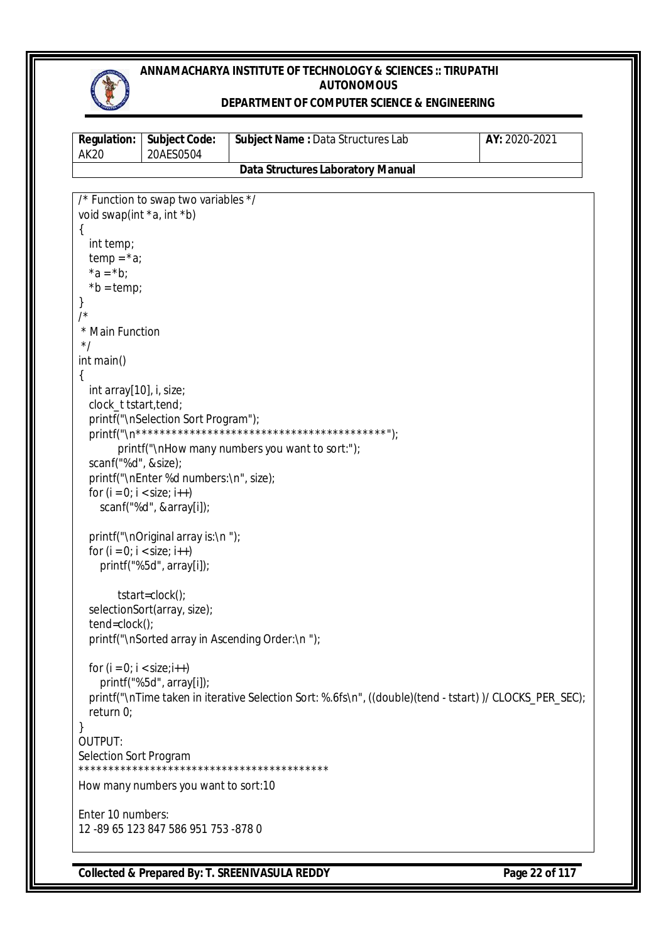

#### **DEPARTMENT OF COMPUTER SCIENCE & ENGINEERING**

| <b>Regulation:</b><br><b>AK20</b> | <b>Subject Code:</b><br>20AES0504      | Subject Name: Data Structures Lab                                                                       | AY: 2020-2021 |
|-----------------------------------|----------------------------------------|---------------------------------------------------------------------------------------------------------|---------------|
|                                   |                                        | <b>Data Structures Laboratory Manual</b>                                                                |               |
|                                   |                                        |                                                                                                         |               |
|                                   | /* Function to swap two variables */   |                                                                                                         |               |
| void swap(int *a, int *b)         |                                        |                                                                                                         |               |
| {<br>int temp;                    |                                        |                                                                                                         |               |
| $temp = *a$ ;                     |                                        |                                                                                                         |               |
| $*a = *b;$                        |                                        |                                                                                                         |               |
| $*b = temp;$                      |                                        |                                                                                                         |               |
|                                   |                                        |                                                                                                         |               |
| /                                 |                                        |                                                                                                         |               |
| * Main Function                   |                                        |                                                                                                         |               |
| $^*/$                             |                                        |                                                                                                         |               |
| int main()                        |                                        |                                                                                                         |               |
| int array[10], i, size;           |                                        |                                                                                                         |               |
| clock_t tstart, tend;             |                                        |                                                                                                         |               |
|                                   | printf("\nSelection Sort Program");    |                                                                                                         |               |
|                                   |                                        |                                                                                                         |               |
|                                   |                                        | printf("\nHow many numbers you want to sort:");                                                         |               |
| scanf("%d", &size);               |                                        |                                                                                                         |               |
|                                   | printf("\nEnter %d numbers:\n", size); |                                                                                                         |               |
| for $(i = 0; i < size; i++)$      |                                        |                                                                                                         |               |
|                                   | scanf("%d", &array[i]);                |                                                                                                         |               |
|                                   | printf("\nOriginal array is:\n");      |                                                                                                         |               |
| for $(i = 0; i < size; i++)$      |                                        |                                                                                                         |               |
|                                   | printf("%5d", array[i]);               |                                                                                                         |               |
|                                   | tstart=clock();                        |                                                                                                         |               |
|                                   | selectionSort(array, size);            |                                                                                                         |               |
| $tend = clock()$ ;                |                                        |                                                                                                         |               |
|                                   |                                        | printf("\nSorted array in Ascending Order:\n ");                                                        |               |
| for $(i = 0; i < size; i++)$      |                                        |                                                                                                         |               |
|                                   | printf("%5d", array[i]);               |                                                                                                         |               |
|                                   |                                        | printf("\nTime taken in iterative Selection Sort: %.6fs\n", ((double)(tend - tstart))/ CLOCKS_PER_SEC); |               |
| return 0;                         |                                        |                                                                                                         |               |
| }                                 |                                        |                                                                                                         |               |
| OUTPUT:                           |                                        |                                                                                                         |               |
| Selection Sort Program            |                                        |                                                                                                         |               |
|                                   | How many numbers you want to sort:10   |                                                                                                         |               |
| Enter 10 numbers:                 |                                        |                                                                                                         |               |
|                                   | 12 - 89 65 123 847 586 951 753 - 878 0 |                                                                                                         |               |

**Collected & Prepared By: T. SREENIVASULA REDDY Page 22 of 117**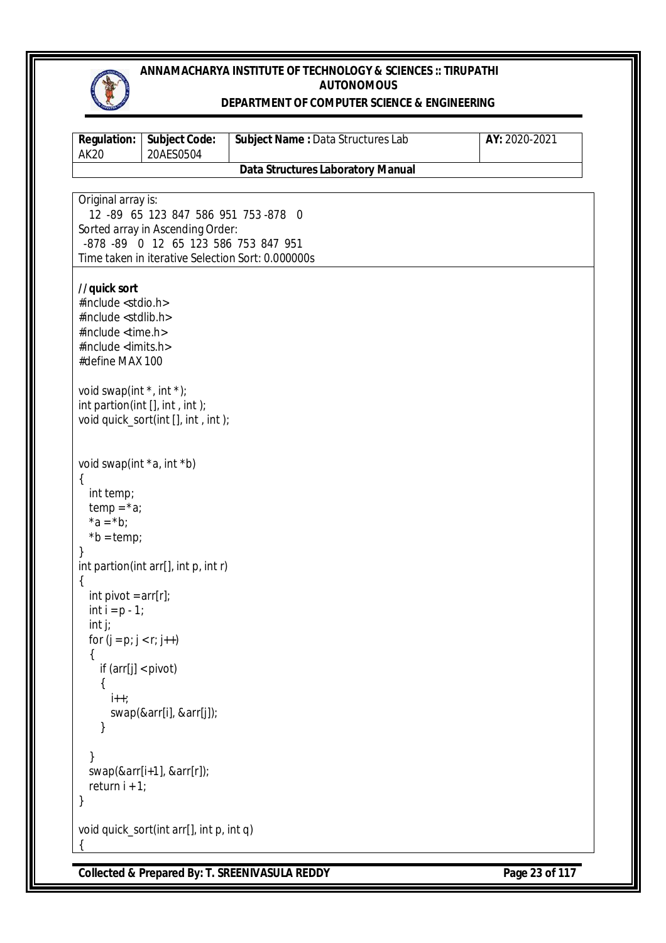

#### **DEPARTMENT OF COMPUTER SCIENCE & ENGINEERING**

| <b>Regulation:</b><br><b>AK20</b>                                                                                                                                                                                                                                            | <b>Subject Code:</b><br>20AES0504                                                                                                                                     | Subject Name: Data Structures Lab        | AY: 2020-2021 |
|------------------------------------------------------------------------------------------------------------------------------------------------------------------------------------------------------------------------------------------------------------------------------|-----------------------------------------------------------------------------------------------------------------------------------------------------------------------|------------------------------------------|---------------|
|                                                                                                                                                                                                                                                                              |                                                                                                                                                                       | <b>Data Structures Laboratory Manual</b> |               |
| Original array is:                                                                                                                                                                                                                                                           | 12 -89 65 123 847 586 951 753 -878 0<br>Sorted array in Ascending Order:<br>-878 -89 0 12 65 123 586 753 847 951<br>Time taken in iterative Selection Sort: 0.000000s |                                          |               |
| //quick sort<br>#include <stdio.h><br/>#include <stdlib.h><br/>#include <time.h><br/>#include <limits.h><br/>#define MAX 100<br/>void swap(int <math>*</math>, int <math>*</math>);<br/>int partion(int <math>[]</math>, int, int);</limits.h></time.h></stdlib.h></stdio.h> | void quick_sort(int [], int, int);                                                                                                                                    |                                          |               |
| void swap(int *a, int *b)<br>$\mathcal{L}$<br>int temp;<br>$temp = *a;$<br>$*a = *b;$<br>$*b = temp;$<br>}<br>{<br>int pivot = $arr[r]$ ;<br>int $i = p - 1$ ;<br>$int j$ ;<br>for $(j = p; j < r; j++)$<br>if $\text{arr}[j] < \text{pivot}$<br>{<br>$\mathbf{i}$ ++;       | int partion(int arr[], int p, int r)                                                                                                                                  |                                          |               |
| return $i + 1$ ;                                                                                                                                                                                                                                                             | swap(&arr[i], &arr[j]);<br>$swap(\&arr[i+1], & arr[r])$ ;                                                                                                             |                                          |               |
|                                                                                                                                                                                                                                                                              | void quick_sort(int arr[], int p, int q)                                                                                                                              |                                          |               |

**Collected & Prepared By: T. SREENIVASULA REDDY Page 23 of 117**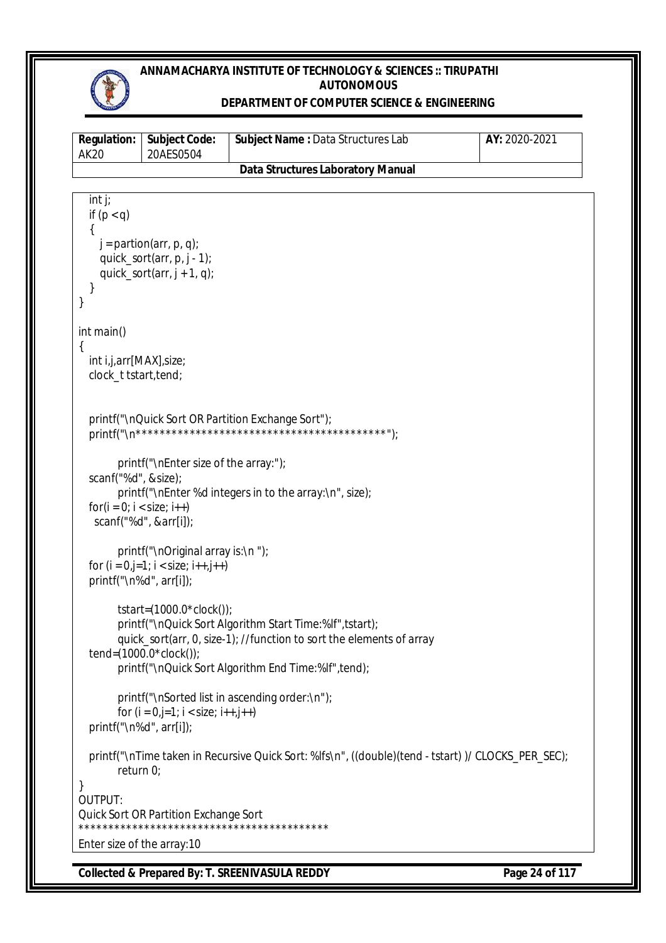

#### **DEPARTMENT OF COMPUTER SCIENCE & ENGINEERING**

| <b>Regulation:</b><br><b>AK20</b>                              | <b>Subject Code:</b><br>20AES0504                                                           | Subject Name: Data Structures Lab                                                                                                                                                       | AY: 2020-2021 |
|----------------------------------------------------------------|---------------------------------------------------------------------------------------------|-----------------------------------------------------------------------------------------------------------------------------------------------------------------------------------------|---------------|
|                                                                |                                                                                             | <b>Data Structures Laboratory Manual</b>                                                                                                                                                |               |
| int j;<br>if $(p < q)$<br>}<br>}                               | $j =$ partion(arr, p, q);<br>quick_sort(arr, $p, j - 1$ );<br>quick_sort(arr, $j + 1$ , q); |                                                                                                                                                                                         |               |
| int main()<br>int i,j,arr[MAX], size;<br>clock_t tstart, tend; |                                                                                             |                                                                                                                                                                                         |               |
|                                                                |                                                                                             | printf("\nQuick Sort OR Partition Exchange Sort");                                                                                                                                      |               |
| scanf("%d", &size);<br>$for(i = 0; i < size; i++)$             | printf("\nEnter size of the array:");<br>scanf("%d", &arr[i]);                              | printf("\nEnter %d integers in to the array:\n", size);                                                                                                                                 |               |
| printf("\n%d", arr[i]);                                        | printf("\nOriginal array is:\n");<br>for $(i = 0, j = 1; i < size; i++)$                    |                                                                                                                                                                                         |               |
|                                                                | tstart= $(1000.0 * clock()$ ;<br>tend= $(1000.0 * clock()$ ;                                | printf("\nQuick Sort Algorithm Start Time:%If", tstart);<br>quick_sort(arr, 0, size-1); //function to sort the elements of array<br>printf("\nQuick Sort Algorithm End Time:%If",tend); |               |
| printf("\n%d", arr[i]);                                        | for $(i = 0, j=1; i < size; i++)$                                                           | printf("\nSorted list in ascending order:\n");                                                                                                                                          |               |
| return $0$ ;                                                   |                                                                                             | printf("\nTime taken in Recursive Quick Sort: %lfs\n", ((double)(tend - tstart))/ CLOCKS_PER_SEC);                                                                                      |               |
| }<br>OUTPUT:                                                   | <b>Quick Sort OR Partition Exchange Sort</b>                                                |                                                                                                                                                                                         |               |
| Enter size of the array: 10                                    |                                                                                             |                                                                                                                                                                                         |               |

**Collected & Prepared By: T. SREENIVASULA REDDY Page 24 of 117**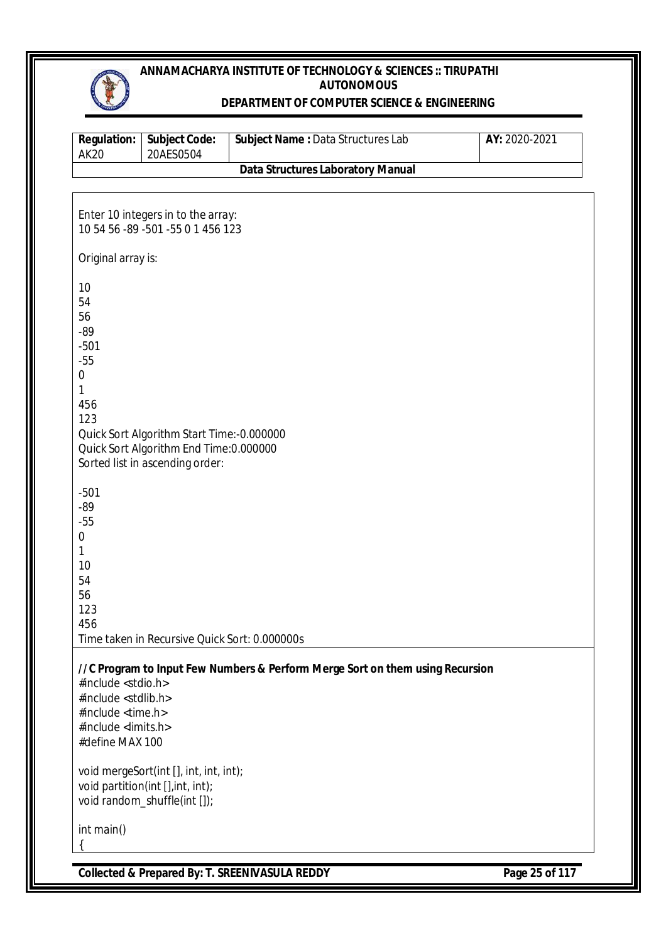

## **DEPARTMENT OF COMPUTER SCIENCE & ENGINEERING**

| <b>Data Structures Laboratory Manual</b><br>Enter 10 integers in to the array:<br>10 54 56 -89 -501 -55 0 1 456 123<br>Original array is:<br>Quick Sort Algorithm Start Time:-0.000000<br>Quick Sort Algorithm End Time: 0.000000<br>Sorted list in ascending order:<br>Time taken in Recursive Quick Sort: 0.000000s<br>//C Program to Input Few Numbers & Perform Merge Sort on them using Recursion<br>#include <stdio.h><br/>#include <stdlib.h><br/>#include <time.h><br/>#include <limits.h><br/>#define MAX 100<br/>void mergeSort(int [], int, int, int);<br/>void partition(int [], int, int);<br/>void random_shuffle(int []);</limits.h></time.h></stdlib.h></stdio.h> | <b>Regulation:</b><br><b>AK20</b>                                                            | <b>Subject Code:</b><br>20AES0504 | Subject Name : Data Structures Lab | AY: 2020-2021  |
|-----------------------------------------------------------------------------------------------------------------------------------------------------------------------------------------------------------------------------------------------------------------------------------------------------------------------------------------------------------------------------------------------------------------------------------------------------------------------------------------------------------------------------------------------------------------------------------------------------------------------------------------------------------------------------------|----------------------------------------------------------------------------------------------|-----------------------------------|------------------------------------|----------------|
|                                                                                                                                                                                                                                                                                                                                                                                                                                                                                                                                                                                                                                                                                   |                                                                                              |                                   |                                    |                |
|                                                                                                                                                                                                                                                                                                                                                                                                                                                                                                                                                                                                                                                                                   |                                                                                              |                                   |                                    |                |
|                                                                                                                                                                                                                                                                                                                                                                                                                                                                                                                                                                                                                                                                                   |                                                                                              |                                   |                                    |                |
|                                                                                                                                                                                                                                                                                                                                                                                                                                                                                                                                                                                                                                                                                   |                                                                                              |                                   |                                    |                |
|                                                                                                                                                                                                                                                                                                                                                                                                                                                                                                                                                                                                                                                                                   | 10<br>54<br>56<br>$-89$<br>$-501$<br>$-55$<br>$\boldsymbol{0}$<br>1<br>456<br>123            |                                   |                                    |                |
|                                                                                                                                                                                                                                                                                                                                                                                                                                                                                                                                                                                                                                                                                   | $-501$<br>$-89$<br>$-55$<br>$\boldsymbol{0}$<br>$\mathbf{1}$<br>10<br>54<br>56<br>123<br>456 |                                   |                                    |                |
|                                                                                                                                                                                                                                                                                                                                                                                                                                                                                                                                                                                                                                                                                   | int main()                                                                                   |                                   |                                    |                |
| <b>Collected &amp; Prepared By: T. SREENIVASULA REDDY</b>                                                                                                                                                                                                                                                                                                                                                                                                                                                                                                                                                                                                                         |                                                                                              |                                   |                                    | Page 25 of 117 |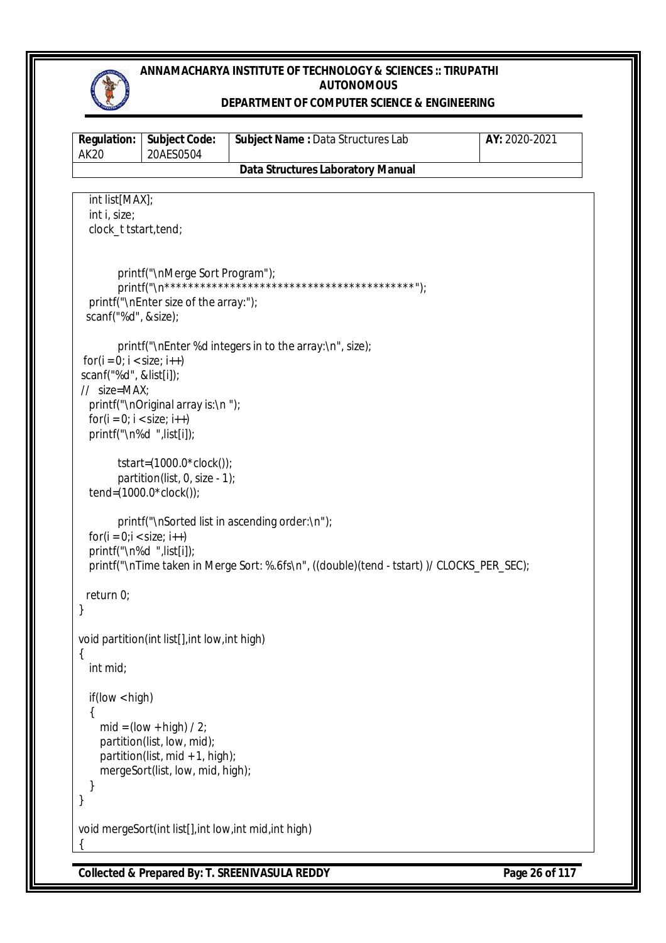

#### **DEPARTMENT OF COMPUTER SCIENCE & ENGINEERING**

| <b>Regulation:</b><br><b>AK20</b>                                                                      | <b>Subject Code:</b><br>20AES0504                                                                                                | Subject Name: Data Structures Lab                                                                                                           | AY: 2020-2021 |
|--------------------------------------------------------------------------------------------------------|----------------------------------------------------------------------------------------------------------------------------------|---------------------------------------------------------------------------------------------------------------------------------------------|---------------|
|                                                                                                        |                                                                                                                                  | <b>Data Structures Laboratory Manual</b>                                                                                                    |               |
| int list[MAX];<br>int i, size;<br>clock_t tstart, tend;                                                |                                                                                                                                  |                                                                                                                                             |               |
| scanf("%d", &size);                                                                                    | printf("\nMerge Sort Program");<br>printf("\nEnter size of the array:");                                                         |                                                                                                                                             |               |
| $for(i = 0; i < size; i++)$<br>scanf("%d", &list[i]);<br>$//$ size=MAX;<br>$for(i = 0; i < size; i++)$ | printf("\nOriginal array is:\n");<br>printf("\n%d ",list[i]);                                                                    | printf("\nEnter %d integers in to the array:\n", size);                                                                                     |               |
|                                                                                                        | tstart= $(1000.0 * clock()$ ;<br>partition(list, 0, size - 1);<br>tend= $(1000.0 * clock())$ ;                                   |                                                                                                                                             |               |
| $for(i = 0; i < size; i++)$                                                                            | printf("\n%d ",list[i]);                                                                                                         | printf("\nSorted list in ascending order:\n");<br>printf("\nTime taken in Merge Sort: %.6fs\n", ((double)(tend - tstart))/ CLOCKS_PER_SEC); |               |
| return $0$ ;                                                                                           |                                                                                                                                  |                                                                                                                                             |               |
| {<br>int mid;                                                                                          | void partition(int list[], int low, int high)                                                                                    |                                                                                                                                             |               |
| if (low < high)                                                                                        | $mid = (low + high) / 2;$<br>partition(list, low, mid);<br>partition(list, mid $+1$ , high);<br>mergeSort(list, low, mid, high); |                                                                                                                                             |               |
|                                                                                                        | void mergeSort(int list[], int low, int mid, int high)                                                                           |                                                                                                                                             |               |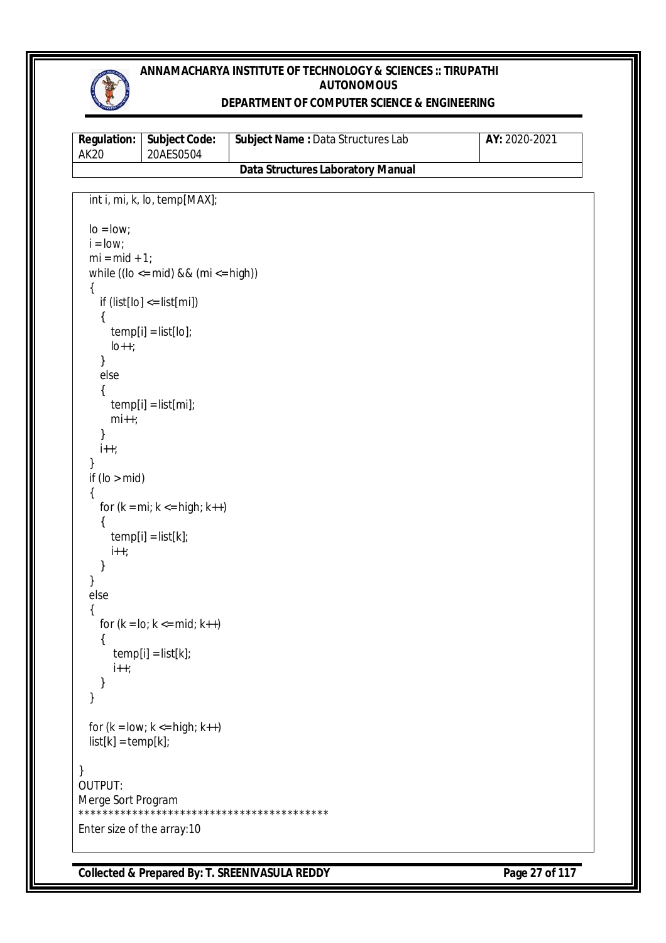

## **DEPARTMENT OF COMPUTER SCIENCE & ENGINEERING**

| AK 20 | <b>Requiation:   Subject Code:</b><br>20AES0504 | <b>Subject Name: Data Structures Lab</b> | <b>AY:</b> 2020-2021 |
|-------|-------------------------------------------------|------------------------------------------|----------------------|
|       |                                                 | Data Structures Laboratory Manual        |                      |

```
 int i, mi, k, lo, temp[MAX];
  \log \frac{1}{2}i =low;
  mi = mid + 1;while ((\text{lo} \le \text{mid}) \& \& (\text{mi} \le \text{high})) {
     if (list[lo] \leq list[mi]) {
        temp[i] = list[lo];
       \vertlo++;
      }
      else
      {
        temp[i] = list[mi];
        mi++;
      }
     i++;
   }
  if (lo > mid) {
     for (k = mi; k \leq high; k++) {
       temp[i] = list[k];i++; }
   }
   else
   {
     for (k = 10; k \le mid; k++) {
        temp[i] = list[k];i++;
      }
   }
  for (k = low; k \le high; k++)list[k] = temp[k];}
OUTPUT:
Merge Sort Program
******************************************
Enter size of the array:10
```
**Collected & Prepared By: T. SREENIVASULA REDDY Page 27 of 117**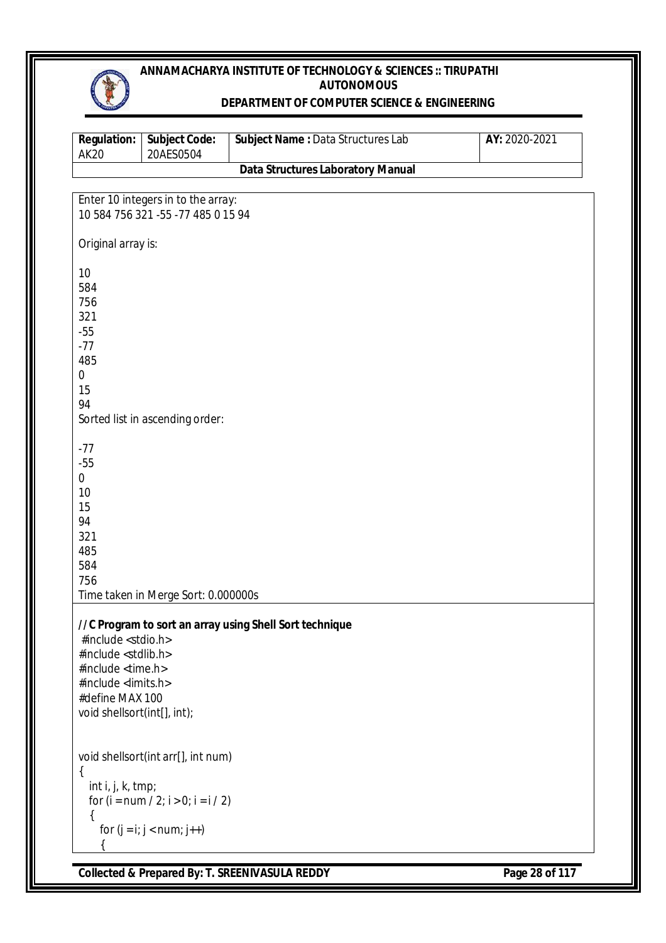#### **DEPARTMENT OF COMPUTER SCIENCE & ENGINEERING**

| <b>Regulation:</b><br><b>AK20</b> | <b>Subject Code:</b><br>20AES0504     | Subject Name : Data Structures Lab                      | AY: 2020-2021 |
|-----------------------------------|---------------------------------------|---------------------------------------------------------|---------------|
|                                   |                                       | <b>Data Structures Laboratory Manual</b>                |               |
|                                   |                                       |                                                         |               |
|                                   | Enter 10 integers in to the array:    |                                                         |               |
|                                   | 10 584 756 321 -55 -77 485 0 15 94    |                                                         |               |
|                                   |                                       |                                                         |               |
| Original array is:                |                                       |                                                         |               |
|                                   |                                       |                                                         |               |
| 10                                |                                       |                                                         |               |
| 584                               |                                       |                                                         |               |
| 756                               |                                       |                                                         |               |
| 321<br>$-55$                      |                                       |                                                         |               |
| $-77$                             |                                       |                                                         |               |
| 485                               |                                       |                                                         |               |
| $\boldsymbol{0}$                  |                                       |                                                         |               |
| 15                                |                                       |                                                         |               |
| 94                                |                                       |                                                         |               |
|                                   | Sorted list in ascending order:       |                                                         |               |
|                                   |                                       |                                                         |               |
| $-77$                             |                                       |                                                         |               |
| $-55$                             |                                       |                                                         |               |
| 0                                 |                                       |                                                         |               |
| 10                                |                                       |                                                         |               |
| 15                                |                                       |                                                         |               |
| 94                                |                                       |                                                         |               |
| 321                               |                                       |                                                         |               |
| 485<br>584                        |                                       |                                                         |               |
| 756                               |                                       |                                                         |               |
|                                   | Time taken in Merge Sort: 0.000000s   |                                                         |               |
|                                   |                                       |                                                         |               |
|                                   |                                       | //C Program to sort an array using Shell Sort technique |               |
| #include <stdio.h></stdio.h>      |                                       |                                                         |               |
| #include <stdlib.h></stdlib.h>    |                                       |                                                         |               |
| #include <time.h></time.h>        |                                       |                                                         |               |
| #include <limits.h></limits.h>    |                                       |                                                         |               |
| #define MAX 100                   |                                       |                                                         |               |
| void shellsort(int[], int);       |                                       |                                                         |               |
|                                   |                                       |                                                         |               |
|                                   | void shellsort(int arr[], int num)    |                                                         |               |
| $\{$                              |                                       |                                                         |               |
| int i, j, k, tmp;                 |                                       |                                                         |               |
|                                   | for $(i = num / 2; i > 0; i = i / 2)$ |                                                         |               |
| ₹                                 |                                       |                                                         |               |
|                                   | for $(j = i; j < num; j++)$           |                                                         |               |
|                                   |                                       |                                                         |               |
|                                   |                                       |                                                         |               |

**Collected & Prepared By: T. SREENIVASULA REDDY Page 28 of 117**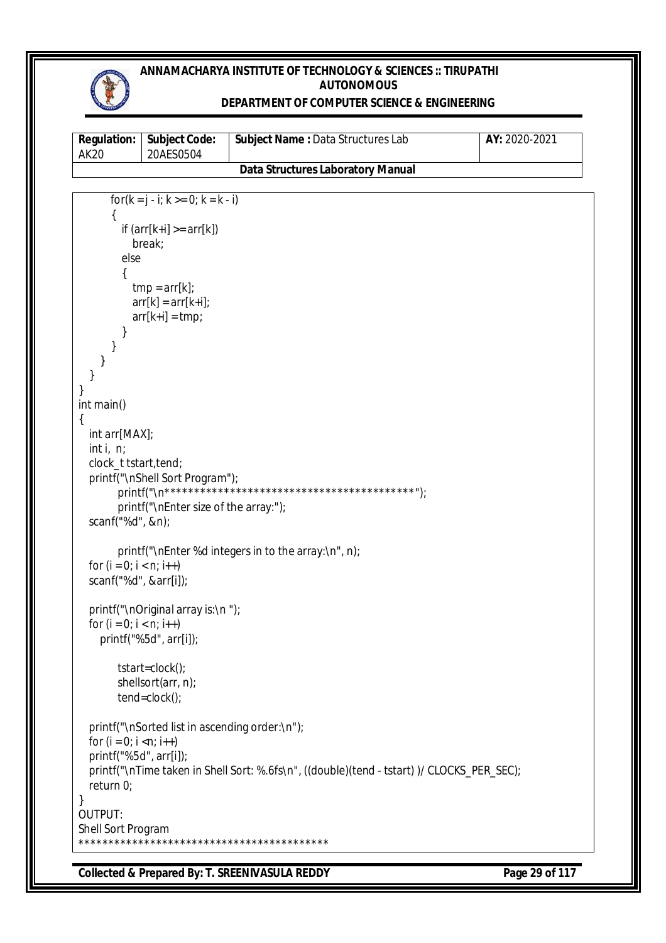## **DEPARTMENT OF COMPUTER SCIENCE & ENGINEERING**

| <b>Regulation:</b><br><b>AK20</b> | <b>Subject Code:</b><br>20AES0504              | Subject Name: Data Structures Lab                                                         | AY: 2020-2021 |
|-----------------------------------|------------------------------------------------|-------------------------------------------------------------------------------------------|---------------|
|                                   |                                                | <b>Data Structures Laboratory Manual</b>                                                  |               |
|                                   |                                                |                                                                                           |               |
|                                   | for( $k = j - i$ ; $k > = 0$ ; $k = k - i$ )   |                                                                                           |               |
|                                   | if $\text{arr}[k+i] >= arr[k])$                |                                                                                           |               |
|                                   | break;                                         |                                                                                           |               |
| else                              |                                                |                                                                                           |               |
|                                   |                                                |                                                                                           |               |
|                                   | $tmp = arr[k];$                                |                                                                                           |               |
|                                   | $arr[k] = arr[k+i];$<br>$arr[k+i] = tmp;$      |                                                                                           |               |
|                                   |                                                |                                                                                           |               |
|                                   |                                                |                                                                                           |               |
|                                   |                                                |                                                                                           |               |
|                                   |                                                |                                                                                           |               |
|                                   |                                                |                                                                                           |               |
| int main()                        |                                                |                                                                                           |               |
| ₹<br>int arr[MAX];                |                                                |                                                                                           |               |
| int i, $n$ ;                      |                                                |                                                                                           |               |
| clock_t tstart, tend;             |                                                |                                                                                           |               |
|                                   | printf("\nShell Sort Program");                |                                                                                           |               |
|                                   |                                                |                                                                                           |               |
|                                   | printf("\nEnter size of the array:");          |                                                                                           |               |
| scanf("%d", &n);                  |                                                |                                                                                           |               |
|                                   |                                                | printf("\nEnter %d integers in to the array:\n", n);                                      |               |
| for $(i = 0; i < n; i++)$         |                                                |                                                                                           |               |
| scanf("%d", &arr[i]);             |                                                |                                                                                           |               |
|                                   |                                                |                                                                                           |               |
| for $(i = 0; i < n; i++)$         | printf("\nOriginal array is:\n");              |                                                                                           |               |
|                                   | printf("%5d", arr[i]);                         |                                                                                           |               |
|                                   |                                                |                                                                                           |               |
|                                   | tstart=clock();                                |                                                                                           |               |
|                                   | shellsort(arr, n);                             |                                                                                           |               |
|                                   | $tend = clock()$ ;                             |                                                                                           |               |
|                                   | printf("\nSorted list in ascending order:\n"); |                                                                                           |               |
| for $(i = 0; i < n; i++)$         |                                                |                                                                                           |               |
| printf("%5d", arr[i]);            |                                                |                                                                                           |               |
|                                   |                                                | printf("\nTime taken in Shell Sort: %.6fs\n", ((double)(tend - tstart))/ CLOCKS_PER_SEC); |               |
| return $0$ ;                      |                                                |                                                                                           |               |
|                                   |                                                |                                                                                           |               |
| OUTPUT:<br>Shell Sort Program     |                                                |                                                                                           |               |
|                                   |                                                |                                                                                           |               |

**Collected & Prepared By: T. SREENIVASULA REDDY Page 29 of 117**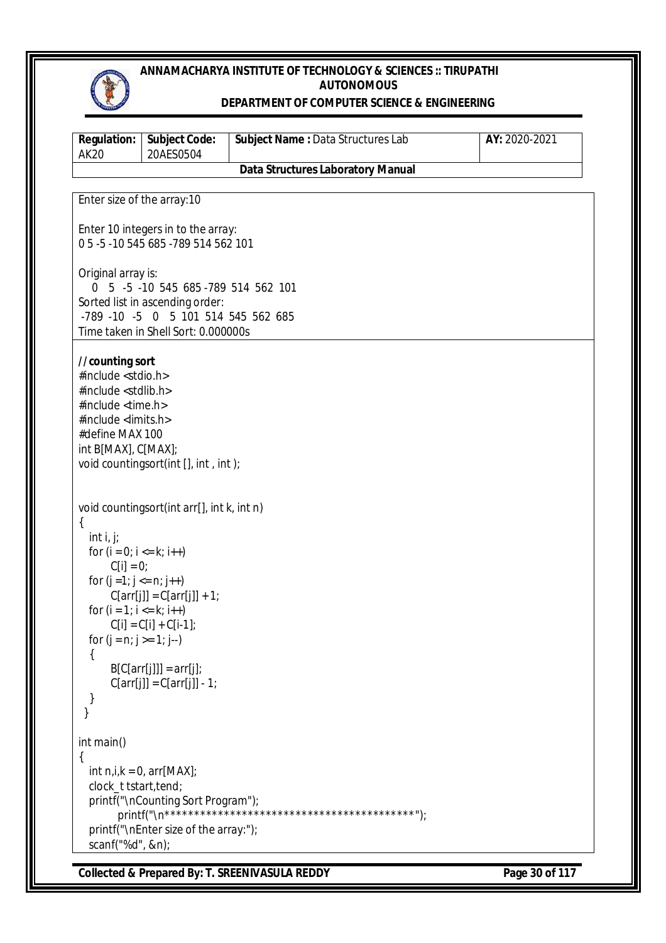

#### **DEPARTMENT OF COMPUTER SCIENCE & ENGINEERING**

| <b>Regulation:</b><br><b>AK20</b>                                                                                                                                                                | <b>Subject Code:</b><br>20AES0504                                                                                                                                 | Subject Name : Data Structures Lab       | AY: 2020-2021 |
|--------------------------------------------------------------------------------------------------------------------------------------------------------------------------------------------------|-------------------------------------------------------------------------------------------------------------------------------------------------------------------|------------------------------------------|---------------|
|                                                                                                                                                                                                  |                                                                                                                                                                   | <b>Data Structures Laboratory Manual</b> |               |
| Enter size of the array: 10                                                                                                                                                                      |                                                                                                                                                                   |                                          |               |
|                                                                                                                                                                                                  | Enter 10 integers in to the array:<br>05-5-10545 685-789 514 562 101                                                                                              |                                          |               |
| Original array is:                                                                                                                                                                               | 0 5 -5 -10 545 685 -789 514 562 101<br>Sorted list in ascending order:                                                                                            |                                          |               |
|                                                                                                                                                                                                  | -789 -10 -5 0 5 101 514 545 562 685<br>Time taken in Shell Sort: 0.000000s                                                                                        |                                          |               |
| //counting sort<br>#include <stdio.h><br/>#include <stdlib.h><br/>#include <time.h><br/>#include <limits.h><br/>#define MAX 100<br/>int B[MAX], C[MAX];</limits.h></time.h></stdlib.h></stdio.h> | void countingsort(int [], int, int);                                                                                                                              |                                          |               |
| $\{$<br>int i, j;<br>for $(i = 0; i \le k; i++)$<br>$C[i] = 0;$<br>for $(j = 1; j <= n; j++)$<br>for $(i = 1; i \le k; i++)$<br>for $(j = n; j >= 1; j-)$<br>$\left\{ \right.$                   | void countingsort(int arr[], int k, int n)<br>$C[arr[j]] = C[arr[j]] + 1;$<br>$C[i] = C[i] + C[i-1];$<br>$B[C[arr[j]]] = arr[j];$<br>$C[arr[j]] = C[arr[j]] - 1;$ |                                          |               |
| int main()<br>clock_t tstart, tend;<br>scanf("%d", &n);                                                                                                                                          | int $n, i, k = 0$ , $arr[MAX]$ ;<br>printf("\nCounting Sort Program");<br>printf("\nEnter size of the array:");                                                   |                                          |               |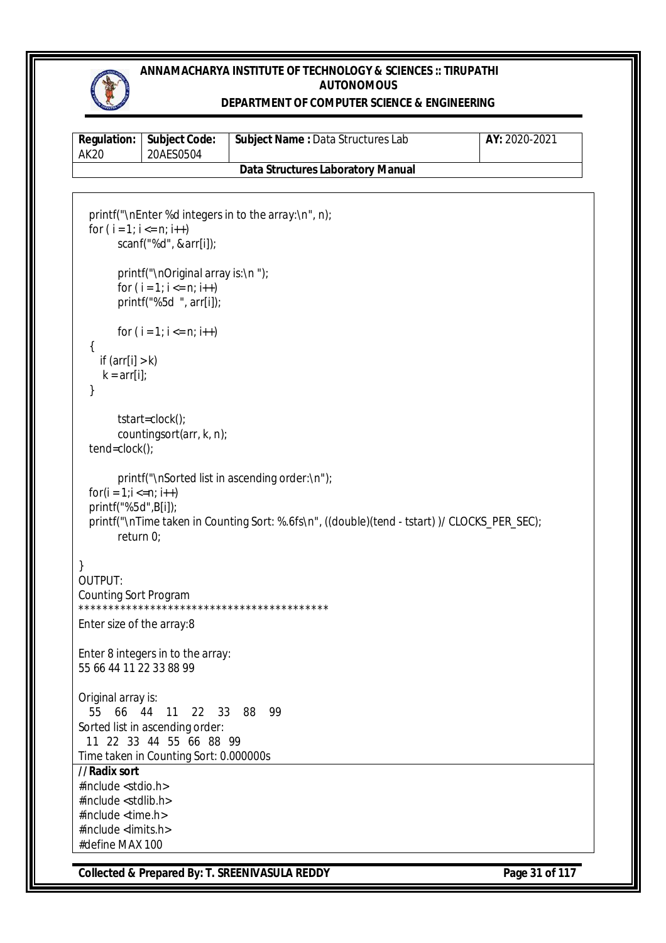

#### **DEPARTMENT OF COMPUTER SCIENCE & ENGINEERING**

| AK20 | <b>Regulation:   Subject Code:</b><br>20AES0504 | <b>Subject Name: Data Structures Lab</b> | AY: 2020-2021 |
|------|-------------------------------------------------|------------------------------------------|---------------|
|      |                                                 | <b>Data Structures Laboratory Manual</b> |               |

```
Collected & Prepared By: T. SREENIVASULA REDDY Page 31 of 117
   printf("\nEnter %d integers in to the array:\n", n);
  for (i = 1; i <= n; i++)scanf("%d", &arr[i]);
        printf("\nOriginal array is:\n ");
        for (i = 1; i < n; i++)printf("%5d ", arr[i]);
       for (i = 1; i <= n; i++) {
    if \text{arr}[i] > kk = arr[i];
   }
        tstart=clock(); 
        countingsort(arr, k, n);
   tend=clock(); 
        printf("\nSorted list in ascending order:\n");
  for(i = 1; i \le n; i++) printf("%5d",B[i]);
   printf("\nTime taken in Counting Sort: %.6fs\n", ((double)(tend - tstart) )/ CLOCKS_PER_SEC);
        return 0;
}
OUTPUT:
Counting Sort Program
                             ******************************************
Enter size of the array:8
Enter 8 integers in to the array:
55 66 44 11 22 33 88 99
Original array is:
   55 66 44 11 22 33 88 99
Sorted list in ascending order:
  11 22 33 44 55 66 88 99
Time taken in Counting Sort: 0.000000s
//Radix sort
#include <stdio.h>
#include <stdlib.h>
#include <time.h>
#include <limits.h>
#define MAX 100
```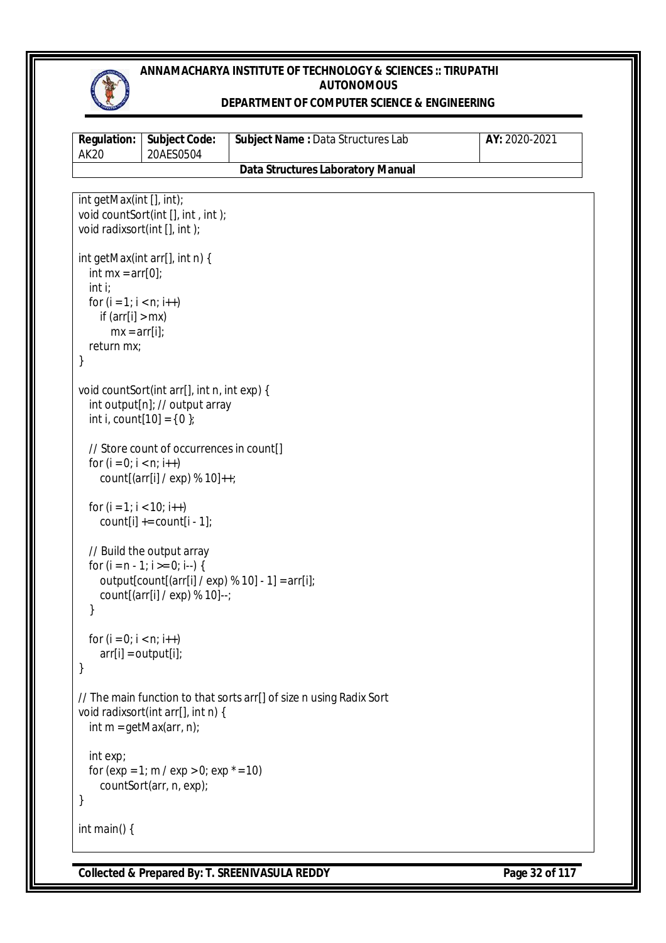

## **DEPARTMENT OF COMPUTER SCIENCE & ENGINEERING**

| <b>Regulation:</b><br><b>AK20</b>                                                                                                | <b>Subject Code:</b><br>20AES0504                                                                                | Subject Name: Data Structures Lab                                   | AY: 2020-2021 |
|----------------------------------------------------------------------------------------------------------------------------------|------------------------------------------------------------------------------------------------------------------|---------------------------------------------------------------------|---------------|
|                                                                                                                                  |                                                                                                                  | <b>Data Structures Laboratory Manual</b>                            |               |
| int getMax(int [], int);<br>void radixsort(int [], int);                                                                         | void countSort(int [], int, int);                                                                                |                                                                     |               |
| int mx = $arr[0]$ ;<br>int i<br>for $(i = 1; i < n; i++)$<br>if $\text{arr}[i] > \text{mx}$<br>$mx = arr[i];$<br>return mx;<br>} | int getMax(int arr[], int n) {                                                                                   |                                                                     |               |
|                                                                                                                                  | void countSort(int arr[], int n, int exp) {<br>int output[n]; // output array<br>int i, count $[10] = \{ 0 \}$ ; |                                                                     |               |
| for $(i = 0; i < n; i++)$                                                                                                        | // Store count of occurrences in count[]<br>count[(arr[i] / exp) % 10]++;                                        |                                                                     |               |
| for $(i = 1; i < 10; i++)$                                                                                                       | count[i] $+=$ count[i - 1];                                                                                      |                                                                     |               |
| }                                                                                                                                | // Build the output array<br>for $(i = n - 1; i >= 0; i-)$ {<br>count[(arr[i] / $exp$ ) % 10]--;                 | output[count[(arr[i] / exp) % 10] - 1] = $\arctan[i]$ ;             |               |
| for $(i = 0; i < n; i++)$<br>$arr[i] = output[i];$<br>}                                                                          |                                                                                                                  |                                                                     |               |
|                                                                                                                                  | void radixsort(int arr[], int n) {<br>int $m = getMax(arr, n)$ ;                                                 | // The main function to that sorts arr[] of size n using Radix Sort |               |
| int exp;<br>}                                                                                                                    | for $(exp = 1; m / exp > 0; exp * = 10)$<br>countSort(arr, n, exp);                                              |                                                                     |               |
| int main() {                                                                                                                     |                                                                                                                  |                                                                     |               |

**Collected & Prepared By: T. SREENIVASULA REDDY Page 32 of 117**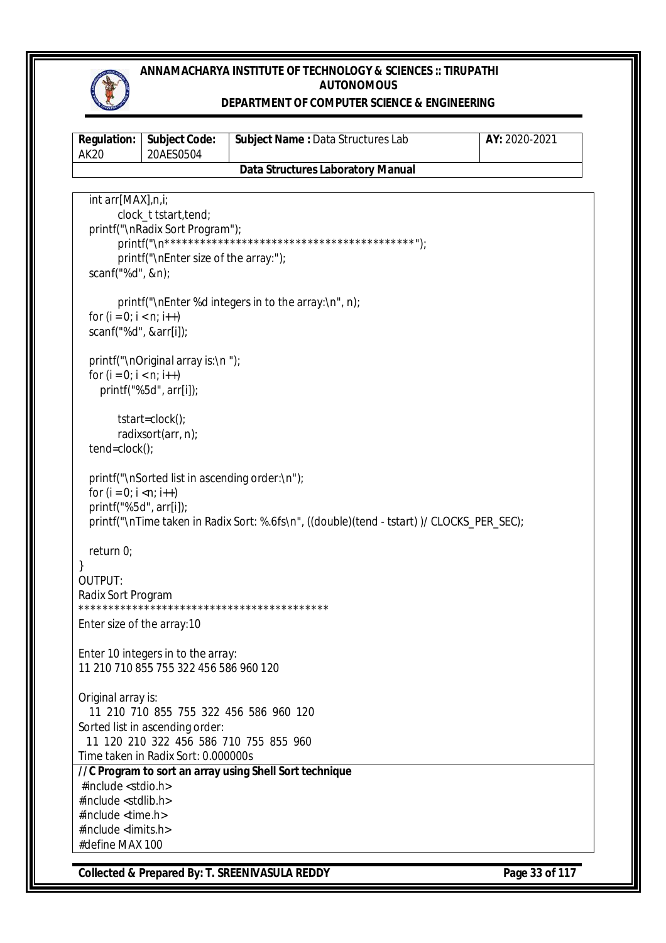

#### **DEPARTMENT OF COMPUTER SCIENCE & ENGINEERING**

| <b>Regulation:</b><br><b>AK20</b>                               | Subject Code:<br>20AES0504                                                    | Subject Name : Data Structures Lab                                                        | AY: 2020-2021 |
|-----------------------------------------------------------------|-------------------------------------------------------------------------------|-------------------------------------------------------------------------------------------|---------------|
|                                                                 |                                                                               | <b>Data Structures Laboratory Manual</b>                                                  |               |
| int arr[MAX],n,i;                                               | clock_t tstart, tend;<br>printf("\nRadix Sort Program");                      |                                                                                           |               |
| scanf("%d", &n);                                                | printf("\nEnter size of the array:");                                         |                                                                                           |               |
| for $(i = 0; i < n; i++)$<br>scanf("%d", &arr[i]);              |                                                                               | printf("\nEnter %d integers in to the array:\n", n);                                      |               |
| for $(i = 0; i < n; i++)$                                       | printf("\nOriginal array is:\n");<br>printf("%5d", arr[i]);                   |                                                                                           |               |
| tend=clock();                                                   | tstart=clock();<br>radixsort(arr, n);                                         |                                                                                           |               |
| for $(i = 0; i < n; i++)$<br>printf("%5d", arr[i]);             | printf("\nSorted list in ascending order:\n");                                | printf("\nTime taken in Radix Sort: %.6fs\n", ((double)(tend - tstart))/ CLOCKS_PER_SEC); |               |
| return $0$ ;<br>}<br>OUTPUT:                                    |                                                                               |                                                                                           |               |
| Radix Sort Program                                              |                                                                               | *********************************                                                         |               |
| Enter size of the array: 10                                     |                                                                               |                                                                                           |               |
|                                                                 | Enter 10 integers in to the array:<br>11 210 710 855 755 322 456 586 960 120  |                                                                                           |               |
| Original array is:                                              | Sorted list in ascending order:                                               | 11 210 710 855 755 322 456 586 960 120                                                    |               |
|                                                                 | 11 120 210 322 456 586 710 755 855 960<br>Time taken in Radix Sort: 0.000000s |                                                                                           |               |
| #include <stdio.h><br/>#include <stdlib.h></stdlib.h></stdio.h> |                                                                               | //C Program to sort an array using Shell Sort technique                                   |               |
| #include <time.h><br/>#include <limits.h></limits.h></time.h>   |                                                                               |                                                                                           |               |
| #define MAX 100                                                 |                                                                               |                                                                                           |               |

**Collected & Prepared By: T. SREENIVASULA REDDY Page 33 of 117**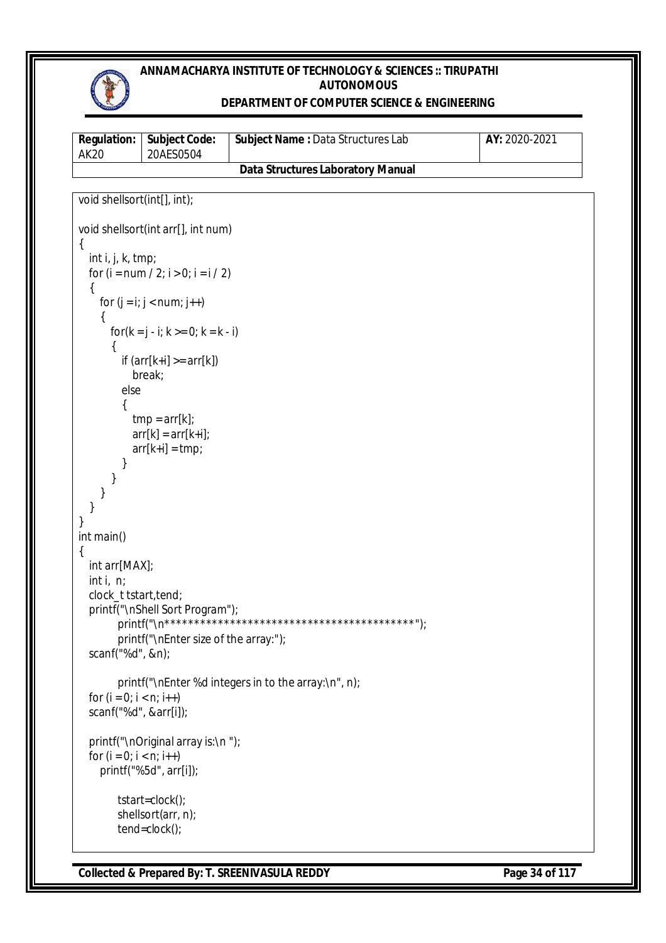

## **DEPARTMENT OF COMPUTER SCIENCE & ENGINEERING**

| <b>Regulation:</b><br><b>AK20</b> | <b>Subject Code:</b><br>20AES0504            | Subject Name: Data Structures Lab                    | AY: 2020-2021 |
|-----------------------------------|----------------------------------------------|------------------------------------------------------|---------------|
|                                   |                                              | <b>Data Structures Laboratory Manual</b>             |               |
|                                   |                                              |                                                      |               |
| void shellsort(int[], int);       |                                              |                                                      |               |
|                                   | void shellsort(int arr[], int num)           |                                                      |               |
| $\{$                              |                                              |                                                      |               |
| int i, j, $k$ , tmp;              | for $(i = num / 2; i > 0; i = i / 2)$        |                                                      |               |
| ₹                                 | for $(j = i; j < num; j++)$                  |                                                      |               |
|                                   |                                              |                                                      |               |
|                                   | for( $k = j - i$ ; $k > = 0$ ; $k = k - i$ ) |                                                      |               |
|                                   |                                              |                                                      |               |
|                                   | if $\text{arr}[k+i] >= arr[k])$              |                                                      |               |
| else                              | break;                                       |                                                      |               |
|                                   |                                              |                                                      |               |
|                                   | $tmp = arr[k];$                              |                                                      |               |
|                                   | $arr[k] = arr[k+i];$                         |                                                      |               |
|                                   | $arr[k+i] = tmp;$                            |                                                      |               |
|                                   |                                              |                                                      |               |
|                                   |                                              |                                                      |               |
|                                   |                                              |                                                      |               |
|                                   |                                              |                                                      |               |
| int main()                        |                                              |                                                      |               |
|                                   |                                              |                                                      |               |
| int arr[MAX];                     |                                              |                                                      |               |
| int $i, n;$                       |                                              |                                                      |               |
| clock_t tstart, tend;             |                                              |                                                      |               |
|                                   | printf("\nShell Sort Program");              |                                                      |               |
|                                   | printf("\nEnter size of the array:");        |                                                      |               |
| scanf("%d", &n);                  |                                              |                                                      |               |
|                                   |                                              |                                                      |               |
|                                   |                                              | printf("\nEnter %d integers in to the array:\n", n); |               |
| for $(i = 0; i < n; i++)$         |                                              |                                                      |               |
| scanf("%d", &arr[i]);             |                                              |                                                      |               |
|                                   | printf("\nOriginal array is:\n ");           |                                                      |               |
| for $(i = 0; i < n; i++)$         |                                              |                                                      |               |
|                                   | printf("%5d", arr[i]);                       |                                                      |               |
|                                   | tstart=clock();                              |                                                      |               |
|                                   | shellsort(arr, n);                           |                                                      |               |
|                                   | tend=clock();                                |                                                      |               |

**Collected & Prepared By: T. SREENIVASULA REDDY Page 34 of 117**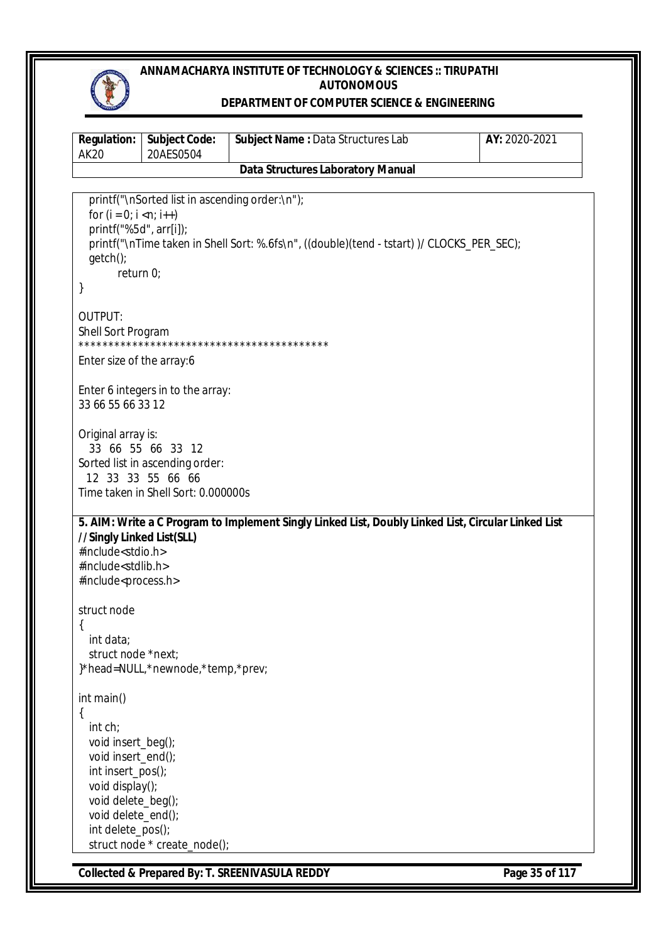

## **DEPARTMENT OF COMPUTER SCIENCE & ENGINEERING**

| Regulation:<br><b>AK20</b>                                                                                                                                                      | <b>Subject Code:</b><br>20AES0504                                                                                | Subject Name: Data Structures Lab                                                                   | AY: 2020-2021  |
|---------------------------------------------------------------------------------------------------------------------------------------------------------------------------------|------------------------------------------------------------------------------------------------------------------|-----------------------------------------------------------------------------------------------------|----------------|
|                                                                                                                                                                                 |                                                                                                                  | <b>Data Structures Laboratory Manual</b>                                                            |                |
| for $(i = 0; i < n; i++)$<br>printf("%5d", arr[i]);<br>$getch()$ ;<br>return 0;<br>}                                                                                            | printf("\nSorted list in ascending order:\n");                                                                   | printf("\nTime taken in Shell Sort: %.6fs\n", ((double)(tend - tstart))/ CLOCKS_PER_SEC);           |                |
| OUTPUT:<br>Shell Sort Program                                                                                                                                                   |                                                                                                                  |                                                                                                     |                |
| Enter size of the array:6                                                                                                                                                       |                                                                                                                  |                                                                                                     |                |
| 33 66 55 66 33 12                                                                                                                                                               | Enter 6 integers in to the array:                                                                                |                                                                                                     |                |
| Original array is:                                                                                                                                                              | 33 66 55 66 33 12<br>Sorted list in ascending order:<br>12 33 33 55 66 66<br>Time taken in Shell Sort: 0.000000s |                                                                                                     |                |
| //Singly Linked List(SLL)<br>#include <stdio.h><br/>#include<stdlib.h><br/>#include<process.h></process.h></stdlib.h></stdio.h>                                                 |                                                                                                                  | 5. AIM: Write a C Program to Implement Singly Linked List, Doubly Linked List, Circular Linked List |                |
| struct node<br>int data;<br>struct node *next;                                                                                                                                  | }*head=NULL,*newnode,*temp,*prev;                                                                                |                                                                                                     |                |
| int main()<br>{<br>int ch;<br>void insert_beg();<br>void insert_end();<br>int insert_pos();<br>void display();<br>void delete_beg();<br>void delete_end();<br>int delete_pos(); | struct node * create_node();                                                                                     |                                                                                                     |                |
|                                                                                                                                                                                 |                                                                                                                  | Collected & Prepared By: T. SREENIVASULA REDDY                                                      | Page 35 of 117 |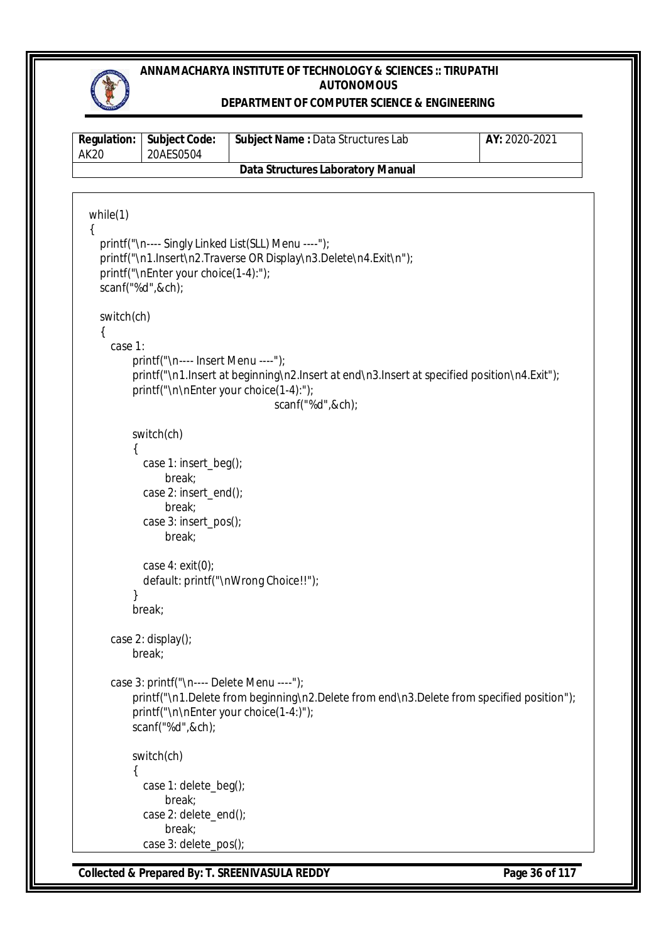

#### **DEPARTMENT OF COMPUTER SCIENCE & ENGINEERING**

| <b>Regulation:</b><br><b>AK20</b> | <b>Subject Code:</b><br>20AES0504                                                                                                                   | Subject Name : Data Structures Lab                                                                                      | AY: 2020-2021 |
|-----------------------------------|-----------------------------------------------------------------------------------------------------------------------------------------------------|-------------------------------------------------------------------------------------------------------------------------|---------------|
|                                   |                                                                                                                                                     | <b>Data Structures Laboratory Manual</b>                                                                                |               |
|                                   |                                                                                                                                                     |                                                                                                                         |               |
| while(1)<br>₹                     | printf("\nEnter your choice(1-4):");<br>scanf("%d",&ch);                                                                                            | printf("\n---- Singly Linked List(SLL) Menu ----");<br>printf("\n1.Insert\n2.Traverse OR Display\n3.Delete\n4.Exit\n"); |               |
| switch(ch)<br>₹<br>case 1:        | printf("\n---- Insert Menu ----");<br>printf("\n\nEnter your choice(1-4):");                                                                        | printf("\n1.lnsert at beginning\n2.lnsert at end\n3.lnsert at specified position\n4.Exit");<br>scanf("%d",&ch);         |               |
|                                   | switch(ch)<br>case 1: insert_beg();<br>break;<br>case 2: insert_end();<br>break;<br>case 3: insert_pos();<br>break;<br>case $4:$ exit(0);<br>break; | default: printf("\nWrong Choice!!");                                                                                    |               |
|                                   | case 2: display();<br>break;<br>case 3: printf("\n---- Delete Menu ----");<br>printf("\n\nEnter your choice(1-4:)");<br>scanf("%d",&ch);            | printf("\n1.Delete from beginning\n2.Delete from end\n3.Delete from specified position");                               |               |
|                                   | switch(ch)<br>case 1: delete_beg();<br>break;<br>case 2: delete_end();<br>break;<br>case 3: delete_pos();                                           |                                                                                                                         |               |

**Collected & Prepared By: T. SREENIVASULA REDDY Page 36 of 117**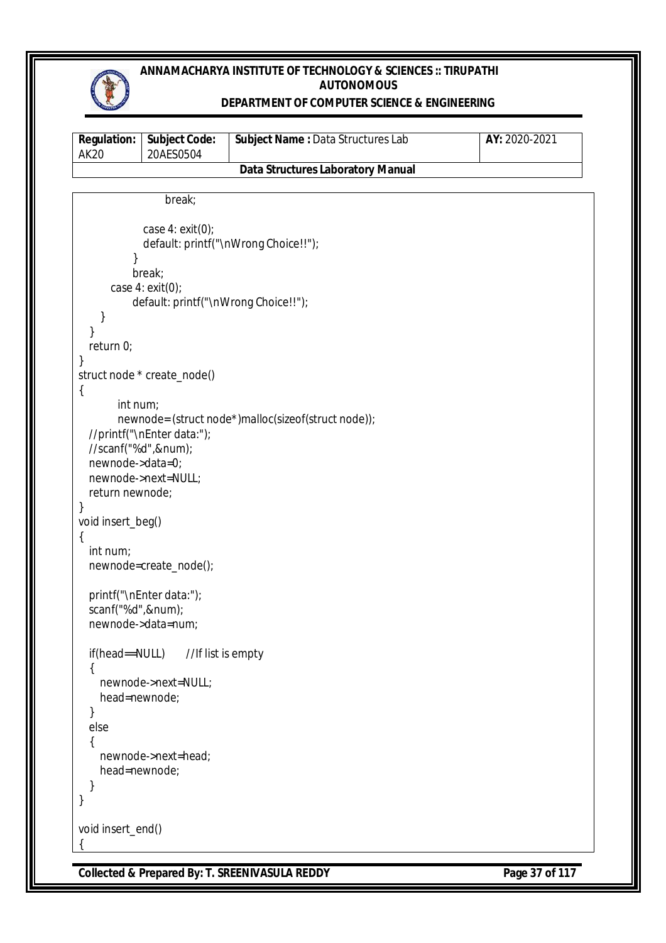

#### **DEPARTMENT OF COMPUTER SCIENCE & ENGINEERING**

| <b>Regulation:</b><br>AK20               | <b>Subject Code:</b><br>20AES0504 | <b>Subject Name: Data Structures Lab</b> | AY: 2020-2021 |  |
|------------------------------------------|-----------------------------------|------------------------------------------|---------------|--|
| <b>Data Structures Laboratory Manual</b> |                                   |                                          |               |  |

```
Collected & Prepared By: T. SREENIVASULA REDDY Page 37 of 117
                 break;
             case 4: exit(0);
             default: printf("\nWrong Choice!!");
 }
           break;
       case 4: exit(0);
           default: printf("\nWrong Choice!!");
     }
   }
   return 0;
}
struct node * create_node()
{
       int num;
       newnode= (struct node*)malloc(sizeof(struct node));
   //printf("\nEnter data:");
   //scanf("%d",&num);
   newnode->data=0;
   newnode->next=NULL;
   return newnode;
}
void insert_beg()
{
   int num;
   newnode=create_node();
   printf("\nEnter data:");
   scanf("%d",&num);
   newnode->data=num;
  if(head==NULL) //If list is empty
   {
     newnode->next=NULL;
     head=newnode;
   }
   else
   {
     newnode->next=head;
     head=newnode;
   }
}
void insert_end()
{
```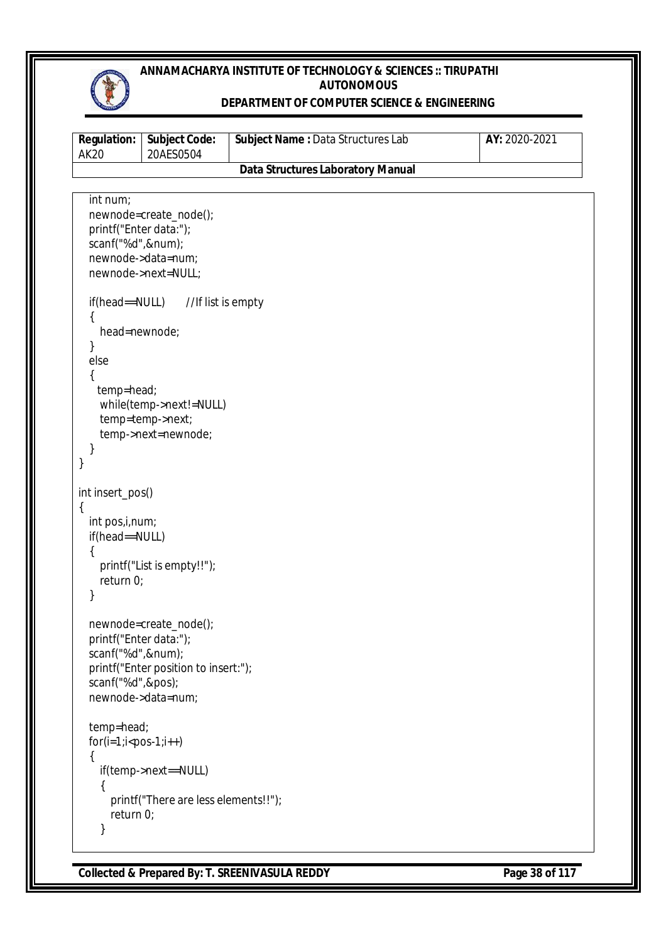

### **DEPARTMENT OF COMPUTER SCIENCE & ENGINEERING**

| <b>Regulation:</b><br><b>AK20</b>                                             | <b>Subject Code:</b><br>20AES0504                                                        | Subject Name: Data Structures Lab        | AY: 2020-2021 |
|-------------------------------------------------------------------------------|------------------------------------------------------------------------------------------|------------------------------------------|---------------|
|                                                                               |                                                                                          | <b>Data Structures Laboratory Manual</b> |               |
|                                                                               |                                                                                          |                                          |               |
| int num;<br>printf("Enter data:");<br>scanf("%d",#);                          | newnode=create_node();<br>newnode->data=num;<br>newnode->next=NULL;                      |                                          |               |
| if(head==NULL)<br>ł<br>head=newnode;<br>}<br>else<br>temp=head;<br>}<br>}     | //If list is empty<br>while(temp->next!=NULL)<br>temp=temp->next;<br>temp->next=newnode; |                                          |               |
|                                                                               |                                                                                          |                                          |               |
| int insert_pos()<br>{<br>int pos, i, num;<br>if(head==NULL)<br>return 0;<br>} | printf("List is empty!!");                                                               |                                          |               |
| printf("Enter data:");<br>scanf("%d",#);<br>scanf("%d",&pos);                 | newnode=create_node();<br>printf("Enter position to insert:");<br>newnode->data=num;     |                                          |               |
| temp=head;<br>$for(i=1; i{\{return 0;$                                        | if(temp->next==NULL)<br>printf("There are less elements!!");                             |                                          |               |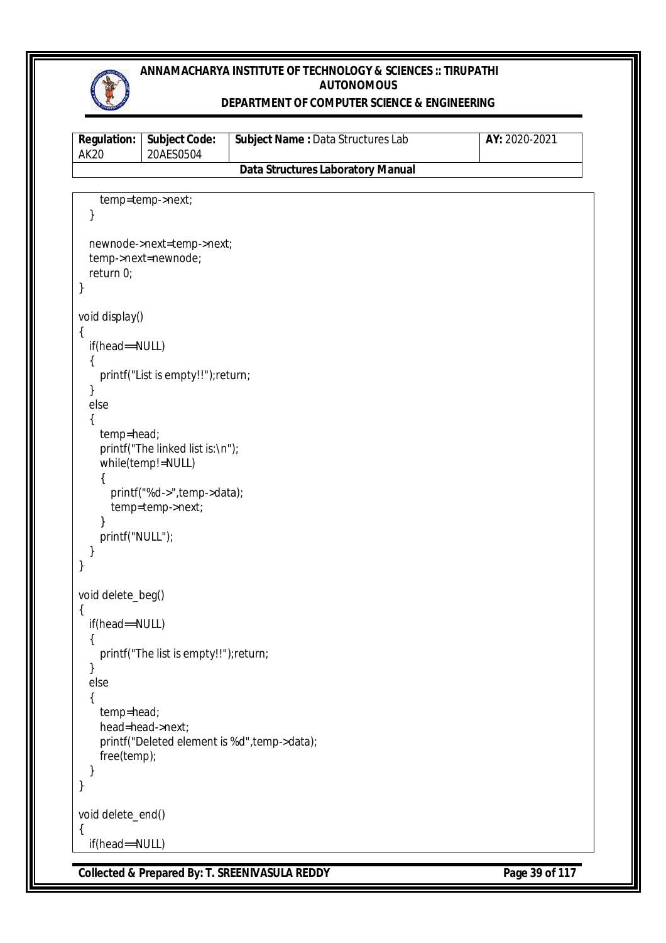

#### **DEPARTMENT OF COMPUTER SCIENCE & ENGINEERING**

| AK20                                     | <b>Regulation:   Subject Code:</b><br>20AES0504 | <b>Subject Name: Data Structures Lab</b> | AY: 2020-2021 |  |
|------------------------------------------|-------------------------------------------------|------------------------------------------|---------------|--|
| <b>Data Structures Laboratory Manual</b> |                                                 |                                          |               |  |

```
Collected & Prepared By: T. SREENIVASULA REDDY Page 39 of 117
     temp=temp->next;
   }
   newnode->next=temp->next;
   temp->next=newnode;
   return 0;
}
void display()
{
   if(head==NULL)
   {
     printf("List is empty!!");return;
   }
   else
   {
     temp=head;
     printf("The linked list is:\n");
     while(temp!=NULL)
     {
       printf("%d->",temp->data);
       temp=temp->next;
     }
     printf("NULL");
   }
}
void delete_beg()
{
   if(head==NULL)
   {
     printf("The list is empty!!");return;
   }
   else
   {
     temp=head;
     head=head->next;
     printf("Deleted element is %d",temp->data);
     free(temp);
   }
}
void delete_end()
{
   if(head==NULL)
```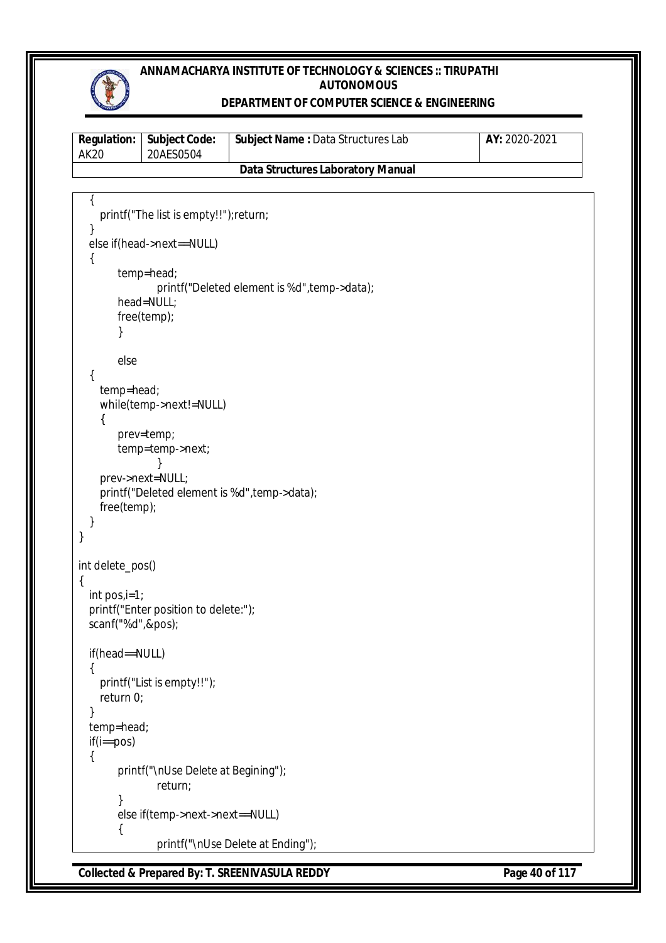

#### **DEPARTMENT OF COMPUTER SCIENCE & ENGINEERING**

| <b>Regulation:</b><br>AK 20       | <b>Subject Code:</b><br>20AES0504 | <b>Subject Name: Data Structures Lab</b> | AY: 2020-2021 |  |
|-----------------------------------|-----------------------------------|------------------------------------------|---------------|--|
| Data Structures Laboratory Manual |                                   |                                          |               |  |

```
Collected & Prepared By: T. SREENIVASULA REDDY Page 40 of 117
\{ printf("The list is empty!!");return;
   }
   else if(head->next==NULL)
   {
        temp=head;
               printf("Deleted element is %d",temp->data);
        head=NULL;
        free(temp);
       }
       else
   {
     temp=head;
     while(temp->next!=NULL)
     {
        prev=temp;
        temp=temp->next;
               }
     prev->next=NULL;
     printf("Deleted element is %d",temp->data);
     free(temp);
   }
}
int delete_pos()
{
   int pos,i=1;
   printf("Enter position to delete:");
   scanf("%d",&pos);
   if(head==NULL)
   {
     printf("List is empty!!");
     return 0;
   }
   temp=head;
   if(i==pos)
   {
        printf("\nUse Delete at Begining");
               return;
       }
       else if(temp->next->next==NULL)
       {
               printf("\nUse Delete at Ending");
```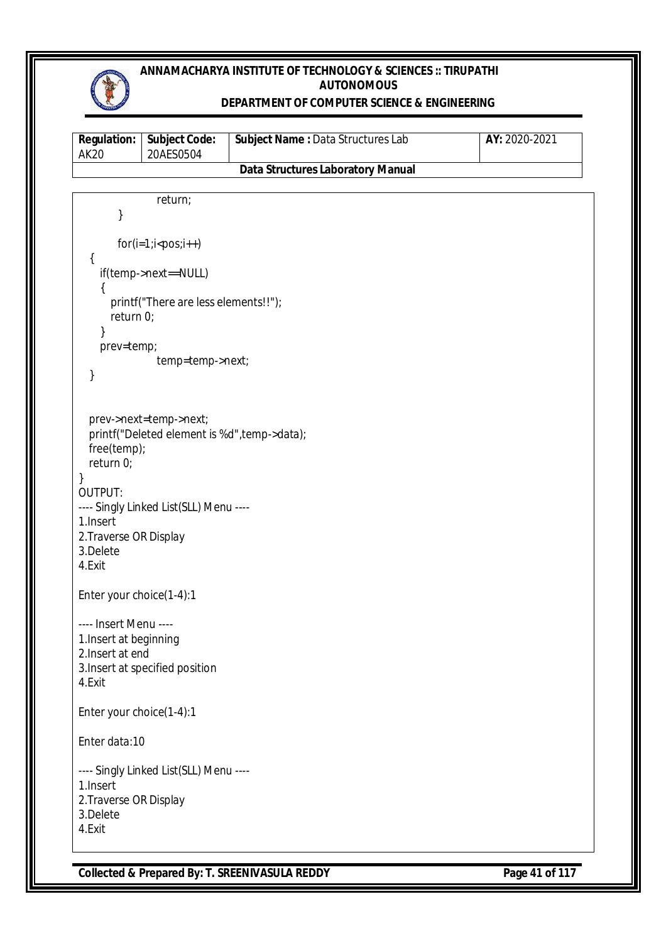

### **DEPARTMENT OF COMPUTER SCIENCE & ENGINEERING**

| <b>Regulation:</b><br><b>AK20</b>  | <b>Subject Code:</b><br>20AES0504                                      | <b>Subject Name: Data Structures Lab</b> | AY: 2020-2021 |
|------------------------------------|------------------------------------------------------------------------|------------------------------------------|---------------|
|                                    |                                                                        | <b>Data Structures Laboratory Manual</b> |               |
|                                    |                                                                        |                                          |               |
| }                                  | return;                                                                |                                          |               |
|                                    | $for(i=1; i$                                                           |                                          |               |
| {                                  | if(temp->next==NULL)                                                   |                                          |               |
| $\{$<br>return 0;                  | printf("There are less elements!!");                                   |                                          |               |
| }                                  |                                                                        |                                          |               |
| prev=temp;                         |                                                                        |                                          |               |
| }                                  | temp=temp->next;                                                       |                                          |               |
|                                    |                                                                        |                                          |               |
| free(temp);<br>return 0;           | prev->next=temp->next;<br>printf("Deleted element is %d", temp->data); |                                          |               |
| }                                  |                                                                        |                                          |               |
| <b>OUTPUT:</b>                     | ---- Singly Linked List(SLL) Menu ----                                 |                                          |               |
| 1. Insert                          |                                                                        |                                          |               |
| 2. Traverse OR Display<br>3.Delete |                                                                        |                                          |               |
| 4.Exit                             |                                                                        |                                          |               |
| Enter your choice(1-4):1           |                                                                        |                                          |               |
| ---- Insert Menu ----              |                                                                        |                                          |               |
| 1. Insert at beginning             |                                                                        |                                          |               |
| 2. Insert at end                   | 3. Insert at specified position                                        |                                          |               |
| 4.Exit                             |                                                                        |                                          |               |
| Enter your choice(1-4):1           |                                                                        |                                          |               |
| Enter data:10                      |                                                                        |                                          |               |
|                                    | ---- Singly Linked List(SLL) Menu ----                                 |                                          |               |
| 1.Insert<br>2. Traverse OR Display |                                                                        |                                          |               |
| 3.Delete                           |                                                                        |                                          |               |
| 4.Exit                             |                                                                        |                                          |               |

**Collected & Prepared By: T. SREENIVASULA REDDY Page 41 of 117**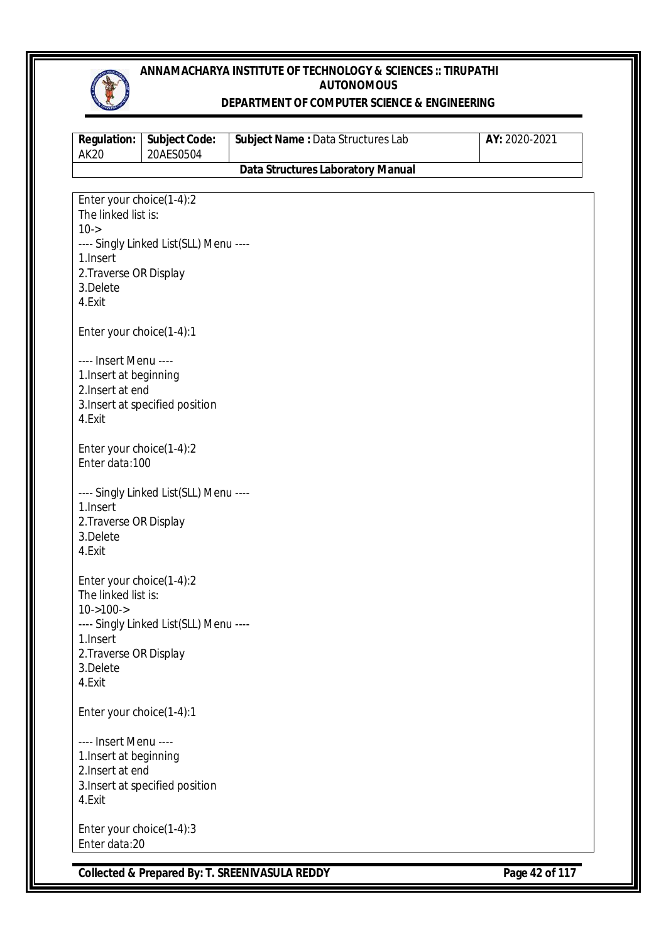

#### **DEPARTMENT OF COMPUTER SCIENCE & ENGINEERING**

| <b>Regulation:</b><br><b>AK20</b>                                                                                                                                                                                              | <b>Subject Code:</b><br>20AES0504      | Subject Name: Data Structures Lab        | AY: 2020-2021 |
|--------------------------------------------------------------------------------------------------------------------------------------------------------------------------------------------------------------------------------|----------------------------------------|------------------------------------------|---------------|
|                                                                                                                                                                                                                                |                                        | <b>Data Structures Laboratory Manual</b> |               |
| Enter your choice(1-4):2<br>The linked list is:<br>$10 - > 10$<br>1. Insert<br>2. Traverse OR Display<br>3.Delete<br>4.Exit<br>Enter your choice(1-4):1<br>---- Insert Menu ----<br>1. Insert at beginning<br>2. Insert at end | ---- Singly Linked List(SLL) Menu ---- |                                          |               |
| 4.Exit<br>Enter your choice(1-4):2<br>Enter data:100                                                                                                                                                                           | 3. Insert at specified position        |                                          |               |
| 1. Insert<br>2. Traverse OR Display<br>3.Delete<br>4.Exit                                                                                                                                                                      | ---- Singly Linked List(SLL) Menu ---- |                                          |               |
| Enter your choice(1-4):2<br>The linked list is:<br>$10 - > 100 - >$<br>1. Insert<br>2. Traverse OR Display<br>3.Delete<br>4.Exit                                                                                               | ---- Singly Linked List(SLL) Menu ---- |                                          |               |
| Enter your choice(1-4):1                                                                                                                                                                                                       |                                        |                                          |               |
| ---- Insert Menu ----<br>1. Insert at beginning<br>2. Insert at end<br>4.Exit                                                                                                                                                  | 3. Insert at specified position        |                                          |               |
| Enter your choice(1-4):3<br>Enter data:20                                                                                                                                                                                      |                                        |                                          |               |

**Collected & Prepared By: T. SREENIVASULA REDDY Page 42 of 117**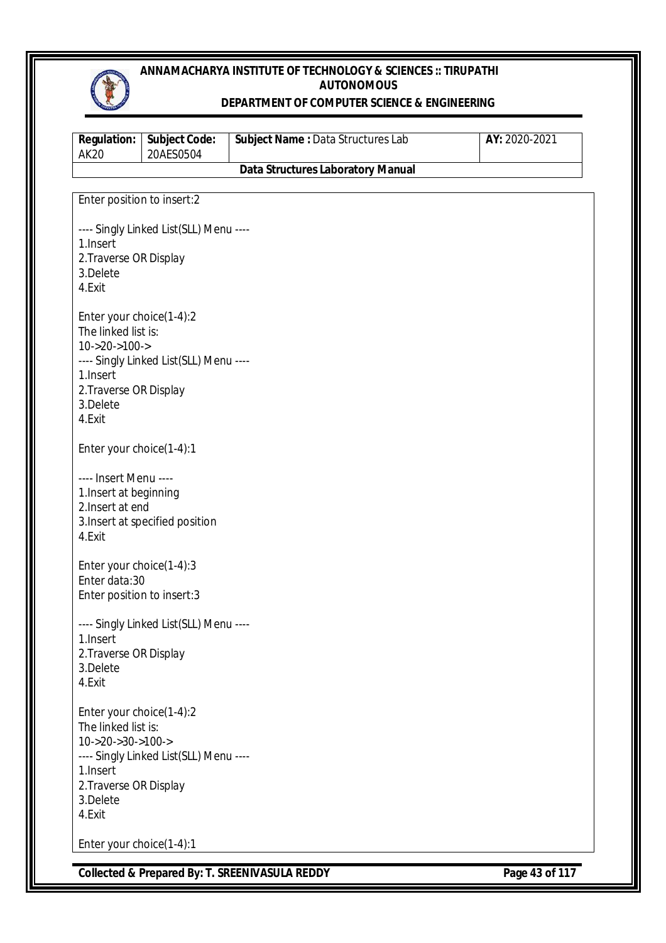

#### **DEPARTMENT OF COMPUTER SCIENCE & ENGINEERING**

| <b>Regulation:</b><br><b>AK20</b>                                                                                                             | <b>Subject Code:</b><br>20AES0504      | Subject Name : Data Structures Lab       | AY: 2020-2021 |
|-----------------------------------------------------------------------------------------------------------------------------------------------|----------------------------------------|------------------------------------------|---------------|
|                                                                                                                                               |                                        | <b>Data Structures Laboratory Manual</b> |               |
| Enter position to insert:2                                                                                                                    |                                        |                                          |               |
| 1. Insert<br>2. Traverse OR Display<br>3.Delete<br>4.Exit                                                                                     | ---- Singly Linked List(SLL) Menu ---- |                                          |               |
| Enter your choice(1-4):2<br>The linked list is:<br>$10 - 20 - 100 - 5$<br>1.Insert<br>2. Traverse OR Display<br>3.Delete<br>4.Exit            | ---- Singly Linked List(SLL) Menu ---- |                                          |               |
| Enter your choice(1-4):1                                                                                                                      |                                        |                                          |               |
| ---- Insert Menu ----<br>1. Insert at beginning<br>2. Insert at end<br>4.Exit                                                                 | 3. Insert at specified position        |                                          |               |
| Enter your choice(1-4):3<br>Enter data:30<br>Enter position to insert:3                                                                       |                                        |                                          |               |
| 1. Insert<br>2. Traverse OR Display<br>3.Delete<br>4.Exit                                                                                     | ---- Singly Linked List(SLL) Menu ---- |                                          |               |
| Enter your choice(1-4):2<br>The linked list is:<br>$10 - > 20 - > 30 - > 100 - >$<br>1.Insert<br>2. Traverse OR Display<br>3.Delete<br>4.Exit | ---- Singly Linked List(SLL) Menu ---- |                                          |               |
| Enter your choice(1-4):1                                                                                                                      |                                        |                                          |               |

**Collected & Prepared By: T. SREENIVASULA REDDY Page 43 of 117**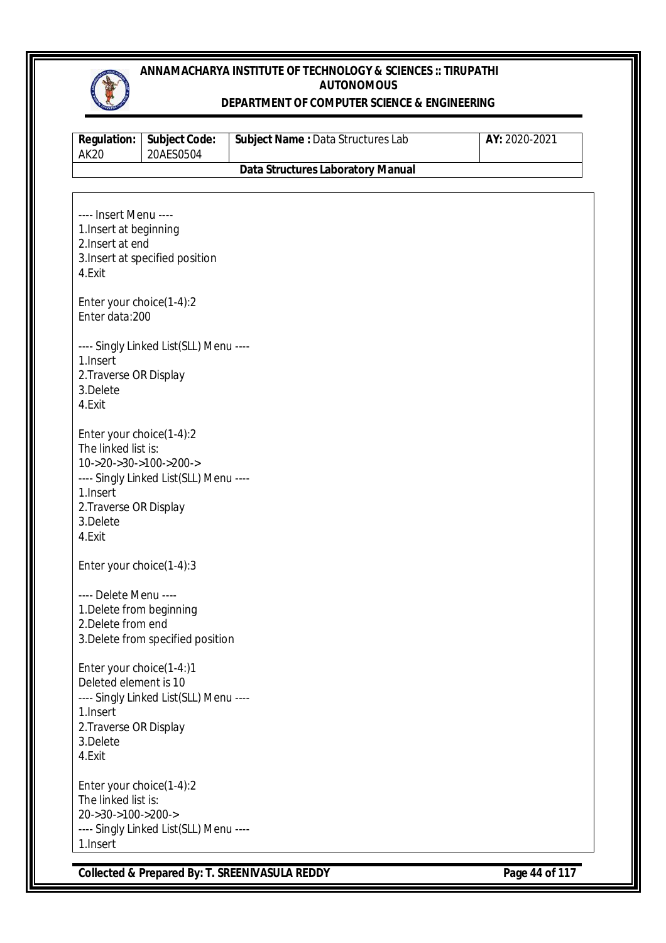

#### **DEPARTMENT OF COMPUTER SCIENCE & ENGINEERING**

| <b>Regulation:</b><br><b>AK20</b>                                                                                                                  | <b>Subject Code:</b><br>20AES0504      | Subject Name: Data Structures Lab        | AY: 2020-2021 |
|----------------------------------------------------------------------------------------------------------------------------------------------------|----------------------------------------|------------------------------------------|---------------|
|                                                                                                                                                    |                                        | <b>Data Structures Laboratory Manual</b> |               |
| ---- Insert Menu ----<br>1. Insert at beginning<br>2. Insert at end<br>4.Exit                                                                      | 3. Insert at specified position        |                                          |               |
| Enter your choice(1-4):2<br>Enter data:200                                                                                                         |                                        |                                          |               |
| 1. Insert<br>2. Traverse OR Display<br>3.Delete<br>4.Exit                                                                                          | ---- Singly Linked List(SLL) Menu ---- |                                          |               |
| Enter your choice(1-4):2<br>The linked list is:<br>$10 - >20 - >30 - >100 - >200 - >$<br>1. Insert<br>2. Traverse OR Display<br>3.Delete<br>4.Exit | ---- Singly Linked List(SLL) Menu ---- |                                          |               |
| Enter your choice(1-4):3                                                                                                                           |                                        |                                          |               |
| ---- Delete Menu ----<br>1. Delete from beginning<br>2. Delete from end                                                                            | 3. Delete from specified position      |                                          |               |
| Enter your choice(1-4:)1<br>Deleted element is 10<br>1. Insert<br>2. Traverse OR Display<br>3.Delete<br>4.Exit                                     | ---- Singly Linked List(SLL) Menu ---- |                                          |               |
| Enter your choice(1-4):2<br>The linked list is:<br>20->30->100->200-><br>1.Insert                                                                  | ---- Singly Linked List(SLL) Menu ---- |                                          |               |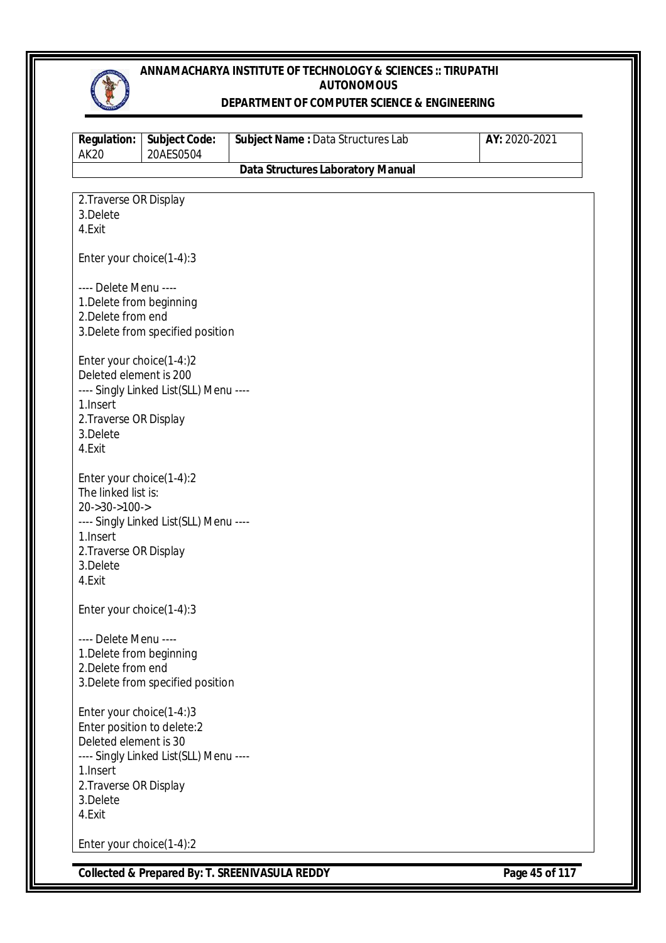

#### **DEPARTMENT OF COMPUTER SCIENCE & ENGINEERING**

| <b>Data Structures Laboratory Manual</b><br>2. Traverse OR Display<br>3.Delete<br>4.Exit<br>Enter your choice(1-4):3<br>---- Delete Menu ----<br>1. Delete from beginning<br>2. Delete from end<br>3. Delete from specified position<br>Enter your choice(1-4:)2<br>Deleted element is 200<br>---- Singly Linked List(SLL) Menu ----<br>1. Insert<br>2. Traverse OR Display<br>3.Delete<br>4.Exit<br>Enter your choice(1-4):2<br>The linked list is:<br>$20 - 30 - 100 - 5$<br>---- Singly Linked List(SLL) Menu ----<br>1. Insert<br>2. Traverse OR Display<br>3.Delete<br>4.Exit<br>Enter your choice(1-4):3<br>---- Delete Menu ----<br>1. Delete from beginning<br>2. Delete from end<br>3. Delete from specified position<br>Enter your choice(1-4:)3<br>Enter position to delete:2<br>Deleted element is 30<br>---- Singly Linked List(SLL) Menu ---- | <b>Regulation:</b><br><b>AK20</b> | <b>Subject Code:</b><br>20AES0504 | Subject Name: Data Structures Lab | AY: 2020-2021 |
|-------------------------------------------------------------------------------------------------------------------------------------------------------------------------------------------------------------------------------------------------------------------------------------------------------------------------------------------------------------------------------------------------------------------------------------------------------------------------------------------------------------------------------------------------------------------------------------------------------------------------------------------------------------------------------------------------------------------------------------------------------------------------------------------------------------------------------------------------------------|-----------------------------------|-----------------------------------|-----------------------------------|---------------|
|                                                                                                                                                                                                                                                                                                                                                                                                                                                                                                                                                                                                                                                                                                                                                                                                                                                             |                                   |                                   |                                   |               |
|                                                                                                                                                                                                                                                                                                                                                                                                                                                                                                                                                                                                                                                                                                                                                                                                                                                             |                                   |                                   |                                   |               |
|                                                                                                                                                                                                                                                                                                                                                                                                                                                                                                                                                                                                                                                                                                                                                                                                                                                             |                                   |                                   |                                   |               |
|                                                                                                                                                                                                                                                                                                                                                                                                                                                                                                                                                                                                                                                                                                                                                                                                                                                             |                                   |                                   |                                   |               |
|                                                                                                                                                                                                                                                                                                                                                                                                                                                                                                                                                                                                                                                                                                                                                                                                                                                             |                                   |                                   |                                   |               |
|                                                                                                                                                                                                                                                                                                                                                                                                                                                                                                                                                                                                                                                                                                                                                                                                                                                             |                                   |                                   |                                   |               |
|                                                                                                                                                                                                                                                                                                                                                                                                                                                                                                                                                                                                                                                                                                                                                                                                                                                             |                                   |                                   |                                   |               |
| 2. Traverse OR Display<br>3.Delete<br>4.Exit                                                                                                                                                                                                                                                                                                                                                                                                                                                                                                                                                                                                                                                                                                                                                                                                                | 1. Insert                         |                                   |                                   |               |
| Enter your choice(1-4):2                                                                                                                                                                                                                                                                                                                                                                                                                                                                                                                                                                                                                                                                                                                                                                                                                                    |                                   |                                   |                                   |               |

**Collected & Prepared By: T. SREENIVASULA REDDY Page 45 of 117**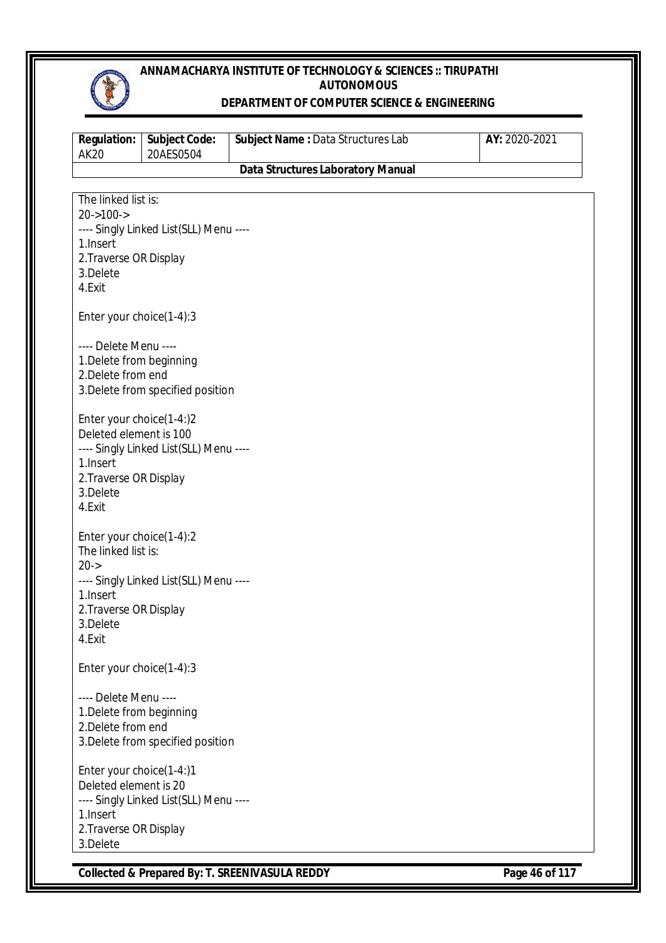

#### **DEPARTMENT OF COMPUTER SCIENCE & ENGINEERING**

| <b>Regulation:</b><br><b>AK20</b>              | <b>Subject Code:</b><br>20AES0504      | Subject Name: Data Structures Lab        | AY: 2020-2021 |
|------------------------------------------------|----------------------------------------|------------------------------------------|---------------|
|                                                |                                        | <b>Data Structures Laboratory Manual</b> |               |
|                                                |                                        |                                          |               |
| The linked list is:<br>$20 - 100 - 5$          |                                        |                                          |               |
|                                                | ---- Singly Linked List(SLL) Menu ---- |                                          |               |
| 1.Insert                                       |                                        |                                          |               |
| 2. Traverse OR Display                         |                                        |                                          |               |
| 3.Delete                                       |                                        |                                          |               |
| 4.Exit                                         |                                        |                                          |               |
|                                                |                                        |                                          |               |
| Enter your choice(1-4):3                       |                                        |                                          |               |
|                                                |                                        |                                          |               |
| ---- Delete Menu ----                          |                                        |                                          |               |
| 1. Delete from beginning                       |                                        |                                          |               |
| 2. Delete from end                             |                                        |                                          |               |
|                                                | 3. Delete from specified position      |                                          |               |
| Enter your choice(1-4:)2                       |                                        |                                          |               |
| Deleted element is 100                         |                                        |                                          |               |
|                                                | ---- Singly Linked List(SLL) Menu ---- |                                          |               |
| 1. Insert                                      |                                        |                                          |               |
| 2. Traverse OR Display                         |                                        |                                          |               |
| 3.Delete                                       |                                        |                                          |               |
| 4.Exit                                         |                                        |                                          |               |
|                                                |                                        |                                          |               |
| Enter your choice(1-4):2                       |                                        |                                          |               |
| The linked list is:                            |                                        |                                          |               |
| $20 - >$                                       |                                        |                                          |               |
| 1.Insert                                       | ---- Singly Linked List(SLL) Menu ---- |                                          |               |
| 2. Traverse OR Display                         |                                        |                                          |               |
| 3.Delete                                       |                                        |                                          |               |
| 4.Exit                                         |                                        |                                          |               |
|                                                |                                        |                                          |               |
| Enter your choice(1-4):3                       |                                        |                                          |               |
|                                                |                                        |                                          |               |
| ---- Delete Menu ----                          |                                        |                                          |               |
| 1. Delete from beginning<br>2. Delete from end |                                        |                                          |               |
|                                                | 3. Delete from specified position      |                                          |               |
|                                                |                                        |                                          |               |
| Enter your choice(1-4:)1                       |                                        |                                          |               |
| Deleted element is 20                          |                                        |                                          |               |
|                                                | ---- Singly Linked List(SLL) Menu ---- |                                          |               |
| 1.Insert                                       |                                        |                                          |               |
| 2. Traverse OR Display                         |                                        |                                          |               |
| 3.Delete                                       |                                        |                                          |               |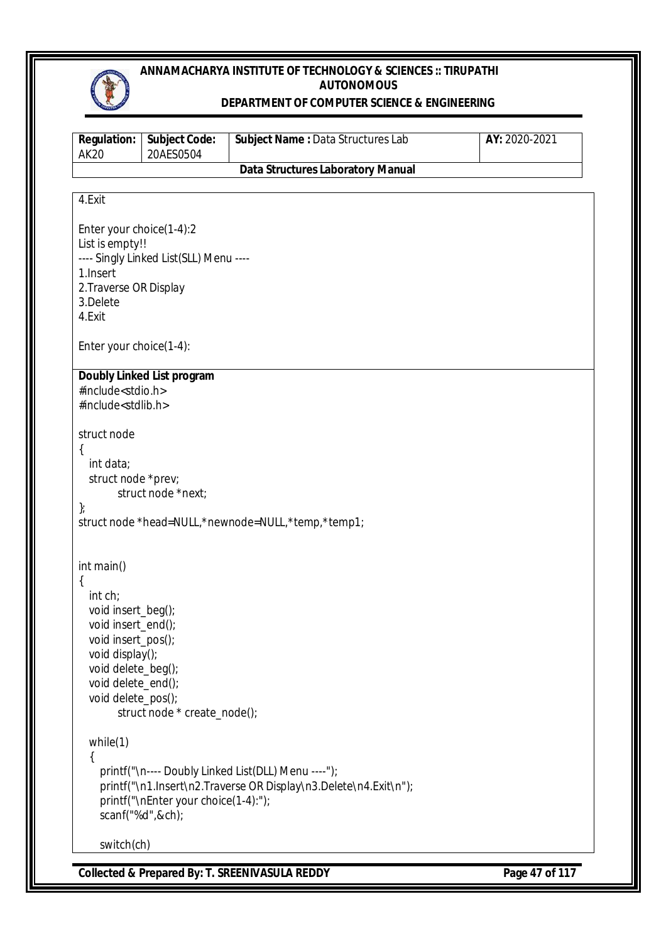

#### **DEPARTMENT OF COMPUTER SCIENCE & ENGINEERING**

| <b>Regulation:</b><br><b>AK20</b>                                                                        | Subject Code:<br>20AES0504             | Subject Name: Data Structures Lab                                | AY: 2020-2021 |
|----------------------------------------------------------------------------------------------------------|----------------------------------------|------------------------------------------------------------------|---------------|
|                                                                                                          |                                        | <b>Data Structures Laboratory Manual</b>                         |               |
| 4.Exit                                                                                                   |                                        |                                                                  |               |
|                                                                                                          |                                        |                                                                  |               |
| Enter your choice(1-4):2<br>List is empty!!<br>1. Insert<br>2. Traverse OR Display<br>3.Delete<br>4.Exit | ---- Singly Linked List(SLL) Menu ---- |                                                                  |               |
| Enter your choice(1-4):                                                                                  |                                        |                                                                  |               |
|                                                                                                          | Doubly Linked List program             |                                                                  |               |
| #include <stdio.h><br/>#include<stdlib.h></stdlib.h></stdio.h>                                           |                                        |                                                                  |               |
| struct node                                                                                              |                                        |                                                                  |               |
| {<br>int data;<br>struct node *prev;                                                                     | struct node *next;                     |                                                                  |               |
| $\}$                                                                                                     |                                        | struct node *head=NULL,*newnode=NULL,*temp,*temp1;               |               |
| int main()                                                                                               |                                        |                                                                  |               |
| $\{$<br>int ch;                                                                                          |                                        |                                                                  |               |
| void insert_beg();                                                                                       |                                        |                                                                  |               |
| void insert_end();<br>void insert_pos();                                                                 |                                        |                                                                  |               |
| void display();                                                                                          |                                        |                                                                  |               |
| void delete_beg();                                                                                       |                                        |                                                                  |               |
| void delete_end();<br>void delete_pos();                                                                 |                                        |                                                                  |               |
|                                                                                                          | struct node * create_node();           |                                                                  |               |
| while(1)                                                                                                 |                                        |                                                                  |               |
| ₹                                                                                                        |                                        |                                                                  |               |
|                                                                                                          |                                        | printf("\n---- Doubly Linked List(DLL) Menu ----");              |               |
|                                                                                                          | printf("\nEnter your choice(1-4):");   | printf("\n1.Insert\n2.Traverse OR Display\n3.Delete\n4.Exit\n"); |               |
| scanf("%d",&ch);                                                                                         |                                        |                                                                  |               |
| switch(ch)                                                                                               |                                        |                                                                  |               |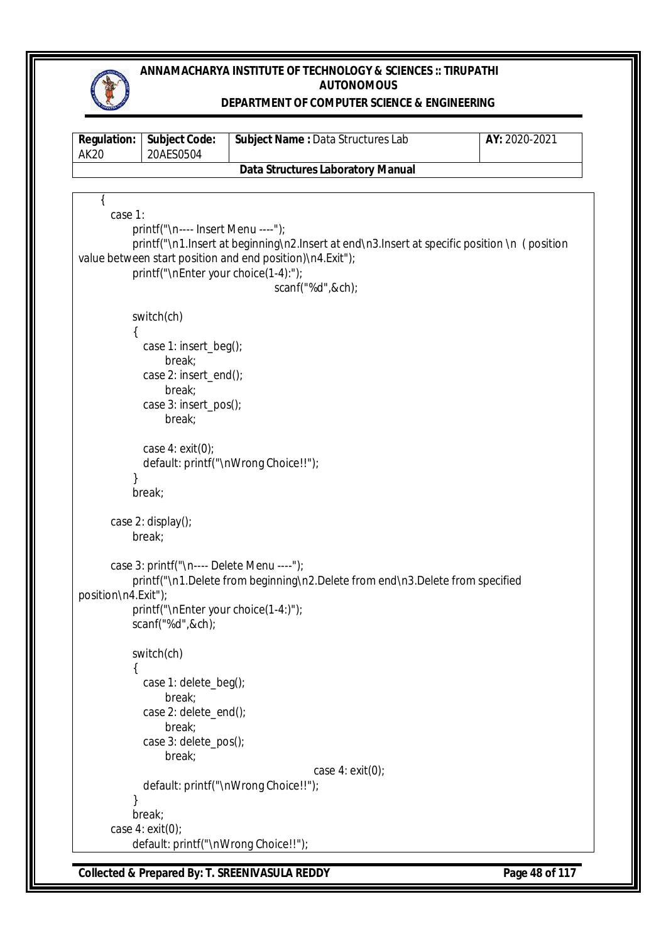

### **DEPARTMENT OF COMPUTER SCIENCE & ENGINEERING**

| <b>Regulation:</b><br><b>AK20</b> | <b>Subject Code:</b><br>20AES0504           | Subject Name: Data Structures Lab                                                            | AY: 2020-2021 |
|-----------------------------------|---------------------------------------------|----------------------------------------------------------------------------------------------|---------------|
|                                   |                                             | <b>Data Structures Laboratory Manual</b>                                                     |               |
|                                   |                                             |                                                                                              |               |
| case 1:                           |                                             |                                                                                              |               |
|                                   | printf("\n---- Insert Menu ----");          |                                                                                              |               |
|                                   |                                             | printf("\n1.lnsert at beginning\n2.lnsert at end\n3.lnsert at specific position \n (position |               |
|                                   |                                             | value between start position and end position)\n4.Exit");                                    |               |
|                                   | printf("\nEnter your choice(1-4):");        |                                                                                              |               |
|                                   |                                             | scanf("%d",&ch);                                                                             |               |
|                                   |                                             |                                                                                              |               |
|                                   | switch(ch)                                  |                                                                                              |               |
|                                   |                                             |                                                                                              |               |
|                                   | case 1: insert_beg();                       |                                                                                              |               |
|                                   | break;<br>case 2: insert_end();             |                                                                                              |               |
|                                   | break;                                      |                                                                                              |               |
|                                   | case 3: insert_pos();                       |                                                                                              |               |
|                                   | break;                                      |                                                                                              |               |
|                                   |                                             |                                                                                              |               |
|                                   | case $4:$ exit(0);                          |                                                                                              |               |
|                                   |                                             | default: printf("\nWrong Choice!!");                                                         |               |
|                                   |                                             |                                                                                              |               |
|                                   | break;                                      |                                                                                              |               |
|                                   | case 2: $display()$ ;                       |                                                                                              |               |
|                                   | break;                                      |                                                                                              |               |
|                                   |                                             |                                                                                              |               |
|                                   | case 3: printf("\n ---- Delete Menu ----"); |                                                                                              |               |
|                                   |                                             | printf("\n1.Delete from beginning\n2.Delete from end\n3.Delete from specified                |               |
| position\n4.Exit");               |                                             |                                                                                              |               |
|                                   | printf("\nEnter your choice(1-4:)");        |                                                                                              |               |
|                                   | scanf("%d",&ch);                            |                                                                                              |               |
|                                   | switch(ch)                                  |                                                                                              |               |
| ί                                 |                                             |                                                                                              |               |
|                                   | case 1: delete_beg();                       |                                                                                              |               |
|                                   | break;                                      |                                                                                              |               |
|                                   | case 2: delete_end();                       |                                                                                              |               |
|                                   | break;                                      |                                                                                              |               |
|                                   | case 3: delete_pos();<br>break;             |                                                                                              |               |
|                                   |                                             | case $4:$ exit(0);                                                                           |               |
|                                   |                                             | default: printf("\nWrong Choice!!");                                                         |               |
|                                   |                                             |                                                                                              |               |
|                                   | break;                                      |                                                                                              |               |
|                                   | case $4: exit(0);$                          |                                                                                              |               |
|                                   | default: printf("\nWrong Choice!!");        |                                                                                              |               |

**Collected & Prepared By: T. SREENIVASULA REDDY Page 48 of 117**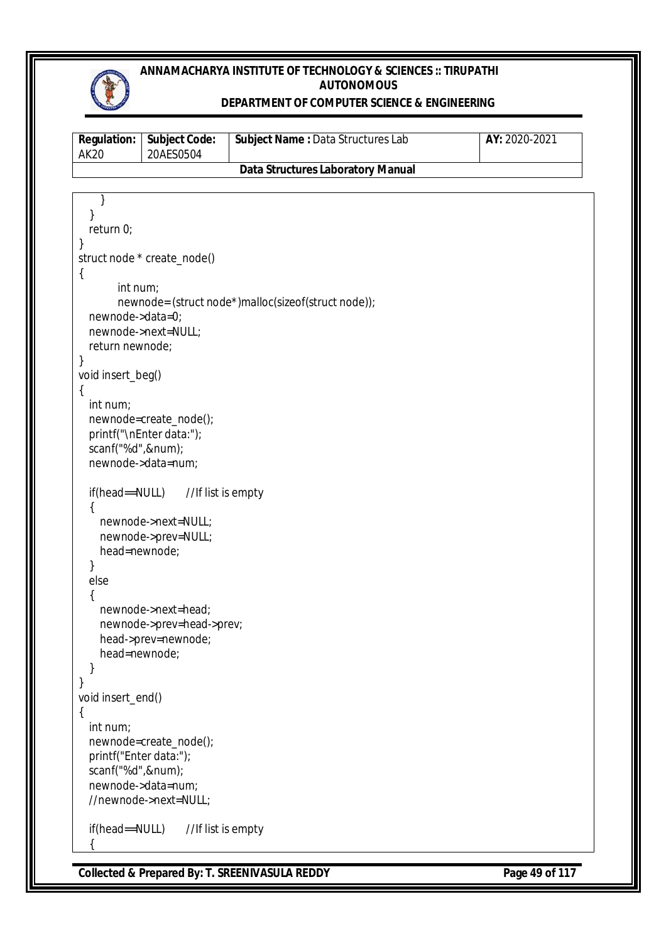

### **DEPARTMENT OF COMPUTER SCIENCE & ENGINEERING**

| <b>Regulation:</b><br><b>AK20</b> | <b>Subject Code:</b><br>20AES0504 | Subject Name: Data Structures Lab                   | AY: 2020-2021 |
|-----------------------------------|-----------------------------------|-----------------------------------------------------|---------------|
|                                   |                                   | <b>Data Structures Laboratory Manual</b>            |               |
|                                   |                                   |                                                     |               |
| }                                 |                                   |                                                     |               |
| }                                 |                                   |                                                     |               |
| return 0;                         |                                   |                                                     |               |
| }                                 | struct node * create_node()       |                                                     |               |
| $\{$                              |                                   |                                                     |               |
| int num;                          |                                   |                                                     |               |
|                                   |                                   | newnode= (struct node*)malloc(sizeof(struct node)); |               |
| newnode->data=0;                  |                                   |                                                     |               |
|                                   | newnode->next=NULL;               |                                                     |               |
| return newnode;                   |                                   |                                                     |               |
| }                                 |                                   |                                                     |               |
| void insert_beg()                 |                                   |                                                     |               |
| $\{$<br>int num;                  |                                   |                                                     |               |
|                                   | newnode=create_node();            |                                                     |               |
|                                   | printf("\nEnter data:");          |                                                     |               |
| scanf("%d",#);                    |                                   |                                                     |               |
|                                   | newnode->data=num;                |                                                     |               |
|                                   |                                   |                                                     |               |
| if(head==NULL)                    | //If list is empty                |                                                     |               |
|                                   | newnode->next=NULL;               |                                                     |               |
|                                   | newnode->prev=NULL;               |                                                     |               |
| head=newnode;                     |                                   |                                                     |               |
| }                                 |                                   |                                                     |               |
| else                              |                                   |                                                     |               |
| ₹                                 |                                   |                                                     |               |
|                                   | newnode->next=head;               |                                                     |               |
|                                   | newnode->prev=head->prev;         |                                                     |               |
| head=newnode;                     | head->prev=newnode;               |                                                     |               |
|                                   |                                   |                                                     |               |
| }                                 |                                   |                                                     |               |
| void insert_end()                 |                                   |                                                     |               |
| $\{$                              |                                   |                                                     |               |
| int num;                          |                                   |                                                     |               |
|                                   | newnode=create_node();            |                                                     |               |
| printf("Enter data:");            |                                   |                                                     |               |
| scanf("%d",#);                    | newnode->data=num;                |                                                     |               |
|                                   | //newnode->next=NULL;             |                                                     |               |
|                                   |                                   |                                                     |               |
| if(head==NULL)                    | //If list is empty                |                                                     |               |
|                                   |                                   |                                                     |               |
|                                   |                                   |                                                     |               |

**Collected & Prepared By: T. SREENIVASULA REDDY Page 49 of 117**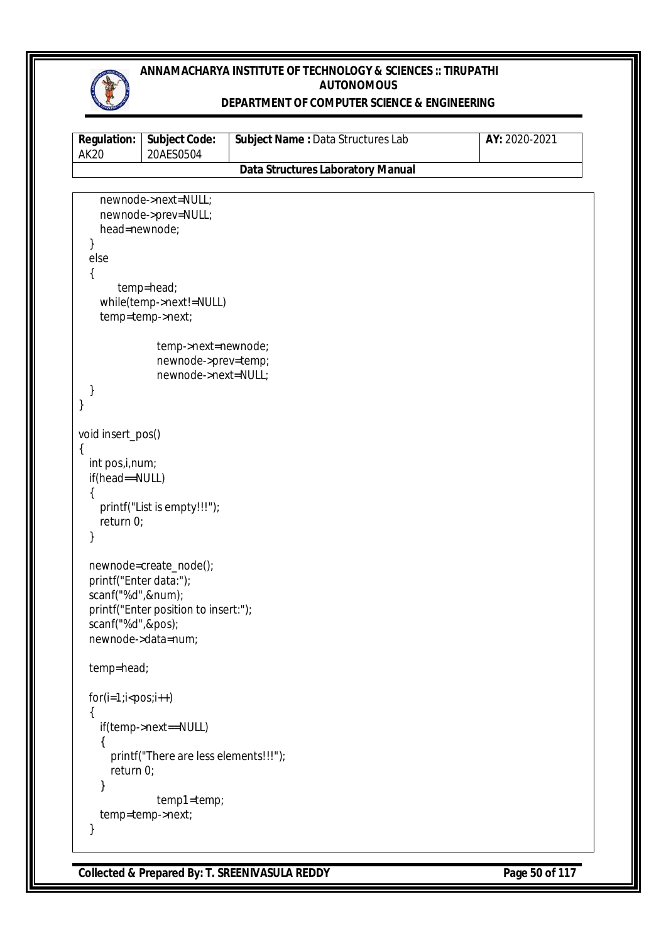

### **DEPARTMENT OF COMPUTER SCIENCE & ENGINEERING**

| <b>Regulation:</b><br><b>AK20</b> | Subject Code:<br>20AES0504                 | Subject Name: Data Structures Lab        | AY: 2020-2021 |
|-----------------------------------|--------------------------------------------|------------------------------------------|---------------|
|                                   |                                            | <b>Data Structures Laboratory Manual</b> |               |
|                                   |                                            |                                          |               |
|                                   | newnode->next=NULL;                        |                                          |               |
|                                   | newnode->prev=NULL;                        |                                          |               |
| head=newnode;<br>}                |                                            |                                          |               |
| else                              |                                            |                                          |               |
| {                                 |                                            |                                          |               |
|                                   | temp=head;                                 |                                          |               |
|                                   | while(temp->next!=NULL)                    |                                          |               |
|                                   | temp=temp->next;                           |                                          |               |
|                                   |                                            |                                          |               |
|                                   | temp->next=newnode;                        |                                          |               |
|                                   | newnode->prev=temp;<br>newnode->next=NULL; |                                          |               |
| }                                 |                                            |                                          |               |
| }                                 |                                            |                                          |               |
|                                   |                                            |                                          |               |
| void insert_pos()                 |                                            |                                          |               |
| €<br>int pos, i, num;             |                                            |                                          |               |
| if(head==NULL)                    |                                            |                                          |               |
|                                   |                                            |                                          |               |
|                                   | printf("List is empty!!!");                |                                          |               |
| return 0;                         |                                            |                                          |               |
| }                                 |                                            |                                          |               |
|                                   | newnode=create_node();                     |                                          |               |
| printf("Enter data:");            |                                            |                                          |               |
| scanf("%d",#);                    |                                            |                                          |               |
|                                   | printf("Enter position to insert:");       |                                          |               |
| scanf("%d",&pos);                 |                                            |                                          |               |
|                                   | newnode->data=num;                         |                                          |               |
|                                   |                                            |                                          |               |
| temp=head;                        |                                            |                                          |               |
| $for(i=1; i$                      |                                            |                                          |               |
| ₹                                 |                                            |                                          |               |
|                                   | if(temp->next==NULL)                       |                                          |               |
| {                                 |                                            |                                          |               |
|                                   | printf("There are less elements!!!");      |                                          |               |
| return 0;                         |                                            |                                          |               |
|                                   | temp1=temp;                                |                                          |               |
|                                   | temp=temp->next;                           |                                          |               |
| }                                 |                                            |                                          |               |
|                                   |                                            |                                          |               |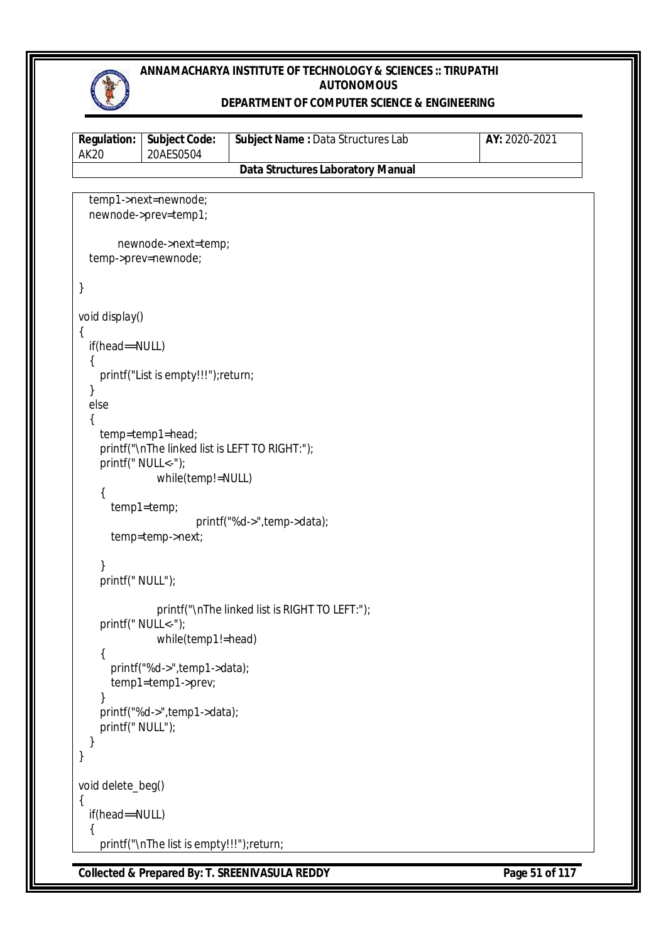

### **DEPARTMENT OF COMPUTER SCIENCE & ENGINEERING**

| <b>Regulation:</b><br><b>AK20</b>                                  | <b>Subject Code:</b><br>20AES0504                                                                                                                                                      | Subject Name: Data Structures Lab              | AY: 2020-2021 |
|--------------------------------------------------------------------|----------------------------------------------------------------------------------------------------------------------------------------------------------------------------------------|------------------------------------------------|---------------|
|                                                                    |                                                                                                                                                                                        | <b>Data Structures Laboratory Manual</b>       |               |
|                                                                    | temp1->next=newnode;<br>newnode->prev=temp1;                                                                                                                                           |                                                |               |
|                                                                    | newnode->next=temp;<br>temp->prev=newnode;                                                                                                                                             |                                                |               |
| }                                                                  |                                                                                                                                                                                        |                                                |               |
| void display()<br>$\{$<br>if(head==NULL)<br>ł<br>else<br>{<br>$\{$ | printf("List is empty!!!");return;<br>temp=temp1=head;<br>printf("\nThe linked list is LEFT TO RIGHT:");<br>printf(" NULL<-");<br>while(temp!=NULL)<br>temp1=temp;<br>temp=temp->next; | printf("%d->",temp->data);                     |               |
| }<br>printf(" NULL");                                              |                                                                                                                                                                                        |                                                |               |
| $\{$                                                               | printf(" NULL<-");<br>while(temp1!=head)<br>printf("%d->",temp1->data);<br>temp1=temp1->prev;                                                                                          | printf("\nThe linked list is RIGHT TO LEFT:"); |               |
| }<br>printf(" NULL");<br>}<br>}                                    | printf("%d->",temp1->data);                                                                                                                                                            |                                                |               |
| void delete_beg()                                                  |                                                                                                                                                                                        |                                                |               |
| if(head==NULL)                                                     |                                                                                                                                                                                        |                                                |               |
| $\mathcal{L}_{\mathcal{L}}$                                        | printf("\nThe list is empty!!!");return;                                                                                                                                               |                                                |               |

**Collected & Prepared By: T. SREENIVASULA REDDY Page 51 of 117**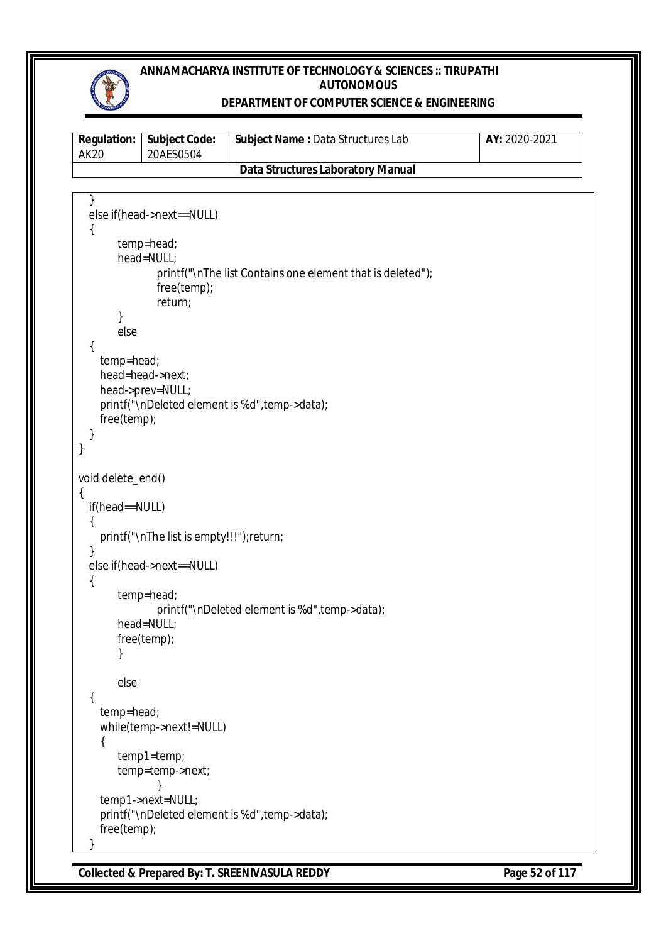

### **DEPARTMENT OF COMPUTER SCIENCE & ENGINEERING**

| <b>Regulation:</b><br><b>AK20</b> | <b>Subject Code:</b><br>20AES0504                                                                   | Subject Name: Data Structures Lab                          | AY: 2020-2021 |
|-----------------------------------|-----------------------------------------------------------------------------------------------------|------------------------------------------------------------|---------------|
|                                   |                                                                                                     | <b>Data Structures Laboratory Manual</b>                   |               |
|                                   |                                                                                                     |                                                            |               |
| else<br>{<br>temp=head;           | else if(head->next==NULL)<br>temp=head;<br>head=NULL;<br>free(temp);<br>return;<br>head=head->next; | printf("\nThe list Contains one element that is deleted"); |               |
| free(temp);<br>}                  | head->prev=NULL;                                                                                    | printf("\nDeleted element is %d", temp->data);             |               |
| void delete_end()                 |                                                                                                     |                                                            |               |
| ₹<br>if(head==NULL)               |                                                                                                     |                                                            |               |
|                                   | printf("\nThe list is empty!!!");return;                                                            |                                                            |               |
| ₹                                 | else if(head->next==NULL)                                                                           |                                                            |               |
|                                   | temp=head;<br>head=NULL;<br>free(temp);                                                             | printf("\nDeleted element is %d", temp->data);             |               |
| else                              |                                                                                                     |                                                            |               |
| ₹<br>temp=head;                   | while(temp->next!=NULL)                                                                             |                                                            |               |
| {                                 | temp1=temp;<br>temp=temp->next;                                                                     |                                                            |               |
|                                   | temp1->next=NULL;                                                                                   | printf("\nDeleted element is %d", temp->data);             |               |
| free(temp);                       |                                                                                                     |                                                            |               |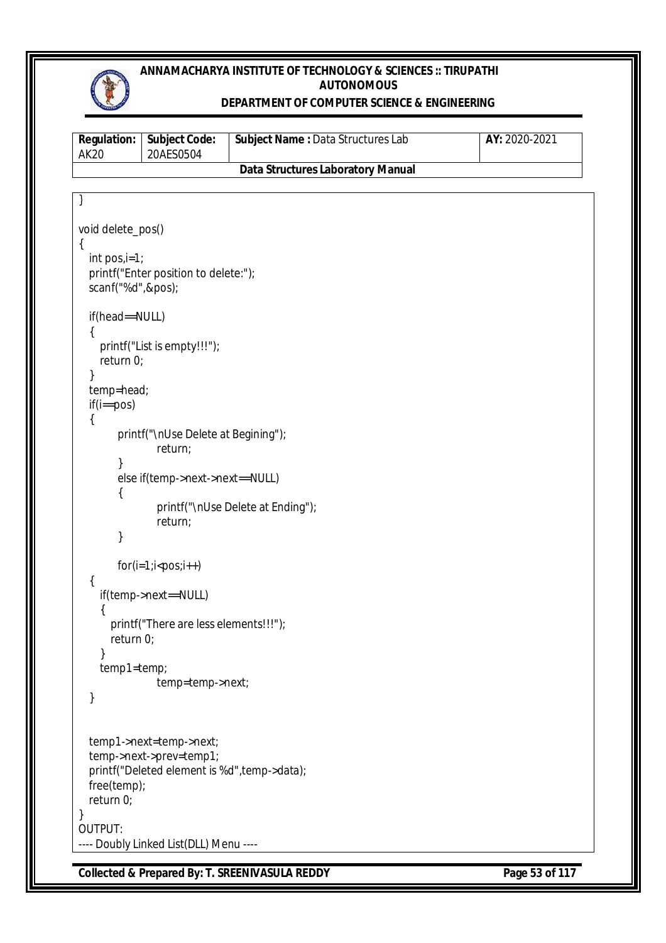

### **DEPARTMENT OF COMPUTER SCIENCE & ENGINEERING**

| <b>Regulation:</b><br><b>AK20</b> | <b>Subject Code:</b><br>20AES0504            | Subject Name : Data Structures Lab       | AY: 2020-2021 |
|-----------------------------------|----------------------------------------------|------------------------------------------|---------------|
|                                   |                                              | <b>Data Structures Laboratory Manual</b> |               |
|                                   |                                              |                                          |               |
|                                   |                                              |                                          |               |
| void delete_pos()                 |                                              |                                          |               |
| $\{$<br>$int pos_i = 1;$          |                                              |                                          |               |
| scanf("%d",&pos);                 | printf("Enter position to delete:");         |                                          |               |
| if(head==NULL)                    |                                              |                                          |               |
| {                                 |                                              |                                          |               |
| return 0;                         | printf("List is empty!!!");                  |                                          |               |
|                                   |                                              |                                          |               |
| temp=head;                        |                                              |                                          |               |
| $if(i == pos)$<br>{               |                                              |                                          |               |
|                                   | printf("\nUse Delete at Begining");          |                                          |               |
|                                   | return;                                      |                                          |               |
|                                   | else if(temp->next->next==NULL)              |                                          |               |
|                                   |                                              |                                          |               |
|                                   | return;                                      | printf("\nUse Delete at Ending");        |               |
| }                                 |                                              |                                          |               |
|                                   | $for(i=1;i$                                  |                                          |               |
| {                                 | if(temp->next==NULL)                         |                                          |               |
|                                   |                                              |                                          |               |
|                                   | printf("There are less elements!!!");        |                                          |               |
| return 0;                         |                                              |                                          |               |
| }<br>temp1=temp;                  |                                              |                                          |               |
|                                   | temp=temp->next;                             |                                          |               |
| }                                 |                                              |                                          |               |
|                                   | temp1->next=temp->next;                      |                                          |               |
|                                   | temp->next->prev=temp1;                      |                                          |               |
|                                   | printf("Deleted element is %d", temp->data); |                                          |               |
| free(temp);<br>return 0;          |                                              |                                          |               |
|                                   |                                              |                                          |               |
| OUTPUT:                           |                                              |                                          |               |
|                                   | ---- Doubly Linked List(DLL) Menu ----       |                                          |               |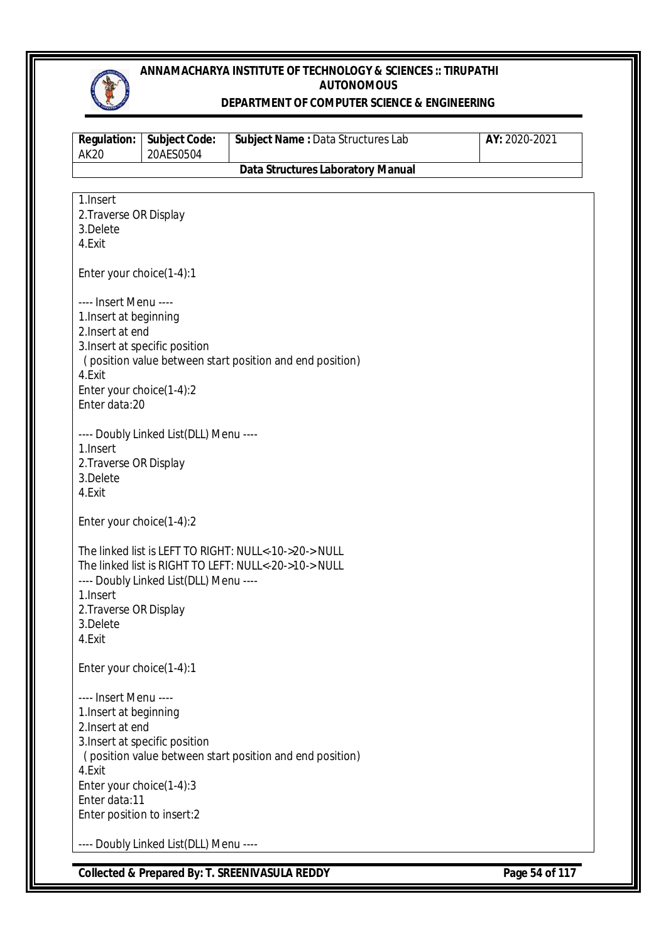

#### **DEPARTMENT OF COMPUTER SCIENCE & ENGINEERING**

| <b>Regulation:</b><br><b>AK20</b>                                                                                                                        | <b>Subject Code:</b><br>20AES0504      | Subject Name: Data Structures Lab                                                                              | AY: 2020-2021 |  |
|----------------------------------------------------------------------------------------------------------------------------------------------------------|----------------------------------------|----------------------------------------------------------------------------------------------------------------|---------------|--|
|                                                                                                                                                          |                                        | <b>Data Structures Laboratory Manual</b>                                                                       |               |  |
| 1.Insert<br>2. Traverse OR Display<br>3.Delete<br>4.Exit                                                                                                 |                                        |                                                                                                                |               |  |
| Enter your choice(1-4):1                                                                                                                                 |                                        |                                                                                                                |               |  |
| ---- Insert Menu ----<br>1. Insert at beginning<br>2. Insert at end<br>4.Exit<br>Enter your choice(1-4):2<br>Enter data:20                               | 3. Insert at specific position         | (position value between start position and end position)                                                       |               |  |
| ---- Doubly Linked List(DLL) Menu ----<br>1. Insert<br>2. Traverse OR Display<br>3.Delete<br>4.Exit                                                      |                                        |                                                                                                                |               |  |
| Enter your choice(1-4):2                                                                                                                                 |                                        |                                                                                                                |               |  |
| 1.Insert<br>2. Traverse OR Display<br>3.Delete<br>4.Exit                                                                                                 | ---- Doubly Linked List(DLL) Menu ---- | The linked list is LEFT TO RIGHT: NULL<-10->20-> NULL<br>The linked list is RIGHT TO LEFT: NULL<-20->10-> NULL |               |  |
| Enter your choice(1-4):1                                                                                                                                 |                                        |                                                                                                                |               |  |
| ---- Insert Menu ----<br>1. Insert at beginning<br>2. Insert at end<br>4.Exit<br>Enter your choice(1-4):3<br>Enter data:11<br>Enter position to insert:2 | 3. Insert at specific position         | (position value between start position and end position)                                                       |               |  |
|                                                                                                                                                          | ---- Doubly Linked List(DLL) Menu ---- |                                                                                                                |               |  |

**Collected & Prepared By: T. SREENIVASULA REDDY Page 54 of 117**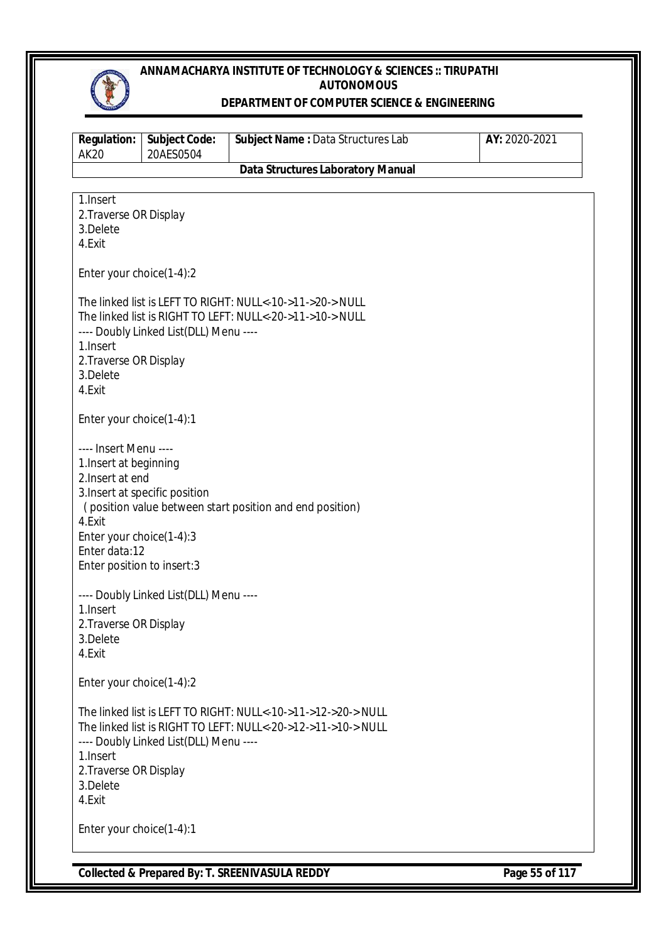

#### **DEPARTMENT OF COMPUTER SCIENCE & ENGINEERING**

| <b>Regulation:</b><br><b>AK20</b>                                                                                                                        | <b>Subject Code:</b><br>20AES0504      | Subject Name: Data Structures Lab                                                                                              | AY: 2020-2021 |  |
|----------------------------------------------------------------------------------------------------------------------------------------------------------|----------------------------------------|--------------------------------------------------------------------------------------------------------------------------------|---------------|--|
|                                                                                                                                                          |                                        | <b>Data Structures Laboratory Manual</b>                                                                                       |               |  |
| 1.Insert<br>2. Traverse OR Display<br>3.Delete<br>4.Exit                                                                                                 |                                        |                                                                                                                                |               |  |
| Enter your choice(1-4):2                                                                                                                                 |                                        |                                                                                                                                |               |  |
| 1.Insert<br>2. Traverse OR Display<br>3.Delete<br>4.Exit                                                                                                 | ---- Doubly Linked List(DLL) Menu ---- | The linked list is LEFT TO RIGHT: NULL<-10->11->20-> NULL<br>The linked list is RIGHT TO LEFT: NULL<-20->11->10-> NULL         |               |  |
| Enter your choice(1-4):1                                                                                                                                 |                                        |                                                                                                                                |               |  |
| ---- Insert Menu ----<br>1. Insert at beginning<br>2. Insert at end<br>4.Exit<br>Enter your choice(1-4):3<br>Enter data:12<br>Enter position to insert:3 | 3. Insert at specific position         | (position value between start position and end position)                                                                       |               |  |
| ---- Doubly Linked List(DLL) Menu ----<br>1.Insert<br>2. Traverse OR Display<br>3.Delete<br>4.Exit                                                       |                                        |                                                                                                                                |               |  |
| Enter your choice(1-4):2                                                                                                                                 |                                        |                                                                                                                                |               |  |
| 1.Insert<br>2. Traverse OR Display<br>3.Delete<br>4.Exit                                                                                                 | ---- Doubly Linked List(DLL) Menu ---- | The linked list is LEFT TO RIGHT: NULL<-10->11->12->20-> NULL<br>The linked list is RIGHT TO LEFT: NULL<-20->12->11->10-> NULL |               |  |
| Enter your choice(1-4):1                                                                                                                                 |                                        |                                                                                                                                |               |  |

**Collected & Prepared By: T. SREENIVASULA REDDY Page 55 of 117**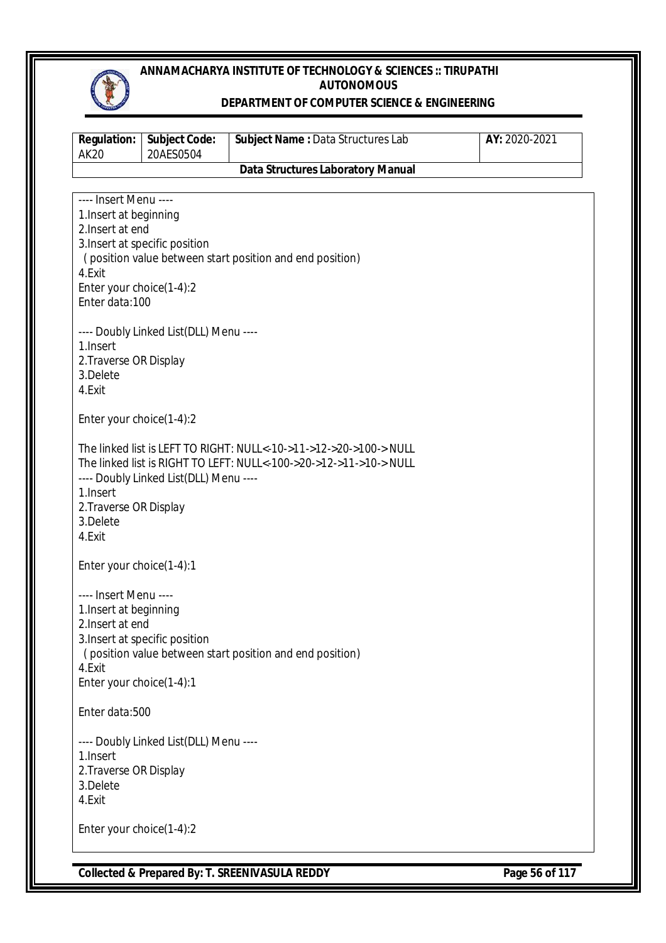

#### **DEPARTMENT OF COMPUTER SCIENCE & ENGINEERING**

| <b>Regulation:</b><br><b>AK20</b>                                                                                                       | <b>Subject Code:</b><br>20AES0504                                        | Subject Name: Data Structures Lab                                                                                                        | AY: 2020-2021 |
|-----------------------------------------------------------------------------------------------------------------------------------------|--------------------------------------------------------------------------|------------------------------------------------------------------------------------------------------------------------------------------|---------------|
|                                                                                                                                         |                                                                          | <b>Data Structures Laboratory Manual</b>                                                                                                 |               |
|                                                                                                                                         |                                                                          |                                                                                                                                          |               |
| ---- Insert Menu ----<br>1. Insert at beginning<br>2. Insert at end<br>4.Exit<br>Enter your choice(1-4):2<br>Enter data:100<br>1.Insert | 3. Insert at specific position<br>---- Doubly Linked List(DLL) Menu ---- | (position value between start position and end position)                                                                                 |               |
| 2. Traverse OR Display<br>3.Delete<br>4.Exit                                                                                            |                                                                          |                                                                                                                                          |               |
| Enter your choice(1-4):2                                                                                                                |                                                                          |                                                                                                                                          |               |
| 1.Insert<br>2. Traverse OR Display<br>3.Delete<br>4.Exit                                                                                | ---- Doubly Linked List(DLL) Menu ----                                   | The linked list is LEFT TO RIGHT: NULL<-10->11->12->20->100-> NULL<br>The linked list is RIGHT TO LEFT: NULL<-100->20->12->11->10-> NULL |               |
| Enter your choice(1-4):1                                                                                                                |                                                                          |                                                                                                                                          |               |
| ---- Insert Menu ----<br>1. Insert at beginning<br>2. Insert at end<br>4.Exit<br>Enter your choice(1-4):1                               | 3. Insert at specific position                                           | (position value between start position and end position)                                                                                 |               |
| Enter data:500                                                                                                                          |                                                                          |                                                                                                                                          |               |
| 1.Insert<br>2. Traverse OR Display<br>3.Delete<br>4.Exit                                                                                | ---- Doubly Linked List(DLL) Menu ----                                   |                                                                                                                                          |               |
| Enter your choice(1-4):2                                                                                                                |                                                                          |                                                                                                                                          |               |

**Collected & Prepared By: T. SREENIVASULA REDDY Page 56 of 117**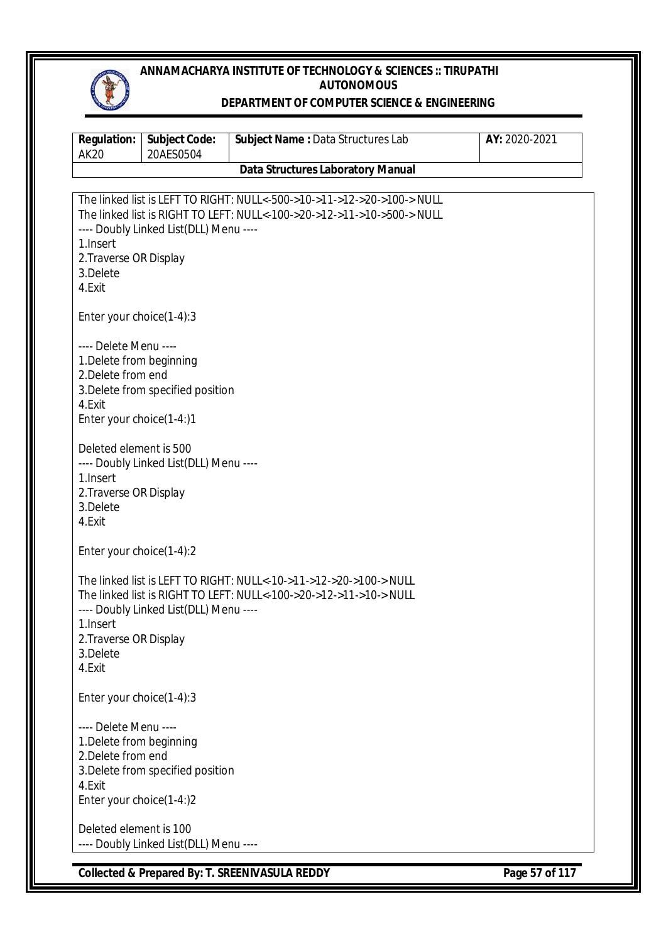

#### **DEPARTMENT OF COMPUTER SCIENCE & ENGINEERING**

| <b>Regulation:</b><br><b>AK20</b>                                                                             | <b>Subject Code:</b><br>20AES0504      | Subject Name: Data Structures Lab                                                                                                                  | AY: 2020-2021 |
|---------------------------------------------------------------------------------------------------------------|----------------------------------------|----------------------------------------------------------------------------------------------------------------------------------------------------|---------------|
|                                                                                                               |                                        | <b>Data Structures Laboratory Manual</b>                                                                                                           |               |
| 1. Insert<br>2. Traverse OR Display<br>3.Delete<br>4.Exit                                                     | ---- Doubly Linked List(DLL) Menu ---- | The linked list is LEFT TO RIGHT: NULL<-500->10->11->12->20->100-> NULL<br>The linked list is RIGHT TO LEFT: NULL<-100->20->12->11->10->500-> NULL |               |
| Enter your choice(1-4):3                                                                                      |                                        |                                                                                                                                                    |               |
| ---- Delete Menu ----<br>1. Delete from beginning<br>2. Delete from end<br>4.Exit<br>Enter your choice(1-4:)1 | 3. Delete from specified position      |                                                                                                                                                    |               |
| Deleted element is 500<br>1. Insert<br>2. Traverse OR Display<br>3.Delete<br>4.Exit                           | ---- Doubly Linked List(DLL) Menu ---- |                                                                                                                                                    |               |
| Enter your choice(1-4):2                                                                                      |                                        |                                                                                                                                                    |               |
| 1. Insert<br>2. Traverse OR Display<br>3.Delete<br>4.Exit                                                     | ---- Doubly Linked List(DLL) Menu ---- | The linked list is LEFT TO RIGHT: NULL<-10->11->12->20->100-> NULL<br>The linked list is RIGHT TO LEFT: NULL<-100->20->12->11->10-> NULL           |               |
| Enter your choice(1-4):3                                                                                      |                                        |                                                                                                                                                    |               |
| ---- Delete Menu ----<br>1. Delete from beginning<br>2. Delete from end<br>4.Exit<br>Enter your choice(1-4:)2 | 3. Delete from specified position      |                                                                                                                                                    |               |
| Deleted element is 100                                                                                        | ---- Doubly Linked List(DLL) Menu ---- |                                                                                                                                                    |               |

**Collected & Prepared By: T. SREENIVASULA REDDY Page 57 of 117**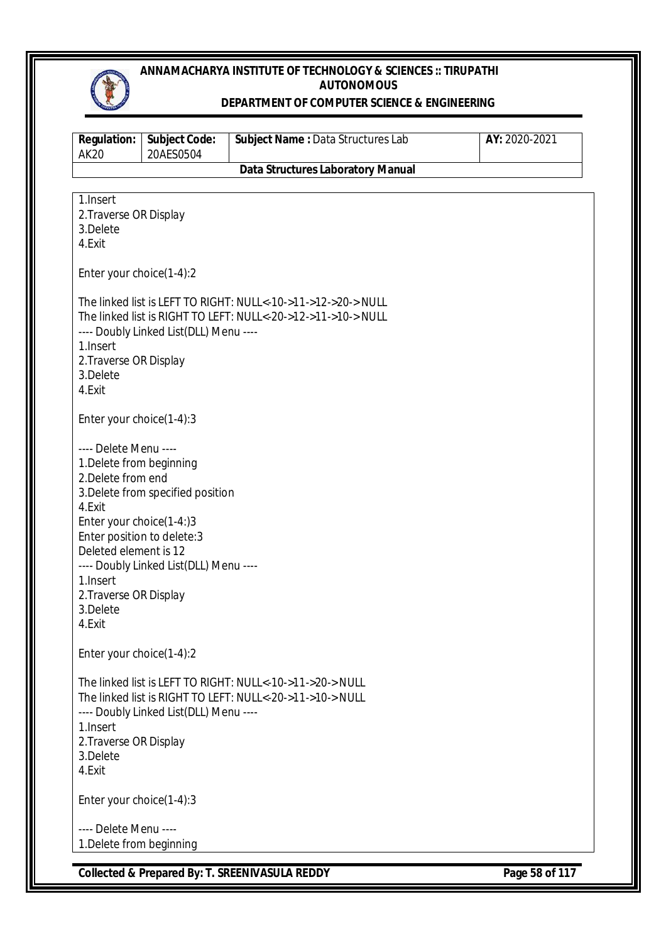

#### **DEPARTMENT OF COMPUTER SCIENCE & ENGINEERING**

| <b>Regulation:</b><br><b>AK20</b>                                                                                                                                                                                                  | <b>Subject Code:</b><br>20AES0504                                           | Subject Name: Data Structures Lab                                                                                              | AY: 2020-2021 |
|------------------------------------------------------------------------------------------------------------------------------------------------------------------------------------------------------------------------------------|-----------------------------------------------------------------------------|--------------------------------------------------------------------------------------------------------------------------------|---------------|
|                                                                                                                                                                                                                                    |                                                                             | <b>Data Structures Laboratory Manual</b>                                                                                       |               |
| 1.Insert<br>2. Traverse OR Display<br>3.Delete<br>4.Exit                                                                                                                                                                           |                                                                             |                                                                                                                                |               |
| Enter your choice(1-4):2                                                                                                                                                                                                           |                                                                             |                                                                                                                                |               |
| 1. Insert<br>2. Traverse OR Display<br>3.Delete<br>4.Exit                                                                                                                                                                          | ---- Doubly Linked List(DLL) Menu ----                                      | The linked list is LEFT TO RIGHT: NULL<-10->11->12->20-> NULL<br>The linked list is RIGHT TO LEFT: NULL<-20->12->11->10-> NULL |               |
| Enter your choice(1-4):3                                                                                                                                                                                                           |                                                                             |                                                                                                                                |               |
| ---- Delete Menu ----<br>1. Delete from beginning<br>2. Delete from end<br>4.Exit<br>Enter your choice(1-4:)3<br>Enter position to delete: 3<br>Deleted element is 12<br>1. Insert<br>2. Traverse OR Display<br>3.Delete<br>4.Exit | 3. Delete from specified position<br>---- Doubly Linked List(DLL) Menu ---- |                                                                                                                                |               |
| Enter your choice(1-4):2                                                                                                                                                                                                           |                                                                             |                                                                                                                                |               |
| 1. Insert<br>2. Traverse OR Display<br>3.Delete<br>4.Exit                                                                                                                                                                          | ---- Doubly Linked List(DLL) Menu ----                                      | The linked list is LEFT TO RIGHT: NULL<-10->11->20-> NULL<br>The linked list is RIGHT TO LEFT: NULL<-20->11->10-> NULL         |               |
| Enter your choice(1-4):3                                                                                                                                                                                                           |                                                                             |                                                                                                                                |               |
| ---- Delete Menu ----<br>1. Delete from beginning                                                                                                                                                                                  |                                                                             |                                                                                                                                |               |

**Collected & Prepared By: T. SREENIVASULA REDDY Page 58 of 117**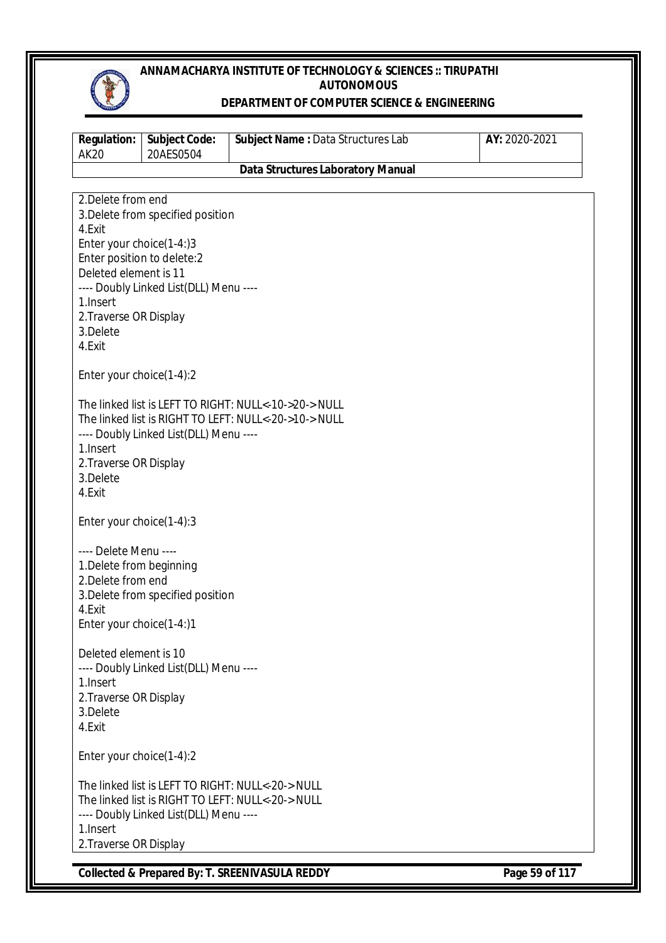

#### **DEPARTMENT OF COMPUTER SCIENCE & ENGINEERING**

| <b>Regulation:</b><br><b>AK20</b>  | <b>Subject Code:</b><br>20AES0504      | Subject Name: Data Structures Lab                     | AY: 2020-2021 |
|------------------------------------|----------------------------------------|-------------------------------------------------------|---------------|
|                                    |                                        | <b>Data Structures Laboratory Manual</b>              |               |
|                                    |                                        |                                                       |               |
| 2. Delete from end                 |                                        |                                                       |               |
|                                    | 3. Delete from specified position      |                                                       |               |
| 4.Exit                             |                                        |                                                       |               |
| Enter your choice(1-4:)3           |                                        |                                                       |               |
| Enter position to delete:2         |                                        |                                                       |               |
| Deleted element is 11              |                                        |                                                       |               |
|                                    | ---- Doubly Linked List(DLL) Menu ---- |                                                       |               |
| 1. Insert                          |                                        |                                                       |               |
| 2. Traverse OR Display<br>3.Delete |                                        |                                                       |               |
| 4.Exit                             |                                        |                                                       |               |
|                                    |                                        |                                                       |               |
| Enter your choice(1-4):2           |                                        |                                                       |               |
|                                    |                                        |                                                       |               |
|                                    |                                        | The linked list is LEFT TO RIGHT: NULL<-10->20-> NULL |               |
|                                    |                                        | The linked list is RIGHT TO LEFT: NULL<-20->10-> NULL |               |
|                                    | ---- Doubly Linked List(DLL) Menu ---- |                                                       |               |
| 1. Insert                          |                                        |                                                       |               |
| 2. Traverse OR Display             |                                        |                                                       |               |
| 3.Delete<br>4.Exit                 |                                        |                                                       |               |
|                                    |                                        |                                                       |               |
| Enter your choice(1-4):3           |                                        |                                                       |               |
|                                    |                                        |                                                       |               |
| ---- Delete Menu ----              |                                        |                                                       |               |
| 1. Delete from beginning           |                                        |                                                       |               |
| 2. Delete from end                 |                                        |                                                       |               |
|                                    | 3. Delete from specified position      |                                                       |               |
| 4.Exit                             |                                        |                                                       |               |
| Enter your choice(1-4:)1           |                                        |                                                       |               |
| Deleted element is 10              |                                        |                                                       |               |
|                                    | ---- Doubly Linked List(DLL) Menu ---- |                                                       |               |
| 1. Insert                          |                                        |                                                       |               |
| 2. Traverse OR Display             |                                        |                                                       |               |
| 3.Delete                           |                                        |                                                       |               |
| 4.Exit                             |                                        |                                                       |               |
|                                    |                                        |                                                       |               |
| Enter your choice(1-4):2           |                                        |                                                       |               |
|                                    |                                        | The linked list is LEFT TO RIGHT: NULL<-20-> NULL     |               |
|                                    |                                        | The linked list is RIGHT TO LEFT: NULL<-20-> NULL     |               |
|                                    | ---- Doubly Linked List(DLL) Menu ---- |                                                       |               |
| 1.Insert                           |                                        |                                                       |               |
| 2. Traverse OR Display             |                                        |                                                       |               |
|                                    |                                        |                                                       |               |

**Collected & Prepared By: T. SREENIVASULA REDDY Page 59 of 117**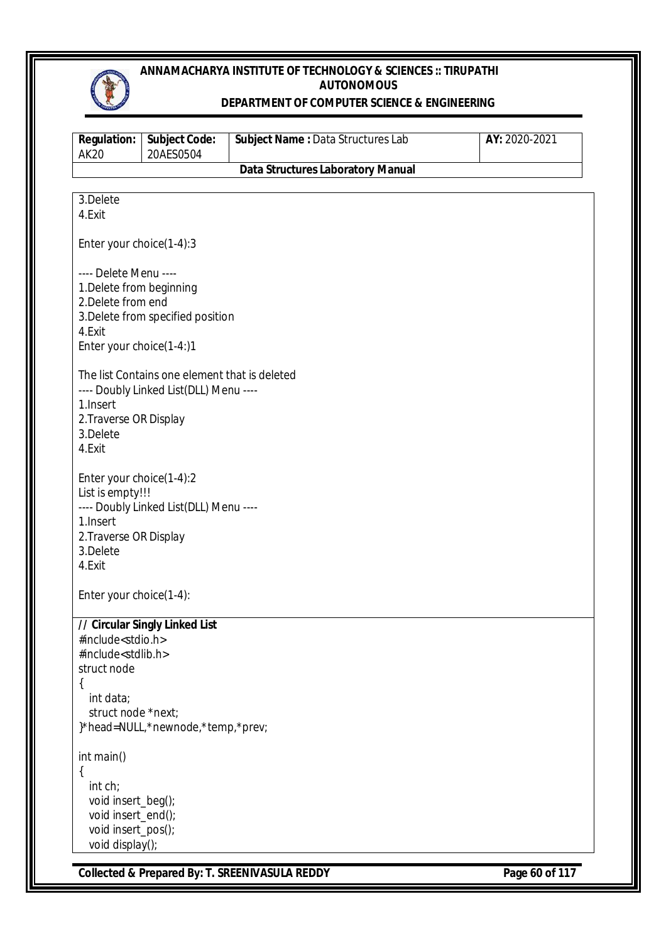

#### **DEPARTMENT OF COMPUTER SCIENCE & ENGINEERING**

| <b>Regulation:</b><br><b>AK20</b>                              | <b>Subject Code:</b><br>20AES0504             | Subject Name: Data Structures Lab        | AY: 2020-2021 |
|----------------------------------------------------------------|-----------------------------------------------|------------------------------------------|---------------|
|                                                                |                                               | <b>Data Structures Laboratory Manual</b> |               |
| 3.Delete                                                       |                                               |                                          |               |
| 4.Exit                                                         |                                               |                                          |               |
|                                                                |                                               |                                          |               |
| Enter your choice(1-4):3                                       |                                               |                                          |               |
| ---- Delete Menu ----                                          |                                               |                                          |               |
| 1. Delete from beginning                                       |                                               |                                          |               |
| 2. Delete from end                                             |                                               |                                          |               |
|                                                                | 3. Delete from specified position             |                                          |               |
| 4.Exit                                                         |                                               |                                          |               |
| Enter your choice(1-4:)1                                       |                                               |                                          |               |
|                                                                | The list Contains one element that is deleted |                                          |               |
|                                                                | ---- Doubly Linked List(DLL) Menu ----        |                                          |               |
| 1. Insert                                                      |                                               |                                          |               |
| 2. Traverse OR Display                                         |                                               |                                          |               |
| 3.Delete<br>4.Exit                                             |                                               |                                          |               |
|                                                                |                                               |                                          |               |
| Enter your choice(1-4):2                                       |                                               |                                          |               |
| List is empty!!!                                               |                                               |                                          |               |
|                                                                | ---- Doubly Linked List(DLL) Menu ----        |                                          |               |
| 1. Insert<br>2. Traverse OR Display                            |                                               |                                          |               |
| 3.Delete                                                       |                                               |                                          |               |
| 4.Exit                                                         |                                               |                                          |               |
| Enter your choice(1-4):                                        |                                               |                                          |               |
|                                                                |                                               |                                          |               |
|                                                                | // Circular Singly Linked List                |                                          |               |
| #include <stdio.h><br/>#include<stdlib.h></stdlib.h></stdio.h> |                                               |                                          |               |
| struct node                                                    |                                               |                                          |               |
| $\{$                                                           |                                               |                                          |               |
| int data;                                                      |                                               |                                          |               |
| struct node *next;                                             |                                               |                                          |               |
|                                                                | }*head=NULL,*newnode,*temp,*prev;             |                                          |               |
| int main()                                                     |                                               |                                          |               |
| $\{$                                                           |                                               |                                          |               |
| int ch;                                                        |                                               |                                          |               |
| void insert_beg();                                             |                                               |                                          |               |
| void insert_end();<br>void insert_pos();                       |                                               |                                          |               |
| void display();                                                |                                               |                                          |               |
|                                                                |                                               |                                          |               |

**Collected & Prepared By: T. SREENIVASULA REDDY Page 60 of 117**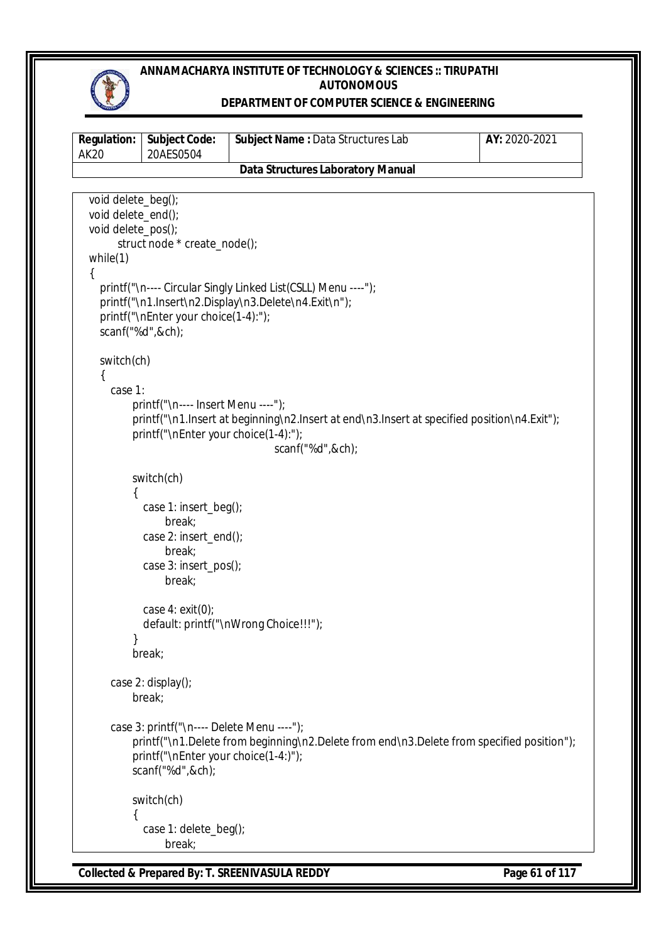

#### **DEPARTMENT OF COMPUTER SCIENCE & ENGINEERING**

```
Regulation:
AK20
             Subject Code:
             20AES0504
                               Subject Name : Data Structures Lab AY: 2020-2021
                                Data Structures Laboratory Manual
Collected & Prepared By: T. SREENIVASULA REDDY Page 61 of 117
   void delete_beg();
   void delete_end();
   void delete_pos();
       struct node * create_node();
   while(1)
   {
     printf("\n---- Circular Singly Linked List(CSLL) Menu ----");
     printf("\n1.Insert\n2.Display\n3.Delete\n4.Exit\n");
     printf("\nEnter your choice(1-4):");
     scanf("%d",&ch);
     switch(ch)
     {
       case 1:
           printf("\n---- Insert Menu ----");
          printf("\n1.Insert at beginning\n2.Insert at end\n3.Insert at specified position\n4.Exit");
           printf("\nEnter your choice(1-4):");
                                      scanf("%d",&ch);
           switch(ch)
\{ case 1: insert_beg();
                  break;
             case 2: insert_end();
                  break;
             case 3: insert_pos();
                  break;
             case 4: exit(0);
             default: printf("\nWrong Choice!!!");
 }
           break;
       case 2: display();
           break;
       case 3: printf("\n---- Delete Menu ----");
           printf("\n1.Delete from beginning\n2.Delete from end\n3.Delete from specified position");
           printf("\nEnter your choice(1-4:)");
           scanf("%d",&ch);
           switch(ch)
\{ case 1: delete_beg();
                  break;
```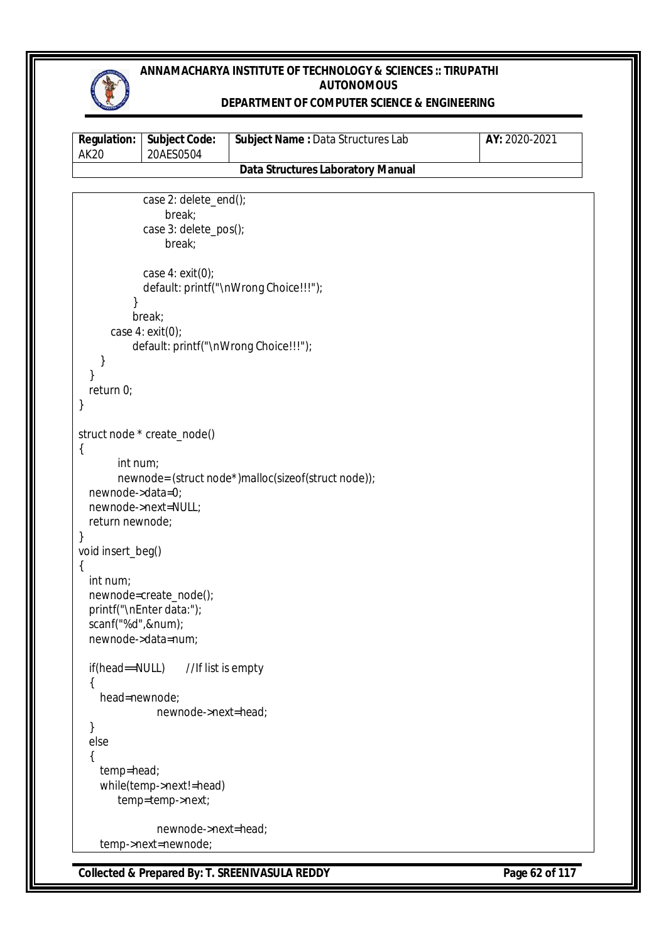

### **DEPARTMENT OF COMPUTER SCIENCE & ENGINEERING**

| <b>Regulation:</b><br><b>AK20</b>              | <b>Subject Code:</b><br>20AES0504                                        | Subject Name: Data Structures Lab                   | AY: 2020-2021 |
|------------------------------------------------|--------------------------------------------------------------------------|-----------------------------------------------------|---------------|
|                                                |                                                                          | <b>Data Structures Laboratory Manual</b>            |               |
|                                                |                                                                          |                                                     |               |
|                                                | case 2: delete_end();<br>break;<br>case 3: delete_pos();<br>break;       |                                                     |               |
|                                                | case $4: exit(0);$                                                       | default: printf("\nWrong Choice!!!");               |               |
|                                                | break;<br>case $4: exit(0);$<br>default: printf("\nWrong Choice!!!");    |                                                     |               |
| }<br>}<br>return 0;                            |                                                                          |                                                     |               |
| }                                              | struct node * create_node()                                              |                                                     |               |
| $\{$<br>int num;<br>newnode->data=0;           | newnode->next=NULL;                                                      | newnode= (struct node*)malloc(sizeof(struct node)); |               |
| return newnode;<br>}<br>void insert_beg()<br>{ |                                                                          |                                                     |               |
| int num;<br>scanf("%d",#);                     | newnode=create_node();<br>printf("\nEnter data:");<br>newnode->data=num; |                                                     |               |
| if(head==NULL)<br>₹                            | //If list is empty                                                       |                                                     |               |
| head=newnode;<br>}                             | newnode->next=head;                                                      |                                                     |               |
| else<br>{                                      |                                                                          |                                                     |               |
| temp=head;                                     | while(temp->next!=head)<br>temp=temp->next;                              |                                                     |               |
|                                                | newnode->next=head;<br>temp->next=newnode;                               |                                                     |               |

**Collected & Prepared By: T. SREENIVASULA REDDY Page 62 of 117**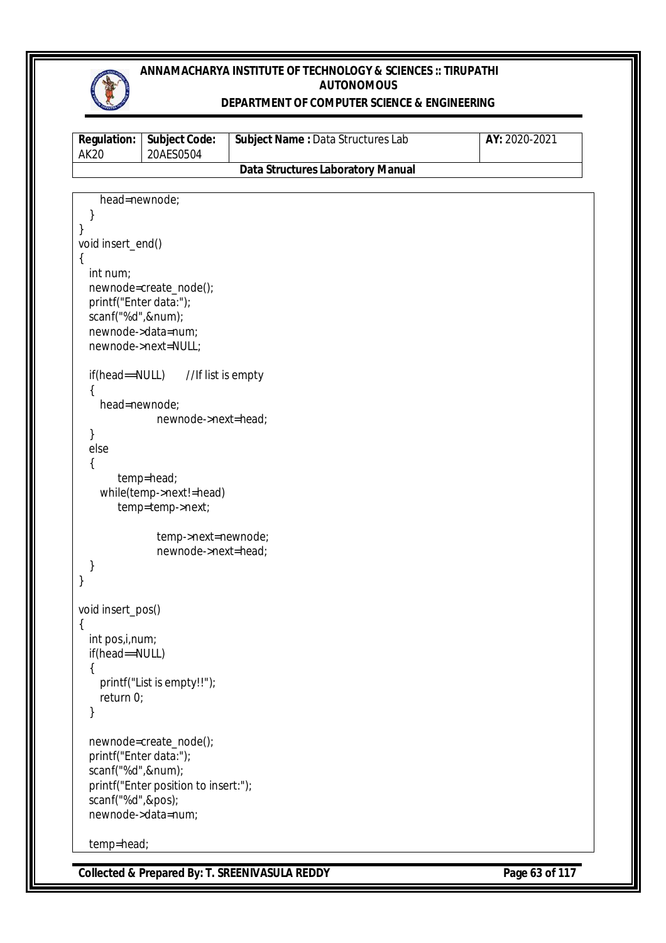

### **DEPARTMENT OF COMPUTER SCIENCE & ENGINEERING**

| <b>Regulation:</b><br><b>AK20</b>        | <b>Subject Code:</b><br>20AES0504     | Subject Name: Data Structures Lab        | AY: 2020-2021 |
|------------------------------------------|---------------------------------------|------------------------------------------|---------------|
|                                          |                                       | <b>Data Structures Laboratory Manual</b> |               |
|                                          |                                       |                                          |               |
| head=newnode;                            |                                       |                                          |               |
| }<br>}                                   |                                       |                                          |               |
| void insert_end()                        |                                       |                                          |               |
| $\{$                                     |                                       |                                          |               |
| int num;                                 |                                       |                                          |               |
|                                          | newnode=create_node();                |                                          |               |
| printf("Enter data:");<br>scanf("%d",#); |                                       |                                          |               |
|                                          | newnode->data=num;                    |                                          |               |
|                                          | newnode->next=NULL;                   |                                          |               |
|                                          |                                       |                                          |               |
| if(head==NULL)                           | //If list is empty                    |                                          |               |
| head=newnode;                            |                                       |                                          |               |
|                                          | newnode->next=head;                   |                                          |               |
| }                                        |                                       |                                          |               |
| else                                     |                                       |                                          |               |
| {                                        |                                       |                                          |               |
|                                          | temp=head;<br>while(temp->next!=head) |                                          |               |
|                                          | temp=temp->next;                      |                                          |               |
|                                          |                                       |                                          |               |
|                                          | temp->next=newnode;                   |                                          |               |
| }                                        | newnode->next=head;                   |                                          |               |
| }                                        |                                       |                                          |               |
|                                          |                                       |                                          |               |
| void insert_pos()                        |                                       |                                          |               |
| {                                        |                                       |                                          |               |
| int pos, i, num;<br>if(head==NULL)       |                                       |                                          |               |
| ₹                                        |                                       |                                          |               |
|                                          | printf("List is empty!!");            |                                          |               |
| return $0$ ;                             |                                       |                                          |               |
|                                          |                                       |                                          |               |
|                                          | newnode=create_node();                |                                          |               |
| printf("Enter data:");                   |                                       |                                          |               |
| scanf("%d",#);                           |                                       |                                          |               |
|                                          | printf("Enter position to insert:");  |                                          |               |
| scanf("%d",&pos);                        | newnode->data=num;                    |                                          |               |
|                                          |                                       |                                          |               |
| temp=head;                               |                                       |                                          |               |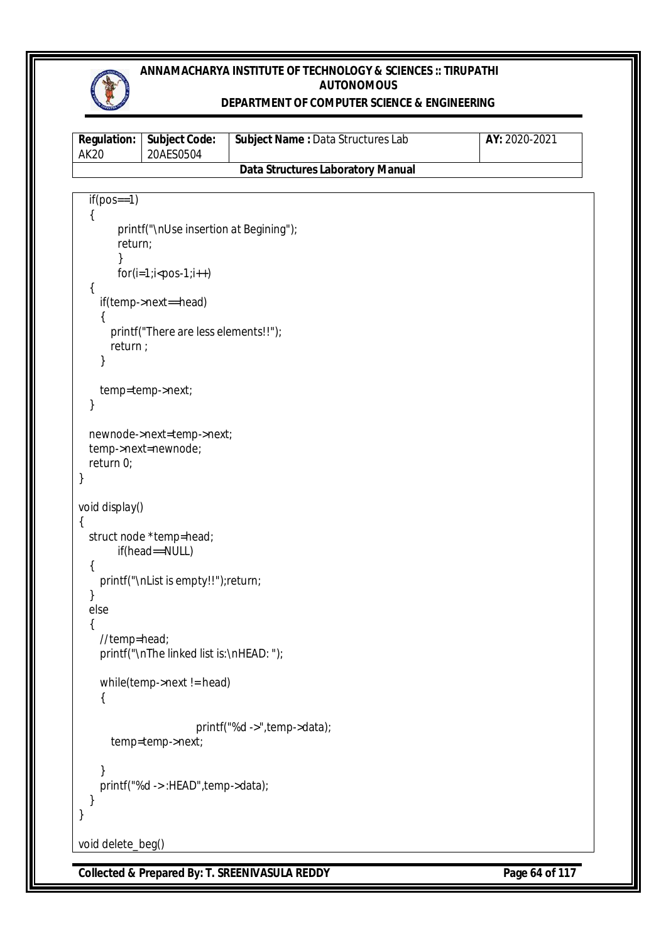

### **DEPARTMENT OF COMPUTER SCIENCE & ENGINEERING**

| <b>Regulation:</b><br><b>AK20</b> | Subject Code:<br>20AES0504                | Subject Name : Data Structures Lab       | AY: 2020-2021 |
|-----------------------------------|-------------------------------------------|------------------------------------------|---------------|
|                                   |                                           | <b>Data Structures Laboratory Manual</b> |               |
|                                   |                                           |                                          |               |
| $if (pos==1)$                     |                                           |                                          |               |
|                                   | printf("\nUse insertion at Begining");    |                                          |               |
| return;                           |                                           |                                          |               |
|                                   | $for (i=1; i$                             |                                          |               |
| ₹                                 |                                           |                                          |               |
|                                   | if(temp->next==head)                      |                                          |               |
| {                                 |                                           |                                          |               |
| return ;                          | printf("There are less elements!!");      |                                          |               |
|                                   |                                           |                                          |               |
|                                   |                                           |                                          |               |
|                                   | temp=temp->next;                          |                                          |               |
| }                                 |                                           |                                          |               |
|                                   | newnode->next=temp->next;                 |                                          |               |
|                                   | temp->next=newnode;                       |                                          |               |
| return 0;<br>}                    |                                           |                                          |               |
|                                   |                                           |                                          |               |
| void display()                    |                                           |                                          |               |
| {                                 |                                           |                                          |               |
|                                   | struct node *temp=head;<br>if(head==NULL) |                                          |               |
| {                                 |                                           |                                          |               |
|                                   | printf("\nList is empty!!");return;       |                                          |               |
| }<br>else                         |                                           |                                          |               |
|                                   |                                           |                                          |               |
| //temp=head;                      |                                           |                                          |               |
|                                   | printf("\nThe linked list is:\nHEAD: ");  |                                          |               |
|                                   | while(temp->next != head)                 |                                          |               |
| l                                 |                                           |                                          |               |
|                                   |                                           |                                          |               |
|                                   | temp=temp->next;                          | printf("%d ->", temp->data);             |               |
|                                   |                                           |                                          |               |
|                                   |                                           |                                          |               |
|                                   | printf("%d ->:HEAD",temp->data);          |                                          |               |
| }                                 |                                           |                                          |               |
|                                   |                                           |                                          |               |
| void delete_beg()                 |                                           |                                          |               |

**Collected & Prepared By: T. SREENIVASULA REDDY Page 64 of 117**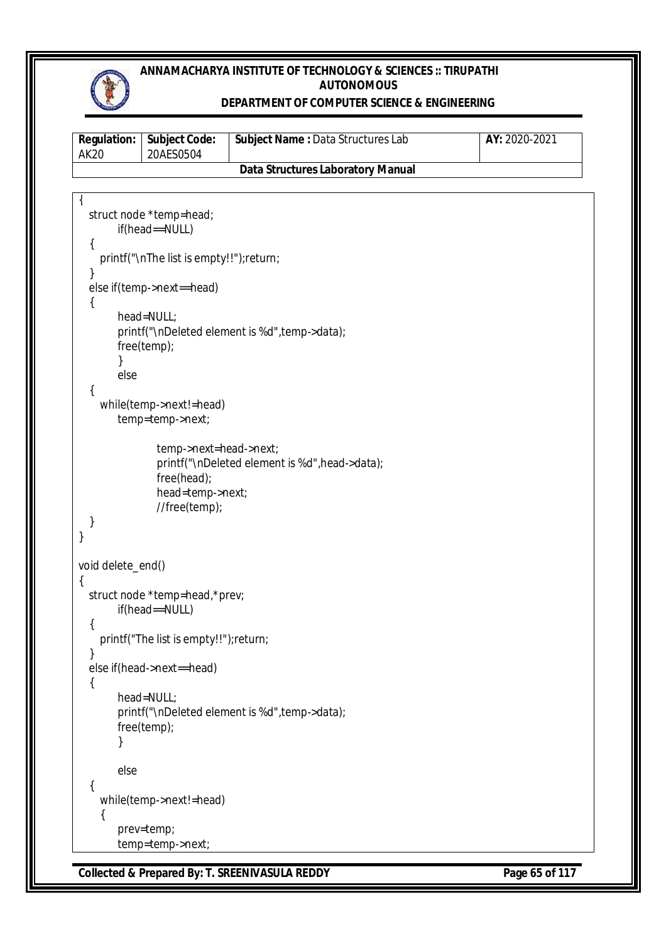

#### **DEPARTMENT OF COMPUTER SCIENCE & ENGINEERING**

| AK20 | <b>Regulation:   Subject Code:</b><br>20AES0504 | <b>Subject Name: Data Structures Lab</b> | <b>AY:</b> 2020-2021 |
|------|-------------------------------------------------|------------------------------------------|----------------------|
|      |                                                 | Data Structures Laboratory Manual        |                      |

```
{
   struct node *temp=head;
        if(head==NULL)
   {
     printf("\nThe list is empty!!");return;
   }
   else if(temp->next==head)
   {
         head=NULL;
        printf("\nDeleted element is %d", temp->data);
         free(temp);
        }
        else
   {
     while(temp->next!=head)
         temp=temp->next;
                temp->next=head->next;
                printf("\nDeleted element is %d",head->data);
                free(head);
                head=temp->next; 
                //free(temp);
  }
}
void delete_end()
{
   struct node *temp=head,*prev;
        if(head==NULL)
   {
     printf("The list is empty!!");return;
   }
   else if(head->next==head)
   {
         head=NULL;
        printf("\nDeleted element is %d", temp->data);
         free(temp);
        }
        else
   {
     while(temp->next!=head)
     {
         prev=temp;
         temp=temp->next;
```
**Collected & Prepared By: T. SREENIVASULA REDDY Page 65 of 117**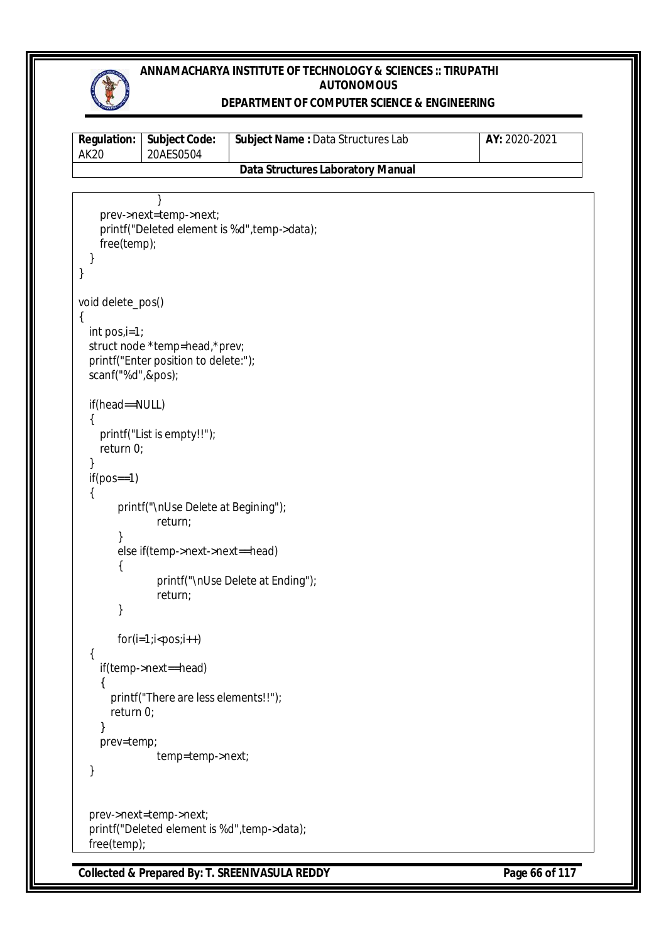

### **DEPARTMENT OF COMPUTER SCIENCE & ENGINEERING**

| <b>Regulation:</b><br><b>AK20</b>             | <b>Subject Code:</b><br>20AES0504                                      | Subject Name : Data Structures Lab                        | AY: 2020-2021  |
|-----------------------------------------------|------------------------------------------------------------------------|-----------------------------------------------------------|----------------|
|                                               |                                                                        | <b>Data Structures Laboratory Manual</b>                  |                |
|                                               |                                                                        |                                                           |                |
| free(temp);<br>}                              | prev->next=temp->next;                                                 | printf("Deleted element is %d", temp->data);              |                |
| void delete_pos()                             |                                                                        |                                                           |                |
| $\{$<br>$int pos_i = 1;$<br>scanf("%d",&pos); | struct node *temp=head,*prev;<br>printf("Enter position to delete:");  |                                                           |                |
| if(head==NULL)<br>return 0;                   | printf("List is empty!!");                                             |                                                           |                |
| $if (pos==1)$                                 |                                                                        |                                                           |                |
|                                               | printf("\nUse Delete at Begining");<br>return;                         |                                                           |                |
| }                                             | else if(temp->next->next==head)<br>return;                             | printf("\nUse Delete at Ending");                         |                |
|                                               | $for(i=1; i$                                                           |                                                           |                |
| ₹                                             | if(temp->next==head)                                                   |                                                           |                |
| return 0;<br>}                                | printf("There are less elements!!");                                   |                                                           |                |
| prev=temp;<br>}                               | temp=temp->next;                                                       |                                                           |                |
| free(temp);                                   | prev->next=temp->next;<br>printf("Deleted element is %d", temp->data); |                                                           |                |
|                                               |                                                                        | <b>Collected &amp; Prepared By: T. SREENIVASULA REDDY</b> | Page 66 of 117 |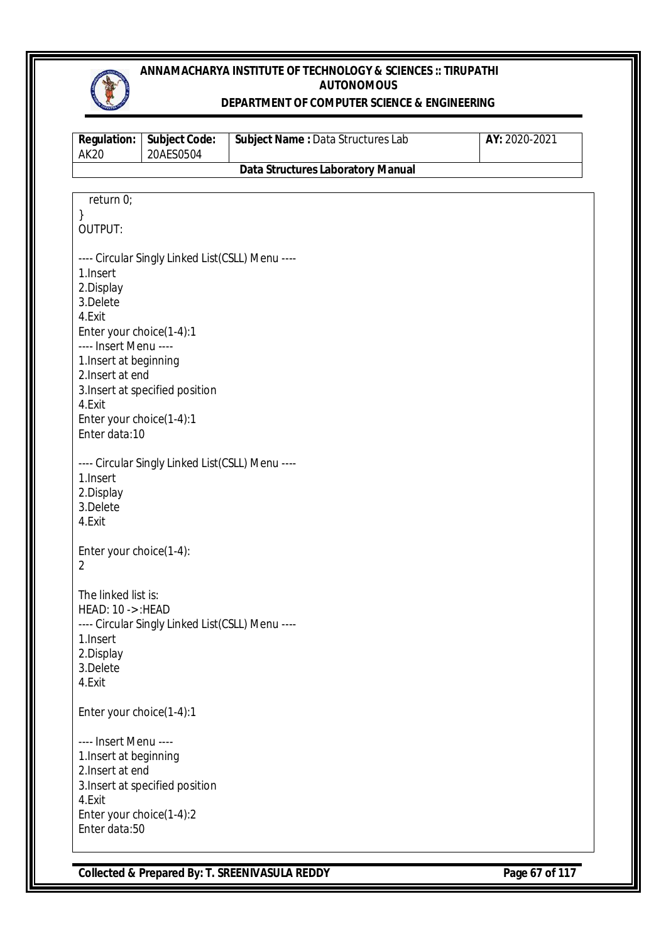

#### **DEPARTMENT OF COMPUTER SCIENCE & ENGINEERING**

| <b>AK20</b>                                     | <b>Subject Code:</b><br>20AES0504                | Subject Name : Data Structures Lab       | AY: 2020-2021 |
|-------------------------------------------------|--------------------------------------------------|------------------------------------------|---------------|
|                                                 |                                                  | <b>Data Structures Laboratory Manual</b> |               |
|                                                 |                                                  |                                          |               |
| return 0;                                       |                                                  |                                          |               |
| }<br>OUTPUT:                                    |                                                  |                                          |               |
|                                                 | ---- Circular Singly Linked List(CSLL) Menu ---- |                                          |               |
| 1.Insert                                        |                                                  |                                          |               |
| 2.Display                                       |                                                  |                                          |               |
| 3.Delete                                        |                                                  |                                          |               |
| 4.Exit<br>Enter your choice(1-4):1              |                                                  |                                          |               |
| ---- Insert Menu ----                           |                                                  |                                          |               |
| 1. Insert at beginning                          |                                                  |                                          |               |
| 2. Insert at end                                |                                                  |                                          |               |
|                                                 | 3. Insert at specified position                  |                                          |               |
| 4.Exit                                          |                                                  |                                          |               |
| Enter your choice(1-4):1                        |                                                  |                                          |               |
| Enter data:10                                   |                                                  |                                          |               |
|                                                 | ---- Circular Singly Linked List(CSLL) Menu ---- |                                          |               |
| 1.Insert                                        |                                                  |                                          |               |
| 2.Display                                       |                                                  |                                          |               |
| 3.Delete                                        |                                                  |                                          |               |
| 4.Exit                                          |                                                  |                                          |               |
| Enter your choice(1-4):                         |                                                  |                                          |               |
| $\overline{2}$                                  |                                                  |                                          |               |
|                                                 |                                                  |                                          |               |
| The linked list is:                             |                                                  |                                          |               |
| <b>HEAD: 10 -&gt;: HEAD</b>                     |                                                  |                                          |               |
|                                                 | ---- Circular Singly Linked List(CSLL) Menu ---- |                                          |               |
| 1. Insert                                       |                                                  |                                          |               |
| 2.Display<br>3.Delete                           |                                                  |                                          |               |
| 4.Exit                                          |                                                  |                                          |               |
|                                                 |                                                  |                                          |               |
| Enter your choice(1-4):1                        |                                                  |                                          |               |
|                                                 |                                                  |                                          |               |
| ---- Insert Menu ----<br>1. Insert at beginning |                                                  |                                          |               |
| 2. Insert at end                                |                                                  |                                          |               |
| 3. Insert at specified position                 |                                                  |                                          |               |
| 4.Exit                                          |                                                  |                                          |               |
| Enter your choice(1-4):2                        |                                                  |                                          |               |
| Enter data:50                                   |                                                  |                                          |               |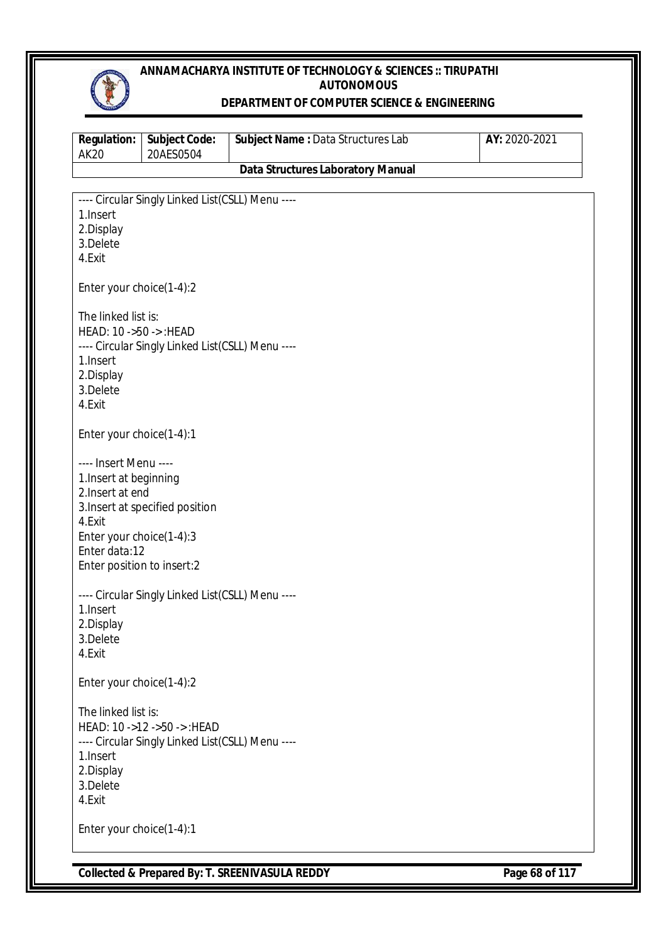

#### **DEPARTMENT OF COMPUTER SCIENCE & ENGINEERING**

| <b>Regulation:</b><br><b>AK20</b> | <b>Subject Code:</b><br>20AES0504                | Subject Name: Data Structures Lab        | AY: 2020-2021 |
|-----------------------------------|--------------------------------------------------|------------------------------------------|---------------|
|                                   |                                                  | <b>Data Structures Laboratory Manual</b> |               |
|                                   |                                                  |                                          |               |
| 1. Insert                         | ---- Circular Singly Linked List(CSLL) Menu ---- |                                          |               |
| 2.Display                         |                                                  |                                          |               |
| 3.Delete                          |                                                  |                                          |               |
| 4.Exit                            |                                                  |                                          |               |
| Enter your choice(1-4):2          |                                                  |                                          |               |
| The linked list is:               |                                                  |                                          |               |
| HEAD: 10 ->50 -> : HEAD           |                                                  |                                          |               |
|                                   | ---- Circular Singly Linked List(CSLL) Menu ---- |                                          |               |
| 1. Insert<br>2.Display            |                                                  |                                          |               |
| 3.Delete                          |                                                  |                                          |               |
| 4.Exit                            |                                                  |                                          |               |
| Enter your choice(1-4):1          |                                                  |                                          |               |
| ---- Insert Menu ----             |                                                  |                                          |               |
| 1. Insert at beginning            |                                                  |                                          |               |
| 2. Insert at end                  |                                                  |                                          |               |
| 4.Exit                            | 3. Insert at specified position                  |                                          |               |
| Enter your choice(1-4):3          |                                                  |                                          |               |
| Enter data:12                     |                                                  |                                          |               |
| Enter position to insert:2        |                                                  |                                          |               |
|                                   | ---- Circular Singly Linked List(CSLL) Menu ---- |                                          |               |
| 1. Insert                         |                                                  |                                          |               |
| 2.Display                         |                                                  |                                          |               |
| 3.Delete<br>4.Exit                |                                                  |                                          |               |
|                                   |                                                  |                                          |               |
| Enter your choice(1-4):2          |                                                  |                                          |               |
| The linked list is:               |                                                  |                                          |               |
|                                   | HEAD: 10 ->12 ->50 -> : HEAD                     |                                          |               |
| 1. Insert                         | ---- Circular Singly Linked List(CSLL) Menu ---- |                                          |               |
| 2.Display                         |                                                  |                                          |               |
| 3.Delete                          |                                                  |                                          |               |
| 4.Exit                            |                                                  |                                          |               |
| Enter your choice(1-4):1          |                                                  |                                          |               |
|                                   |                                                  |                                          |               |

**Collected & Prepared By: T. SREENIVASULA REDDY Page 68 of 117**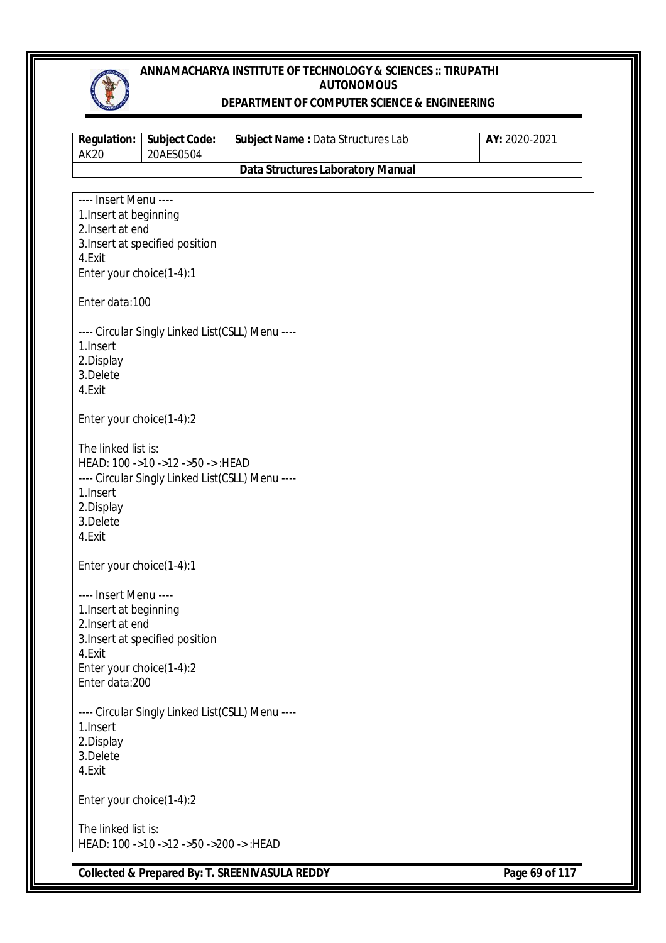

#### **DEPARTMENT OF COMPUTER SCIENCE & ENGINEERING**

| <b>Regulation:</b><br><b>AK20</b>               | <b>Subject Code:</b><br>20AES0504                | Subject Name : Data Structures Lab       | AY: 2020-2021 |
|-------------------------------------------------|--------------------------------------------------|------------------------------------------|---------------|
|                                                 |                                                  | <b>Data Structures Laboratory Manual</b> |               |
|                                                 |                                                  |                                          |               |
| ---- Insert Menu ----<br>1. Insert at beginning |                                                  |                                          |               |
| 2. Insert at end                                |                                                  |                                          |               |
|                                                 | 3. Insert at specified position                  |                                          |               |
| 4.Exit                                          |                                                  |                                          |               |
| Enter your choice(1-4):1                        |                                                  |                                          |               |
| Enter data:100                                  |                                                  |                                          |               |
|                                                 | ---- Circular Singly Linked List(CSLL) Menu ---- |                                          |               |
| 1.Insert                                        |                                                  |                                          |               |
| 2.Display                                       |                                                  |                                          |               |
| 3.Delete                                        |                                                  |                                          |               |
| 4.Exit                                          |                                                  |                                          |               |
| Enter your choice(1-4):2                        |                                                  |                                          |               |
| The linked list is:                             |                                                  |                                          |               |
|                                                 | HEAD: 100 ->10 ->12 ->50 -> :HEAD                |                                          |               |
|                                                 | ---- Circular Singly Linked List(CSLL) Menu ---- |                                          |               |
| 1.Insert                                        |                                                  |                                          |               |
| 2.Display                                       |                                                  |                                          |               |
| 3.Delete<br>4.Exit                              |                                                  |                                          |               |
|                                                 |                                                  |                                          |               |
| Enter your choice(1-4):1                        |                                                  |                                          |               |
| ---- Insert Menu ----                           |                                                  |                                          |               |
| 1. Insert at beginning                          |                                                  |                                          |               |
| 2. Insert at end                                |                                                  |                                          |               |
|                                                 | 3. Insert at specified position                  |                                          |               |
| 4.Exit<br>Enter your choice(1-4):2              |                                                  |                                          |               |
| Enter data:200                                  |                                                  |                                          |               |
|                                                 |                                                  |                                          |               |
|                                                 | ---- Circular Singly Linked List(CSLL) Menu ---- |                                          |               |
| 1.Insert                                        |                                                  |                                          |               |
| 2.Display<br>3.Delete                           |                                                  |                                          |               |
| 4.Exit                                          |                                                  |                                          |               |
| Enter your choice(1-4):2                        |                                                  |                                          |               |
|                                                 |                                                  |                                          |               |
| The linked list is:                             |                                                  |                                          |               |
|                                                 | HEAD: 100 ->10 ->12 ->50 ->200 -> :HEAD          |                                          |               |

**Collected & Prepared By: T. SREENIVASULA REDDY Page 69 of 117**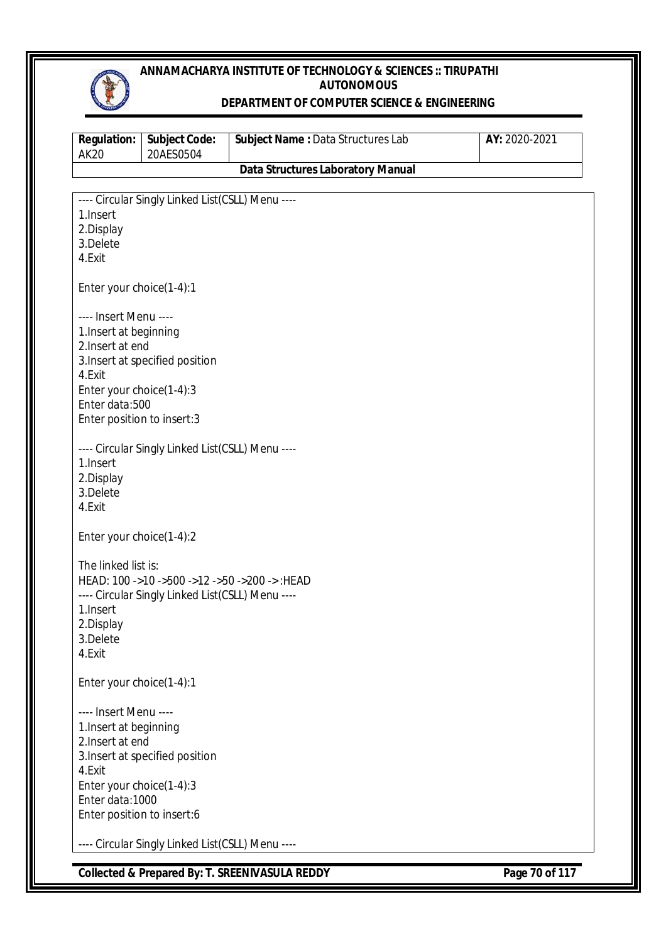

#### **DEPARTMENT OF COMPUTER SCIENCE & ENGINEERING**

| <b>Regulation:</b><br><b>AK20</b>           | <b>Subject Code:</b><br>20AES0504                | Subject Name: Data Structures Lab        | AY: 2020-2021 |
|---------------------------------------------|--------------------------------------------------|------------------------------------------|---------------|
|                                             |                                                  | <b>Data Structures Laboratory Manual</b> |               |
|                                             |                                                  |                                          |               |
| 1.Insert                                    | ---- Circular Singly Linked List(CSLL) Menu ---- |                                          |               |
| 2.Display                                   |                                                  |                                          |               |
| 3.Delete                                    |                                                  |                                          |               |
| 4.Exit                                      |                                                  |                                          |               |
| Enter your choice(1-4):1                    |                                                  |                                          |               |
| ---- Insert Menu ----                       |                                                  |                                          |               |
| 1. Insert at beginning                      |                                                  |                                          |               |
| 2. Insert at end                            |                                                  |                                          |               |
| 4.Exit                                      | 3. Insert at specified position                  |                                          |               |
| Enter your choice(1-4):3                    |                                                  |                                          |               |
| Enter data:500                              |                                                  |                                          |               |
| Enter position to insert:3                  |                                                  |                                          |               |
|                                             | ---- Circular Singly Linked List(CSLL) Menu ---- |                                          |               |
| 1.Insert                                    |                                                  |                                          |               |
| 2.Display                                   |                                                  |                                          |               |
| 3.Delete                                    |                                                  |                                          |               |
| 4.Exit                                      |                                                  |                                          |               |
| Enter your choice(1-4):2                    |                                                  |                                          |               |
| The linked list is:                         |                                                  |                                          |               |
|                                             | HEAD: 100 ->10 ->500 ->12 ->50 ->200 -> :HEAD    |                                          |               |
|                                             | ---- Circular Singly Linked List(CSLL) Menu ---- |                                          |               |
| 1.Insert                                    |                                                  |                                          |               |
| 2.Display<br>3.Delete                       |                                                  |                                          |               |
| 4.Exit                                      |                                                  |                                          |               |
| Enter your choice(1-4):1                    |                                                  |                                          |               |
| ---- Insert Menu ----                       |                                                  |                                          |               |
| 1. Insert at beginning                      |                                                  |                                          |               |
| 2. Insert at end                            |                                                  |                                          |               |
|                                             | 3. Insert at specified position                  |                                          |               |
| 4.Exit                                      |                                                  |                                          |               |
| Enter your choice(1-4):3<br>Enter data:1000 |                                                  |                                          |               |
| Enter position to insert:6                  |                                                  |                                          |               |
|                                             |                                                  |                                          |               |
|                                             | ---- Circular Singly Linked List(CSLL) Menu ---- |                                          |               |

**Collected & Prepared By: T. SREENIVASULA REDDY Page 70 of 117**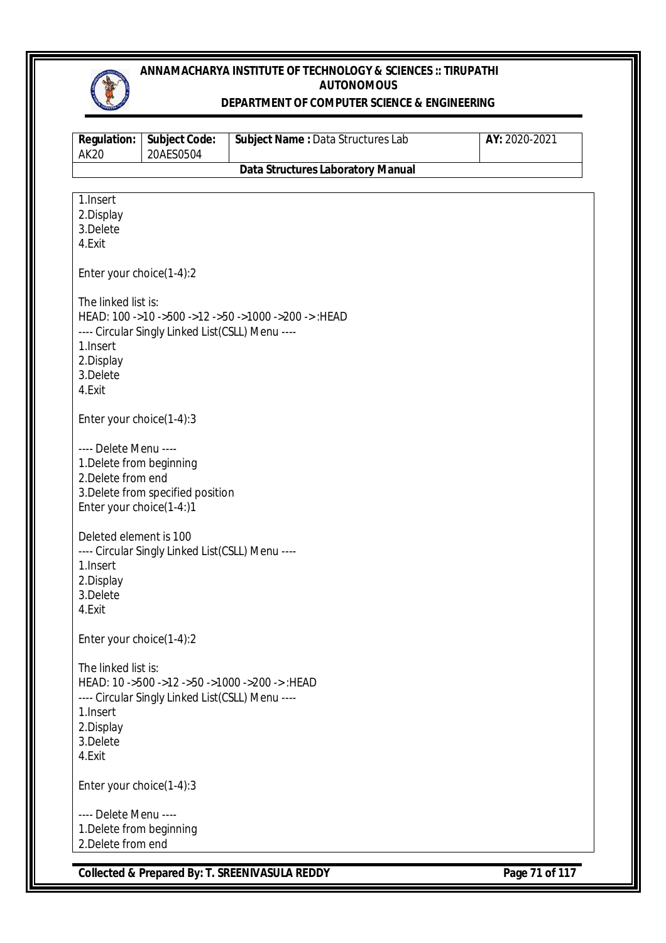

#### **DEPARTMENT OF COMPUTER SCIENCE & ENGINEERING**

| <b>Regulation:</b><br><b>AK20</b>                                                                   | <b>Subject Code:</b><br>20AES0504                | Subject Name : Data Structures Lab                   | AY: 2020-2021 |
|-----------------------------------------------------------------------------------------------------|--------------------------------------------------|------------------------------------------------------|---------------|
|                                                                                                     |                                                  | <b>Data Structures Laboratory Manual</b>             |               |
| 1. Insert<br>2.Display<br>3.Delete<br>4.Exit                                                        |                                                  |                                                      |               |
| Enter your choice(1-4):2                                                                            |                                                  |                                                      |               |
| The linked list is:<br>1. Insert<br>2.Display<br>3.Delete<br>4.Exit                                 | ---- Circular Singly Linked List(CSLL) Menu ---- | HEAD: 100 ->10 ->500 ->12 ->50 ->1000 ->200 -> :HEAD |               |
| Enter your choice(1-4):3                                                                            |                                                  |                                                      |               |
| ---- Delete Menu ----<br>1. Delete from beginning<br>2. Delete from end<br>Enter your choice(1-4:)1 | 3. Delete from specified position                |                                                      |               |
| Deleted element is 100<br>1. Insert<br>2.Display<br>3.Delete<br>4.Exit                              | ---- Circular Singly Linked List(CSLL) Menu ---- |                                                      |               |
| Enter your choice(1-4):2                                                                            |                                                  |                                                      |               |
| The linked list is:<br>1. Insert<br>2.Display<br>3.Delete<br>4.Exit                                 | ---- Circular Singly Linked List(CSLL) Menu ---- | HEAD: 10 ->500 ->12 ->50 ->1000 ->200 -> :HEAD       |               |
| Enter your choice(1-4):3                                                                            |                                                  |                                                      |               |
| ---- Delete Menu ----<br>1. Delete from beginning<br>2. Delete from end                             |                                                  |                                                      |               |

**Collected & Prepared By: T. SREENIVASULA REDDY Page 71 of 117**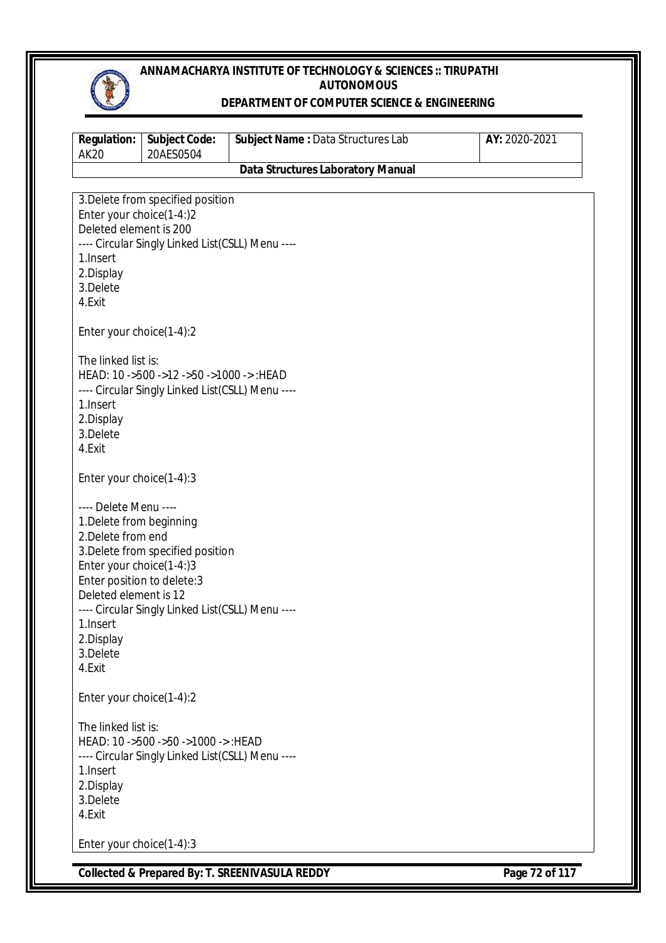

#### **DEPARTMENT OF COMPUTER SCIENCE & ENGINEERING**

| <b>Regulation:</b><br><b>AK20</b>                                                                                                                                                                                                      | <b>Subject Code:</b><br>20AES0504                                                                                                                                                     | Subject Name: Data Structures Lab        | AY: 2020-2021 |
|----------------------------------------------------------------------------------------------------------------------------------------------------------------------------------------------------------------------------------------|---------------------------------------------------------------------------------------------------------------------------------------------------------------------------------------|------------------------------------------|---------------|
|                                                                                                                                                                                                                                        |                                                                                                                                                                                       | <b>Data Structures Laboratory Manual</b> |               |
| Enter your choice(1-4:)2<br>Deleted element is 200<br>1. Insert<br>2.Display<br>3.Delete<br>4.Exit<br>Enter your choice(1-4):2<br>The linked list is:<br>1. Insert<br>2.Display<br>3.Delete<br>4.Exit                                  | 3. Delete from specified position<br>---- Circular Singly Linked List(CSLL) Menu ----<br>HEAD: 10 ->500 ->12 ->50 ->1000 -> :HEAD<br>---- Circular Singly Linked List(CSLL) Menu ---- |                                          |               |
| Enter your choice(1-4):3<br>---- Delete Menu ----<br>1. Delete from beginning<br>2. Delete from end<br>Enter your choice(1-4:)3<br>Enter position to delete: 3<br>Deleted element is 12<br>1.Insert<br>2.Display<br>3.Delete<br>4.Exit | 3. Delete from specified position<br>---- Circular Singly Linked List(CSLL) Menu ----                                                                                                 |                                          |               |
| Enter your choice(1-4):2<br>The linked list is:<br>1. Insert<br>2.Display<br>3.Delete<br>4.Exit                                                                                                                                        | HEAD: 10 ->500 ->50 ->1000 -> : HEAD<br>---- Circular Singly Linked List(CSLL) Menu ----                                                                                              |                                          |               |
| Enter your choice(1-4):3                                                                                                                                                                                                               |                                                                                                                                                                                       |                                          |               |

**Collected & Prepared By: T. SREENIVASULA REDDY Page 72 of 117**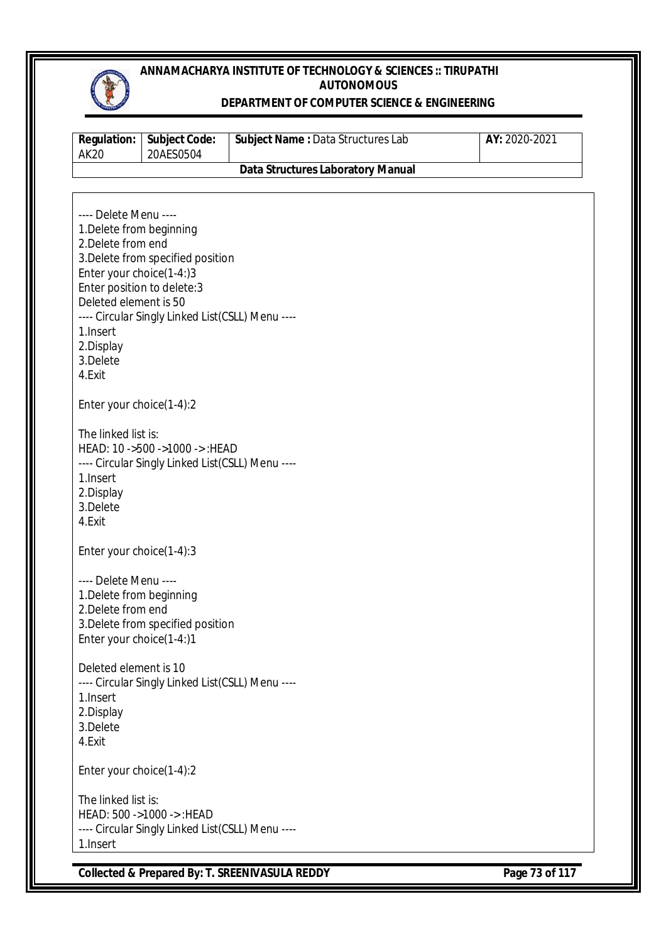

### **DEPARTMENT OF COMPUTER SCIENCE & ENGINEERING**

| <b>Regulation:</b><br><b>AK20</b>                                                                                                                                                                           | Subject Code:<br>20AES0504                                                            | Subject Name : Data Structures Lab       | AY: 2020-2021 |
|-------------------------------------------------------------------------------------------------------------------------------------------------------------------------------------------------------------|---------------------------------------------------------------------------------------|------------------------------------------|---------------|
|                                                                                                                                                                                                             |                                                                                       | <b>Data Structures Laboratory Manual</b> |               |
|                                                                                                                                                                                                             |                                                                                       |                                          |               |
| ---- Delete Menu ----<br>1. Delete from beginning<br>2. Delete from end<br>Enter your choice(1-4:)3<br>Enter position to delete: 3<br>Deleted element is 50<br>1. Insert<br>2.Display<br>3.Delete<br>4.Exit | 3. Delete from specified position<br>---- Circular Singly Linked List(CSLL) Menu ---- |                                          |               |
| Enter your choice(1-4):2                                                                                                                                                                                    |                                                                                       |                                          |               |
| The linked list is:<br>1.Insert<br>2.Display<br>3.Delete<br>4.Exit                                                                                                                                          | HEAD: 10 ->500 ->1000 -> : HEAD<br>---- Circular Singly Linked List(CSLL) Menu ----   |                                          |               |
| Enter your choice(1-4):3                                                                                                                                                                                    |                                                                                       |                                          |               |
| ---- Delete Menu ----<br>1. Delete from beginning<br>2. Delete from end<br>Enter your choice(1-4:)1                                                                                                         | 3. Delete from specified position                                                     |                                          |               |
| Deleted element is 10<br>1. Insert<br>2.Display<br>3.Delete<br>4.Exit                                                                                                                                       | ---- Circular Singly Linked List(CSLL) Menu ----                                      |                                          |               |
| Enter your choice(1-4):2                                                                                                                                                                                    |                                                                                       |                                          |               |
| The linked list is:<br>1.Insert                                                                                                                                                                             | HEAD: 500 ->1000 ->: HEAD<br>---- Circular Singly Linked List(CSLL) Menu ----         |                                          |               |

**Collected & Prepared By: T. SREENIVASULA REDDY Page 73 of 117**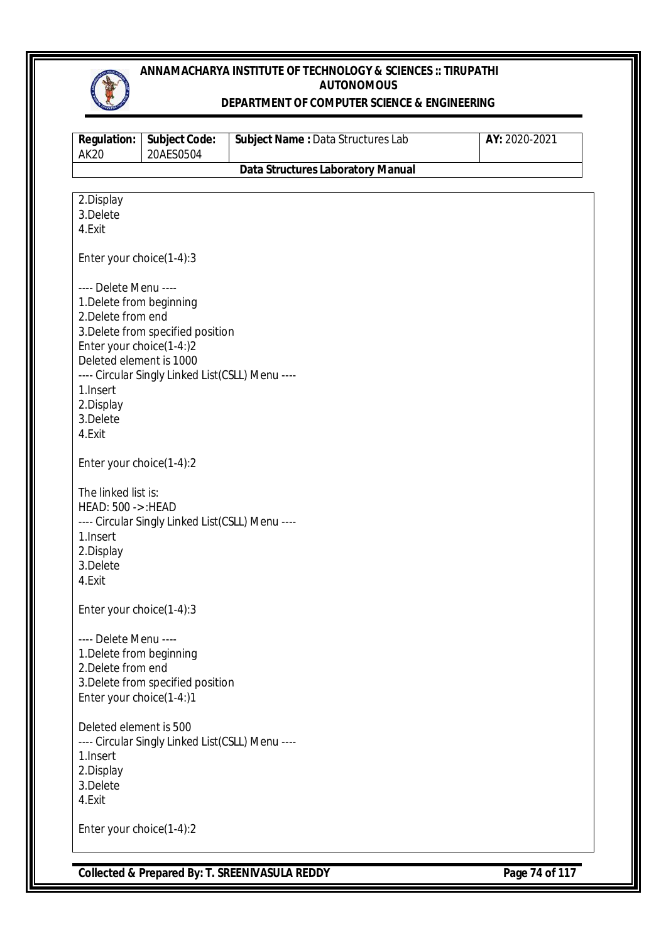

#### **DEPARTMENT OF COMPUTER SCIENCE & ENGINEERING**

| <b>Regulation:</b><br><b>AK20</b> | <b>Subject Code:</b><br>20AES0504                | Subject Name: Data Structures Lab        | AY: 2020-2021 |
|-----------------------------------|--------------------------------------------------|------------------------------------------|---------------|
|                                   |                                                  | <b>Data Structures Laboratory Manual</b> |               |
|                                   |                                                  |                                          |               |
| 2.Display                         |                                                  |                                          |               |
| 3.Delete<br>4.Exit                |                                                  |                                          |               |
|                                   |                                                  |                                          |               |
| Enter your choice(1-4):3          |                                                  |                                          |               |
| ---- Delete Menu ----             |                                                  |                                          |               |
| 1. Delete from beginning          |                                                  |                                          |               |
| 2. Delete from end                |                                                  |                                          |               |
|                                   | 3. Delete from specified position                |                                          |               |
| Enter your choice(1-4:)2          |                                                  |                                          |               |
| Deleted element is 1000           |                                                  |                                          |               |
|                                   | ---- Circular Singly Linked List(CSLL) Menu ---- |                                          |               |
| 1. Insert                         |                                                  |                                          |               |
| 2.Display<br>3.Delete             |                                                  |                                          |               |
| 4.Exit                            |                                                  |                                          |               |
|                                   |                                                  |                                          |               |
| Enter your choice(1-4):2          |                                                  |                                          |               |
|                                   |                                                  |                                          |               |
| The linked list is:               |                                                  |                                          |               |
| HEAD: 500 -> : HEAD               |                                                  |                                          |               |
|                                   | ---- Circular Singly Linked List(CSLL) Menu ---- |                                          |               |
| 1. Insert                         |                                                  |                                          |               |
| 2.Display                         |                                                  |                                          |               |
| 3.Delete<br>4.Exit                |                                                  |                                          |               |
|                                   |                                                  |                                          |               |
| Enter your choice(1-4):3          |                                                  |                                          |               |
| ---- Delete Menu ----             |                                                  |                                          |               |
| 1. Delete from beginning          |                                                  |                                          |               |
| 2. Delete from end                |                                                  |                                          |               |
|                                   | 3. Delete from specified position                |                                          |               |
| Enter your choice(1-4:)1          |                                                  |                                          |               |
| Deleted element is 500            |                                                  |                                          |               |
|                                   | ---- Circular Singly Linked List(CSLL) Menu ---- |                                          |               |
| 1. Insert                         |                                                  |                                          |               |
| 2.Display                         |                                                  |                                          |               |
| 3.Delete                          |                                                  |                                          |               |
| 4.Exit                            |                                                  |                                          |               |
|                                   |                                                  |                                          |               |
| Enter your choice(1-4):2          |                                                  |                                          |               |
|                                   |                                                  |                                          |               |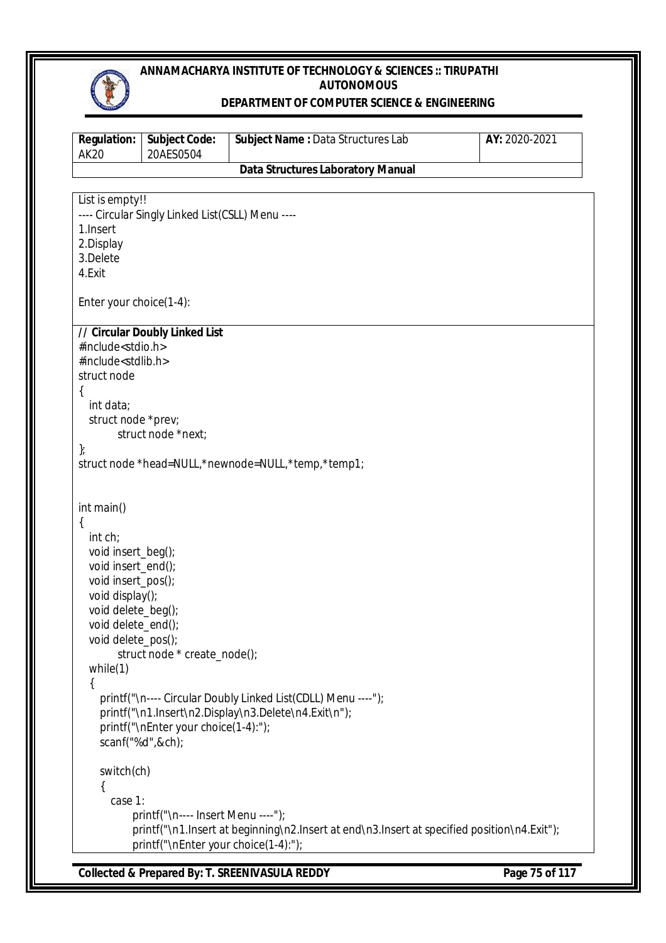

#### **DEPARTMENT OF COMPUTER SCIENCE & ENGINEERING**

| <b>Regulation:</b><br><b>AK20</b>              | <b>Subject Code:</b><br>20AES0504                | Subject Name: Data Structures Lab                                                                                     | AY: 2020-2021 |
|------------------------------------------------|--------------------------------------------------|-----------------------------------------------------------------------------------------------------------------------|---------------|
|                                                |                                                  | <b>Data Structures Laboratory Manual</b>                                                                              |               |
|                                                |                                                  |                                                                                                                       |               |
| List is empty!!                                |                                                  |                                                                                                                       |               |
| 1. Insert                                      | ---- Circular Singly Linked List(CSLL) Menu ---- |                                                                                                                       |               |
| 2.Display                                      |                                                  |                                                                                                                       |               |
| 3.Delete                                       |                                                  |                                                                                                                       |               |
| 4.Exit                                         |                                                  |                                                                                                                       |               |
| Enter your choice(1-4):                        |                                                  |                                                                                                                       |               |
|                                                |                                                  |                                                                                                                       |               |
|                                                | // Circular Doubly Linked List                   |                                                                                                                       |               |
| #include <stdio.h></stdio.h>                   |                                                  |                                                                                                                       |               |
| #include <stdlib.h><br/>struct node</stdlib.h> |                                                  |                                                                                                                       |               |
| {                                              |                                                  |                                                                                                                       |               |
| int data;                                      |                                                  |                                                                                                                       |               |
| struct node *prev;                             |                                                  |                                                                                                                       |               |
|                                                | struct node *next;                               |                                                                                                                       |               |
| };                                             |                                                  | struct node *head=NULL,*newnode=NULL,*temp,*temp1;                                                                    |               |
|                                                |                                                  |                                                                                                                       |               |
|                                                |                                                  |                                                                                                                       |               |
| int main()<br>{                                |                                                  |                                                                                                                       |               |
| int ch;                                        |                                                  |                                                                                                                       |               |
| void insert_beg();                             |                                                  |                                                                                                                       |               |
| void insert_end();                             |                                                  |                                                                                                                       |               |
| void insert_pos();                             |                                                  |                                                                                                                       |               |
| void display();                                |                                                  |                                                                                                                       |               |
| void delete_beg();<br>void delete_end();       |                                                  |                                                                                                                       |               |
| void delete_pos();                             |                                                  |                                                                                                                       |               |
|                                                | struct node * create_node();                     |                                                                                                                       |               |
| while $(1)$                                    |                                                  |                                                                                                                       |               |
| {                                              |                                                  |                                                                                                                       |               |
|                                                |                                                  | printf("\n---- Circular Doubly Linked List(CDLL) Menu ----");<br>printf("\n1.Insert\n2.Display\n3.Delete\n4.Exit\n"); |               |
|                                                | printf("\nEnter your choice(1-4):");             |                                                                                                                       |               |
|                                                | scanf("%d",&ch);                                 |                                                                                                                       |               |
|                                                |                                                  |                                                                                                                       |               |
| switch(ch)                                     |                                                  |                                                                                                                       |               |
|                                                |                                                  |                                                                                                                       |               |
| case 1:                                        | printf("\n---- Insert Menu ----");               |                                                                                                                       |               |
|                                                |                                                  | printf("\n1.lnsert at beginning\n2.lnsert at end\n3.lnsert at specified position\n4.Exit");                           |               |
|                                                | printf("\nEnter your choice(1-4):");             |                                                                                                                       |               |
|                                                |                                                  |                                                                                                                       |               |

**Collected & Prepared By: T. SREENIVASULA REDDY Page 75 of 117**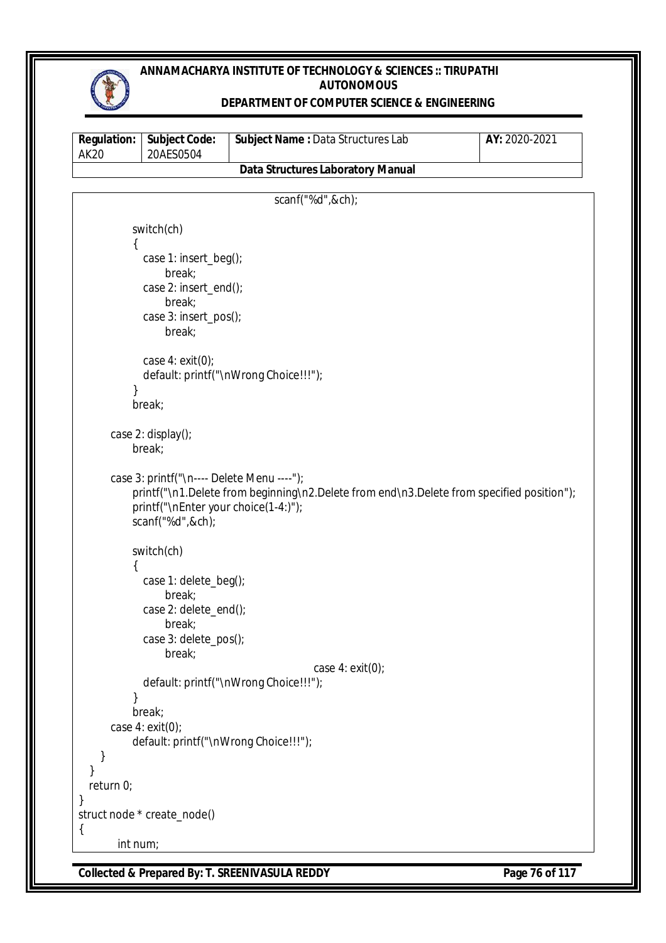

### **DEPARTMENT OF COMPUTER SCIENCE & ENGINEERING**

| <b>Regulation:</b><br><b>AK20</b> | Subject Code:<br>20AES0504                 | Subject Name: Data Structures Lab                                                         | AY: 2020-2021 |
|-----------------------------------|--------------------------------------------|-------------------------------------------------------------------------------------------|---------------|
|                                   |                                            | <b>Data Structures Laboratory Manual</b>                                                  |               |
|                                   |                                            |                                                                                           |               |
|                                   |                                            | scanf("%d",&ch);                                                                          |               |
|                                   | switch(ch)                                 |                                                                                           |               |
| ₹                                 |                                            |                                                                                           |               |
|                                   | case 1: insert_beg();                      |                                                                                           |               |
|                                   | break;<br>case 2: insert_end();            |                                                                                           |               |
|                                   | break;                                     |                                                                                           |               |
|                                   | case 3: insert_pos();                      |                                                                                           |               |
|                                   | break;                                     |                                                                                           |               |
|                                   |                                            |                                                                                           |               |
|                                   | case $4: exit(0);$                         |                                                                                           |               |
|                                   |                                            | default: printf("\nWrong Choice!!!");                                                     |               |
|                                   | break;                                     |                                                                                           |               |
|                                   |                                            |                                                                                           |               |
|                                   | case 2: display();                         |                                                                                           |               |
|                                   | break;                                     |                                                                                           |               |
|                                   | case 3: printf("\n---- Delete Menu ----"); |                                                                                           |               |
|                                   |                                            | printf("\n1.Delete from beginning\n2.Delete from end\n3.Delete from specified position"); |               |
|                                   | printf("\nEnter your choice(1-4:)");       |                                                                                           |               |
|                                   | scanf("%d",&ch);                           |                                                                                           |               |
|                                   |                                            |                                                                                           |               |
| ₹                                 | switch(ch)                                 |                                                                                           |               |
|                                   | case 1: delete_beg();                      |                                                                                           |               |
|                                   | break;                                     |                                                                                           |               |
|                                   | case 2: delete_end();                      |                                                                                           |               |
|                                   | break;                                     |                                                                                           |               |
|                                   | case 3: delete_pos();                      |                                                                                           |               |
|                                   | break;                                     | case $4: exit(0);$                                                                        |               |
|                                   |                                            | default: printf("\nWrong Choice!!!");                                                     |               |
|                                   |                                            |                                                                                           |               |
|                                   | break;                                     |                                                                                           |               |
|                                   | case $4: exit(0);$                         |                                                                                           |               |
|                                   | default: printf("\nWrong Choice!!!");      |                                                                                           |               |
|                                   |                                            |                                                                                           |               |
| return 0;                         |                                            |                                                                                           |               |
| $\mathcal{E}$                     |                                            |                                                                                           |               |
|                                   | struct node * create_node()                |                                                                                           |               |
| $\{$<br>int num;                  |                                            |                                                                                           |               |
|                                   |                                            |                                                                                           |               |

**Collected & Prepared By: T. SREENIVASULA REDDY Page 76 of 117**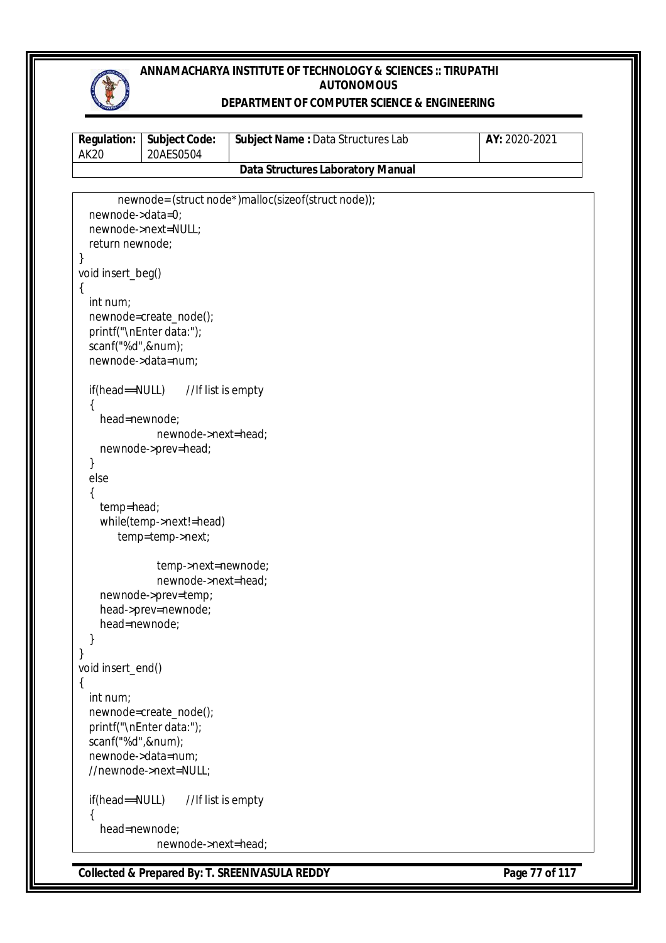

### **DEPARTMENT OF COMPUTER SCIENCE & ENGINEERING**

| <b>Regulation:</b><br><b>AK20</b> | <b>Subject Code:</b><br>20AES0504          | Subject Name: Data Structures Lab                   | AY: 2020-2021 |
|-----------------------------------|--------------------------------------------|-----------------------------------------------------|---------------|
|                                   |                                            | <b>Data Structures Laboratory Manual</b>            |               |
|                                   |                                            |                                                     |               |
|                                   |                                            | newnode= (struct node*)malloc(sizeof(struct node)); |               |
| newnode->data=0;                  |                                            |                                                     |               |
|                                   | newnode->next=NULL;                        |                                                     |               |
| return newnode;                   |                                            |                                                     |               |
| }                                 |                                            |                                                     |               |
| void insert_beg()                 |                                            |                                                     |               |
| $\{$                              |                                            |                                                     |               |
| int num;                          |                                            |                                                     |               |
|                                   | newnode=create_node();                     |                                                     |               |
| scanf("%d",#);                    | printf("\nEnter data:");                   |                                                     |               |
|                                   | newnode->data=num;                         |                                                     |               |
|                                   |                                            |                                                     |               |
| if(head==NULL)                    | //If list is empty                         |                                                     |               |
|                                   |                                            |                                                     |               |
| head=newnode;                     |                                            |                                                     |               |
|                                   | newnode->next=head;                        |                                                     |               |
|                                   | newnode->prev=head;                        |                                                     |               |
| }                                 |                                            |                                                     |               |
| else                              |                                            |                                                     |               |
|                                   |                                            |                                                     |               |
| temp=head;                        |                                            |                                                     |               |
|                                   | while(temp->next!=head)                    |                                                     |               |
|                                   | temp=temp->next;                           |                                                     |               |
|                                   |                                            |                                                     |               |
|                                   | temp->next=newnode;<br>newnode->next=head; |                                                     |               |
|                                   | newnode->prev=temp;                        |                                                     |               |
|                                   | head->prev=newnode;                        |                                                     |               |
| head=newnode;                     |                                            |                                                     |               |
|                                   |                                            |                                                     |               |
| }                                 |                                            |                                                     |               |
| void insert_end()                 |                                            |                                                     |               |
| $\{$                              |                                            |                                                     |               |
| int num;                          |                                            |                                                     |               |
|                                   | newnode=create_node();                     |                                                     |               |
|                                   | printf("\nEnter data:");                   |                                                     |               |
| scanf("%d",#);                    |                                            |                                                     |               |
|                                   | newnode->data=num;                         |                                                     |               |
|                                   | //newnode->next=NULL;                      |                                                     |               |
| if(head==NULL)                    | //If list is empty                         |                                                     |               |
| head=newnode;                     |                                            |                                                     |               |
|                                   | newnode->next=head;                        |                                                     |               |
|                                   |                                            |                                                     |               |

**Collected & Prepared By: T. SREENIVASULA REDDY Page 77 of 117**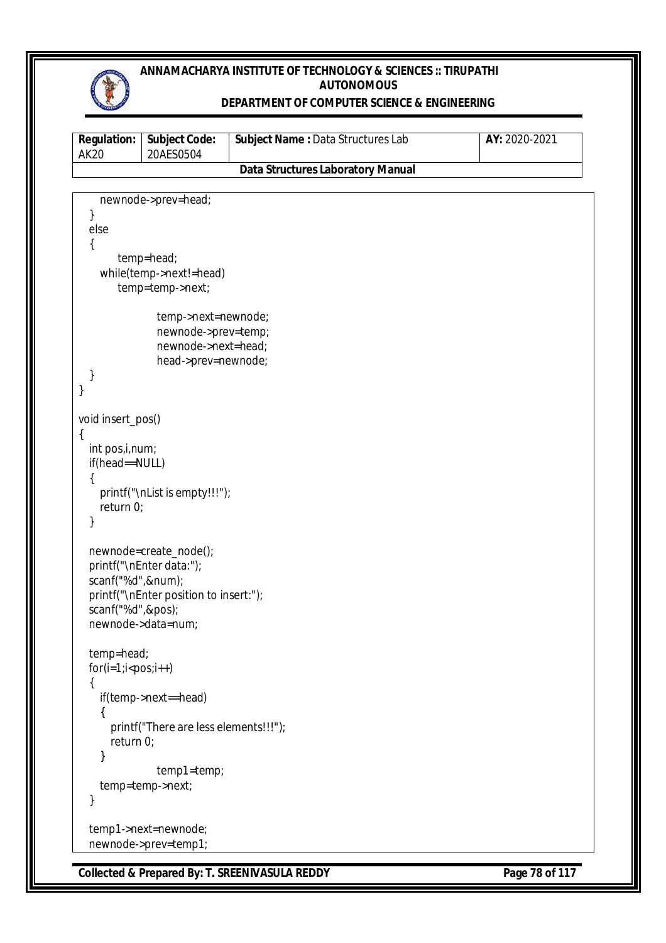

### **DEPARTMENT OF COMPUTER SCIENCE & ENGINEERING**

| <b>Regulation:</b><br><b>AK20</b> | <b>Subject Code:</b><br>20AES0504                  | Subject Name: Data Structures Lab        | AY: 2020-2021 |
|-----------------------------------|----------------------------------------------------|------------------------------------------|---------------|
|                                   |                                                    | <b>Data Structures Laboratory Manual</b> |               |
|                                   |                                                    |                                          |               |
|                                   | newnode->prev=head;                                |                                          |               |
| }<br>else                         |                                                    |                                          |               |
| {                                 |                                                    |                                          |               |
|                                   | temp=head;                                         |                                          |               |
|                                   | while(temp->next!=head)                            |                                          |               |
|                                   | temp=temp->next;                                   |                                          |               |
|                                   | temp->next=newnode;                                |                                          |               |
|                                   | newnode->prev=temp;                                |                                          |               |
|                                   | newnode->next=head;                                |                                          |               |
|                                   | head->prev=newnode;                                |                                          |               |
| }                                 |                                                    |                                          |               |
| }                                 |                                                    |                                          |               |
| void insert_pos()                 |                                                    |                                          |               |
| {                                 |                                                    |                                          |               |
| int pos, i, num;                  |                                                    |                                          |               |
| if(head==NULL)                    |                                                    |                                          |               |
|                                   | printf("\nList is empty!!!");                      |                                          |               |
| return $0$ ;                      |                                                    |                                          |               |
| }                                 |                                                    |                                          |               |
|                                   |                                                    |                                          |               |
|                                   | newnode=create_node();<br>printf("\nEnter data:"); |                                          |               |
| scanf("%d",#);                    |                                                    |                                          |               |
|                                   | printf("\nEnter position to insert:");             |                                          |               |
| scanf("%d",&pos);                 |                                                    |                                          |               |
|                                   | newnode->data=num;                                 |                                          |               |
| temp=head;                        |                                                    |                                          |               |
| $for(i=1; i$                      |                                                    |                                          |               |
| {                                 |                                                    |                                          |               |
|                                   | if(temp->next==head)                               |                                          |               |
|                                   |                                                    |                                          |               |
| return 0;                         | printf("There are less elements!!!");              |                                          |               |
| }                                 |                                                    |                                          |               |
|                                   | temp1=temp;                                        |                                          |               |
|                                   | temp=temp->next;                                   |                                          |               |
| }                                 |                                                    |                                          |               |
|                                   | temp1->next=newnode;                               |                                          |               |
|                                   | newnode->prev=temp1;                               |                                          |               |

**Collected & Prepared By: T. SREENIVASULA REDDY Page 78 of 117**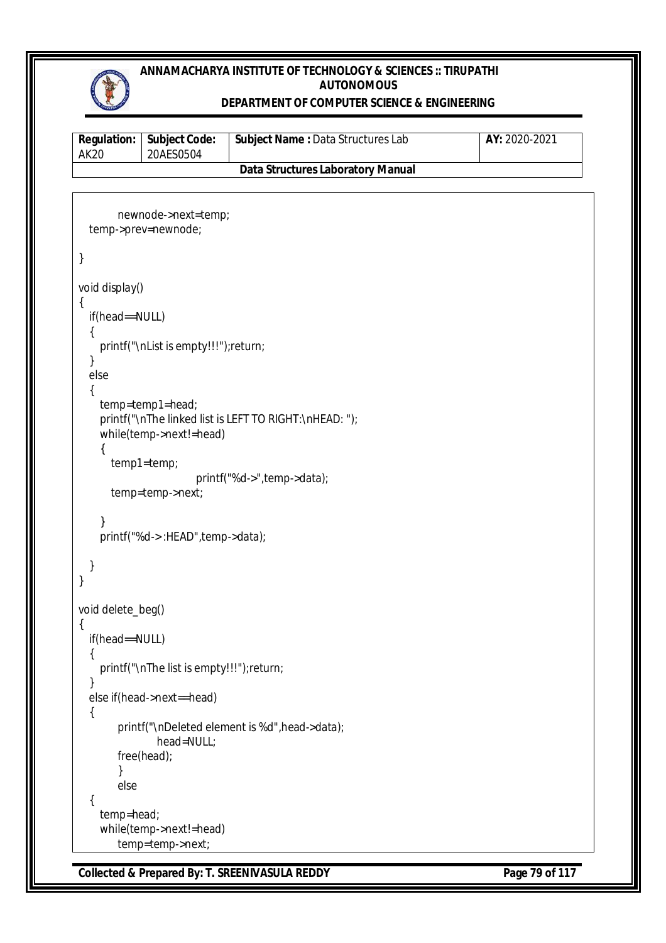

#### **DEPARTMENT OF COMPUTER SCIENCE & ENGINEERING**

| <b>Regulation:</b><br>AK20 | <b>Subject Code:</b><br>20AES0504 | <b>Subject Name: Data Structures Lab</b> | AY: 2020-2021 |
|----------------------------|-----------------------------------|------------------------------------------|---------------|
|                            |                                   | Data Structures Laboratory Manual        |               |

```
newnode->next=temp;
   temp->prev=newnode;
}
void display()
{
   if(head==NULL)
   {
     printf("\nList is empty!!!");return;
   }
   else
   {
     temp=temp1=head;
     printf("\nThe linked list is LEFT TO RIGHT:\nHEAD: ");
     while(temp->next!=head)
     {
        temp1=temp;
                        printf("%d->",temp->data);
        temp=temp->next;
     }
     printf("%d-> :HEAD",temp->data);
   }
}
void delete_beg()
{
   if(head==NULL)
   {
     printf("\nThe list is empty!!!");return;
   }
   else if(head->next==head)
   {
         printf("\nDeleted element is %d",head->data);
                head=NULL;
         free(head);
        }
        else
   {
     temp=head;
     while(temp->next!=head)
         temp=temp->next;
```
**Collected & Prepared By: T. SREENIVASULA REDDY Page 79 of 117**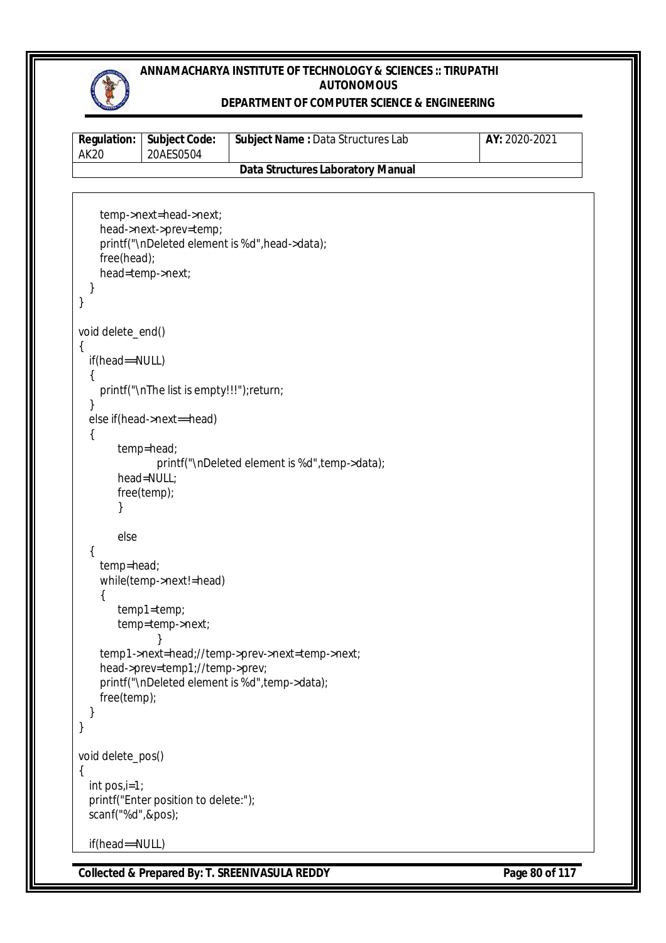

#### **DEPARTMENT OF COMPUTER SCIENCE & ENGINEERING**

| AK20 | <b>Regulation:   Subject Code:</b><br>20AES0504 | <b>Subject Name: Data Structures Lab</b> | AY: 2020-2021 |
|------|-------------------------------------------------|------------------------------------------|---------------|
|      |                                                 | <b>Data Structures Laboratory Manual</b> |               |

```
 temp->next=head->next;
     head->next->prev=temp;
     printf("\nDeleted element is %d",head->data);
     free(head);
     head=temp->next;
   }
}
void delete_end()
{
   if(head==NULL)
   {
     printf("\nThe list is empty!!!");return;
   }
   else if(head->next==head)
   {
         temp=head;
                printf("\nDeleted element is %d",temp->data);
         head=NULL;
         free(temp);
        }
        else
   {
     temp=head;
     while(temp->next!=head)
     {
         temp1=temp;
         temp=temp->next;
               }
     temp1->next=head;//temp->prev->next=temp->next;
     head->prev=temp1;//temp->prev;
     printf("\nDeleted element is %d",temp->data);
     free(temp);
   }
}
void delete_pos()
{
   int pos,i=1;
   printf("Enter position to delete:");
   scanf("%d",&pos);
   if(head==NULL)
```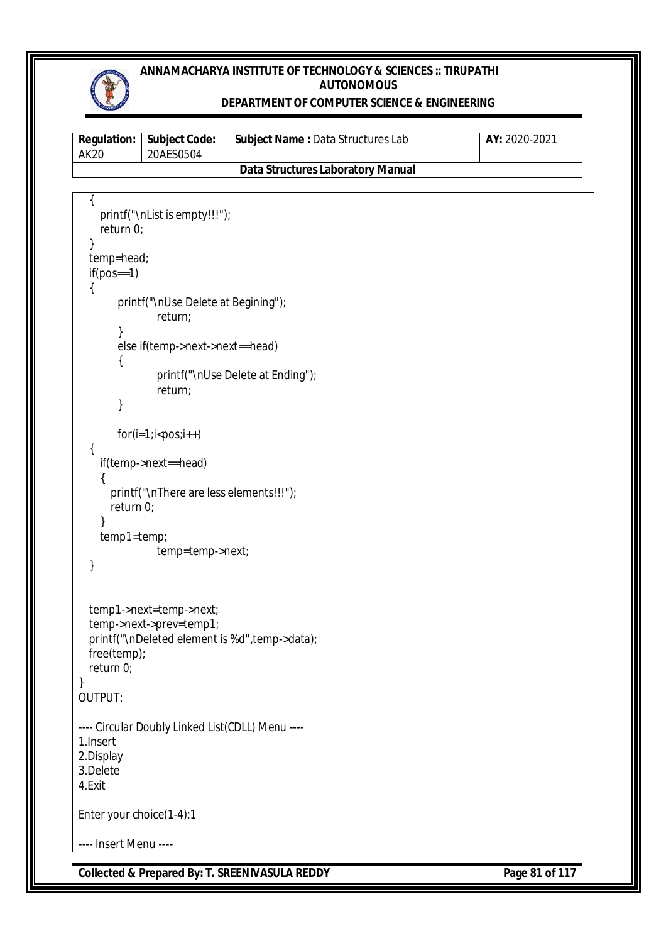

### **DEPARTMENT OF COMPUTER SCIENCE & ENGINEERING**

| <b>Regulation:</b>                          | <b>Subject Code:</b>                                            | Subject Name: Data Structures Lab              | AY: 2020-2021  |
|---------------------------------------------|-----------------------------------------------------------------|------------------------------------------------|----------------|
| <b>AK20</b>                                 | 20AES0504                                                       | <b>Data Structures Laboratory Manual</b>       |                |
|                                             |                                                                 |                                                |                |
| return 0;<br>temp=head;                     | printf("\nList is empty!!!");                                   |                                                |                |
| $if(pos==1)$                                |                                                                 |                                                |                |
|                                             | printf("\nUse Delete at Begining");<br>return;                  |                                                |                |
| ί                                           | else if(temp->next->next==head)                                 |                                                |                |
|                                             | return;                                                         | printf("\nUse Delete at Ending");              |                |
|                                             |                                                                 |                                                |                |
| {                                           | $for(i=1;i$                                                     |                                                |                |
|                                             | if(temp->next==head)<br>printf("\nThere are less elements!!!"); |                                                |                |
| return 0;                                   |                                                                 |                                                |                |
| temp1=temp;<br>}                            | temp=temp->next;                                                |                                                |                |
| free(temp);<br>return 0;<br>}<br>OUTPUT:    | temp1->next=temp->next;<br>temp->next->prev=temp1;              | printf("\nDeleted element is %d", temp->data); |                |
| 1.Insert<br>2.Display<br>3.Delete<br>4.Exit | ---- Circular Doubly Linked List(CDLL) Menu ----                |                                                |                |
| Enter your choice(1-4):1                    |                                                                 |                                                |                |
| ---- Insert Menu ----                       |                                                                 |                                                |                |
|                                             |                                                                 | Collected & Prepared By: T. SREENIVASULA REDDY | Page 81 of 117 |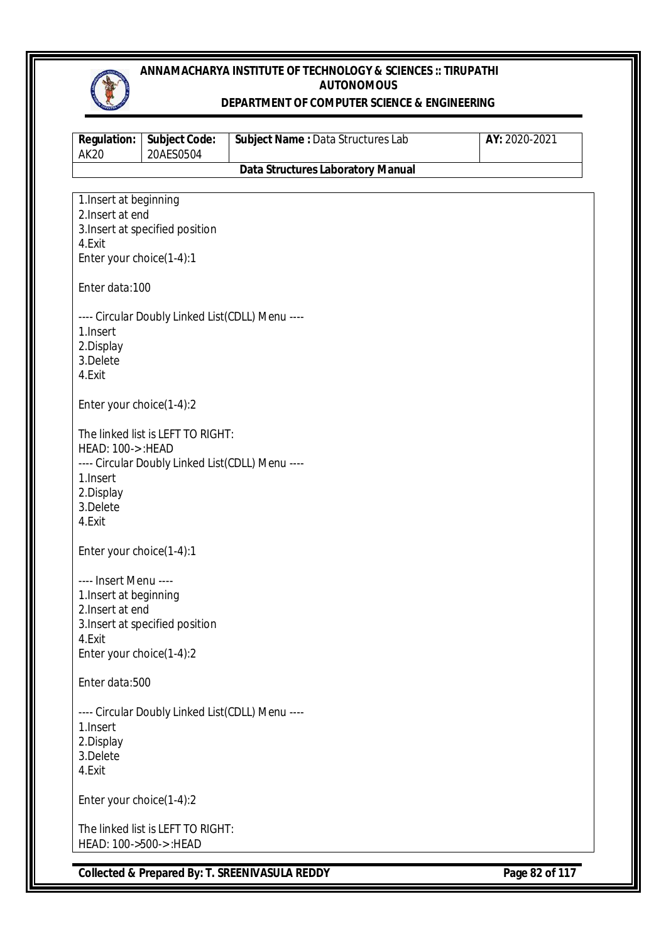

#### **DEPARTMENT OF COMPUTER SCIENCE & ENGINEERING**

| <b>Regulation:</b><br><b>AK20</b>          | <b>Subject Code:</b><br>20AES0504                | <b>Subject Name: Data Structures Lab</b> | AY: 2020-2021 |
|--------------------------------------------|--------------------------------------------------|------------------------------------------|---------------|
|                                            |                                                  | <b>Data Structures Laboratory Manual</b> |               |
|                                            |                                                  |                                          |               |
| 1. Insert at beginning<br>2. Insert at end |                                                  |                                          |               |
|                                            | 3. Insert at specified position                  |                                          |               |
| 4.Exit                                     |                                                  |                                          |               |
| Enter your choice(1-4):1                   |                                                  |                                          |               |
| Enter data:100                             |                                                  |                                          |               |
|                                            | ---- Circular Doubly Linked List(CDLL) Menu ---- |                                          |               |
| 1. Insert                                  |                                                  |                                          |               |
| 2.Display                                  |                                                  |                                          |               |
| 3.Delete                                   |                                                  |                                          |               |
| 4.Exit                                     |                                                  |                                          |               |
| Enter your choice(1-4):2                   |                                                  |                                          |               |
|                                            | The linked list is LEFT TO RIGHT:                |                                          |               |
| HEAD: 100->: HEAD                          |                                                  |                                          |               |
|                                            | ---- Circular Doubly Linked List(CDLL) Menu ---- |                                          |               |
| 1.Insert                                   |                                                  |                                          |               |
| 2.Display                                  |                                                  |                                          |               |
| 3.Delete                                   |                                                  |                                          |               |
| 4.Exit                                     |                                                  |                                          |               |
| Enter your choice(1-4):1                   |                                                  |                                          |               |
| ---- Insert Menu ----                      |                                                  |                                          |               |
| 1. Insert at beginning                     |                                                  |                                          |               |
| 2. Insert at end                           |                                                  |                                          |               |
|                                            | 3. Insert at specified position                  |                                          |               |
| 4.Exit                                     |                                                  |                                          |               |
| Enter your choice(1-4):2                   |                                                  |                                          |               |
| Enter data:500                             |                                                  |                                          |               |
|                                            | ---- Circular Doubly Linked List(CDLL) Menu ---- |                                          |               |
| 1.Insert                                   |                                                  |                                          |               |
| 2.Display                                  |                                                  |                                          |               |
| 3.Delete                                   |                                                  |                                          |               |
| 4.Exit                                     |                                                  |                                          |               |
| Enter your choice(1-4):2                   |                                                  |                                          |               |
|                                            | The linked list is LEFT TO RIGHT:                |                                          |               |
| HEAD: 100->500->: HEAD                     |                                                  |                                          |               |
|                                            |                                                  |                                          |               |

**Collected & Prepared By: T. SREENIVASULA REDDY Page 82 of 117**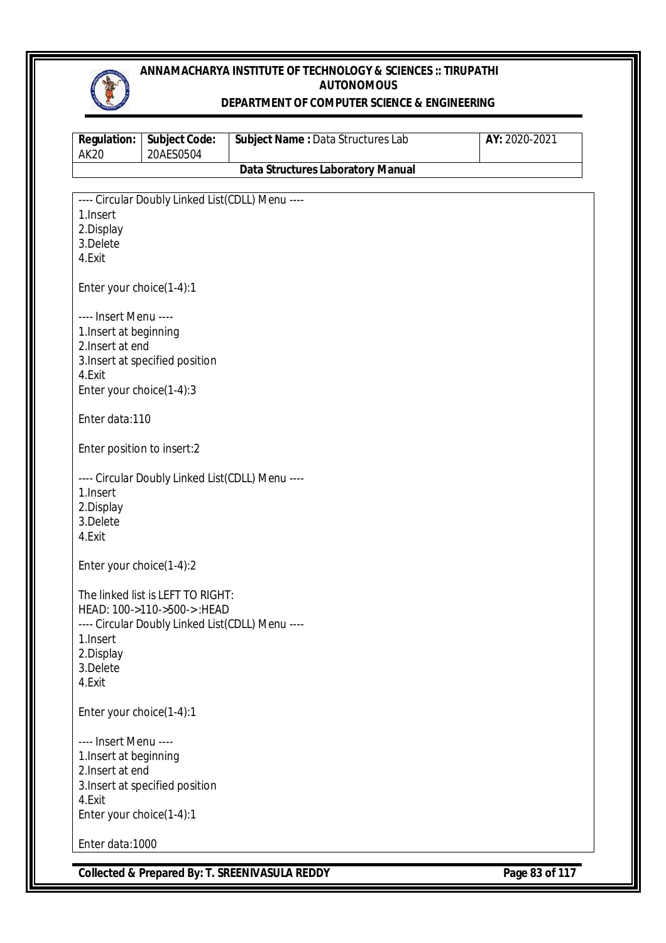

#### **DEPARTMENT OF COMPUTER SCIENCE & ENGINEERING**

| <b>Regulation:</b><br><b>AK20</b> | <b>Subject Code:</b><br>20AES0504                | Subject Name: Data Structures Lab        | AY: 2020-2021 |
|-----------------------------------|--------------------------------------------------|------------------------------------------|---------------|
|                                   |                                                  | <b>Data Structures Laboratory Manual</b> |               |
|                                   | ---- Circular Doubly Linked List(CDLL) Menu ---- |                                          |               |
| 1. Insert                         |                                                  |                                          |               |
| 2.Display                         |                                                  |                                          |               |
| 3.Delete                          |                                                  |                                          |               |
| 4.Exit                            |                                                  |                                          |               |
| Enter your choice(1-4):1          |                                                  |                                          |               |
| ---- Insert Menu ----             |                                                  |                                          |               |
| 1. Insert at beginning            |                                                  |                                          |               |
| 2. Insert at end                  |                                                  |                                          |               |
|                                   | 3. Insert at specified position                  |                                          |               |
| 4.Exit                            |                                                  |                                          |               |
| Enter your choice(1-4):3          |                                                  |                                          |               |
| Enter data:110                    |                                                  |                                          |               |
| Enter position to insert:2        |                                                  |                                          |               |
|                                   | ---- Circular Doubly Linked List(CDLL) Menu ---- |                                          |               |
| 1. Insert                         |                                                  |                                          |               |
| 2.Display                         |                                                  |                                          |               |
| 3.Delete                          |                                                  |                                          |               |
| 4.Exit                            |                                                  |                                          |               |
| Enter your choice(1-4):2          |                                                  |                                          |               |
|                                   | The linked list is LEFT TO RIGHT:                |                                          |               |
|                                   | HEAD: 100->110->500->: HEAD                      |                                          |               |
|                                   | ---- Circular Doubly Linked List(CDLL) Menu ---- |                                          |               |
| 1. Insert                         |                                                  |                                          |               |
| 2.Display                         |                                                  |                                          |               |
| 3.Delete                          |                                                  |                                          |               |
| 4.Exit                            |                                                  |                                          |               |
| Enter your choice(1-4):1          |                                                  |                                          |               |
| ---- Insert Menu ----             |                                                  |                                          |               |
| 1. Insert at beginning            |                                                  |                                          |               |
| 2. Insert at end                  |                                                  |                                          |               |
|                                   | 3. Insert at specified position                  |                                          |               |
| 4.Exit                            |                                                  |                                          |               |
| Enter your choice(1-4):1          |                                                  |                                          |               |
| Enter data:1000                   |                                                  |                                          |               |

**Collected & Prepared By: T. SREENIVASULA REDDY Page 83 of 117**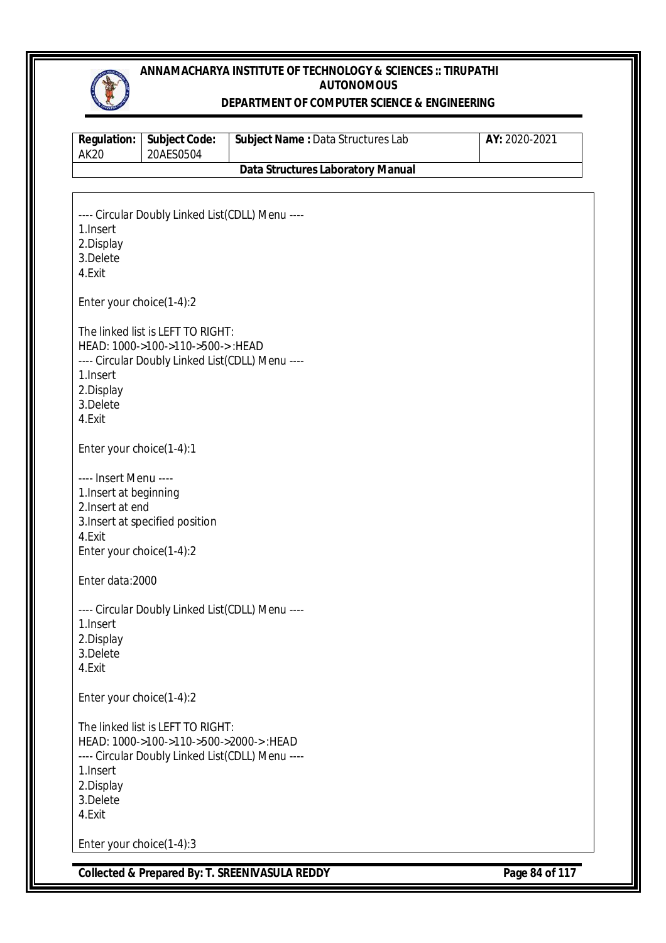

#### **DEPARTMENT OF COMPUTER SCIENCE & ENGINEERING**

| <b>Regulation:</b><br><b>AK20</b>                                                                         | <b>Subject Code:</b><br>20AES0504                                                                                               | Subject Name: Data Structures Lab                         | AY: 2020-2021  |
|-----------------------------------------------------------------------------------------------------------|---------------------------------------------------------------------------------------------------------------------------------|-----------------------------------------------------------|----------------|
|                                                                                                           |                                                                                                                                 | <b>Data Structures Laboratory Manual</b>                  |                |
|                                                                                                           |                                                                                                                                 |                                                           |                |
| 1. Insert<br>2.Display<br>3.Delete<br>4.Exit                                                              | ---- Circular Doubly Linked List(CDLL) Menu ----                                                                                |                                                           |                |
| Enter your choice(1-4):2                                                                                  |                                                                                                                                 |                                                           |                |
| 1. Insert<br>2.Display<br>3.Delete<br>4.Exit                                                              | The linked list is LEFT TO RIGHT:<br>HEAD: 1000->100->110->500->: HEAD<br>---- Circular Doubly Linked List(CDLL) Menu ----      |                                                           |                |
| Enter your choice(1-4):1                                                                                  |                                                                                                                                 |                                                           |                |
| ---- Insert Menu ----<br>1. Insert at beginning<br>2. Insert at end<br>4.Exit<br>Enter your choice(1-4):2 | 3. Insert at specified position                                                                                                 |                                                           |                |
| Enter data:2000                                                                                           |                                                                                                                                 |                                                           |                |
| 1. Insert<br>2.Display<br>3.Delete<br>4.Exit                                                              | ---- Circular Doubly Linked List(CDLL) Menu ----                                                                                |                                                           |                |
| Enter your choice(1-4):2                                                                                  |                                                                                                                                 |                                                           |                |
| 1. Insert<br>2.Display<br>3.Delete<br>4.Exit                                                              | The linked list is LEFT TO RIGHT:<br>HEAD: 1000->100->110->500->2000->:HEAD<br>---- Circular Doubly Linked List(CDLL) Menu ---- |                                                           |                |
| Enter your choice(1-4):3                                                                                  |                                                                                                                                 |                                                           |                |
|                                                                                                           |                                                                                                                                 | <b>Collected &amp; Prepared By: T. SREENIVASULA REDDY</b> | Page 84 of 117 |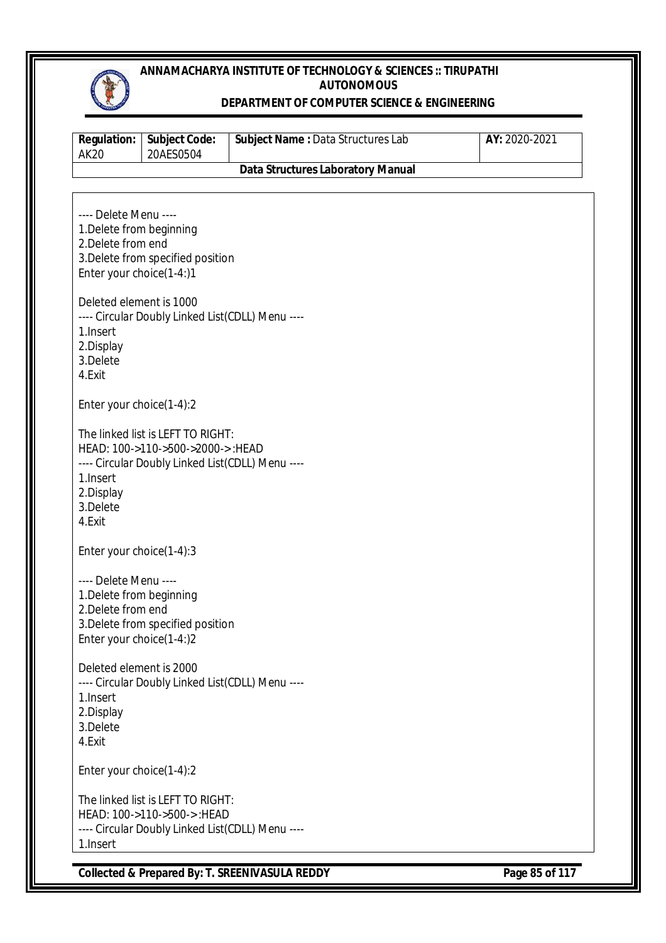

#### **DEPARTMENT OF COMPUTER SCIENCE & ENGINEERING**

| <b>Regulation:</b><br><b>AK20</b>                                                                   | <b>Subject Code:</b><br>20AES0504                                                                                         | Subject Name: Data Structures Lab        | AY: 2020-2021 |
|-----------------------------------------------------------------------------------------------------|---------------------------------------------------------------------------------------------------------------------------|------------------------------------------|---------------|
|                                                                                                     |                                                                                                                           | <b>Data Structures Laboratory Manual</b> |               |
| ---- Delete Menu ----<br>1. Delete from beginning<br>2. Delete from end<br>Enter your choice(1-4:)1 | 3. Delete from specified position                                                                                         |                                          |               |
| Deleted element is 1000<br>1. Insert<br>2.Display<br>3.Delete<br>4.Exit                             | ---- Circular Doubly Linked List(CDLL) Menu ----                                                                          |                                          |               |
| Enter your choice(1-4):2                                                                            |                                                                                                                           |                                          |               |
| 1. Insert<br>2.Display<br>3.Delete<br>4.Exit                                                        | The linked list is LEFT TO RIGHT:<br>HEAD: 100->110->500->2000->:HEAD<br>---- Circular Doubly Linked List(CDLL) Menu ---- |                                          |               |
| Enter your choice(1-4):3                                                                            |                                                                                                                           |                                          |               |
| ---- Delete Menu ----<br>1. Delete from beginning<br>2. Delete from end<br>Enter your choice(1-4:)2 | 3. Delete from specified position                                                                                         |                                          |               |
| Deleted element is 2000<br>1. Insert<br>2.Display<br>3.Delete<br>4.Exit                             | ---- Circular Doubly Linked List(CDLL) Menu ----                                                                          |                                          |               |
| Enter your choice(1-4):2                                                                            |                                                                                                                           |                                          |               |
| 1.Insert                                                                                            | The linked list is LEFT TO RIGHT:<br>HEAD: 100->110->500->: HEAD<br>---- Circular Doubly Linked List(CDLL) Menu ----      |                                          |               |

**Collected & Prepared By: T. SREENIVASULA REDDY Page 85 of 117**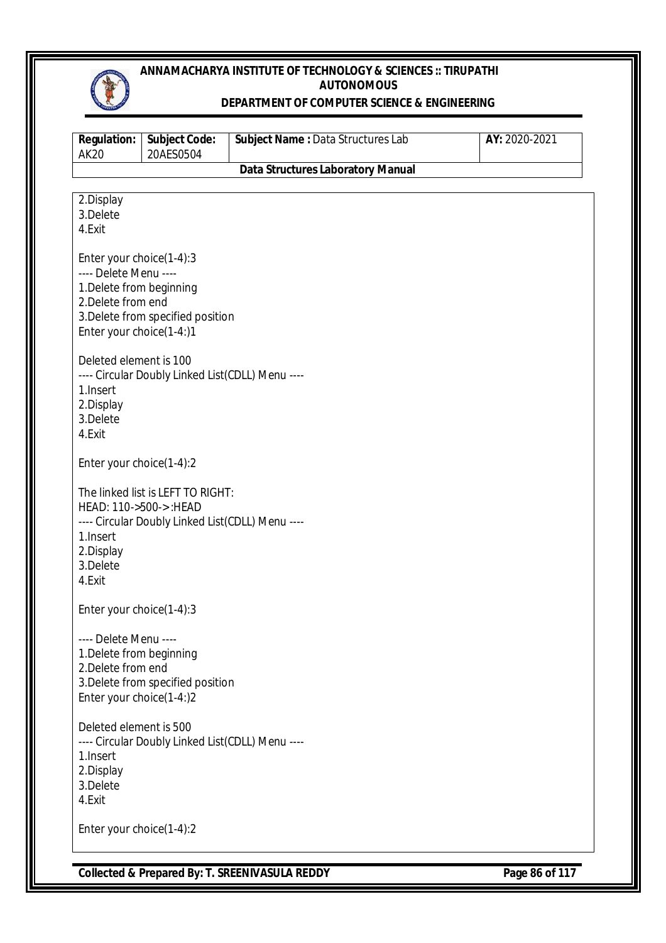

#### **DEPARTMENT OF COMPUTER SCIENCE & ENGINEERING**

| <b>Regulation:</b><br><b>AK20</b>                                                                                               | <b>Subject Code:</b><br>20AES0504                                                     | Subject Name: Data Structures Lab        | AY: 2020-2021 |
|---------------------------------------------------------------------------------------------------------------------------------|---------------------------------------------------------------------------------------|------------------------------------------|---------------|
|                                                                                                                                 |                                                                                       | <b>Data Structures Laboratory Manual</b> |               |
| 2.Display<br>3.Delete<br>4.Exit                                                                                                 |                                                                                       |                                          |               |
| Enter your choice(1-4):3<br>---- Delete Menu ----<br>1. Delete from beginning<br>2. Delete from end<br>Enter your choice(1-4:)1 | 3. Delete from specified position                                                     |                                          |               |
| Deleted element is 100<br>1. Insert<br>2.Display<br>3.Delete<br>4.Exit                                                          | ---- Circular Doubly Linked List(CDLL) Menu ----                                      |                                          |               |
| Enter your choice(1-4):2                                                                                                        |                                                                                       |                                          |               |
| HEAD: 110->500->: HEAD<br>1. Insert<br>2.Display<br>3.Delete<br>4.Exit                                                          | The linked list is LEFT TO RIGHT:<br>---- Circular Doubly Linked List(CDLL) Menu ---- |                                          |               |
| Enter your choice(1-4):3                                                                                                        |                                                                                       |                                          |               |
| ---- Delete Menu ----<br>1. Delete from beginning<br>2. Delete from end<br>Enter your choice(1-4:)2                             | 3. Delete from specified position                                                     |                                          |               |
| Deleted element is 500<br>1. Insert<br>2.Display<br>3.Delete<br>4.Exit                                                          | ---- Circular Doubly Linked List(CDLL) Menu ----                                      |                                          |               |
|                                                                                                                                 | Enter your choice(1-4):2                                                              |                                          |               |

**Collected & Prepared By: T. SREENIVASULA REDDY Page 86 of 117**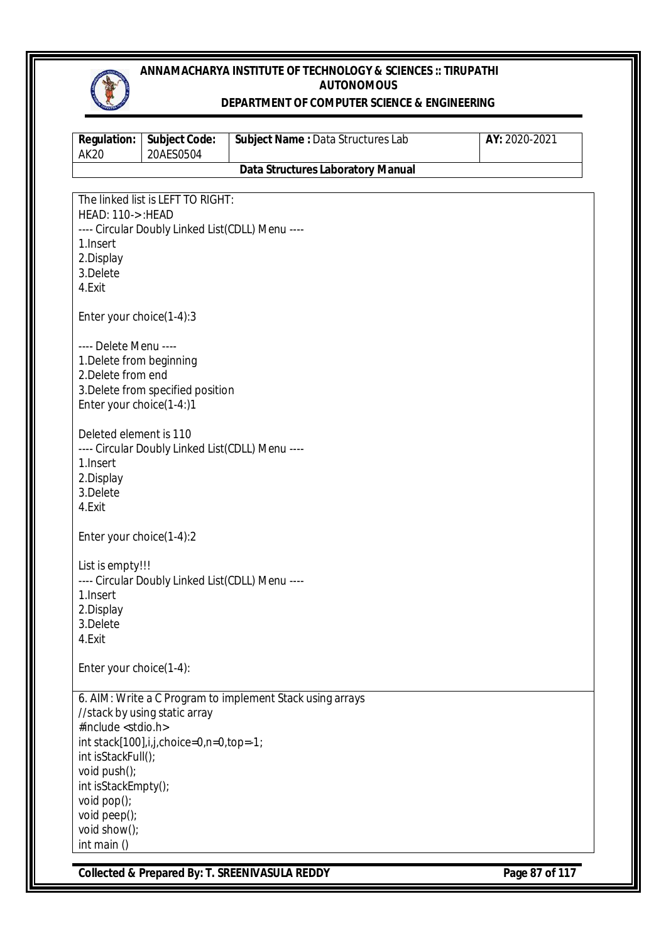

### **DEPARTMENT OF COMPUTER SCIENCE & ENGINEERING**

| <b>Regulation:</b><br><b>AK20</b>                                                                                                                              | <b>Subject Code:</b><br>20AES0504                                                     | Subject Name: Data Structures Lab                         | AY: 2020-2021  |
|----------------------------------------------------------------------------------------------------------------------------------------------------------------|---------------------------------------------------------------------------------------|-----------------------------------------------------------|----------------|
|                                                                                                                                                                |                                                                                       | <b>Data Structures Laboratory Manual</b>                  |                |
| <b>HEAD: 110-&gt;: HEAD</b><br>1. Insert<br>2.Display<br>3.Delete<br>4.Exit                                                                                    | The linked list is LEFT TO RIGHT:<br>---- Circular Doubly Linked List(CDLL) Menu ---- |                                                           |                |
| Enter your choice(1-4):3                                                                                                                                       |                                                                                       |                                                           |                |
| ---- Delete Menu ----<br>1. Delete from beginning<br>2. Delete from end<br>Enter your choice(1-4:)1                                                            | 3. Delete from specified position                                                     |                                                           |                |
| Deleted element is 110<br>1. Insert<br>2.Display<br>3.Delete<br>4.Exit                                                                                         | ---- Circular Doubly Linked List(CDLL) Menu ----                                      |                                                           |                |
| Enter your choice(1-4):2                                                                                                                                       |                                                                                       |                                                           |                |
| List is empty!!!<br>1. Insert<br>2.Display<br>3.Delete<br>4.Exit                                                                                               | ---- Circular Doubly Linked List(CDLL) Menu ----                                      |                                                           |                |
| Enter your choice(1-4):                                                                                                                                        |                                                                                       |                                                           |                |
| #include <stdio.h><br/>int isStackFull();<br/>void push();<br/>int isStackEmpty();<br/>void pop();<br/>void peep();<br/>void show();<br/>int main ()</stdio.h> | //stack by using static array<br>int stack[100],i,j,choice=0,n=0,top=-1;              | 6. AIM: Write a C Program to implement Stack using arrays |                |
|                                                                                                                                                                |                                                                                       | Collected & Prepared By: T. SREENIVASULA REDDY            | Page 87 of 117 |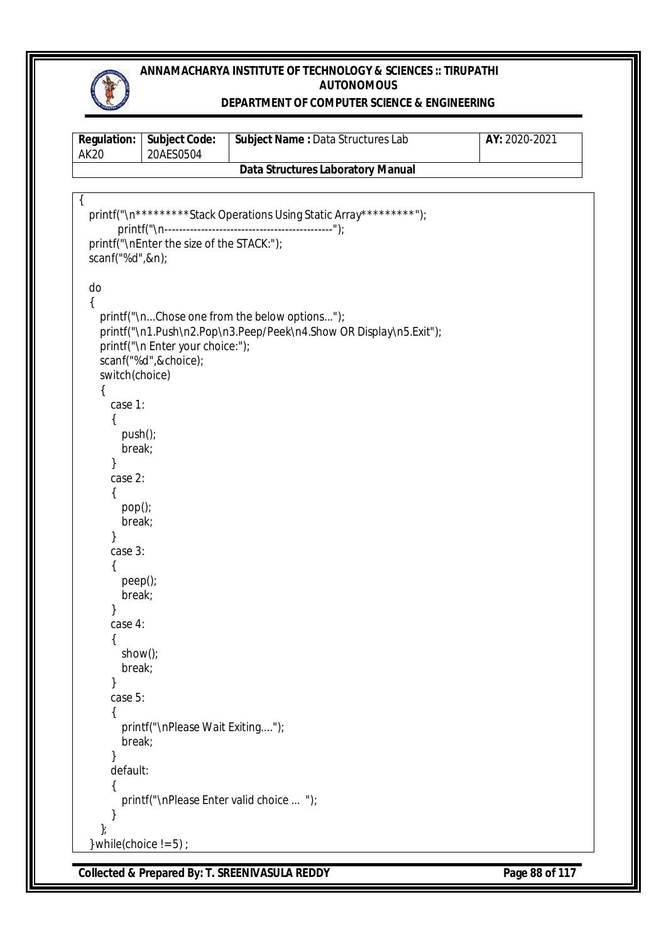

### **DEPARTMENT OF COMPUTER SCIENCE & ENGINEERING**

| <b>AK20</b>                                                                                                                                                                                 | Regulation: Subject Code:<br>20AES0504                                                       | Subject Name : Data Structures Lab                                                                                  | AY: 2020-2021 |
|---------------------------------------------------------------------------------------------------------------------------------------------------------------------------------------------|----------------------------------------------------------------------------------------------|---------------------------------------------------------------------------------------------------------------------|---------------|
|                                                                                                                                                                                             |                                                                                              | <b>Data Structures Laboratory Manual</b>                                                                            |               |
|                                                                                                                                                                                             |                                                                                              |                                                                                                                     |               |
| $\mathcal{L}$<br>scanf("%d",&n);                                                                                                                                                            | printf("\nEnter the size of the STACK:");                                                    | printf("\n**********Stack Operations Using Static Array*********");                                                 |               |
| do<br>switch(choice)<br>case 1:<br>{<br>push();<br>break;<br>case 2:<br>{<br>pop()<br>break;<br>}<br>case 3:<br>peep();<br>break;<br>case 4:<br>{<br>show();<br>break;<br>case 5:<br>break; | printf("\n Enter your choice:");<br>scanf("%d",&choice);<br>printf("\nPlease Wait Exiting"); | printf("\nChose one from the below options");<br>printf("\n1.Push\n2.Pop\n3.Peep/Peek\n4.Show OR Display\n5.Exit"); |               |
| default:                                                                                                                                                                                    |                                                                                              | printf("\nPlease Enter valid choice  ");                                                                            |               |
| $\}$<br>} while(choice $!= 5$ ) ;                                                                                                                                                           |                                                                                              |                                                                                                                     |               |

**Collected & Prepared By: T. SREENIVASULA REDDY Page 88 of 117**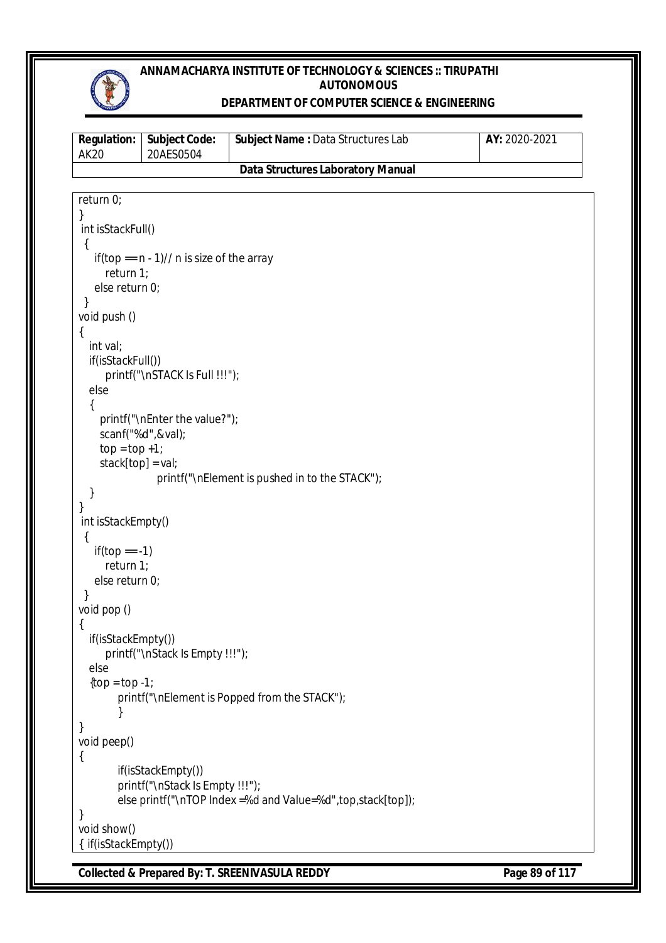

### **DEPARTMENT OF COMPUTER SCIENCE & ENGINEERING**

| <b>Regulation:</b><br><b>AK20</b> | <b>Subject Code:</b><br>20AES0504                     | Subject Name: Data Structures Lab                             | AY: 2020-2021 |
|-----------------------------------|-------------------------------------------------------|---------------------------------------------------------------|---------------|
|                                   |                                                       | <b>Data Structures Laboratory Manual</b>                      |               |
|                                   |                                                       |                                                               |               |
| return 0;                         |                                                       |                                                               |               |
| }<br>int isStackFull()            |                                                       |                                                               |               |
|                                   |                                                       |                                                               |               |
|                                   | if(top == $n - 1$ )// n is size of the array          |                                                               |               |
| return $1$ ;                      |                                                       |                                                               |               |
| else return 0;                    |                                                       |                                                               |               |
| }<br>void push ()                 |                                                       |                                                               |               |
| ₹                                 |                                                       |                                                               |               |
| int val;                          |                                                       |                                                               |               |
| if(isStackFull())                 |                                                       |                                                               |               |
|                                   | printf("\nSTACK Is Full !!!");                        |                                                               |               |
| else                              |                                                       |                                                               |               |
| ſ                                 | printf("\nEnter the value?");                         |                                                               |               |
|                                   | scanf("%d",&val);                                     |                                                               |               |
| $top = top + 1;$                  |                                                       |                                                               |               |
| stack[top] = val;                 |                                                       |                                                               |               |
|                                   |                                                       | printf("\nElement is pushed in to the STACK");                |               |
| ł<br>}                            |                                                       |                                                               |               |
| int isStackEmpty()                |                                                       |                                                               |               |
| {                                 |                                                       |                                                               |               |
| if(top == -1)                     |                                                       |                                                               |               |
| return 1;                         |                                                       |                                                               |               |
| else return 0;                    |                                                       |                                                               |               |
| void pop ()                       |                                                       |                                                               |               |
| ₹                                 |                                                       |                                                               |               |
| if(isStackEmpty())                |                                                       |                                                               |               |
|                                   | printf("\nStack Is Empty !!!");                       |                                                               |               |
| else                              |                                                       |                                                               |               |
| $\{top = top -1\}$                |                                                       | printf("\nElement is Popped from the STACK");                 |               |
|                                   |                                                       |                                                               |               |
| }                                 |                                                       |                                                               |               |
| void peep()                       |                                                       |                                                               |               |
| {                                 |                                                       |                                                               |               |
|                                   | if(isStackEmpty())<br>printf("\nStack Is Empty !!!"); |                                                               |               |
|                                   |                                                       | else printf("\nTOP Index =%d and Value=%d", top, stack[top]); |               |
| ł                                 |                                                       |                                                               |               |
| void show()                       |                                                       |                                                               |               |
| { if(isStackEmpty())              |                                                       |                                                               |               |

**Collected & Prepared By: T. SREENIVASULA REDDY Page 89 of 117**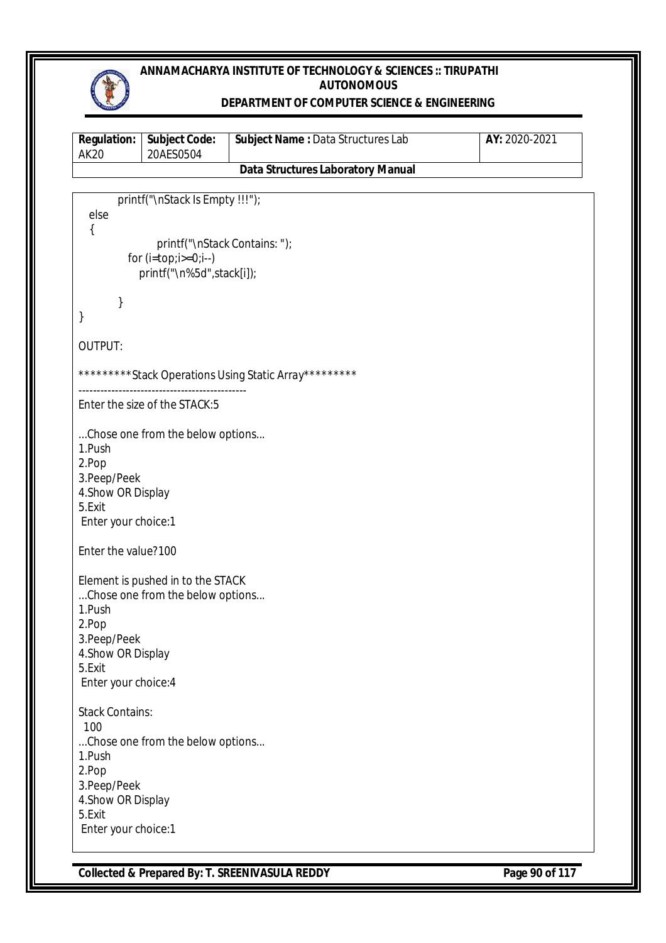

### **DEPARTMENT OF COMPUTER SCIENCE & ENGINEERING**

| <b>Regulation:</b><br><b>AK20</b> | <b>Subject Code:</b><br>20AES0504                         | Subject Name: Data Structures Lab                      | AY: 2020-2021 |
|-----------------------------------|-----------------------------------------------------------|--------------------------------------------------------|---------------|
|                                   |                                                           | <b>Data Structures Laboratory Manual</b>               |               |
|                                   |                                                           |                                                        |               |
|                                   | printf("\nStack Is Empty !!!");                           |                                                        |               |
| else                              |                                                           |                                                        |               |
| {                                 |                                                           |                                                        |               |
|                                   | printf("\nStack Contains: ");                             |                                                        |               |
|                                   | for $(i = top; i >= 0; i--)$<br>printf("\n%5d",stack[i]); |                                                        |               |
|                                   |                                                           |                                                        |               |
| }                                 |                                                           |                                                        |               |
| }                                 |                                                           |                                                        |               |
|                                   |                                                           |                                                        |               |
| <b>OUTPUT:</b>                    |                                                           |                                                        |               |
|                                   |                                                           |                                                        |               |
|                                   |                                                           | **********Stack Operations Using Static Array********* |               |
|                                   |                                                           |                                                        |               |
|                                   | Enter the size of the STACK:5                             |                                                        |               |
|                                   |                                                           |                                                        |               |
|                                   | Chose one from the below options                          |                                                        |               |
| 1.Push                            |                                                           |                                                        |               |
| 2.Pop                             |                                                           |                                                        |               |
| 3.Peep/Peek                       |                                                           |                                                        |               |
| 4. Show OR Display<br>5.Exit      |                                                           |                                                        |               |
| Enter your choice:1               |                                                           |                                                        |               |
|                                   |                                                           |                                                        |               |
| Enter the value?100               |                                                           |                                                        |               |
|                                   |                                                           |                                                        |               |
|                                   | Element is pushed in to the STACK                         |                                                        |               |
| 1.Push                            | Chose one from the below options                          |                                                        |               |
| 2.Pop                             |                                                           |                                                        |               |
| 3.Peep/Peek                       |                                                           |                                                        |               |
| 4. Show OR Display                |                                                           |                                                        |               |
| 5.Exit                            |                                                           |                                                        |               |
| Enter your choice: 4              |                                                           |                                                        |               |
|                                   |                                                           |                                                        |               |
| <b>Stack Contains:</b>            |                                                           |                                                        |               |
| 100                               |                                                           |                                                        |               |
|                                   | Chose one from the below options                          |                                                        |               |
| 1.Push                            |                                                           |                                                        |               |
| 2.Pop                             |                                                           |                                                        |               |
| 3.Peep/Peek                       |                                                           |                                                        |               |
| 4. Show OR Display                |                                                           |                                                        |               |
| 5.Exit                            |                                                           |                                                        |               |
| Enter your choice:1               |                                                           |                                                        |               |

**Collected & Prepared By: T. SREENIVASULA REDDY Page 90 of 117**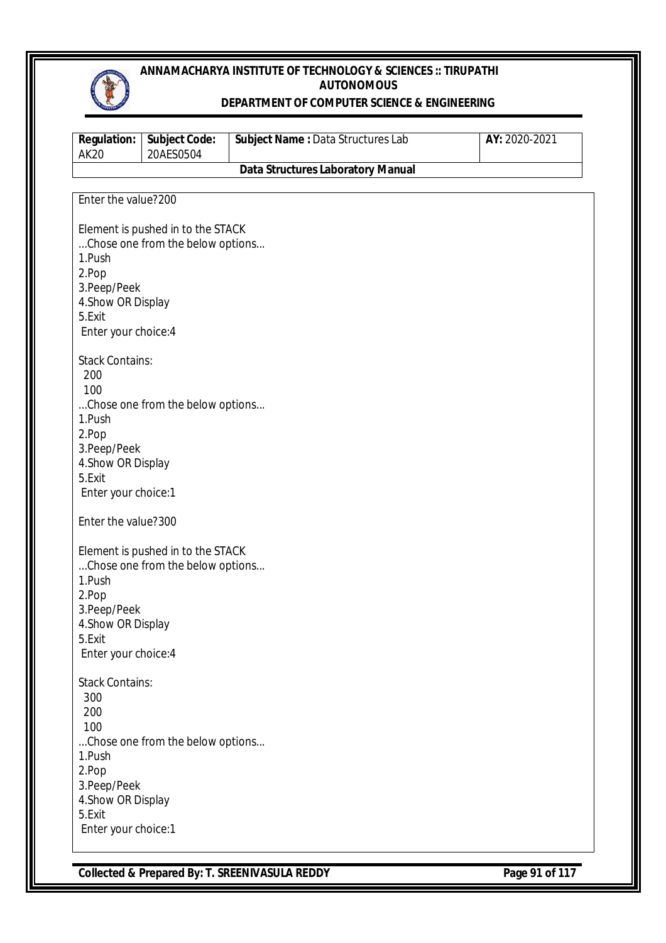

#### **DEPARTMENT OF COMPUTER SCIENCE & ENGINEERING**

| <b>Regulation:</b><br><b>AK20</b> | <b>Subject Code:</b><br>20AES0504                                     | Subject Name: Data Structures Lab        | AY: 2020-2021 |
|-----------------------------------|-----------------------------------------------------------------------|------------------------------------------|---------------|
|                                   |                                                                       | <b>Data Structures Laboratory Manual</b> |               |
|                                   |                                                                       |                                          |               |
| Enter the value?200               |                                                                       |                                          |               |
|                                   |                                                                       |                                          |               |
|                                   | Element is pushed in to the STACK                                     |                                          |               |
|                                   | Chose one from the below options                                      |                                          |               |
| 1.Push                            |                                                                       |                                          |               |
| 2.Pop                             |                                                                       |                                          |               |
| 3. Peep/Peek                      |                                                                       |                                          |               |
| 4. Show OR Display                |                                                                       |                                          |               |
| 5.Exit                            |                                                                       |                                          |               |
| Enter your choice: 4              |                                                                       |                                          |               |
| <b>Stack Contains:</b>            |                                                                       |                                          |               |
| 200                               |                                                                       |                                          |               |
| 100                               |                                                                       |                                          |               |
|                                   | Chose one from the below options                                      |                                          |               |
| 1.Push                            |                                                                       |                                          |               |
| 2.Pop                             |                                                                       |                                          |               |
| 3.Peep/Peek                       |                                                                       |                                          |               |
| 4. Show OR Display                |                                                                       |                                          |               |
| 5.Exit                            |                                                                       |                                          |               |
| Enter your choice:1               |                                                                       |                                          |               |
|                                   |                                                                       |                                          |               |
| Enter the value?300               |                                                                       |                                          |               |
|                                   |                                                                       |                                          |               |
|                                   | Element is pushed in to the STACK<br>Chose one from the below options |                                          |               |
| 1.Push                            |                                                                       |                                          |               |
| 2.Pop                             |                                                                       |                                          |               |
| 3.Peep/Peek                       |                                                                       |                                          |               |
| 4. Show OR Display                |                                                                       |                                          |               |
| 5.Exit                            |                                                                       |                                          |               |
| Enter your choice: 4              |                                                                       |                                          |               |
|                                   |                                                                       |                                          |               |
| <b>Stack Contains:</b>            |                                                                       |                                          |               |
| 300                               |                                                                       |                                          |               |
| 200                               |                                                                       |                                          |               |
| 100                               |                                                                       |                                          |               |
|                                   | Chose one from the below options                                      |                                          |               |
| 1.Push<br>2.Pop                   |                                                                       |                                          |               |
| 3. Peep/Peek                      |                                                                       |                                          |               |
| 4. Show OR Display                |                                                                       |                                          |               |
| 5.Exit                            |                                                                       |                                          |               |
| Enter your choice:1               |                                                                       |                                          |               |
|                                   |                                                                       |                                          |               |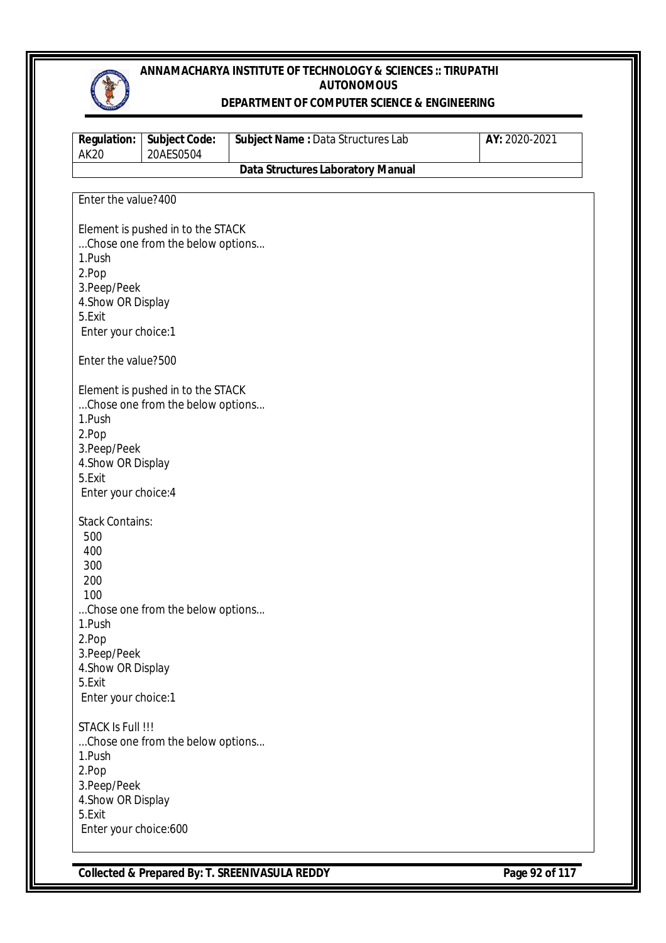

#### **DEPARTMENT OF COMPUTER SCIENCE & ENGINEERING**

| <b>Regulation:</b><br><b>AK20</b> | <b>Subject Code:</b><br>20AES0504 | Subject Name : Data Structures Lab       | AY: 2020-2021 |
|-----------------------------------|-----------------------------------|------------------------------------------|---------------|
|                                   |                                   | <b>Data Structures Laboratory Manual</b> |               |
|                                   |                                   |                                          |               |
| Enter the value?400               |                                   |                                          |               |
|                                   | Element is pushed in to the STACK |                                          |               |
|                                   | Chose one from the below options  |                                          |               |
| 1.Push                            |                                   |                                          |               |
| 2.Pop                             |                                   |                                          |               |
| 3.Peep/Peek                       |                                   |                                          |               |
| 4. Show OR Display                |                                   |                                          |               |
| 5.Exit                            |                                   |                                          |               |
| Enter your choice:1               |                                   |                                          |               |
| Enter the value?500               |                                   |                                          |               |
|                                   |                                   |                                          |               |
|                                   | Element is pushed in to the STACK |                                          |               |
|                                   | Chose one from the below options  |                                          |               |
| 1.Push                            |                                   |                                          |               |
| 2.Pop                             |                                   |                                          |               |
| 3.Peep/Peek                       |                                   |                                          |               |
| 4. Show OR Display                |                                   |                                          |               |
| 5.Exit                            |                                   |                                          |               |
| Enter your choice: 4              |                                   |                                          |               |
| <b>Stack Contains:</b>            |                                   |                                          |               |
| 500                               |                                   |                                          |               |
| 400                               |                                   |                                          |               |
| 300                               |                                   |                                          |               |
| 200                               |                                   |                                          |               |
| 100                               |                                   |                                          |               |
|                                   | Chose one from the below options  |                                          |               |
| 1.Push                            |                                   |                                          |               |
| 2.Pop                             |                                   |                                          |               |
| 3. Peep/Peek                      |                                   |                                          |               |
| 4. Show OR Display                |                                   |                                          |               |
| 5.Exit                            |                                   |                                          |               |
| Enter your choice:1               |                                   |                                          |               |
| STACK Is Full !!!                 |                                   |                                          |               |
|                                   | Chose one from the below options  |                                          |               |
| 1.Push                            |                                   |                                          |               |
| 2.Pop                             |                                   |                                          |               |
| 3. Peep/Peek                      |                                   |                                          |               |
| 4. Show OR Display                |                                   |                                          |               |
| 5.Exit                            |                                   |                                          |               |
| Enter your choice:600             |                                   |                                          |               |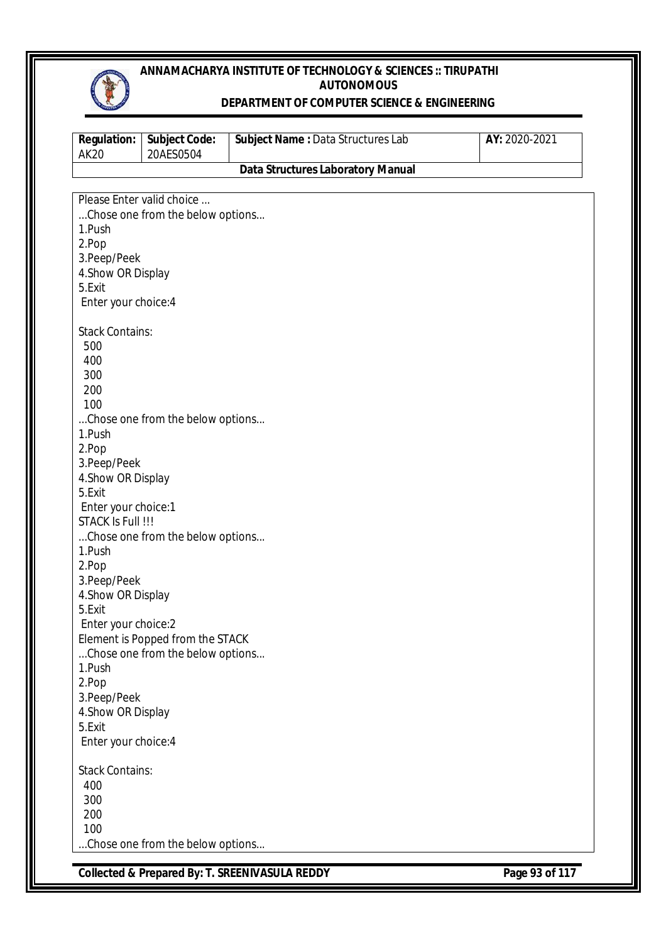

#### **DEPARTMENT OF COMPUTER SCIENCE & ENGINEERING**

| <b>Subject Code:</b><br>20AES0504 | Subject Name: Data Structures Lab                                                                                                                                                                                                                                                                                                                      | AY: 2020-2021                                                                                                                                                                                                        |
|-----------------------------------|--------------------------------------------------------------------------------------------------------------------------------------------------------------------------------------------------------------------------------------------------------------------------------------------------------------------------------------------------------|----------------------------------------------------------------------------------------------------------------------------------------------------------------------------------------------------------------------|
|                                   | <b>Data Structures Laboratory Manual</b>                                                                                                                                                                                                                                                                                                               |                                                                                                                                                                                                                      |
|                                   |                                                                                                                                                                                                                                                                                                                                                        |                                                                                                                                                                                                                      |
|                                   |                                                                                                                                                                                                                                                                                                                                                        |                                                                                                                                                                                                                      |
|                                   |                                                                                                                                                                                                                                                                                                                                                        |                                                                                                                                                                                                                      |
|                                   |                                                                                                                                                                                                                                                                                                                                                        |                                                                                                                                                                                                                      |
|                                   |                                                                                                                                                                                                                                                                                                                                                        |                                                                                                                                                                                                                      |
|                                   |                                                                                                                                                                                                                                                                                                                                                        |                                                                                                                                                                                                                      |
|                                   |                                                                                                                                                                                                                                                                                                                                                        |                                                                                                                                                                                                                      |
|                                   |                                                                                                                                                                                                                                                                                                                                                        |                                                                                                                                                                                                                      |
|                                   |                                                                                                                                                                                                                                                                                                                                                        |                                                                                                                                                                                                                      |
|                                   |                                                                                                                                                                                                                                                                                                                                                        |                                                                                                                                                                                                                      |
|                                   |                                                                                                                                                                                                                                                                                                                                                        |                                                                                                                                                                                                                      |
|                                   |                                                                                                                                                                                                                                                                                                                                                        |                                                                                                                                                                                                                      |
|                                   |                                                                                                                                                                                                                                                                                                                                                        |                                                                                                                                                                                                                      |
|                                   |                                                                                                                                                                                                                                                                                                                                                        |                                                                                                                                                                                                                      |
|                                   |                                                                                                                                                                                                                                                                                                                                                        |                                                                                                                                                                                                                      |
|                                   |                                                                                                                                                                                                                                                                                                                                                        |                                                                                                                                                                                                                      |
|                                   |                                                                                                                                                                                                                                                                                                                                                        |                                                                                                                                                                                                                      |
|                                   |                                                                                                                                                                                                                                                                                                                                                        |                                                                                                                                                                                                                      |
|                                   |                                                                                                                                                                                                                                                                                                                                                        |                                                                                                                                                                                                                      |
|                                   |                                                                                                                                                                                                                                                                                                                                                        |                                                                                                                                                                                                                      |
|                                   |                                                                                                                                                                                                                                                                                                                                                        |                                                                                                                                                                                                                      |
|                                   |                                                                                                                                                                                                                                                                                                                                                        |                                                                                                                                                                                                                      |
|                                   |                                                                                                                                                                                                                                                                                                                                                        |                                                                                                                                                                                                                      |
|                                   |                                                                                                                                                                                                                                                                                                                                                        |                                                                                                                                                                                                                      |
|                                   |                                                                                                                                                                                                                                                                                                                                                        |                                                                                                                                                                                                                      |
|                                   |                                                                                                                                                                                                                                                                                                                                                        |                                                                                                                                                                                                                      |
|                                   |                                                                                                                                                                                                                                                                                                                                                        |                                                                                                                                                                                                                      |
|                                   |                                                                                                                                                                                                                                                                                                                                                        |                                                                                                                                                                                                                      |
|                                   |                                                                                                                                                                                                                                                                                                                                                        |                                                                                                                                                                                                                      |
|                                   |                                                                                                                                                                                                                                                                                                                                                        |                                                                                                                                                                                                                      |
|                                   |                                                                                                                                                                                                                                                                                                                                                        |                                                                                                                                                                                                                      |
|                                   |                                                                                                                                                                                                                                                                                                                                                        |                                                                                                                                                                                                                      |
|                                   |                                                                                                                                                                                                                                                                                                                                                        |                                                                                                                                                                                                                      |
|                                   |                                                                                                                                                                                                                                                                                                                                                        |                                                                                                                                                                                                                      |
|                                   |                                                                                                                                                                                                                                                                                                                                                        |                                                                                                                                                                                                                      |
|                                   |                                                                                                                                                                                                                                                                                                                                                        |                                                                                                                                                                                                                      |
|                                   |                                                                                                                                                                                                                                                                                                                                                        |                                                                                                                                                                                                                      |
|                                   |                                                                                                                                                                                                                                                                                                                                                        |                                                                                                                                                                                                                      |
|                                   |                                                                                                                                                                                                                                                                                                                                                        |                                                                                                                                                                                                                      |
|                                   |                                                                                                                                                                                                                                                                                                                                                        |                                                                                                                                                                                                                      |
|                                   |                                                                                                                                                                                                                                                                                                                                                        |                                                                                                                                                                                                                      |
|                                   |                                                                                                                                                                                                                                                                                                                                                        |                                                                                                                                                                                                                      |
|                                   |                                                                                                                                                                                                                                                                                                                                                        |                                                                                                                                                                                                                      |
|                                   |                                                                                                                                                                                                                                                                                                                                                        |                                                                                                                                                                                                                      |
|                                   | Please Enter valid choice<br>3. Peep/Peek<br>4. Show OR Display<br>Enter your choice: 4<br><b>Stack Contains:</b><br>3.Peep/Peek<br>4. Show OR Display<br>Enter your choice:1<br>STACK Is Full !!!<br>3. Peep/Peek<br>4. Show OR Display<br>Enter your choice:2<br>3.Peep/Peek<br>4. Show OR Display<br>Enter your choice: 4<br><b>Stack Contains:</b> | Chose one from the below options<br>Chose one from the below options<br>Chose one from the below options<br>Element is Popped from the STACK<br>Chose one from the below options<br>Chose one from the below options |

**Collected & Prepared By: T. SREENIVASULA REDDY Page 93 of 117**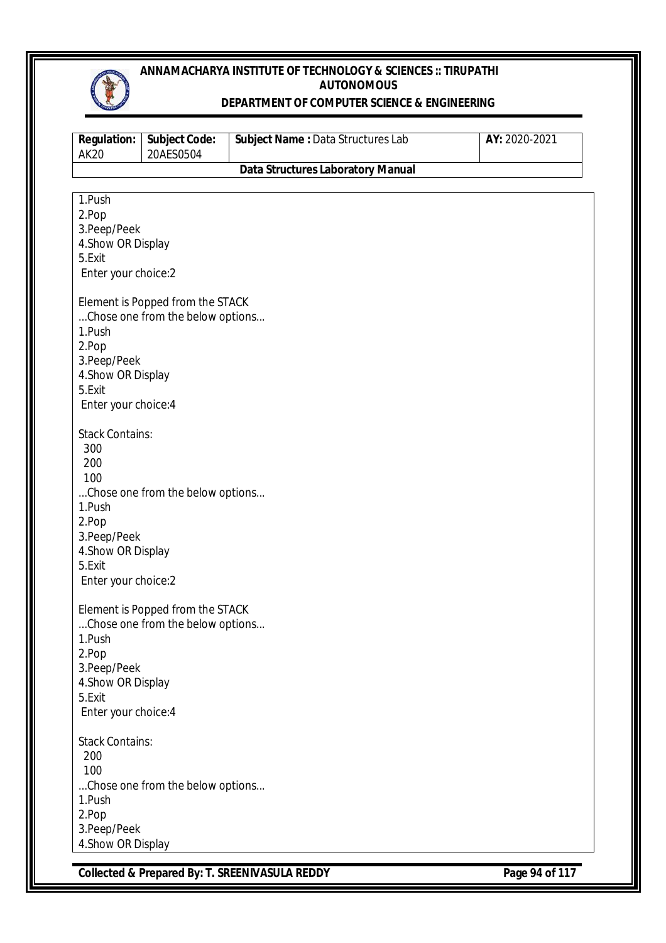

#### **DEPARTMENT OF COMPUTER SCIENCE & ENGINEERING**

| <b>Regulation:</b><br><b>AK20</b> | <b>Subject Code:</b><br>20AES0504 | Subject Name : Data Structures Lab       | AY: 2020-2021 |
|-----------------------------------|-----------------------------------|------------------------------------------|---------------|
|                                   |                                   | <b>Data Structures Laboratory Manual</b> |               |
|                                   |                                   |                                          |               |
| 1.Push                            |                                   |                                          |               |
| 2.Pop                             |                                   |                                          |               |
| 3.Peep/Peek                       |                                   |                                          |               |
| 4. Show OR Display                |                                   |                                          |               |
| 5.Exit                            |                                   |                                          |               |
| Enter your choice:2               |                                   |                                          |               |
|                                   | Element is Popped from the STACK  |                                          |               |
|                                   | Chose one from the below options  |                                          |               |
| 1.Push                            |                                   |                                          |               |
| 2.Pop                             |                                   |                                          |               |
| 3.Peep/Peek                       |                                   |                                          |               |
| 4. Show OR Display                |                                   |                                          |               |
| 5.Exit                            |                                   |                                          |               |
| Enter your choice: 4              |                                   |                                          |               |
|                                   |                                   |                                          |               |
| <b>Stack Contains:</b>            |                                   |                                          |               |
| 300                               |                                   |                                          |               |
| 200                               |                                   |                                          |               |
| 100                               |                                   |                                          |               |
| 1.Push                            | Chose one from the below options  |                                          |               |
| 2.Pop                             |                                   |                                          |               |
| 3.Peep/Peek                       |                                   |                                          |               |
| 4. Show OR Display                |                                   |                                          |               |
| 5.Exit                            |                                   |                                          |               |
| Enter your choice:2               |                                   |                                          |               |
|                                   |                                   |                                          |               |
|                                   | Element is Popped from the STACK  |                                          |               |
| 1.Push                            | Chose one from the below options  |                                          |               |
| 2.Pop                             |                                   |                                          |               |
| 3. Peep/Peek                      |                                   |                                          |               |
| 4. Show OR Display                |                                   |                                          |               |
| 5.Exit                            |                                   |                                          |               |
| Enter your choice: 4              |                                   |                                          |               |
|                                   |                                   |                                          |               |
| <b>Stack Contains:</b>            |                                   |                                          |               |
| 200                               |                                   |                                          |               |
| 100                               |                                   |                                          |               |
|                                   | Chose one from the below options  |                                          |               |
| 1.Push                            |                                   |                                          |               |
| 2.Pop                             |                                   |                                          |               |
| 3.Peep/Peek                       |                                   |                                          |               |
| 4. Show OR Display                |                                   |                                          |               |

**Collected & Prepared By: T. SREENIVASULA REDDY Page 94 of 117**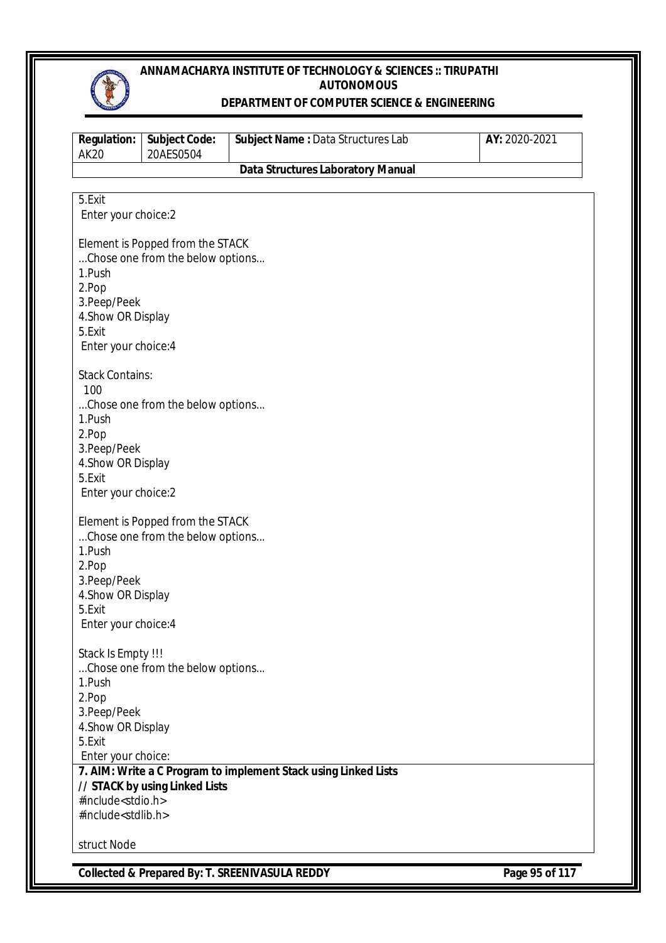

#### **DEPARTMENT OF COMPUTER SCIENCE & ENGINEERING**

| <b>Regulation:</b><br><b>AK20</b> | <b>Subject Code:</b><br>20AES0504 | Subject Name: Data Structures Lab                               | AY: 2020-2021 |
|-----------------------------------|-----------------------------------|-----------------------------------------------------------------|---------------|
|                                   |                                   | <b>Data Structures Laboratory Manual</b>                        |               |
|                                   |                                   |                                                                 |               |
| 5.Exit                            |                                   |                                                                 |               |
| Enter your choice:2               |                                   |                                                                 |               |
|                                   |                                   |                                                                 |               |
|                                   | Element is Popped from the STACK  |                                                                 |               |
| 1.Push                            | Chose one from the below options  |                                                                 |               |
| 2.Pop                             |                                   |                                                                 |               |
| 3. Peep/Peek                      |                                   |                                                                 |               |
| 4. Show OR Display                |                                   |                                                                 |               |
| 5.Exit                            |                                   |                                                                 |               |
| Enter your choice: 4              |                                   |                                                                 |               |
|                                   |                                   |                                                                 |               |
| <b>Stack Contains:</b>            |                                   |                                                                 |               |
| 100                               |                                   |                                                                 |               |
|                                   | Chose one from the below options  |                                                                 |               |
| 1.Push                            |                                   |                                                                 |               |
| 2.Pop                             |                                   |                                                                 |               |
| 3. Peep/Peek                      |                                   |                                                                 |               |
| 4. Show OR Display                |                                   |                                                                 |               |
| 5.Exit                            |                                   |                                                                 |               |
| Enter your choice:2               |                                   |                                                                 |               |
|                                   | Element is Popped from the STACK  |                                                                 |               |
|                                   | Chose one from the below options  |                                                                 |               |
| 1.Push                            |                                   |                                                                 |               |
| 2.Pop                             |                                   |                                                                 |               |
| 3.Peep/Peek                       |                                   |                                                                 |               |
| 4. Show OR Display                |                                   |                                                                 |               |
| 5.Exit                            |                                   |                                                                 |               |
| Enter your choice: 4              |                                   |                                                                 |               |
|                                   |                                   |                                                                 |               |
| Stack Is Empty !!!                |                                   |                                                                 |               |
|                                   | Chose one from the below options  |                                                                 |               |
| 1.Push                            |                                   |                                                                 |               |
| 2.Pop                             |                                   |                                                                 |               |
| 3.Peep/Peek                       |                                   |                                                                 |               |
| 4. Show OR Display<br>5.Exit      |                                   |                                                                 |               |
| Enter your choice:                |                                   |                                                                 |               |
|                                   |                                   | 7. AIM: Write a C Program to implement Stack using Linked Lists |               |
|                                   | // STACK by using Linked Lists    |                                                                 |               |
| #include <stdio.h></stdio.h>      |                                   |                                                                 |               |
| #include <stdlib.h></stdlib.h>    |                                   |                                                                 |               |
|                                   |                                   |                                                                 |               |
| struct Node                       |                                   |                                                                 |               |

**Collected & Prepared By: T. SREENIVASULA REDDY Page 95 of 117**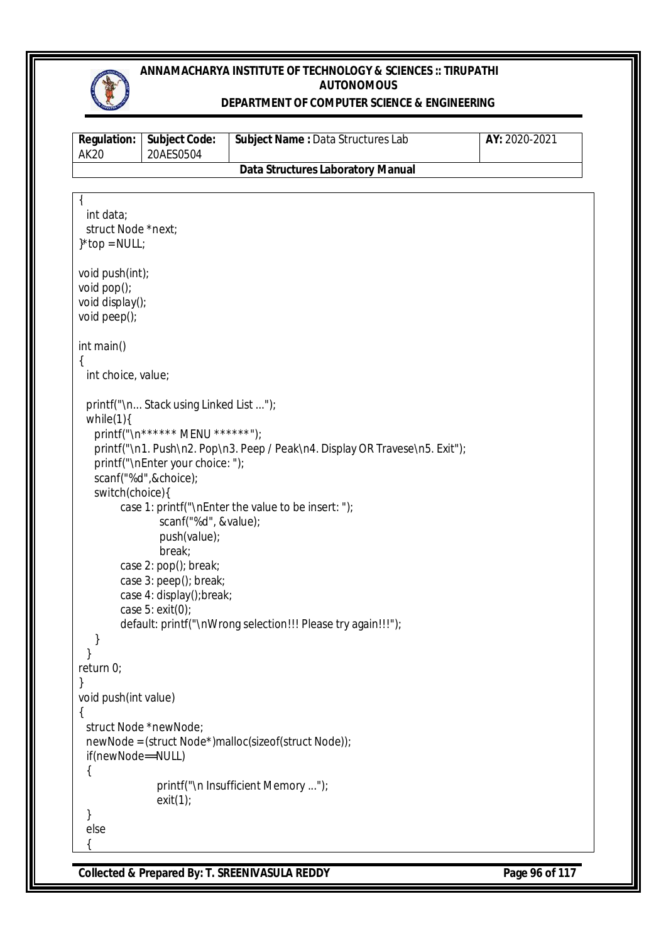

### **DEPARTMENT OF COMPUTER SCIENCE & ENGINEERING**

| <b>Regulation:</b><br><b>AK20</b> | <b>Subject Code:</b><br>20AES0504      | Subject Name: Data Structures Lab                                            | AY: 2020-2021 |
|-----------------------------------|----------------------------------------|------------------------------------------------------------------------------|---------------|
|                                   |                                        | <b>Data Structures Laboratory Manual</b>                                     |               |
|                                   |                                        |                                                                              |               |
|                                   |                                        |                                                                              |               |
| int data;                         |                                        |                                                                              |               |
| struct Node *next;                |                                        |                                                                              |               |
| $}*top = NULL;$                   |                                        |                                                                              |               |
| void push(int);                   |                                        |                                                                              |               |
| void pop();                       |                                        |                                                                              |               |
| void display();                   |                                        |                                                                              |               |
| void peep();                      |                                        |                                                                              |               |
| int main()                        |                                        |                                                                              |               |
|                                   |                                        |                                                                              |               |
| int choice, value;                |                                        |                                                                              |               |
|                                   | printf("\n Stack using Linked List "); |                                                                              |               |
| while $(1)$ {                     |                                        |                                                                              |               |
|                                   | printf("\n****** MENU ******");        |                                                                              |               |
|                                   |                                        | printf("\n1. Push\n2. Pop\n3. Peep / Peak\n4. Display OR Travese\n5. Exit"); |               |
|                                   | printf("\nEnter your choice: ");       |                                                                              |               |
|                                   | scanf("%d",&choice);                   |                                                                              |               |
| switch(choice){                   |                                        |                                                                              |               |
|                                   |                                        | case 1: printf("\nEnter the value to be insert: ");                          |               |
|                                   | scanf("%d", &value);                   |                                                                              |               |
|                                   | push(value);                           |                                                                              |               |
|                                   | break;                                 |                                                                              |               |
|                                   | case 2: pop(); break;                  |                                                                              |               |
|                                   | case 3: peep(); break;                 |                                                                              |               |
|                                   | case 4: display(); break;              |                                                                              |               |
|                                   | case $5:$ exit(0);                     |                                                                              |               |
|                                   |                                        | default: printf("\nWrong selection!!! Please try again!!!");                 |               |
|                                   |                                        |                                                                              |               |
|                                   |                                        |                                                                              |               |
| return 0;                         |                                        |                                                                              |               |
| }                                 |                                        |                                                                              |               |
| void push(int value)              |                                        |                                                                              |               |
|                                   | struct Node *newNode;                  |                                                                              |               |
|                                   |                                        | newNode = (struct Node*)malloc(sizeof(struct Node));                         |               |
| if(newNode==NULL)                 |                                        |                                                                              |               |
|                                   |                                        |                                                                              |               |
|                                   |                                        | printf("\n Insufficient Memory ");                                           |               |
|                                   | exit(1);                               |                                                                              |               |
|                                   |                                        |                                                                              |               |
| else                              |                                        |                                                                              |               |
|                                   |                                        |                                                                              |               |

**Collected & Prepared By: T. SREENIVASULA REDDY Page 96 of 117**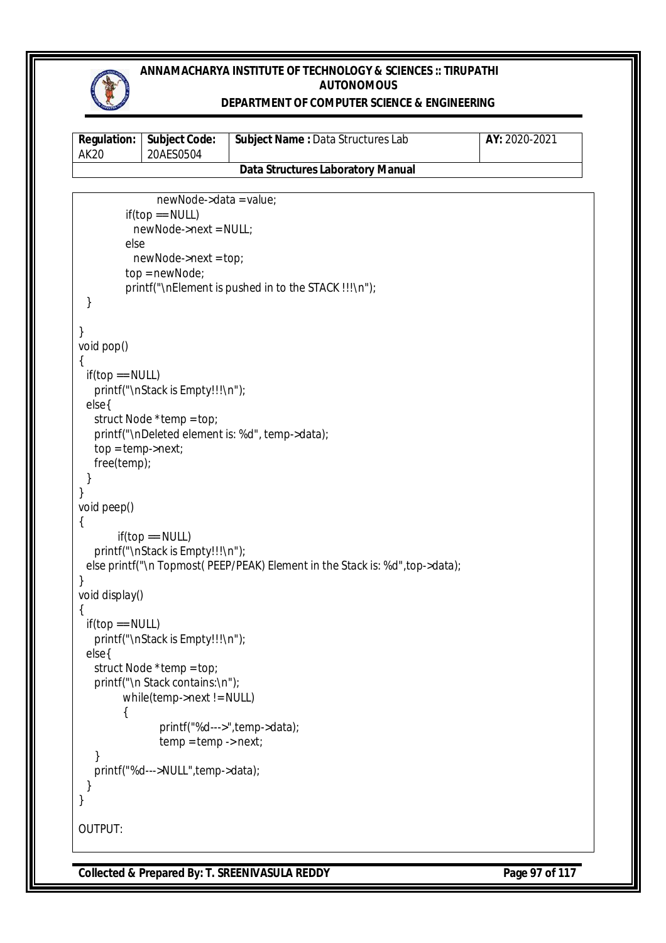

#### **DEPARTMENT OF COMPUTER SCIENCE & ENGINEERING**

| AK20 | <b>Requiation:   Subject Code:</b><br>20AES0504 | <b>Subject Name: Data Structures Lab</b> | AY: 2020-2021 |
|------|-------------------------------------------------|------------------------------------------|---------------|
|      |                                                 | Data Structures Laboratory Manual        |               |

```
 newNode->data = value;
         if(top == NULL) newNode->next = NULL;
          else
            newNode->next = top;
          top = newNode;
         printf("\nElement is pushed in to the STACK !!!\n");
  }
}
void pop()
{
 if(top == NULL)printf("\nStack is Empty!!!\n");
  else{
    struct Node *temp = top;
    printf("\nDeleted element is: %d", temp->data);
    top = temp->next;
    free(temp);
  }
}
void peep()
{
        if(top == NULL) printf("\nStack is Empty!!!\n");
 else printf("\n Topmost( PEEP/PEAK) Element in the Stack is: %d", top->data);
}
void display()
{
 if(top == NULL) printf("\nStack is Empty!!!\n");
  else{
    struct Node *temp = top;
    printf("\n Stack contains:\n");
          while(temp->next != NULL)
          {
                 printf("%d--->",temp->data);
                 temp = temp - > next; }
    printf("%d--->NULL",temp->data);
  }
}
OUTPUT:
```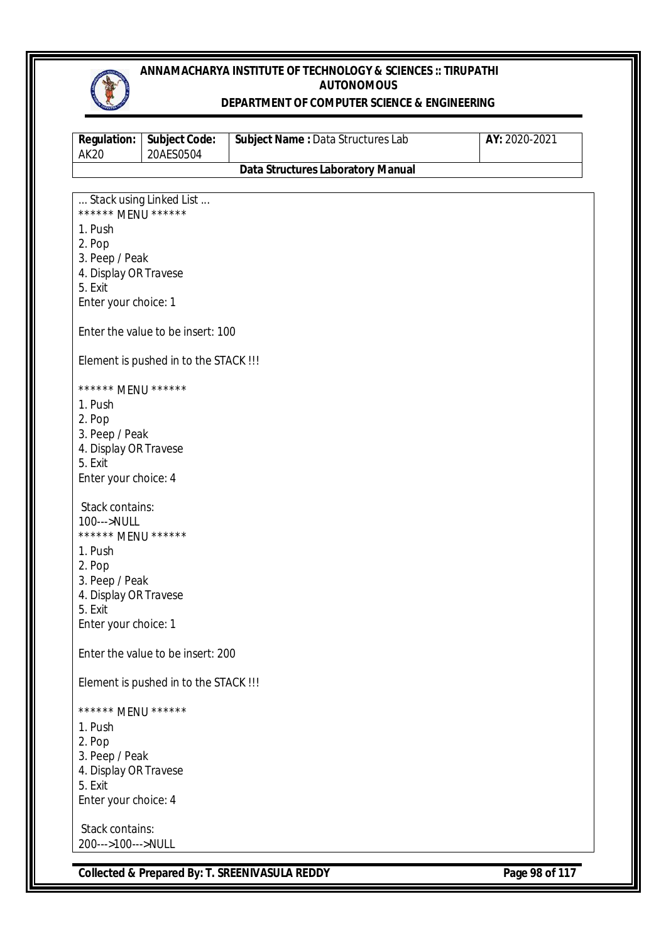

#### **DEPARTMENT OF COMPUTER SCIENCE & ENGINEERING**

| <b>Regulation:</b><br><b>AK20</b>       | <b>Subject Code:</b><br>20AES0504     | Subject Name: Data Structures Lab        | AY: 2020-2021 |
|-----------------------------------------|---------------------------------------|------------------------------------------|---------------|
|                                         |                                       | <b>Data Structures Laboratory Manual</b> |               |
|                                         |                                       |                                          |               |
| ****** MENU ******                      | Stack using Linked List               |                                          |               |
| 1. Push                                 |                                       |                                          |               |
| 2. Pop                                  |                                       |                                          |               |
| 3. Peep / Peak                          |                                       |                                          |               |
| 4. Display OR Travese                   |                                       |                                          |               |
| 5. Exit<br>Enter your choice: 1         |                                       |                                          |               |
|                                         |                                       |                                          |               |
|                                         | Enter the value to be insert: 100     |                                          |               |
|                                         |                                       |                                          |               |
|                                         | Element is pushed in to the STACK !!! |                                          |               |
| ****** MENU ******                      |                                       |                                          |               |
| 1. Push                                 |                                       |                                          |               |
| 2. Pop                                  |                                       |                                          |               |
| 3. Peep / Peak<br>4. Display OR Travese |                                       |                                          |               |
| 5. Exit                                 |                                       |                                          |               |
| Enter your choice: 4                    |                                       |                                          |               |
| Stack contains:                         |                                       |                                          |               |
| 100--->NULL                             |                                       |                                          |               |
| ****** MENU ******                      |                                       |                                          |               |
| 1. Push                                 |                                       |                                          |               |
| 2. Pop<br>3. Peep / Peak                |                                       |                                          |               |
| 4. Display OR Travese                   |                                       |                                          |               |
| 5. Exit                                 |                                       |                                          |               |
| Enter your choice: 1                    |                                       |                                          |               |
|                                         | Enter the value to be insert: 200     |                                          |               |
|                                         |                                       |                                          |               |
|                                         | Element is pushed in to the STACK !!! |                                          |               |
| ****** MENU ******                      |                                       |                                          |               |
| 1. Push                                 |                                       |                                          |               |
| 2. Pop                                  |                                       |                                          |               |
| 3. Peep / Peak<br>4. Display OR Travese |                                       |                                          |               |
| 5. Exit                                 |                                       |                                          |               |
| Enter your choice: 4                    |                                       |                                          |               |
| Stack contains:                         |                                       |                                          |               |
| 200--->100--->NULL                      |                                       |                                          |               |

**Collected & Prepared By: T. SREENIVASULA REDDY Page 98 of 117**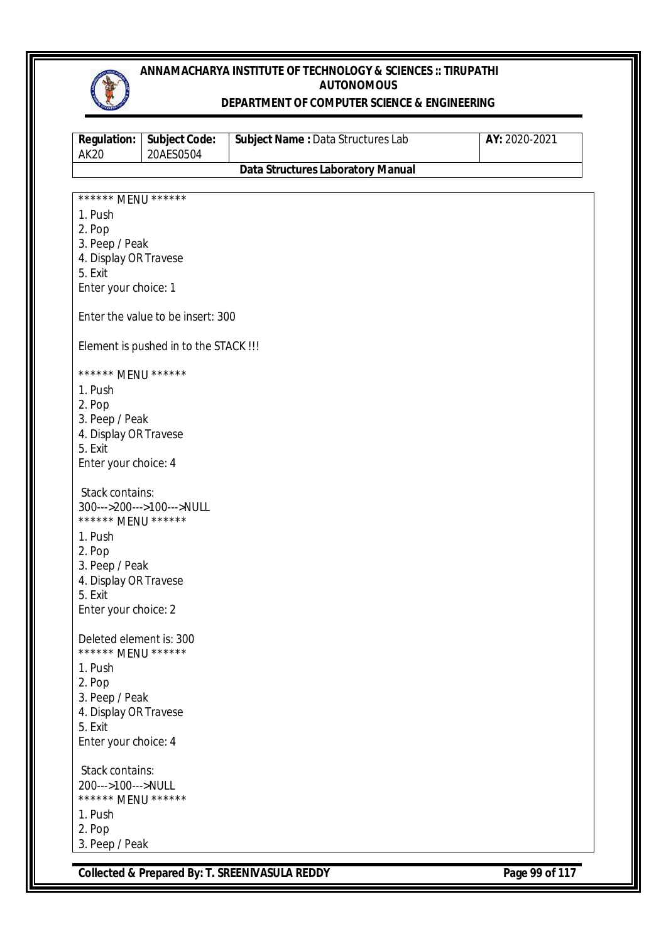

#### **DEPARTMENT OF COMPUTER SCIENCE & ENGINEERING**

| <b>Regulation:</b><br><b>AK20</b>             | <b>Subject Code:</b><br>20AES0504     | Subject Name: Data Structures Lab        | AY: 2020-2021 |
|-----------------------------------------------|---------------------------------------|------------------------------------------|---------------|
|                                               |                                       | <b>Data Structures Laboratory Manual</b> |               |
|                                               |                                       |                                          |               |
| ****** MENU ******                            |                                       |                                          |               |
| 1. Push                                       |                                       |                                          |               |
| 2. Pop                                        |                                       |                                          |               |
| 3. Peep / Peak<br>4. Display OR Travese       |                                       |                                          |               |
| 5. Exit                                       |                                       |                                          |               |
| Enter your choice: 1                          |                                       |                                          |               |
|                                               |                                       |                                          |               |
|                                               | Enter the value to be insert: 300     |                                          |               |
|                                               |                                       |                                          |               |
|                                               | Element is pushed in to the STACK !!! |                                          |               |
|                                               |                                       |                                          |               |
| ****** MENU ******                            |                                       |                                          |               |
| 1. Push                                       |                                       |                                          |               |
| 2. Pop                                        |                                       |                                          |               |
| 3. Peep / Peak                                |                                       |                                          |               |
| 4. Display OR Travese                         |                                       |                                          |               |
| 5. Exit                                       |                                       |                                          |               |
| Enter your choice: 4                          |                                       |                                          |               |
| Stack contains:                               |                                       |                                          |               |
|                                               | 300--->200--->100--->NULL             |                                          |               |
| ****** MENU ******                            |                                       |                                          |               |
| 1. Push                                       |                                       |                                          |               |
| 2. Pop                                        |                                       |                                          |               |
| 3. Peep / Peak                                |                                       |                                          |               |
| 4. Display OR Travese                         |                                       |                                          |               |
| 5. Exit                                       |                                       |                                          |               |
| Enter your choice: 2                          |                                       |                                          |               |
|                                               |                                       |                                          |               |
| Deleted element is: 300<br>****** MENU ****** |                                       |                                          |               |
|                                               |                                       |                                          |               |
| 1. Push                                       |                                       |                                          |               |
| 2. Pop<br>3. Peep / Peak                      |                                       |                                          |               |
| 4. Display OR Travese                         |                                       |                                          |               |
| 5. Exit                                       |                                       |                                          |               |
| Enter your choice: 4                          |                                       |                                          |               |
|                                               |                                       |                                          |               |
| Stack contains:                               |                                       |                                          |               |
| 200--->100--->NULL                            |                                       |                                          |               |
| ****** MENU ******                            |                                       |                                          |               |
| 1. Push                                       |                                       |                                          |               |
| 2. Pop                                        |                                       |                                          |               |
| 3. Peep / Peak                                |                                       |                                          |               |

**Collected & Prepared By: T. SREENIVASULA REDDY Page 99 of 117**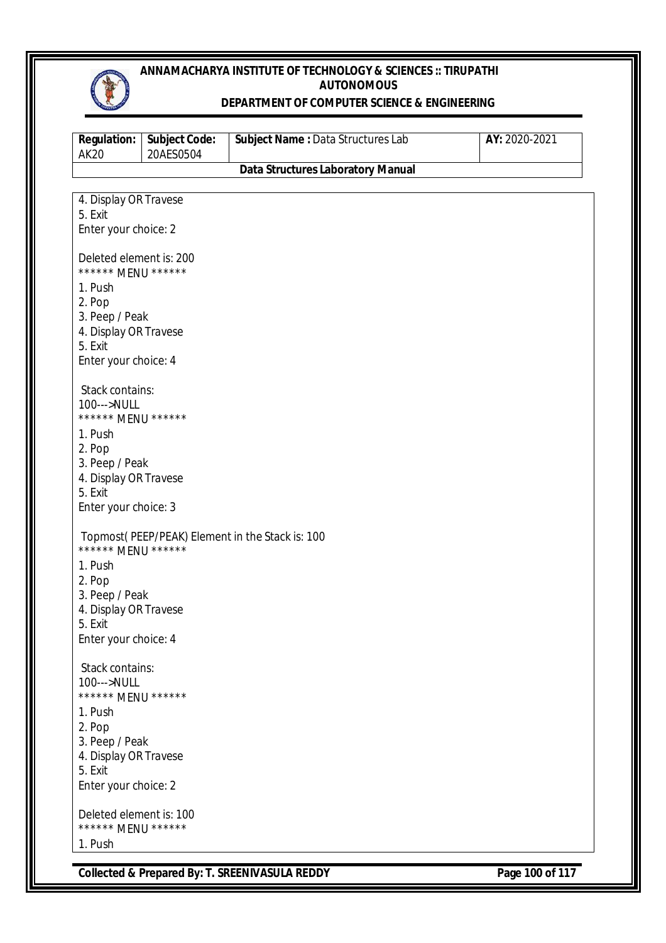

#### **DEPARTMENT OF COMPUTER SCIENCE & ENGINEERING**

| <b>Regulation:</b><br><b>AK20</b>             | <b>Subject Code:</b><br>20AES0504 | Subject Name: Data Structures Lab               | AY: 2020-2021 |
|-----------------------------------------------|-----------------------------------|-------------------------------------------------|---------------|
|                                               |                                   | <b>Data Structures Laboratory Manual</b>        |               |
|                                               |                                   |                                                 |               |
| 4. Display OR Travese<br>5. Exit              |                                   |                                                 |               |
| Enter your choice: 2                          |                                   |                                                 |               |
|                                               |                                   |                                                 |               |
| Deleted element is: 200<br>****** MENU ****** |                                   |                                                 |               |
| 1. Push                                       |                                   |                                                 |               |
| 2. Pop                                        |                                   |                                                 |               |
| 3. Peep / Peak<br>4. Display OR Travese       |                                   |                                                 |               |
| 5. Exit                                       |                                   |                                                 |               |
| Enter your choice: 4                          |                                   |                                                 |               |
|                                               |                                   |                                                 |               |
| Stack contains:                               |                                   |                                                 |               |
| 100--->NULL<br>****** MENU ******             |                                   |                                                 |               |
| 1. Push                                       |                                   |                                                 |               |
| 2. Pop                                        |                                   |                                                 |               |
| 3. Peep / Peak                                |                                   |                                                 |               |
| 4. Display OR Travese                         |                                   |                                                 |               |
| 5. Exit                                       |                                   |                                                 |               |
| Enter your choice: 3                          |                                   |                                                 |               |
| ****** MENU ******                            |                                   | Topmost(PEEP/PEAK) Element in the Stack is: 100 |               |
| 1. Push                                       |                                   |                                                 |               |
| 2. Pop                                        |                                   |                                                 |               |
| 3. Peep / Peak                                |                                   |                                                 |               |
| 4. Display OR Travese                         |                                   |                                                 |               |
| 5. Exit                                       |                                   |                                                 |               |
| Enter your choice: 4                          |                                   |                                                 |               |
| Stack contains:                               |                                   |                                                 |               |
| 100--->NULL                                   |                                   |                                                 |               |
| ****** MENU ******                            |                                   |                                                 |               |
| 1. Push                                       |                                   |                                                 |               |
| 2. Pop                                        |                                   |                                                 |               |
| 3. Peep / Peak                                |                                   |                                                 |               |
| 4. Display OR Travese<br>5. Exit              |                                   |                                                 |               |
| Enter your choice: 2                          |                                   |                                                 |               |
| Deleted element is: 100                       |                                   |                                                 |               |
| ****** MENU ******                            |                                   |                                                 |               |
| 1. Push                                       |                                   |                                                 |               |

**Collected & Prepared By: T. SREENIVASULA REDDY** Page 100 of 117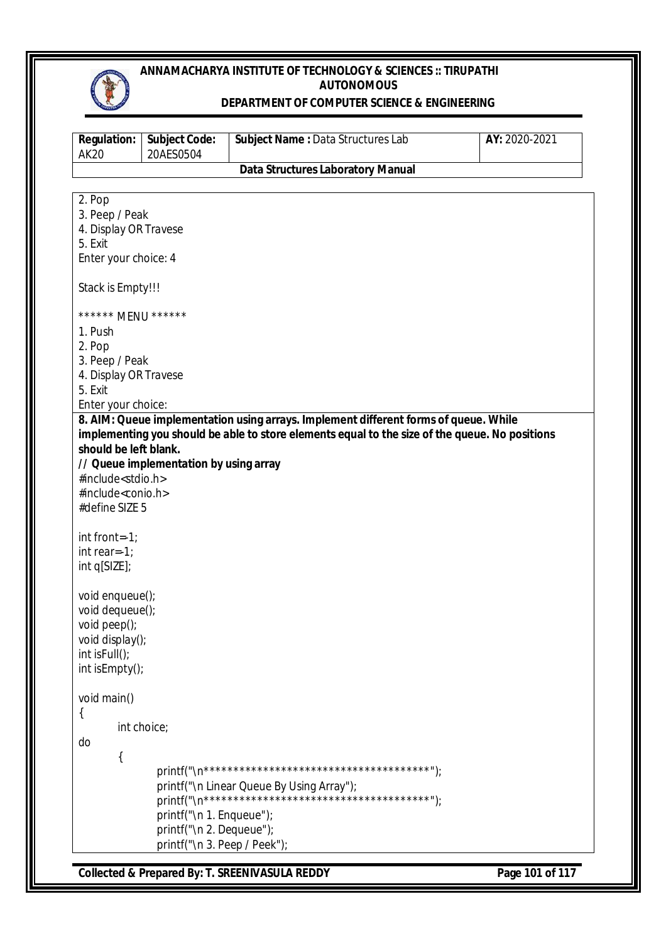

#### **DEPARTMENT OF COMPUTER SCIENCE & ENGINEERING**

| <b>Regulation:</b><br><b>AK20</b>                     | <b>Subject Code:</b><br>20AES0504                        | Subject Name: Data Structures Lab                                                              | AY: 2020-2021 |
|-------------------------------------------------------|----------------------------------------------------------|------------------------------------------------------------------------------------------------|---------------|
|                                                       |                                                          | <b>Data Structures Laboratory Manual</b>                                                       |               |
| 2. Pop                                                |                                                          |                                                                                                |               |
| 3. Peep / Peak                                        |                                                          |                                                                                                |               |
| 4. Display OR Travese                                 |                                                          |                                                                                                |               |
| 5. Exit                                               |                                                          |                                                                                                |               |
| Enter your choice: 4                                  |                                                          |                                                                                                |               |
| Stack is Empty!!!                                     |                                                          |                                                                                                |               |
| ****** MENU ******                                    |                                                          |                                                                                                |               |
| 1. Push                                               |                                                          |                                                                                                |               |
| 2. Pop                                                |                                                          |                                                                                                |               |
| 3. Peep / Peak                                        |                                                          |                                                                                                |               |
| 4. Display OR Travese<br>5. Exit                      |                                                          |                                                                                                |               |
| Enter your choice:                                    |                                                          |                                                                                                |               |
| should be left blank.<br>#include <stdio.h></stdio.h> | // Queue implementation by using array                   | implementing you should be able to store elements equal to the size of the queue. No positions |               |
| #include <conio.h></conio.h>                          |                                                          |                                                                                                |               |
| #define SIZE 5                                        |                                                          |                                                                                                |               |
| int front=-1;                                         |                                                          |                                                                                                |               |
| int rear=-1;                                          |                                                          |                                                                                                |               |
| int q[SIZE];                                          |                                                          |                                                                                                |               |
| void enqueue();                                       |                                                          |                                                                                                |               |
| void dequeue();<br>void peep();                       |                                                          |                                                                                                |               |
| void display();                                       |                                                          |                                                                                                |               |
| int isFull();                                         |                                                          |                                                                                                |               |
| int isEmpty();                                        |                                                          |                                                                                                |               |
| void main()                                           |                                                          |                                                                                                |               |
| ί                                                     |                                                          |                                                                                                |               |
|                                                       | int choice;                                              |                                                                                                |               |
| do                                                    |                                                          |                                                                                                |               |
|                                                       |                                                          |                                                                                                |               |
|                                                       |                                                          | printf("\n Linear Queue By Using Array");                                                      |               |
|                                                       |                                                          |                                                                                                |               |
|                                                       | printf("\n 1. Enqueue");                                 |                                                                                                |               |
|                                                       |                                                          |                                                                                                |               |
|                                                       | printf("\n 2. Dequeue");<br>printf("\n 3. Peep / Peek"); |                                                                                                |               |

**Collected & Prepared By: T. SREENIVASULA REDDY Page 101 of 117**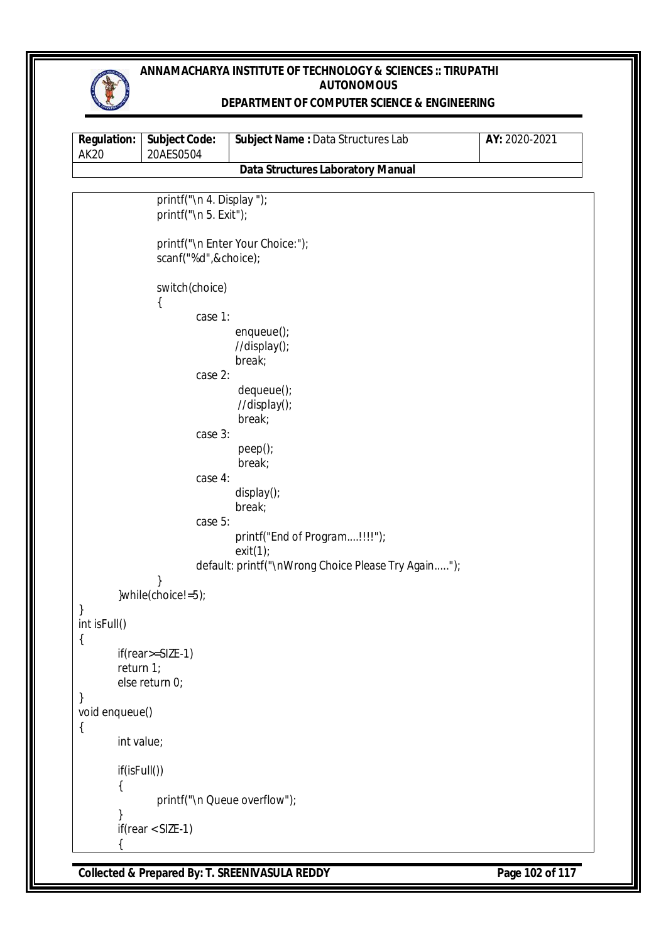

### **DEPARTMENT OF COMPUTER SCIENCE & ENGINEERING**

| <b>Regulation:</b><br><b>AK20</b> | <b>Subject Code:</b><br>20AES0504                    | <b>Subject Name: Data Structures Lab</b>                                                         | AY: 2020-2021 |
|-----------------------------------|------------------------------------------------------|--------------------------------------------------------------------------------------------------|---------------|
|                                   |                                                      | <b>Data Structures Laboratory Manual</b>                                                         |               |
|                                   | printf("\n 4. Display ");<br>printf("\n $5.$ Exit"); |                                                                                                  |               |
|                                   | scanf("%d",&choice);                                 | printf("\n Enter Your Choice:");                                                                 |               |
|                                   | switch(choice)<br>$\{$                               |                                                                                                  |               |
|                                   | case 1:                                              |                                                                                                  |               |
|                                   |                                                      | $enqueue()$ ;<br>//display();                                                                    |               |
|                                   | case 2:                                              | break;                                                                                           |               |
|                                   |                                                      | dequeue();                                                                                       |               |
|                                   |                                                      | //display();                                                                                     |               |
|                                   | case 3:                                              | break;                                                                                           |               |
|                                   |                                                      | peep();                                                                                          |               |
|                                   |                                                      | break;                                                                                           |               |
|                                   | case 4:                                              | display();                                                                                       |               |
|                                   |                                                      | break;                                                                                           |               |
|                                   | case 5:                                              |                                                                                                  |               |
|                                   |                                                      | printf("End of Program!!!!");<br>exit(1);<br>default: printf("\nWrong Choice Please Try Again"); |               |
|                                   |                                                      |                                                                                                  |               |
|                                   | }while(choice!=5);                                   |                                                                                                  |               |
| }<br>int isFull()                 |                                                      |                                                                                                  |               |
| $\{$                              |                                                      |                                                                                                  |               |
|                                   | if(rear>=SIZE-1)                                     |                                                                                                  |               |
|                                   | return 1;<br>else return 0;                          |                                                                                                  |               |
| }                                 |                                                      |                                                                                                  |               |
| void enqueue()                    |                                                      |                                                                                                  |               |
| $\{$                              | int value;                                           |                                                                                                  |               |
|                                   | if(isFull())                                         |                                                                                                  |               |
|                                   |                                                      | printf("\n Queue overflow");                                                                     |               |
|                                   | $if(rear < SIZE-1)$                                  |                                                                                                  |               |

**Collected & Prepared By: T. SREENIVASULA REDDY Page 102 of 117**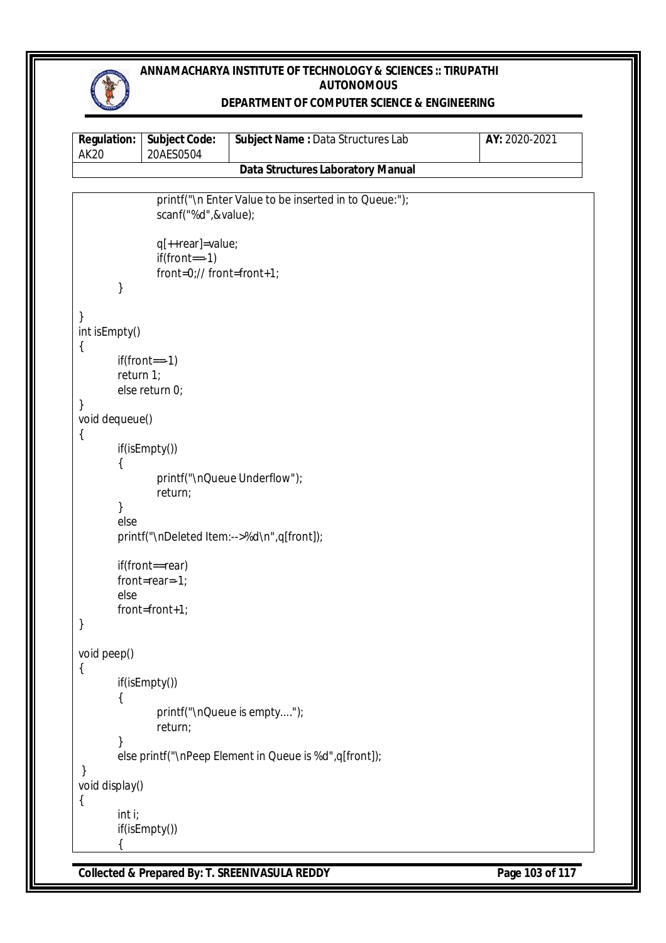

### **DEPARTMENT OF COMPUTER SCIENCE & ENGINEERING**

| <b>Regulation:</b><br><b>AK20</b> | <b>Subject Code:</b><br>20AES0504                                | Subject Name : Data Structures Lab                     | AY: 2020-2021 |
|-----------------------------------|------------------------------------------------------------------|--------------------------------------------------------|---------------|
|                                   |                                                                  | <b>Data Structures Laboratory Manual</b>               |               |
|                                   |                                                                  |                                                        |               |
|                                   | scanf("%d",&value);                                              | printf("\n Enter Value to be inserted in to Queue:");  |               |
|                                   | q[++rear]=value;<br>$if(from = -1)$<br>front=0;// front=front+1; |                                                        |               |
| }                                 |                                                                  |                                                        |               |
| }<br>int isEmpty()                |                                                                  |                                                        |               |
| {                                 | $if(from == 1)$                                                  |                                                        |               |
|                                   | return 1;<br>else return 0;                                      |                                                        |               |
| }<br>void dequeue()               |                                                                  |                                                        |               |
| {                                 | if(isEmpty())                                                    |                                                        |               |
|                                   | return;                                                          | printf("\nQueue Underflow");                           |               |
| }<br>else                         |                                                                  |                                                        |               |
|                                   |                                                                  | printf("\nDeleted ltem:-->%d\n",q[front]);             |               |
|                                   | if(front==rear)<br>front=rear=-1;                                |                                                        |               |
| else                              | front=front+1;                                                   |                                                        |               |
| ļ                                 |                                                                  |                                                        |               |
| void peep()<br>$\{$               |                                                                  |                                                        |               |
|                                   | if(isEmpty())                                                    |                                                        |               |
|                                   | return;                                                          | printf("\nQueue is empty");                            |               |
| }                                 |                                                                  | else printf("\nPeep Element in Queue is %d",q[front]); |               |
| }<br>void display()               |                                                                  |                                                        |               |
| $\{$<br>int i;                    | if(isEmpty())                                                    |                                                        |               |

**Collected & Prepared By: T. SREENIVASULA REDDY** Page 103 of 117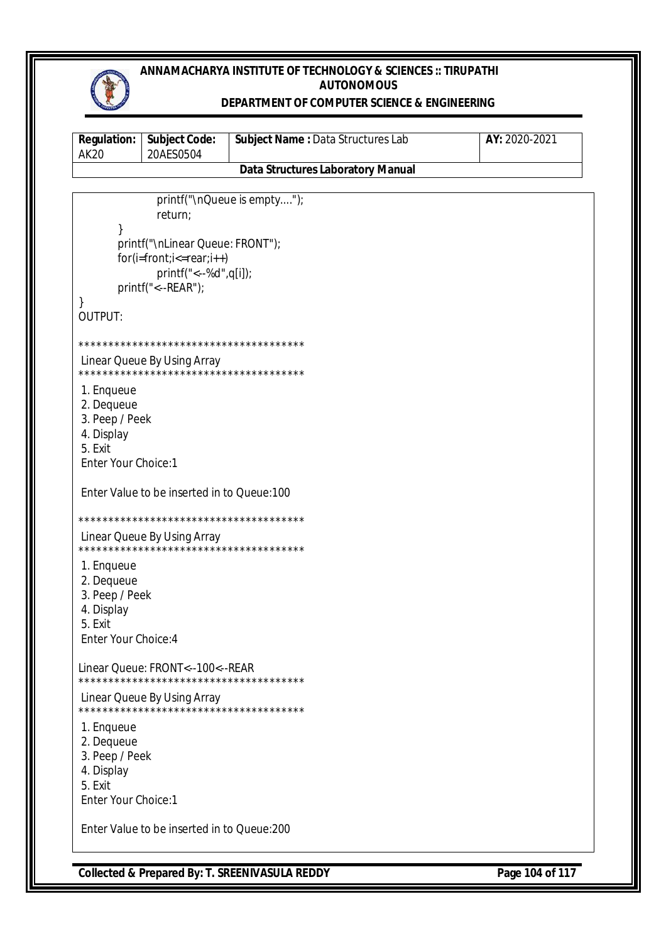

#### **DEPARTMENT OF COMPUTER SCIENCE & ENGINEERING**

| <b>Regulation:</b><br><b>AK20</b>                                                           | <b>Subject Code:</b><br>20AES0504                                                                            | Subject Name: Data Structures Lab        | AY: 2020-2021 |
|---------------------------------------------------------------------------------------------|--------------------------------------------------------------------------------------------------------------|------------------------------------------|---------------|
|                                                                                             |                                                                                                              | <b>Data Structures Laboratory Manual</b> |               |
|                                                                                             | return;                                                                                                      | printf("\nQueue is empty");              |               |
| }                                                                                           | printf("\nLinear Queue: FRONT");<br>$for(i=front;i=rear;i++)$<br>printf("<--%d",q[i]);<br>printf("<--REAR"); |                                          |               |
| OUTPUT:                                                                                     |                                                                                                              |                                          |               |
|                                                                                             |                                                                                                              |                                          |               |
|                                                                                             | Linear Queue By Using Array<br>**************************************                                        |                                          |               |
| 1. Enqueue<br>2. Dequeue<br>3. Peep / Peek<br>4. Display<br>5. Exit<br>Enter Your Choice:1  |                                                                                                              |                                          |               |
|                                                                                             | Enter Value to be inserted in to Queue:100                                                                   |                                          |               |
|                                                                                             |                                                                                                              |                                          |               |
|                                                                                             | Linear Queue By Using Array                                                                                  |                                          |               |
| 1. Enqueue<br>2. Dequeue<br>3. Peep / Peek<br>4. Display<br>5. Fxit<br>Enter Your Choice: 4 |                                                                                                              |                                          |               |
|                                                                                             | Linear Queue: FRONT<--100<--REAR<br>**************************************                                   |                                          |               |
|                                                                                             | Linear Queue By Using Array                                                                                  |                                          |               |
| 1. Enqueue<br>2. Dequeue<br>3. Peep / Peek<br>4. Display<br>5. Exit<br>Enter Your Choice:1  |                                                                                                              |                                          |               |
|                                                                                             | Enter Value to be inserted in to Queue:200                                                                   |                                          |               |

**Collected & Prepared By: T. SREENIVASULA REDDY** Page 104 of 117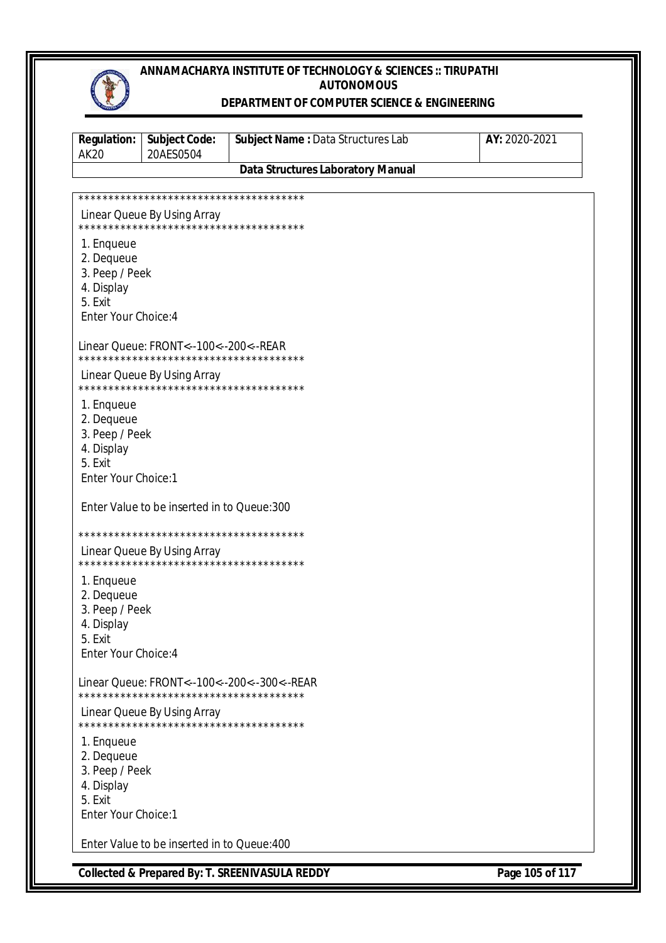#### **DEPARTMENT OF COMPUTER SCIENCE & ENGINEERING**

| <b>Regulation:</b><br><b>AK20</b>                                                           | <b>Subject Code:</b><br>20AES0504                                     | Subject Name: Data Structures Lab            | AY: 2020-2021 |
|---------------------------------------------------------------------------------------------|-----------------------------------------------------------------------|----------------------------------------------|---------------|
|                                                                                             |                                                                       | <b>Data Structures Laboratory Manual</b>     |               |
|                                                                                             |                                                                       |                                              |               |
|                                                                                             | Linear Queue By Using Array                                           |                                              |               |
| 1. Enqueue<br>2. Dequeue<br>3. Peep / Peek<br>4. Display<br>5. Exit<br>Enter Your Choice: 4 |                                                                       |                                              |               |
|                                                                                             | Linear Queue: FRONT<--100<--200<--REAR                                |                                              |               |
|                                                                                             | Linear Queue By Using Array<br>************************************** |                                              |               |
| 1. Enqueue<br>2. Dequeue<br>3. Peep / Peek<br>4. Display<br>5. Exit<br>Enter Your Choice:1  |                                                                       |                                              |               |
|                                                                                             | Enter Value to be inserted in to Queue:300                            |                                              |               |
|                                                                                             | Linear Queue By Using Array<br>************************************** |                                              |               |
| 1. Enqueue<br>2. Dequeue<br>3. Peep / Peek<br>4. Display<br>5. Exit<br>Enter Your Choice: 4 |                                                                       |                                              |               |
|                                                                                             | **************************************                                | Linear Queue: FRONT<--100<--200<--300<--REAR |               |
|                                                                                             | Linear Queue By Using Array<br>************************************** |                                              |               |
| 1. Enqueue<br>2. Dequeue<br>3. Peep / Peek<br>4. Display<br>5. Exit<br>Enter Your Choice:1  |                                                                       |                                              |               |
|                                                                                             | Enter Value to be inserted in to Queue: 400                           |                                              |               |

**Collected & Prepared By: T. SREENIVASULA REDDY Page 105 of 117**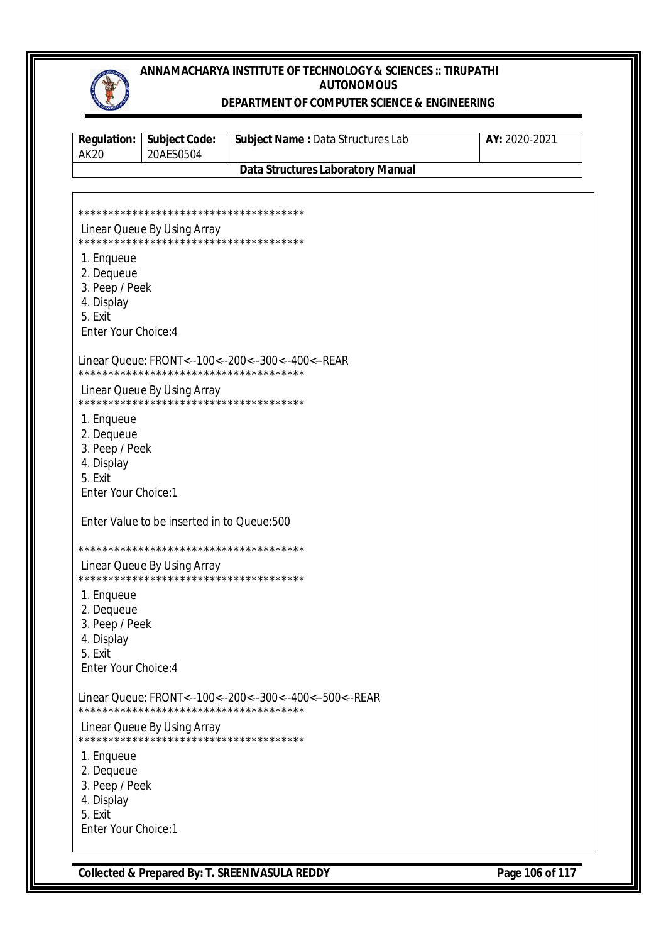### **DEPARTMENT OF COMPUTER SCIENCE & ENGINEERING**

| <b>Regulation:</b><br><b>AK20</b>                                                           | <b>Subject Code:</b><br>20AES0504                                     | Subject Name: Data Structures Lab                        | AY: 2020-2021 |
|---------------------------------------------------------------------------------------------|-----------------------------------------------------------------------|----------------------------------------------------------|---------------|
|                                                                                             |                                                                       | <b>Data Structures Laboratory Manual</b>                 |               |
|                                                                                             |                                                                       |                                                          |               |
|                                                                                             |                                                                       |                                                          |               |
|                                                                                             | Linear Queue By Using Array<br>************************************** |                                                          |               |
| 1. Enqueue<br>2. Dequeue<br>3. Peep / Peek<br>4. Display<br>5. Exit<br>Enter Your Choice: 4 |                                                                       |                                                          |               |
|                                                                                             | **************************************                                | Linear Queue: FRONT<--100<--200<--300<--400<--REAR       |               |
|                                                                                             | Linear Queue By Using Array<br>************************************** |                                                          |               |
| 1. Enqueue<br>2. Dequeue<br>3. Peep / Peek<br>4. Display<br>5. Exit<br>Enter Your Choice:1  |                                                                       |                                                          |               |
|                                                                                             | Enter Value to be inserted in to Queue:500                            |                                                          |               |
|                                                                                             |                                                                       |                                                          |               |
|                                                                                             | Linear Queue By Using Array<br>************************************** |                                                          |               |
| 1. Enqueue<br>2. Dequeue<br>3. Peep / Peek<br>4. Display<br>5. Exit<br>Enter Your Choice: 4 |                                                                       |                                                          |               |
|                                                                                             |                                                                       | Linear Queue: FRONT<--100<--200<--300<--400<--500<--REAR |               |
|                                                                                             | Linear Queue By Using Array<br>************************************** |                                                          |               |
| 1. Enqueue<br>2. Dequeue<br>3. Peep / Peek<br>4. Display<br>5. Exit<br>Enter Your Choice:1  |                                                                       |                                                          |               |

**Collected & Prepared By: T. SREENIVASULA REDDY Page 106 of 117**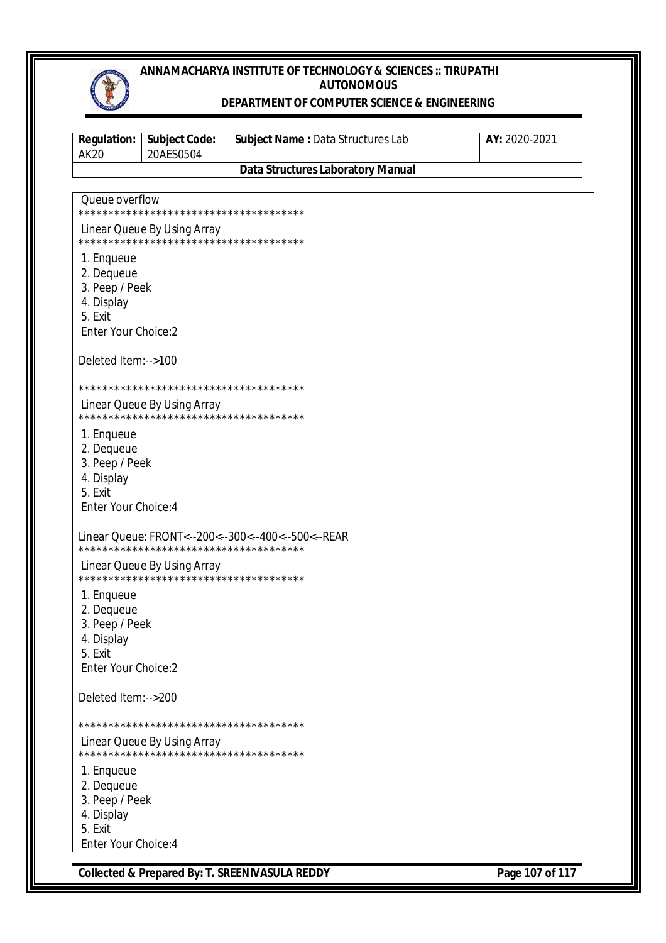

#### **DEPARTMENT OF COMPUTER SCIENCE & ENGINEERING**

| <b>Regulation:</b><br><b>AK20</b> | <b>Subject Code:</b><br>20AES0504                                     | Subject Name: Data Structures Lab                  | AY: 2020-2021 |
|-----------------------------------|-----------------------------------------------------------------------|----------------------------------------------------|---------------|
|                                   |                                                                       | <b>Data Structures Laboratory Manual</b>           |               |
| Queue overflow                    |                                                                       |                                                    |               |
|                                   | **************************************                                |                                                    |               |
|                                   | Linear Queue By Using Array<br>************************************** |                                                    |               |
| 1. Enqueue                        |                                                                       |                                                    |               |
| 2. Dequeue<br>3. Peep / Peek      |                                                                       |                                                    |               |
| 4. Display                        |                                                                       |                                                    |               |
| 5. Exit                           |                                                                       |                                                    |               |
| <b>Enter Your Choice:2</b>        |                                                                       |                                                    |               |
| Deleted Item:-->100               |                                                                       |                                                    |               |
|                                   |                                                                       |                                                    |               |
|                                   | Linear Queue By Using Array<br>************************************** |                                                    |               |
| 1. Enqueue                        |                                                                       |                                                    |               |
| 2. Dequeue                        |                                                                       |                                                    |               |
| 3. Peep / Peek<br>4. Display      |                                                                       |                                                    |               |
| 5. Exit                           |                                                                       |                                                    |               |
| Enter Your Choice: 4              |                                                                       |                                                    |               |
|                                   | **************************************                                | Linear Queue: FRONT<--200<--300<--400<--500<--REAR |               |
|                                   | Linear Queue By Using Array                                           |                                                    |               |
| 1. Enqueue                        |                                                                       |                                                    |               |
| 2. Dequeue                        |                                                                       |                                                    |               |
| 3. Peep / Peek<br>4. Display      |                                                                       |                                                    |               |
| 5. Exit                           |                                                                       |                                                    |               |
| Enter Your Choice:2               |                                                                       |                                                    |               |
| Deleted Item:-->200               |                                                                       |                                                    |               |
|                                   |                                                                       |                                                    |               |
|                                   | Linear Queue By Using Array                                           |                                                    |               |
| 1. Enqueue                        |                                                                       |                                                    |               |
| 2. Dequeue                        |                                                                       |                                                    |               |
| 3. Peep / Peek<br>4. Display      |                                                                       |                                                    |               |
| 5. Exit                           |                                                                       |                                                    |               |
| Enter Your Choice: 4              |                                                                       |                                                    |               |

**Collected & Prepared By: T. SREENIVASULA REDDY Page 107 of 117**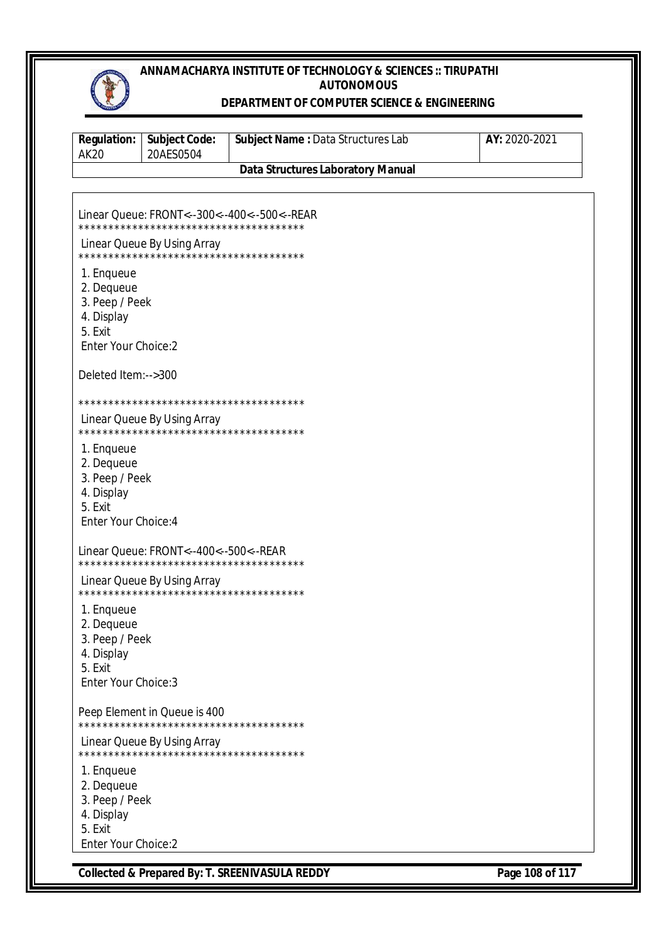

#### **DEPARTMENT OF COMPUTER SCIENCE & ENGINEERING**

| <b>Regulation:</b><br><b>AK20</b>                                                                 | <b>Subject Code:</b><br>20AES0504                                      | Subject Name: Data Structures Lab            | AY: 2020-2021 |
|---------------------------------------------------------------------------------------------------|------------------------------------------------------------------------|----------------------------------------------|---------------|
|                                                                                                   |                                                                        | <b>Data Structures Laboratory Manual</b>     |               |
|                                                                                                   |                                                                        |                                              |               |
|                                                                                                   |                                                                        | Linear Queue: FRONT<--300<--400<--500<--REAR |               |
|                                                                                                   | Linear Queue By Using Array                                            |                                              |               |
| 1. Enqueue<br>2. Dequeue<br>3. Peep / Peek<br>4. Display<br>5. Exit<br><b>Enter Your Choice:2</b> |                                                                        |                                              |               |
| Deleted Item:-->300                                                                               |                                                                        |                                              |               |
|                                                                                                   |                                                                        |                                              |               |
|                                                                                                   | Linear Queue By Using Array                                            |                                              |               |
| 1. Enqueue<br>2. Dequeue<br>3. Peep / Peek<br>4. Display<br>5. Exit<br>Enter Your Choice: 4       |                                                                        |                                              |               |
|                                                                                                   | Linear Queue: FRONT<--400<--500<--REAR                                 |                                              |               |
|                                                                                                   | Linear Queue By Using Array                                            |                                              |               |
| 1. Enqueue<br>2. Dequeue<br>3. Peep / Peek<br>4. Display<br>5. Exit<br>Enter Your Choice: 3       |                                                                        |                                              |               |
|                                                                                                   | Peep Element in Queue is 400<br>************************************** |                                              |               |
|                                                                                                   | Linear Queue By Using Array<br>**************************************  |                                              |               |
| 1. Enqueue<br>2. Dequeue<br>3. Peep / Peek<br>4. Display<br>5. Exit<br>Enter Your Choice:2        |                                                                        |                                              |               |

**Collected & Prepared By: T. SREENIVASULA REDDY Page 108 of 117**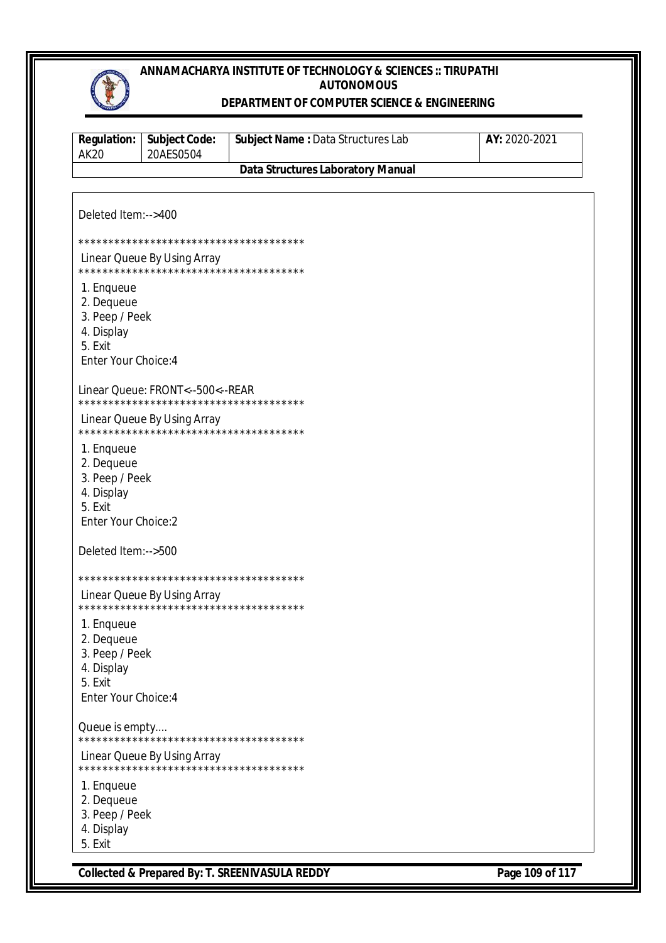

#### DEPARTMENT OF COMPUTER SCIENCE & ENGINEERING

| <b>Regulation:</b><br><b>AK20</b>                                                           | <b>Subject Code:</b><br>20AES0504                                          | Subject Name: Data Structures Lab        | AY: 2020-2021 |
|---------------------------------------------------------------------------------------------|----------------------------------------------------------------------------|------------------------------------------|---------------|
|                                                                                             |                                                                            | <b>Data Structures Laboratory Manual</b> |               |
|                                                                                             |                                                                            |                                          |               |
| Deleted Item:-->400                                                                         |                                                                            |                                          |               |
|                                                                                             |                                                                            |                                          |               |
|                                                                                             | Linear Queue By Using Array<br>**************************************      |                                          |               |
| 1. Enqueue<br>2. Dequeue<br>3. Peep / Peek<br>4. Display<br>5. Exit<br>Enter Your Choice: 4 |                                                                            |                                          |               |
|                                                                                             | Linear Queue: FRONT<--500<--REAR<br>************************************** |                                          |               |
|                                                                                             | Linear Queue By Using Array<br>**************************************      |                                          |               |
| 1. Enqueue<br>2. Dequeue<br>3. Peep / Peek<br>4. Display<br>5. Exit<br>Enter Your Choice:2  |                                                                            |                                          |               |
| Deleted Item:-->500                                                                         |                                                                            |                                          |               |
|                                                                                             |                                                                            |                                          |               |
|                                                                                             | Linear Queue By Using Array<br>**************************************      |                                          |               |
| 1. Enqueue<br>2. Dequeue<br>3. Peep / Peek<br>4. Display<br>5. Exit<br>Enter Your Choice: 4 |                                                                            |                                          |               |
| Queue is empty                                                                              | **************************************                                     |                                          |               |
|                                                                                             | Linear Queue By Using Array                                                |                                          |               |
| 1. Enqueue<br>2. Dequeue<br>3. Peep / Peek<br>4. Display<br>5. Exit                         |                                                                            |                                          |               |

Page 109 of 117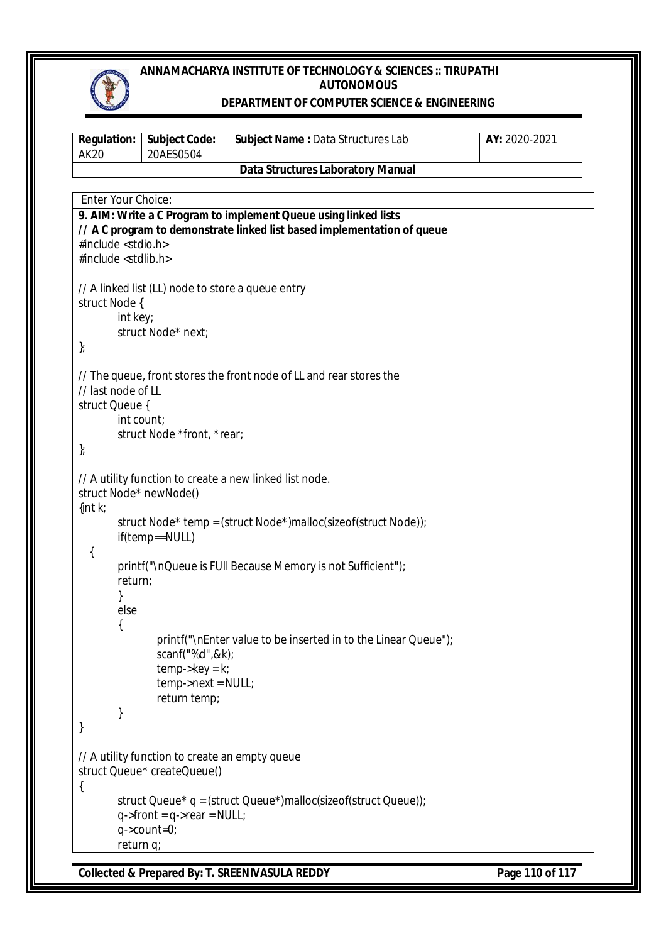

### **DEPARTMENT OF COMPUTER SCIENCE & ENGINEERING**

| <b>Regulation:</b><br><b>AK20</b>                               | <b>Subject Code:</b><br>20AES0504                                                                                                | Subject Name: Data Structures Lab                                                                                                                                                                                                                          | AY: 2020-2021 |
|-----------------------------------------------------------------|----------------------------------------------------------------------------------------------------------------------------------|------------------------------------------------------------------------------------------------------------------------------------------------------------------------------------------------------------------------------------------------------------|---------------|
|                                                                 |                                                                                                                                  | <b>Data Structures Laboratory Manual</b>                                                                                                                                                                                                                   |               |
| Enter Your Choice:                                              |                                                                                                                                  |                                                                                                                                                                                                                                                            |               |
| #include <stdio.h><br/>#include <stdlib.h></stdlib.h></stdio.h> |                                                                                                                                  | 9. AIM: Write a C Program to implement Queue using linked lists<br>// A C program to demonstrate linked list based implementation of queue                                                                                                                 |               |
| struct Node {<br>int key;<br>$\}$                               | // A linked list (LL) node to store a queue entry<br>struct Node* next;                                                          |                                                                                                                                                                                                                                                            |               |
| // last node of LL<br>struct Queue {<br>int count;<br>$\}$      | struct Node *front, *rear;                                                                                                       | // The queue, front stores the front node of LL and rear stores the                                                                                                                                                                                        |               |
| struct Node* newNode()<br>$\{int k;$<br>{<br>return;<br>else    | if(temp==NULL)<br>scanf("%d",&k);                                                                                                | // A utility function to create a new linked list node.<br>struct Node* temp = (struct Node*)malloc(sizeof(struct Node));<br>printf("\nQueue is FUII Because Memory is not Sufficient");<br>printf("\nEnter value to be inserted in to the Linear Queue"); |               |
| }<br>}                                                          | $temp$ ->key = k;<br>temp->next = NULL;<br>return temp;                                                                          |                                                                                                                                                                                                                                                            |               |
| {<br>return q;                                                  | // A utility function to create an empty queue<br>struct Queue* createQueue()<br>$q$ ->front = $q$ ->rear = NULL;<br>q->count=0; | struct Queue* q = (struct Queue*)malloc(sizeof(struct Queue));                                                                                                                                                                                             |               |

**Collected & Prepared By: T. SREENIVASULA REDDY Page 110 of 117**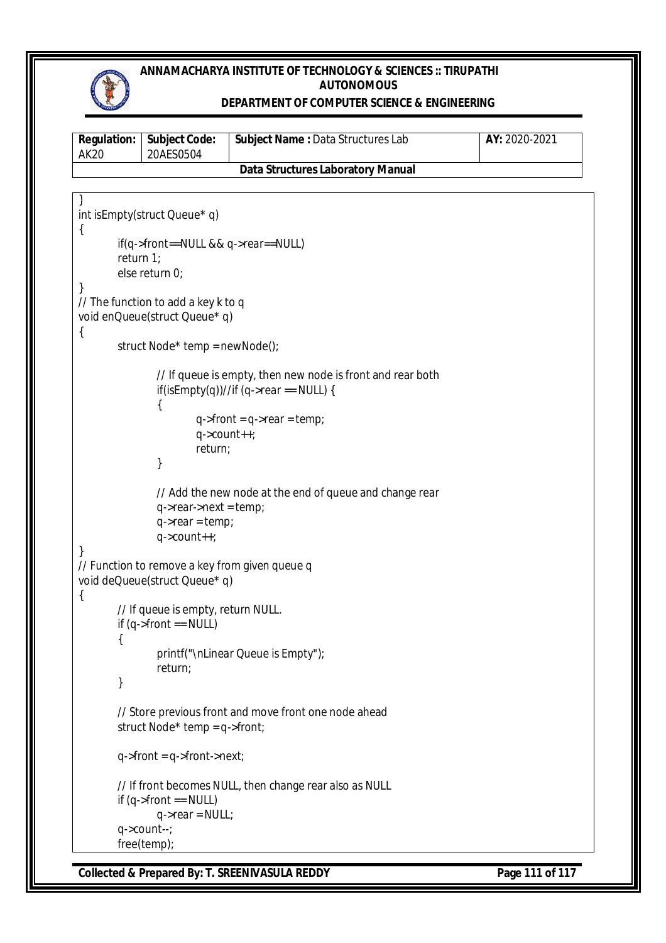

### **DEPARTMENT OF COMPUTER SCIENCE & ENGINEERING**

| <b>Regulation:</b><br><b>AK20</b> | <b>Subject Code:</b><br>20AES0504                                               | Subject Name: Data Structures Lab                                                                    | AY: 2020-2021 |
|-----------------------------------|---------------------------------------------------------------------------------|------------------------------------------------------------------------------------------------------|---------------|
|                                   |                                                                                 | <b>Data Structures Laboratory Manual</b>                                                             |               |
|                                   |                                                                                 |                                                                                                      |               |
| $\mathcal{L}$                     | int isEmpty(struct Queue* q)                                                    |                                                                                                      |               |
| return $1$ ;                      | $if(q\text{-}$ front==NULL && q- $\text{-}$ rear==NULL)<br>else return 0;       |                                                                                                      |               |
| }                                 | // The function to add a key k to q<br>void enQueue(struct Queue* q)            |                                                                                                      |               |
| $\{$                              | struct Node* temp = newNode();                                                  |                                                                                                      |               |
|                                   |                                                                                 | // If queue is empty, then new node is front and rear both<br>if(isEmpty(q))//if (q->rear == NULL) { |               |
|                                   | $q$ ->count++;<br>return;                                                       | $q$ ->front = $q$ ->rear = temp;                                                                     |               |
|                                   | }                                                                               |                                                                                                      |               |
|                                   | $q$ ->rear->next = temp;<br>$q$ ->rear = temp;                                  | // Add the new node at the end of queue and change rear                                              |               |
| $\}$                              | $q$ ->count++;                                                                  |                                                                                                      |               |
|                                   | // Function to remove a key from given queue q<br>void deQueue(struct Queue* q) |                                                                                                      |               |
| $\{$<br>{                         | // If queue is empty, return NULL.<br>if $(q$ ->front == NULL)                  |                                                                                                      |               |
| }                                 | return;                                                                         | printf("\nLinear Queue is Empty");                                                                   |               |
|                                   | struct Node* temp = $q$ ->front;                                                | // Store previous front and move front one node ahead                                                |               |
|                                   | $q$ ->front = $q$ ->front->next;                                                |                                                                                                      |               |
|                                   | if $(q$ ->front == NULL)<br>$q$ ->rear = NULL;                                  | // If front becomes NULL, then change rear also as NULL                                              |               |
|                                   | $q$ ->count--;<br>free(temp);                                                   |                                                                                                      |               |

**Collected & Prepared By: T. SREENIVASULA REDDY Page 111 of 117**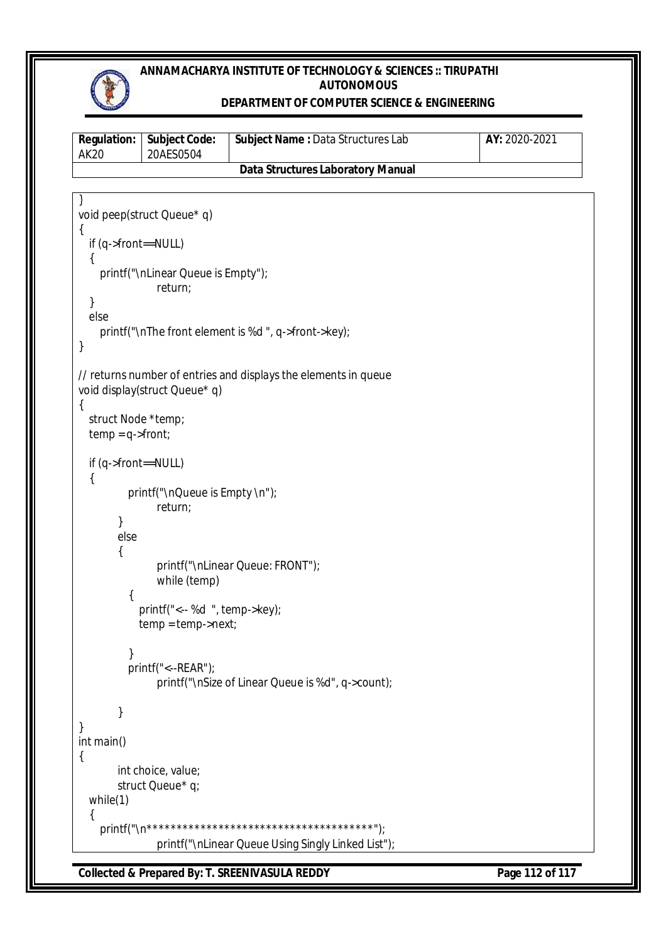

### **DEPARTMENT OF COMPUTER SCIENCE & ENGINEERING**

| <b>Regulation:</b><br><b>AK20</b>                 | <b>Subject Code:</b><br>20AES0504                                | Subject Name: Data Structures Lab                               | AY: 2020-2021 |
|---------------------------------------------------|------------------------------------------------------------------|-----------------------------------------------------------------|---------------|
|                                                   |                                                                  | <b>Data Structures Laboratory Manual</b>                        |               |
|                                                   |                                                                  |                                                                 |               |
|                                                   | void peep(struct Queue* q)                                       |                                                                 |               |
| {<br>if (q->front==NULL)<br>$\{$                  |                                                                  |                                                                 |               |
|                                                   | printf("\nLinear Queue is Empty");<br>return;                    |                                                                 |               |
| }<br>else                                         |                                                                  |                                                                 |               |
| }                                                 |                                                                  | printf("\nThe front element is %d", q->front->key);             |               |
|                                                   | void display(struct Queue* q)                                    | // returns number of entries and displays the elements in queue |               |
| $\{$<br>struct Node *temp;<br>$temp = q$ ->front; |                                                                  |                                                                 |               |
| if (q->front==NULL)<br>{                          |                                                                  |                                                                 |               |
|                                                   | printf("\nQueue is Empty \n");<br>return;                        |                                                                 |               |
| ł<br>else<br>{                                    |                                                                  |                                                                 |               |
|                                                   | while (temp)                                                     | printf("\nLinear Queue: FRONT");                                |               |
| {                                                 |                                                                  |                                                                 |               |
|                                                   | printf("<-- %d ", temp->key);<br>$temp = temp \rightarrow next;$ |                                                                 |               |
|                                                   | printf("<--REAR");                                               | printf("\nSize of Linear Queue is %d", q->count);               |               |
| }<br>$\}$                                         |                                                                  |                                                                 |               |
| int main()<br>$\{$                                |                                                                  |                                                                 |               |
|                                                   | int choice, value;<br>struct Queue* q;                           |                                                                 |               |
| while $(1)$<br>{                                  |                                                                  |                                                                 |               |
|                                                   |                                                                  |                                                                 |               |
|                                                   |                                                                  | printf("\nLinear Queue Using Singly Linked List");              |               |

**Collected & Prepared By: T. SREENIVASULA REDDY Page 112 of 117**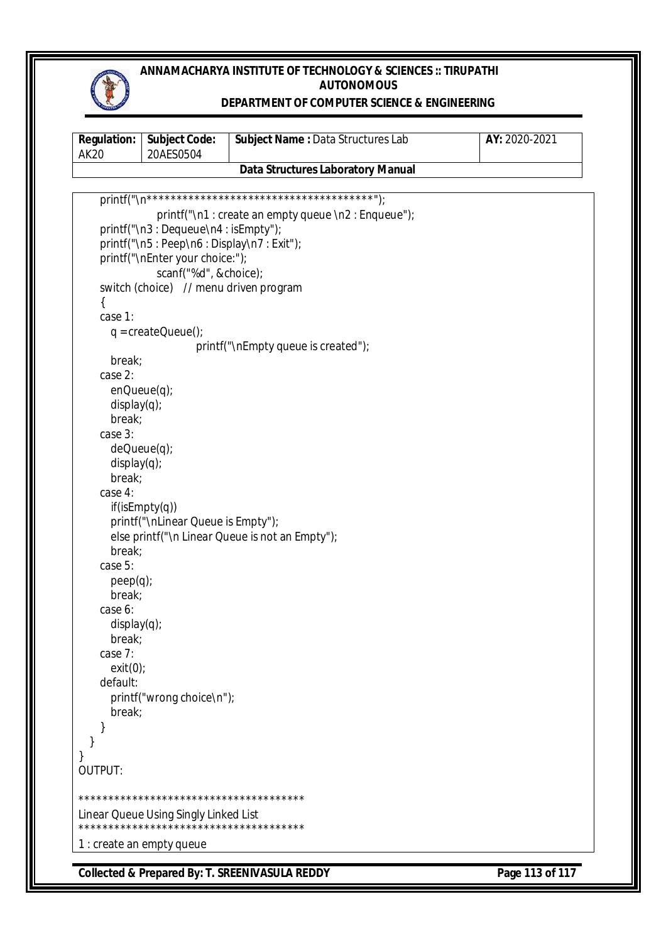

### **DEPARTMENT OF COMPUTER SCIENCE & ENGINEERING**

| <b>Regulation:</b><br><b>AK20</b> | <b>Subject Code:</b><br>20AES0504         | Subject Name: Data Structures Lab                  | AY: 2020-2021   |
|-----------------------------------|-------------------------------------------|----------------------------------------------------|-----------------|
|                                   |                                           | <b>Data Structures Laboratory Manual</b>           |                 |
|                                   |                                           |                                                    |                 |
|                                   |                                           | printf("\n1: create an empty queue \n2: Enqueue"); |                 |
|                                   | printf("\n3: Dequeue\n4: isEmpty");       |                                                    |                 |
|                                   | printf("\n5: Peep\n6: Display\n7: Exit"); |                                                    |                 |
|                                   | printf("\nEnter your choice:");           |                                                    |                 |
|                                   | scanf("%d", &choice);                     |                                                    |                 |
|                                   | switch (choice) // menu driven program    |                                                    |                 |
| {                                 |                                           |                                                    |                 |
| case 1:                           |                                           |                                                    |                 |
|                                   | $q = createQueue()$                       |                                                    |                 |
|                                   |                                           | printf("\nEmpty queue is created");                |                 |
| break;                            |                                           |                                                    |                 |
| case 2:                           |                                           |                                                    |                 |
| $enQueue(q)$ ;                    |                                           |                                                    |                 |
| display(q);                       |                                           |                                                    |                 |
| break;                            |                                           |                                                    |                 |
| case 3:                           |                                           |                                                    |                 |
|                                   | $deQueue(q)$ ;                            |                                                    |                 |
| display(q);                       |                                           |                                                    |                 |
| break;                            |                                           |                                                    |                 |
| case 4:                           |                                           |                                                    |                 |
|                                   | if(isEmpty(q))                            |                                                    |                 |
|                                   | printf("\nLinear Queue is Empty");        |                                                    |                 |
| break;                            |                                           | else printf("\n Linear Queue is not an Empty");    |                 |
| case 5:                           |                                           |                                                    |                 |
| $peep(q)$ ;                       |                                           |                                                    |                 |
| break;                            |                                           |                                                    |                 |
| case 6:                           |                                           |                                                    |                 |
| display(q);                       |                                           |                                                    |                 |
| break;                            |                                           |                                                    |                 |
| case 7:                           |                                           |                                                    |                 |
| exit(0);                          |                                           |                                                    |                 |
| default:                          |                                           |                                                    |                 |
|                                   | printf("wrong choice\n");                 |                                                    |                 |
| break;                            |                                           |                                                    |                 |
|                                   |                                           |                                                    |                 |
|                                   |                                           |                                                    |                 |
|                                   |                                           |                                                    |                 |
| <b>OUTPUT:</b>                    |                                           |                                                    |                 |
|                                   |                                           |                                                    |                 |
|                                   | Linear Queue Using Singly Linked List     |                                                    |                 |
|                                   | 1 : create an empty queue                 |                                                    |                 |
|                                   |                                           | Collected & Prepared By: T. SREENIVASULA REDDY     | Page 113 of 117 |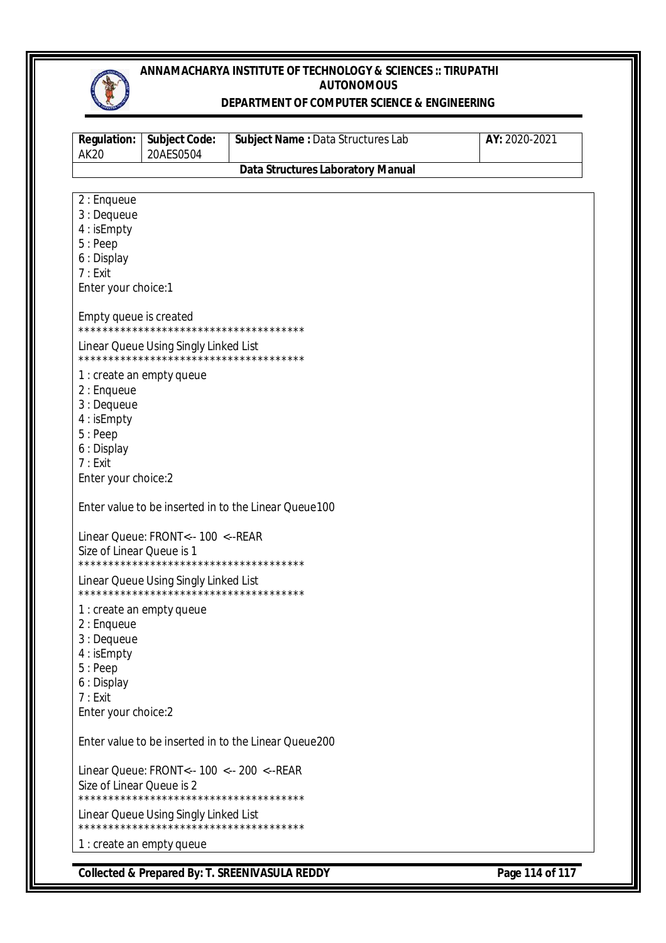

#### DEPARTMENT OF COMPUTER SCIENCE & ENGINEERING

| <b>Regulation:</b><br><b>AK20</b>                                                                        | <b>Subject Code:</b><br>20AES0504                                                    | Subject Name: Data Structures Lab                    | AY: 2020-2021 |
|----------------------------------------------------------------------------------------------------------|--------------------------------------------------------------------------------------|------------------------------------------------------|---------------|
|                                                                                                          |                                                                                      | <b>Data Structures Laboratory Manual</b>             |               |
| 2 : Enqueue<br>3 : Dequeue<br>4 : isEmpty<br>$5:$ Peep<br>6 : Display<br>7:Exit<br>Enter your choice:1   |                                                                                      |                                                      |               |
| Empty queue is created                                                                                   |                                                                                      |                                                      |               |
|                                                                                                          | Linear Queue Using Singly Linked List<br>**************************************      |                                                      |               |
| $2:$ Enqueue<br>3 : Dequeue<br>4 : is Empty<br>$5:$ Peep<br>6 : Display<br>7:Exit<br>Enter your choice:2 | 1 : create an empty queue                                                            |                                                      |               |
|                                                                                                          |                                                                                      | Enter value to be inserted in to the Linear Queue100 |               |
| Size of Linear Queue is 1                                                                                | Linear Queue: FRONT<-- 100 <-- REAR                                                  |                                                      |               |
|                                                                                                          | Linear Queue Using Singly Linked List<br>**************************************      |                                                      |               |
| 2 : Enqueue<br>3 : Dequeue<br>4 : isEmpty<br>5: Peep<br>6 : Display<br>7:Exit<br>Enter your choice:2     | 1 : create an empty queue                                                            |                                                      |               |
|                                                                                                          |                                                                                      | Enter value to be inserted in to the Linear Queue200 |               |
| Size of Linear Queue is 2                                                                                | Linear Queue: FRONT<-- 100 <-- 200 <--REAR<br>************************************** |                                                      |               |
|                                                                                                          | Linear Queue Using Singly Linked List                                                |                                                      |               |
|                                                                                                          | 1 : create an empty queue                                                            |                                                      |               |

Collected & Prepared By: T. SREENIVASULA REDDY

Page 114 of 117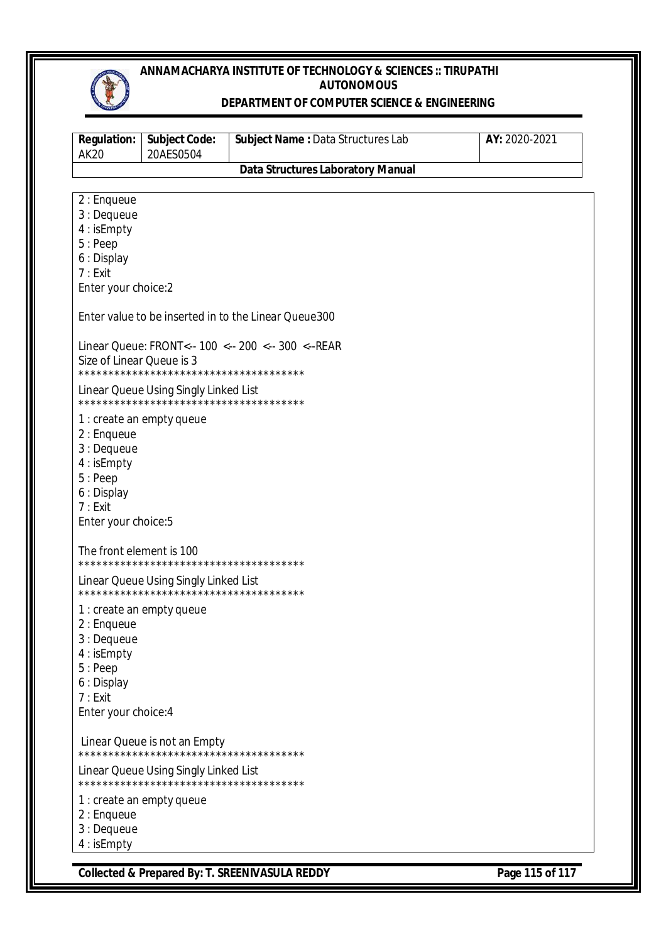

#### DEPARTMENT OF COMPUTER SCIENCE & ENGINEERING

| <b>Regulation:</b><br><b>AK20</b>                                                                     | <b>Subject Code:</b><br>20AES0504                                               | Subject Name: Data Structures Lab                     | AY: 2020-2021 |
|-------------------------------------------------------------------------------------------------------|---------------------------------------------------------------------------------|-------------------------------------------------------|---------------|
|                                                                                                       |                                                                                 | <b>Data Structures Laboratory Manual</b>              |               |
| 2 : Enqueue<br>3 : Dequeue<br>4 : isEmpty<br>$5:$ Peep<br>6 : Display                                 |                                                                                 |                                                       |               |
| 7:Exit<br>Enter your choice:2                                                                         |                                                                                 |                                                       |               |
|                                                                                                       |                                                                                 | Enter value to be inserted in to the Linear Queue 300 |               |
| Size of Linear Queue is 3                                                                             | **************************************                                          | Linear Queue: FRONT<-- 100 <-- 200 <-- 300 <-- REAR   |               |
|                                                                                                       | Linear Queue Using Singly Linked List<br>************************************** |                                                       |               |
| $2:$ Enqueue<br>3 : Dequeue<br>4 : isEmpty<br>5: Peep<br>6 : Display<br>7:Exit<br>Enter your choice:5 | 1 : create an empty queue                                                       |                                                       |               |
| The front element is 100                                                                              |                                                                                 |                                                       |               |
|                                                                                                       | Linear Queue Using Singly Linked List                                           |                                                       |               |
| 2 : Enqueue<br>3 : Dequeue<br>4 : isEmpty<br>5: Peep<br>6 : Display<br>7:Exit<br>Enter your choice: 4 | 1 : create an empty queue                                                       |                                                       |               |
|                                                                                                       | Linear Queue is not an Empty<br>**************************************          |                                                       |               |
|                                                                                                       | Linear Queue Using Singly Linked List<br>************************************** |                                                       |               |
| 2 : Enqueue<br>3 : Dequeue<br>4 : isEmpty                                                             | 1 : create an empty queue                                                       |                                                       |               |

Collected & Prepared By: T. SREENIVASULA REDDY

Page 115 of 117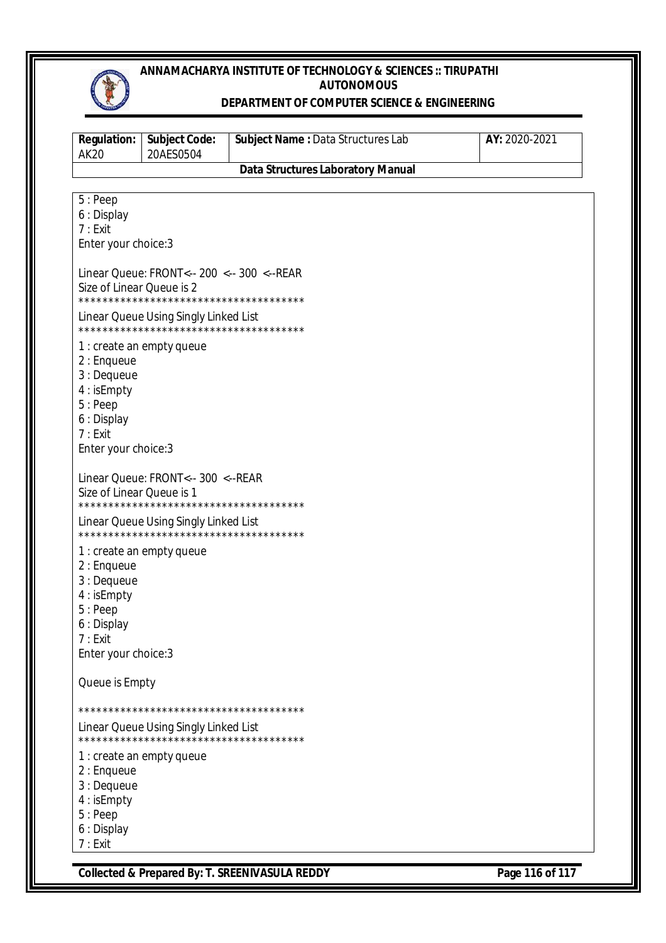

#### DEPARTMENT OF COMPUTER SCIENCE & ENGINEERING

| <b>Regulation:</b><br><b>AK20</b>                                                                    | <b>Subject Code:</b><br>20AES0504                                                                            | Subject Name: Data Structures Lab        | AY: 2020-2021 |
|------------------------------------------------------------------------------------------------------|--------------------------------------------------------------------------------------------------------------|------------------------------------------|---------------|
|                                                                                                      |                                                                                                              | <b>Data Structures Laboratory Manual</b> |               |
| 5:Peep<br>6 : Display<br>7:Exit<br>Enter your choice: 3                                              |                                                                                                              |                                          |               |
| Size of Linear Queue is 2                                                                            | Linear Queue: FRONT<-- 200 <-- 300 <-- REAR<br>**************************************                        |                                          |               |
|                                                                                                      | Linear Queue Using Singly Linked List<br>**************************************                              |                                          |               |
| 2 : Enqueue<br>3 : Dequeue<br>4 : isEmpty<br>5:Peep<br>6 : Display<br>7:Exit<br>Enter your choice: 3 | 1 : create an empty queue                                                                                    |                                          |               |
| Size of Linear Queue is 1                                                                            | Linear Queue: FRONT<-- 300 <-- REAR<br>**************************************                                |                                          |               |
|                                                                                                      | Linear Queue Using Singly Linked List                                                                        |                                          |               |
| $2:$ Enqueue<br>3 : Dequeue<br>4 : isEmpty<br>5:Peep<br>6 : Display<br>7:Exit<br>Enter your choice:3 | 1 : create an empty queue                                                                                    |                                          |               |
| Queue is Empty                                                                                       |                                                                                                              |                                          |               |
| 2 : Enqueue<br>3 : Dequeue<br>4 : isEmpty<br>5: Peep<br>6 : Display<br>7:Exit                        | Linear Queue Using Singly Linked List<br>**************************************<br>1 : create an empty queue |                                          |               |

Page 116 of 117